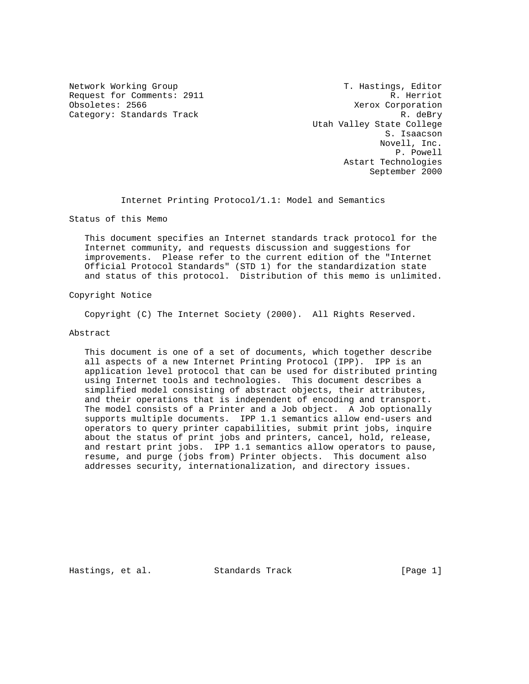Request for Comments: 2911 R. Herriot<br>  $\alpha$  R. Herriot<br>  $\alpha$  R. Herriot<br>  $\alpha$  R. Herriot Category: Standards Track R. deBry

Network Working Group T. Hastings, Editor Xerox Corporation Utah Valley State College S. Isaacson Novell, Inc. P. Powell Astart Technologies September 2000

Internet Printing Protocol/1.1: Model and Semantics

Status of this Memo

 This document specifies an Internet standards track protocol for the Internet community, and requests discussion and suggestions for improvements. Please refer to the current edition of the "Internet Official Protocol Standards" (STD 1) for the standardization state and status of this protocol. Distribution of this memo is unlimited.

Copyright Notice

Copyright (C) The Internet Society (2000). All Rights Reserved.

# Abstract

 This document is one of a set of documents, which together describe all aspects of a new Internet Printing Protocol (IPP). IPP is an application level protocol that can be used for distributed printing using Internet tools and technologies. This document describes a simplified model consisting of abstract objects, their attributes, and their operations that is independent of encoding and transport. The model consists of a Printer and a Job object. A Job optionally supports multiple documents. IPP 1.1 semantics allow end-users and operators to query printer capabilities, submit print jobs, inquire about the status of print jobs and printers, cancel, hold, release, and restart print jobs. IPP 1.1 semantics allow operators to pause, resume, and purge (jobs from) Printer objects. This document also addresses security, internationalization, and directory issues.

Hastings, et al. Standards Track [Page 1]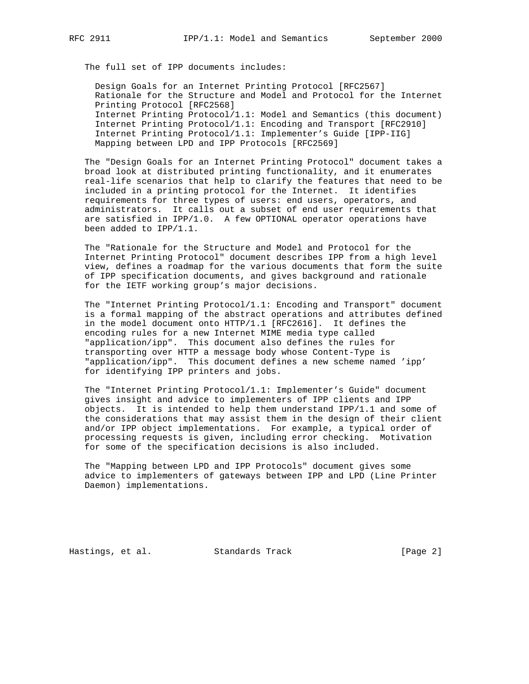The full set of IPP documents includes:

 Design Goals for an Internet Printing Protocol [RFC2567] Rationale for the Structure and Model and Protocol for the Internet Printing Protocol [RFC2568] Internet Printing Protocol/1.1: Model and Semantics (this document) Internet Printing Protocol/1.1: Encoding and Transport [RFC2910] Internet Printing Protocol/1.1: Implementer's Guide [IPP-IIG] Mapping between LPD and IPP Protocols [RFC2569]

 The "Design Goals for an Internet Printing Protocol" document takes a broad look at distributed printing functionality, and it enumerates real-life scenarios that help to clarify the features that need to be included in a printing protocol for the Internet. It identifies requirements for three types of users: end users, operators, and administrators. It calls out a subset of end user requirements that are satisfied in IPP/1.0. A few OPTIONAL operator operations have been added to IPP/1.1.

 The "Rationale for the Structure and Model and Protocol for the Internet Printing Protocol" document describes IPP from a high level view, defines a roadmap for the various documents that form the suite of IPP specification documents, and gives background and rationale for the IETF working group's major decisions.

 The "Internet Printing Protocol/1.1: Encoding and Transport" document is a formal mapping of the abstract operations and attributes defined in the model document onto HTTP/1.1 [RFC2616]. It defines the encoding rules for a new Internet MIME media type called "application/ipp". This document also defines the rules for transporting over HTTP a message body whose Content-Type is "application/ipp". This document defines a new scheme named 'ipp' for identifying IPP printers and jobs.

 The "Internet Printing Protocol/1.1: Implementer's Guide" document gives insight and advice to implementers of IPP clients and IPP objects. It is intended to help them understand IPP/1.1 and some of the considerations that may assist them in the design of their client and/or IPP object implementations. For example, a typical order of processing requests is given, including error checking. Motivation for some of the specification decisions is also included.

 The "Mapping between LPD and IPP Protocols" document gives some advice to implementers of gateways between IPP and LPD (Line Printer Daemon) implementations.

Hastings, et al. Standards Track [Page 2]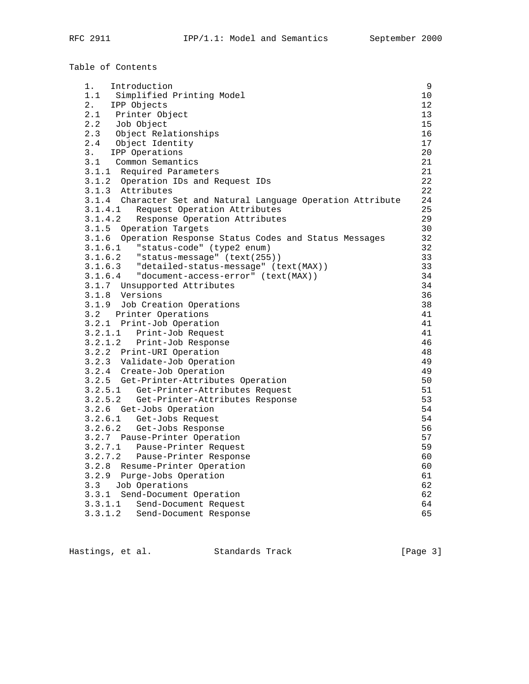|         | Table of Contents                                                 |                 |
|---------|-------------------------------------------------------------------|-----------------|
|         | 1. Introduction                                                   | 9               |
|         | 1.1 Simplified Printing Model                                     | 10              |
|         | 2. IPP Objects                                                    | 12 <sup>°</sup> |
|         | 2.1 Printer Object                                                | 13              |
|         |                                                                   | 15              |
|         |                                                                   | 16              |
|         | 2.2 Job Object<br>2.3 Object Relationships<br>2.4 Object Identity | 17              |
|         | 3. IPP Operations                                                 | 20              |
|         | 3.1 Common Semantics                                              | 21              |
|         | 3.1.1 Required Parameters                                         | 21              |
|         | 3.1.2 Operation IDs and Request IDs                               | 22              |
|         | 3.1.3 Attributes                                                  | 22              |
|         | 3.1.4 Character Set and Natural Language Operation Attribute      | 24              |
| 3.1.4.1 | Request Operation Attributes                                      | 25              |
| 3.1.4.2 | Response Operation Attributes                                     | 29              |
|         | 3.1.5 Operation Targets                                           | 30              |
|         | 3.1.6 Operation Response Status Codes and Status Messages         | 32              |
|         | 3.1.6.1 "status-code" (type2 enum)                                | 32              |
|         | $3.1.6.2$ "status-message" (text(255))                            | 33              |
|         | 3.1.6.3 "detailed-status-message" (text(MAX))                     | 33              |
|         | 3.1.6.4 "document-access-error" (text(MAX))                       | 34              |
|         | 3.1.7 Unsupported Attributes                                      | 34              |
|         | 3.1.8 Versions                                                    | 36              |
|         | 3.1.9 Job Creation Operations                                     | 38              |
|         | 3.2 Printer Operations                                            | 41              |
|         | 3.2.1 Print-Job Operation                                         | 41              |
|         | 3.2.1.1 Print-Job Request                                         | 41              |
|         | 3.2.1.2 Print-Job Response                                        | 46              |
|         | 3.2.2 Print-URI Operation                                         | 48              |
|         | 3.2.3 Validate-Job Operation                                      | 49              |
|         | 3.2.4 Create-Job Operation                                        | 49              |
|         | 3.2.5 Get-Printer-Attributes Operation                            | 50              |
|         | 3.2.5.1 Get-Printer-Attributes Request                            | 51              |
|         | 3.2.5.2 Get-Printer-Attributes Response                           | 53              |
|         | 3.2.6 Get-Jobs Operation                                          | 54<br>54        |
|         | 3.2.6.1 Get-Jobs Request<br>3.2.6.2 Get-Jobs Response             | 56              |
|         | 3.2.7 Pause-Printer Operation                                     | 57              |
|         | 3.2.7.1 Pause-Printer Request                                     | 59              |
| 3.2.7.2 | Pause-Printer Response                                            | 60              |
| 3.2.8   | Resume-Printer Operation                                          | 60              |
| 3.2.9   | Purge-Jobs Operation                                              | 61              |
| 3.3     | Job Operations                                                    | 62              |
| 3.3.1   | Send-Document Operation                                           | 62              |
| 3.3.1.1 | Send-Document Request                                             | 64              |
| 3.3.1.2 | Send-Document Response                                            | 65              |
|         |                                                                   |                 |

Hastings, et al. Standards Track [Page 3]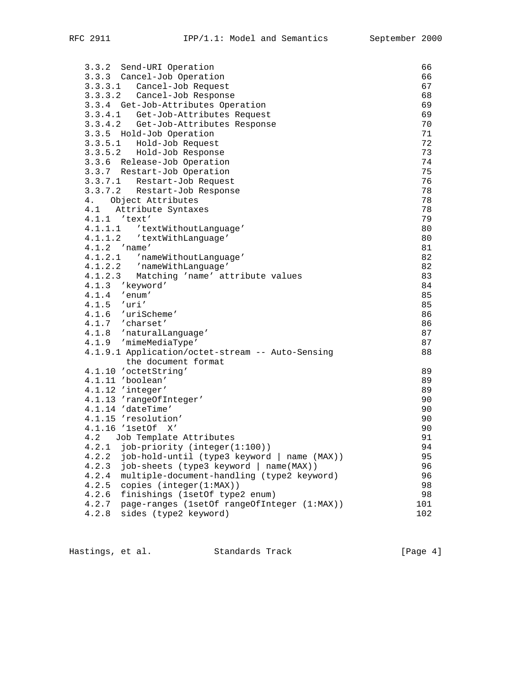| 3.3.2 Send-URI Operation                                    | 66  |
|-------------------------------------------------------------|-----|
| 3.3.3 Cancel-Job Operation                                  | 66  |
| 3.3.3.1 Cancel-Job Request                                  | 67  |
| 3.3.3.2 Cancel-Job Response                                 | 68  |
| 3.3.4 Get-Job-Attributes Operation                          | 69  |
| 3.3.4.1 Get-Job-Attributes Request                          | 69  |
| 3.3.4.2 Get-Job-Attributes Response                         | 70  |
| 3.3.5 Hold-Job Operation                                    | 71  |
| 3.3.5.1 Hold-Job Request                                    | 72  |
| 3.3.5.2 Hold-Job Response                                   | 73  |
| 3.3.6 Release-Job Operation                                 | 74  |
| 3.3.7 Restart-Job Operation                                 | 75  |
| 3.3.7.1<br>Restart-Job Request                              | 76  |
| 3.3.7.2<br>Restart-Job Response                             | 78  |
| 4. Object Attributes                                        | 78  |
| 4.1 Attribute Syntaxes                                      | 78  |
| 4.1.1 'text'                                                | 79  |
|                                                             | 80  |
| 4.1.1.1 'textWithoutLanguage'<br>4.1.1.2 'textWithLanguage' | 80  |
| $4.1.2$ 'name'                                              | 81  |
| 4.1.2.1 'nameWithoutLanguage'                               | 82  |
| 4.1.2.2 'nameWithLanguage'                                  | 82  |
| 4.1.2.3 Matching 'name' attribute values                    | 83  |
| 4.1.3 'keyword'                                             | 84  |
| $4.1.4$ 'enum'                                              | 85  |
| $4.1.5$ 'uri'                                               | 85  |
| 4.1.6 'uriScheme'                                           | 86  |
| 4.1.7 'charset'                                             | 86  |
| 4.1.8 'naturalLanguage'                                     | 87  |
| 4.1.9 'mimeMediaType'                                       | 87  |
| 4.1.9.1 Application/octet-stream -- Auto-Sensing            | 88  |
| the document format                                         |     |
| 4.1.10 'octetString'                                        | 89  |
| 4.1.11 'boolean'                                            | 89  |
| 4.1.12 'integer'                                            | 89  |
| 4.1.13 'rangeOfInteger'                                     | 90  |
| 4.1.14 'dateTime'                                           | 90  |
| 4.1.15 'resolution'                                         | 90  |
| 4.1.16 '1setOf X'                                           | 90  |
| Job Template Attributes<br>4.2                              | 91  |
| job-priority (integer(1:100))<br>4.2.1                      | 94  |
| job-hold-until (type3 keyword   name (MAX))<br>4.2.2        | 95  |
| 4.2.3<br>job-sheets (type3 keyword   name(MAX))             | 96  |
| 4.2.4<br>multiple-document-handling (type2 keyword)         | 96  |
| copies (integer(1:MAX))<br>4.2.5                            | 98  |
| finishings (1setOf type2 enum)<br>4.2.6                     | 98  |
| 4.2.7<br>page-ranges (1setOf rangeOfInteger (1:MAX))        | 101 |
| 4.2.8<br>sides (type2 keyword)                              | 102 |
|                                                             |     |

Hastings, et al. Standards Track [Page 4]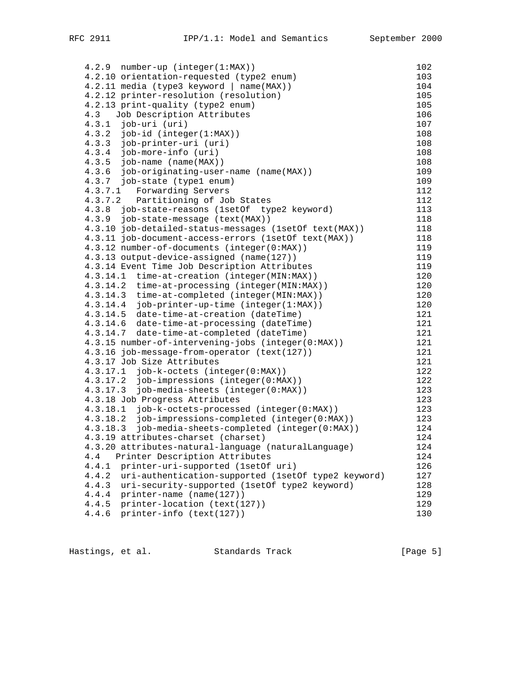4.2.9 number-up (integer(1:MAX)) 102 4.2.10 orientation-requested (type2 enum) 103 4.2.11 media (type3 keyword | name(MAX)) 104 4.2.12 printer-resolution (resolution) 105 4.2.13 print-quality (type2 enum) 105 4.3 Job Description Attributes 106<br>4.3.1 job-uri (uri) 107  $4.3.1$  job-uri (uri) 4.3.2 job-id (integer(1:MAX)) 108 4.3.3 job-printer-uri (uri) 108 4.3.4 job-more-info (uri) 108<br>4.3.5 job-name (name(MAX)) 108 4.3.5 job-name (name(MAX)) 108 4.3.6 job-originating-user-name (name(MAX)) 109 4.3.7 job-state (type1 enum) 109<br>4.3.7.1 Forwarding Servers 112 4.3.7.1 Forwarding Servers 112<br>4.3.7.2 Partitioning of Job States 112 4.3.7.2 Partitioning of Job States 112 4.3.8 job-state-reasons (1setOf type2 keyword) 113 4.3.9 job-state-message (text(MAX)) 118 4.3.10 job-detailed-status-messages (1setOf text(MAX)) 118 4.3.11 job-document-access-errors (1setOf text(MAX)) 118 4.3.12 number-of-documents (integer(0:MAX)) 119 4.3.13 output-device-assigned (name(127)) 119 4.3.14 Event Time Job Description Attributes 119 4.3.14.1 time-at-creation (integer(MIN:MAX)) 120 4.3.14.2 time-at-processing (integer(MIN:MAX)) 120 4.3.14.3 time-at-completed (integer(MIN:MAX)) 120 4.3.14.4 job-printer-up-time (integer(1:MAX)) 120 4.3.14.5 date-time-at-creation (dateTime) 121 4.3.14.6 date-time-at-processing (dateTime) 121 4.3.14.7 date-time-at-completed (dateTime) 121 4.3.15 number-of-intervening-jobs (integer(0:MAX)) 121 4.3.16 job-message-from-operator (text(127)) 121 4.3.17 Job Size Attributes 121 4.3.17.1 job-k-octets (integer(0:MAX)) 122 4.3.17.2 job-impressions (integer(0:MAX)) 122 4.3.17.3 job-media-sheets (integer(0:MAX)) 123 4.3.18 Job Progress Attributes 123 4.3.18.1 job-k-octets-processed (integer(0:MAX)) 123 4.3.18.2 job-impressions-completed (integer(0:MAX)) 123 4.3.18.3 job-media-sheets-completed (integer(0:MAX)) 124 4.3.19 attributes-charset (charset) 124 4.3.20 attributes-natural-language (naturalLanguage) 124 4.4 Printer Description Attributes 124 4.4.1 printer-uri-supported (1setOf uri) 126 4.4.2 uri-authentication-supported (1setOf type2 keyword) 127 4.4.3 uri-security-supported (1setOf type2 keyword) 128 4.4.4 printer-name (name(127)) 129 4.4.5 printer-location (text(127)) 129 4.4.6 printer-info (text(127)) 130

Hastings, et al. Standards Track Frack [Page 5]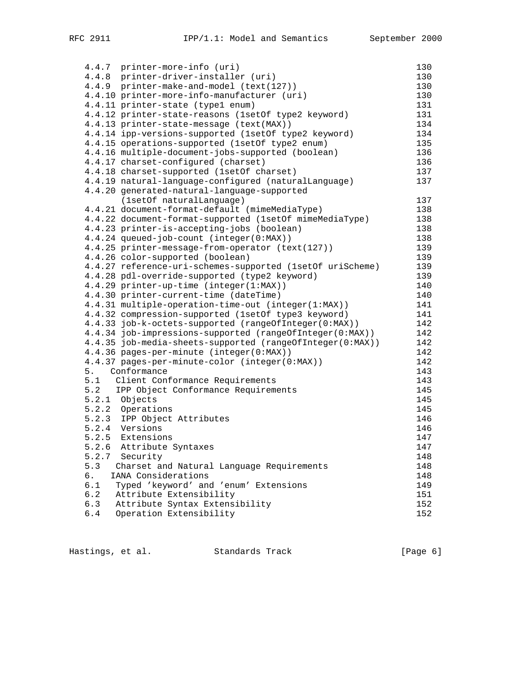|     | 4.4.7 printer-more-info (uri)                             | 130 |
|-----|-----------------------------------------------------------|-----|
|     | 4.4.8 printer-driver-installer (uri)                      | 130 |
|     | 4.4.9 printer-make-and-model (text(127))                  | 130 |
|     | 4.4.10 printer-more-info-manufacturer (uri)               | 130 |
|     | 4.4.11 printer-state (type1 enum)                         | 131 |
|     | 4.4.12 printer-state-reasons (1setOf type2 keyword)       | 131 |
|     | 4.4.13 printer-state-message (text(MAX))                  | 134 |
|     | 4.4.14 ipp-versions-supported (1setOf type2 keyword)      | 134 |
|     |                                                           |     |
|     | 4.4.15 operations-supported (lsetOf type2 enum)           | 135 |
|     | 4.4.16 multiple-document-jobs-supported (boolean)         | 136 |
|     | 4.4.17 charset-configured (charset)                       | 136 |
|     | 4.4.18 charset-supported (1setOf charset)                 | 137 |
|     | 4.4.19 natural-language-configured (naturalLanguage)      | 137 |
|     | 4.4.20 generated-natural-language-supported               |     |
|     | (1setOf naturalLanguage)                                  | 137 |
|     | 4.4.21 document-format-default (mimeMediaType)            | 138 |
|     | 4.4.22 document-format-supported (1setOf mimeMediaType)   | 138 |
|     | 4.4.23 printer-is-accepting-jobs (boolean)                | 138 |
|     | 4.4.24 queued-job-count (integer(0:MAX))                  | 138 |
|     | 4.4.25 printer-message-from-operator (text(127))          | 139 |
|     | 4.4.26 color-supported (boolean)                          | 139 |
|     | 4.4.27 reference-uri-schemes-supported (lsetOf uriScheme) | 139 |
|     | 4.4.28 pdl-override-supported (type2 keyword)             | 139 |
|     | 4.4.29 printer-up-time (integer(1:MAX))                   | 140 |
|     | 4.4.30 printer-current-time (dateTime)                    | 140 |
|     | 4.4.31 multiple-operation-time-out (integer(1:MAX))       | 141 |
|     | 4.4.32 compression-supported (1setOf type3 keyword)       | 141 |
|     | 4.4.33 job-k-octets-supported (rangeOfInteger(0:MAX))     | 142 |
|     | 4.4.34 job-impressions-supported (rangeOfInteger(0:MAX))  | 142 |
|     | 4.4.35 job-media-sheets-supported (rangeOfInteger(0:MAX)) | 142 |
|     | 4.4.36 pages-per-minute (integer(0:MAX))                  | 142 |
|     | 4.4.37 pages-per-minute-color (integer(0:MAX))            | 142 |
|     | 5. Conformance                                            | 143 |
|     | 5.1 Client Conformance Requirements                       | 143 |
|     | 5.2 IPP Object Conformance Requirements                   | 145 |
|     | 5.2.1 Objects                                             | 145 |
|     |                                                           | 145 |
|     | 5.2.2 Operations<br>5.2.3 IPP Object Attributes           | 146 |
|     | 5.2.4 Versions                                            |     |
|     |                                                           | 146 |
|     | 5.2.5 Extensions                                          | 147 |
|     | 5.2.6 Attribute Syntaxes                                  | 147 |
|     | 5.2.7 Security                                            | 148 |
| 5.3 | Charset and Natural Language Requirements                 | 148 |
| 6.  | IANA Considerations                                       | 148 |
| 6.1 | Typed 'keyword' and 'enum' Extensions                     | 149 |
| 6.2 | Attribute Extensibility                                   | 151 |
| 6.3 | Attribute Syntax Extensibility                            | 152 |
| 6.4 | Operation Extensibility                                   | 152 |

| Hastings, et al. | Standards Track | [Page 6] |
|------------------|-----------------|----------|
|                  |                 |          |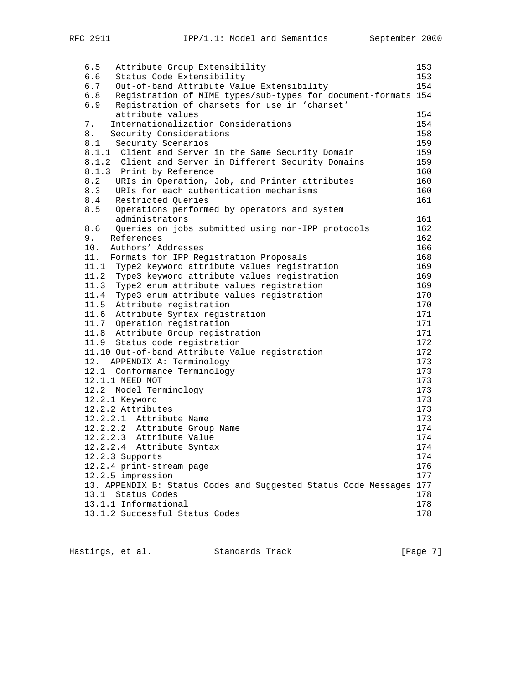| 6.5<br>Attribute Group Extensibility                                 | 153 |
|----------------------------------------------------------------------|-----|
| 6.6<br>Status Code Extensibility                                     | 153 |
| 6.7<br>Out-of-band Attribute Value Extensibility                     | 154 |
| 6.8<br>Registration of MIME types/sub-types for document-formats 154 |     |
| 6.9<br>Registration of charsets for use in 'charset'                 |     |
| attribute values                                                     | 154 |
| Internationalization Considerations<br>7.                            | 154 |
| 8.<br>Security Considerations                                        | 158 |
| 8.1 Security Scenarios                                               | 159 |
| 8.1.1 Client and Server in the Same Security Domain                  | 159 |
| 8.1.2 Client and Server in Different Security Domains                | 159 |
| 8.1.3 Print by Reference                                             | 160 |
| 8.2 URIs in Operation, Job, and Printer attributes                   | 160 |
| 8.3<br>URIs for each authentication mechanisms                       | 160 |
| 8.4<br>Restricted Queries                                            | 161 |
| 8.5 Operations performed by operators and system                     |     |
| administrators                                                       | 161 |
| 8.6<br>Queries on jobs submitted using non-IPP protocols             | 162 |
| 9.<br>References                                                     | 162 |
| 10.<br>Authors' Addresses                                            | 166 |
| 11. Formats for IPP Registration Proposals                           | 168 |
| 11.1 Type2 keyword attribute values registration                     | 169 |
| 11.2 Type3 keyword attribute values registration                     | 169 |
| 11.3 Type2 enum attribute values registration                        | 169 |
| 11.4 Type3 enum attribute values registration                        | 170 |
| 11.5 Attribute registration                                          | 170 |
| 11.6 Attribute Syntax registration                                   | 171 |
| 11.7 Operation registration                                          | 171 |
| 11.8 Attribute Group registration                                    | 171 |
| 11.9 Status code registration                                        | 172 |
| 11.10 Out-of-band Attribute Value registration                       | 172 |
| 12. APPENDIX A: Terminology                                          | 173 |
| 12.1 Conformance Terminology                                         | 173 |
| 12.1.1 NEED NOT                                                      | 173 |
| 12.2 Model Terminology                                               | 173 |
| 12.2.1 Keyword                                                       | 173 |
| 12.2.2 Attributes                                                    | 173 |
| 12.2.2.1 Attribute Name                                              | 173 |
| 12.2.2.2 Attribute Group Name                                        | 174 |
| 12.2.2.3 Attribute Value                                             | 174 |
| 12.2.2.4 Attribute Syntax                                            | 174 |
| 12.2.3 Supports                                                      | 174 |
| 12.2.4 print-stream page                                             | 176 |
| 12.2.5 impression                                                    | 177 |
| 13. APPENDIX B: Status Codes and Suggested Status Code Messages 177  |     |
| 13.1<br>Status Codes                                                 | 178 |
| 13.1.1 Informational                                                 | 178 |
| 13.1.2 Successful Status Codes                                       | 178 |

Hastings, et al. Standards Track [Page 7]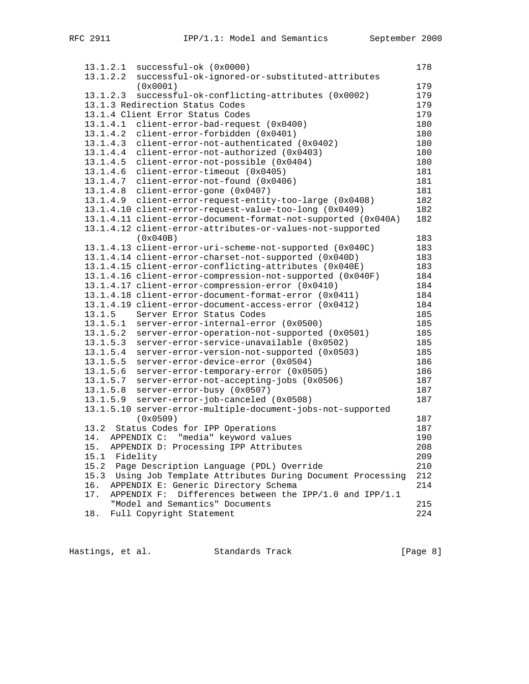| 13.1.2.1 | successful-ok (0x0000)                                        | 178 |
|----------|---------------------------------------------------------------|-----|
| 13.1.2.2 | successful-ok-ignored-or-substituted-attributes               |     |
|          | (0x0001)                                                      | 179 |
| 13.1.2.3 | successful-ok-conflicting-attributes (0x0002)                 | 179 |
|          | 13.1.3 Redirection Status Codes                               | 179 |
|          | 13.1.4 Client Error Status Codes                              | 179 |
| 13.1.4.1 | client-error-bad-request (0x0400)                             | 180 |
| 13.1.4.2 | client-error-forbidden (0x0401)                               | 180 |
| 13.1.4.3 | client-error-not-authenticated (0x0402)                       | 180 |
| 13.1.4.4 | client-error-not-authorized (0x0403)                          | 180 |
| 13.1.4.5 | client-error-not-possible (0x0404)                            | 180 |
| 13.1.4.6 | client-error-timeout (0x0405)                                 | 181 |
| 13.1.4.7 | client-error-not-found (0x0406)                               | 181 |
| 13.1.4.8 | client-error-gone (0x0407)                                    | 181 |
| 13.1.4.9 | client-error-request-entity-too-large (0x0408)                | 182 |
|          | 13.1.4.10 client-error-request-value-too-long (0x0409)        | 182 |
|          | 13.1.4.11 client-error-document-format-not-supported (0x040A) | 182 |
|          | 13.1.4.12 client-error-attributes-or-values-not-supported     |     |
|          | (0x040B)                                                      | 183 |
|          | 13.1.4.13 client-error-uri-scheme-not-supported (0x040C)      | 183 |
|          | 13.1.4.14 client-error-charset-not-supported (0x040D)         | 183 |
|          | 13.1.4.15 client-error-conflicting-attributes (0x040E)        | 183 |
|          | 13.1.4.16 client-error-compression-not-supported (0x040F)     | 184 |
|          | 13.1.4.17 client-error-compression-error (0x0410)             | 184 |
|          | 13.1.4.18 client-error-document-format-error (0x0411)         | 184 |
|          | 13.1.4.19 client-error-document-access-error (0x0412)         | 184 |
| 13.1.5   | Server Error Status Codes                                     | 185 |
| 13.1.5.1 | server-error-internal-error (0x0500)                          | 185 |
| 13.1.5.2 | server-error-operation-not-supported (0x0501)                 | 185 |
| 13.1.5.3 | server-error-service-unavailable (0x0502)                     | 185 |
| 13.1.5.4 | server-error-version-not-supported (0x0503)                   | 185 |
| 13.1.5.5 | server-error-device-error (0x0504)                            | 186 |
| 13.1.5.6 | server-error-temporary-error (0x0505)                         | 186 |
| 13.1.5.7 | server-error-not-accepting-jobs (0x0506)                      | 187 |
| 13.1.5.8 | server-error-busy (0x0507)                                    | 187 |
| 13.1.5.9 | server-error-job-canceled (0x0508)                            | 187 |
|          | 13.1.5.10 server-error-multiple-document-jobs-not-supported   |     |
|          | (0x0509)                                                      | 187 |
| 13.2     | Status Codes for IPP Operations                               | 187 |
|          | 14. APPENDIX C: "media" keyword values                        | 190 |
| 15.      | APPENDIX D: Processing IPP Attributes                         | 208 |
| 15.1     | Fidelity                                                      | 209 |
| 15.2     | Page Description Language (PDL) Override                      | 210 |
| 15.3     | Using Job Template Attributes During Document Processing      | 212 |
| 16.      | APPENDIX E: Generic Directory Schema                          | 214 |
| 17.      | APPENDIX F:<br>Differences between the IPP/1.0 and IPP/1.1    |     |
|          | "Model and Semantics" Documents                               | 215 |
| 18.      | Full Copyright Statement                                      | 224 |
|          |                                                               |     |

Hastings, et al. Standards Track [Page 8]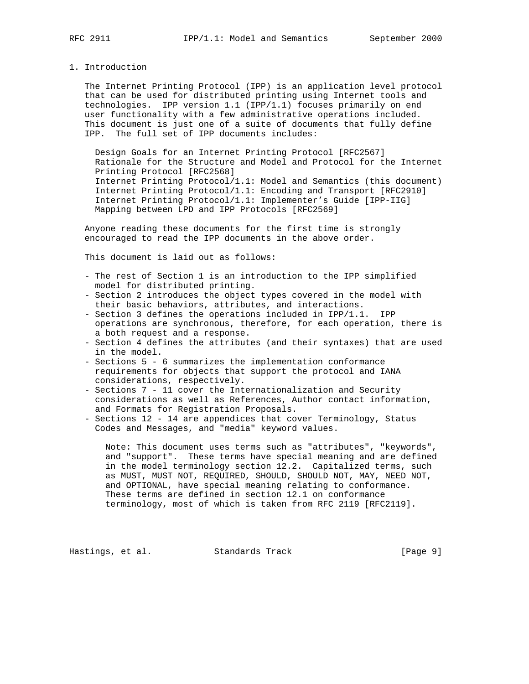1. Introduction

 The Internet Printing Protocol (IPP) is an application level protocol that can be used for distributed printing using Internet tools and technologies. IPP version 1.1 (IPP/1.1) focuses primarily on end user functionality with a few administrative operations included. This document is just one of a suite of documents that fully define IPP. The full set of IPP documents includes:

 Design Goals for an Internet Printing Protocol [RFC2567] Rationale for the Structure and Model and Protocol for the Internet Printing Protocol [RFC2568] Internet Printing Protocol/1.1: Model and Semantics (this document) Internet Printing Protocol/1.1: Encoding and Transport [RFC2910] Internet Printing Protocol/1.1: Implementer's Guide [IPP-IIG] Mapping between LPD and IPP Protocols [RFC2569]

 Anyone reading these documents for the first time is strongly encouraged to read the IPP documents in the above order.

This document is laid out as follows:

- The rest of Section 1 is an introduction to the IPP simplified model for distributed printing.
- Section 2 introduces the object types covered in the model with their basic behaviors, attributes, and interactions.
- Section 3 defines the operations included in IPP/1.1. IPP operations are synchronous, therefore, for each operation, there is a both request and a response.
- Section 4 defines the attributes (and their syntaxes) that are used in the model.
- Sections 5 6 summarizes the implementation conformance requirements for objects that support the protocol and IANA considerations, respectively.
- Sections 7 11 cover the Internationalization and Security considerations as well as References, Author contact information, and Formats for Registration Proposals.
- Sections 12 14 are appendices that cover Terminology, Status Codes and Messages, and "media" keyword values.

 Note: This document uses terms such as "attributes", "keywords", and "support". These terms have special meaning and are defined in the model terminology section 12.2. Capitalized terms, such as MUST, MUST NOT, REQUIRED, SHOULD, SHOULD NOT, MAY, NEED NOT, and OPTIONAL, have special meaning relating to conformance. These terms are defined in section 12.1 on conformance terminology, most of which is taken from RFC 2119 [RFC2119].

Hastings, et al. Standards Track [Page 9]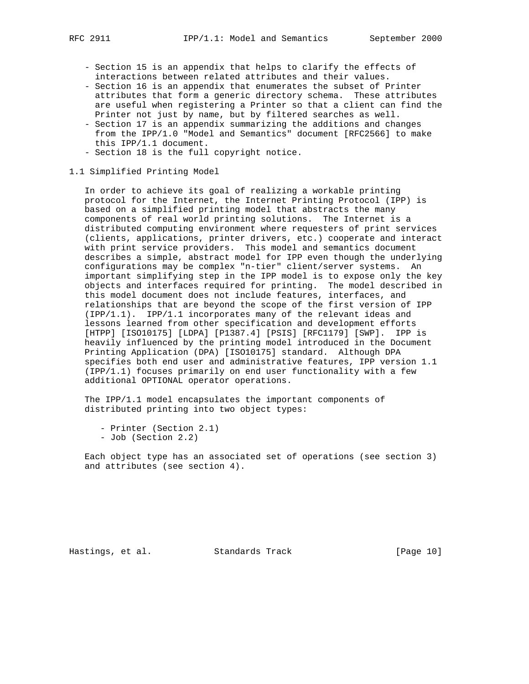- Section 15 is an appendix that helps to clarify the effects of interactions between related attributes and their values.
- Section 16 is an appendix that enumerates the subset of Printer attributes that form a generic directory schema. These attributes are useful when registering a Printer so that a client can find the Printer not just by name, but by filtered searches as well.
- Section 17 is an appendix summarizing the additions and changes from the IPP/1.0 "Model and Semantics" document [RFC2566] to make this IPP/1.1 document.
- Section 18 is the full copyright notice.

# 1.1 Simplified Printing Model

 In order to achieve its goal of realizing a workable printing protocol for the Internet, the Internet Printing Protocol (IPP) is based on a simplified printing model that abstracts the many components of real world printing solutions. The Internet is a distributed computing environment where requesters of print services (clients, applications, printer drivers, etc.) cooperate and interact with print service providers. This model and semantics document describes a simple, abstract model for IPP even though the underlying configurations may be complex "n-tier" client/server systems. An important simplifying step in the IPP model is to expose only the key objects and interfaces required for printing. The model described in this model document does not include features, interfaces, and relationships that are beyond the scope of the first version of IPP (IPP/1.1). IPP/1.1 incorporates many of the relevant ideas and lessons learned from other specification and development efforts [HTPP] [ISO10175] [LDPA] [P1387.4] [PSIS] [RFC1179] [SWP]. IPP is heavily influenced by the printing model introduced in the Document Printing Application (DPA) [ISO10175] standard. Although DPA specifies both end user and administrative features, IPP version 1.1 (IPP/1.1) focuses primarily on end user functionality with a few additional OPTIONAL operator operations.

 The IPP/1.1 model encapsulates the important components of distributed printing into two object types:

- Printer (Section 2.1)
- Job (Section 2.2)

 Each object type has an associated set of operations (see section 3) and attributes (see section 4).

Hastings, et al. Standards Track [Page 10]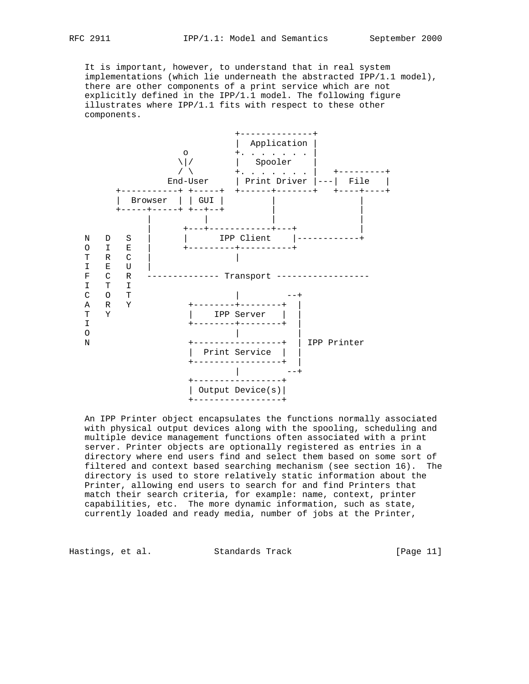It is important, however, to understand that in real system implementations (which lie underneath the abstracted IPP/1.1 model), there are other components of a print service which are not explicitly defined in the IPP/1.1 model. The following figure illustrates where IPP/1.1 fits with respect to these other components.



 An IPP Printer object encapsulates the functions normally associated with physical output devices along with the spooling, scheduling and multiple device management functions often associated with a print server. Printer objects are optionally registered as entries in a directory where end users find and select them based on some sort of filtered and context based searching mechanism (see section 16). The directory is used to store relatively static information about the Printer, allowing end users to search for and find Printers that match their search criteria, for example: name, context, printer capabilities, etc. The more dynamic information, such as state, currently loaded and ready media, number of jobs at the Printer,

Hastings, et al. Standards Track [Page 11]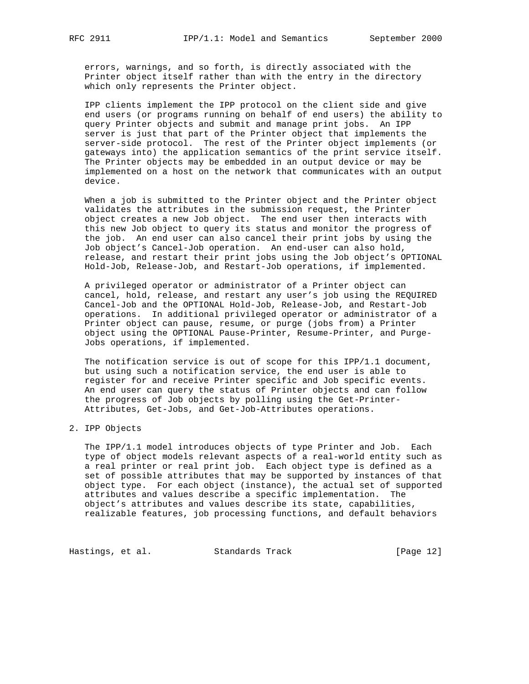errors, warnings, and so forth, is directly associated with the Printer object itself rather than with the entry in the directory which only represents the Printer object.

 IPP clients implement the IPP protocol on the client side and give end users (or programs running on behalf of end users) the ability to query Printer objects and submit and manage print jobs. An IPP server is just that part of the Printer object that implements the server-side protocol. The rest of the Printer object implements (or gateways into) the application semantics of the print service itself. The Printer objects may be embedded in an output device or may be implemented on a host on the network that communicates with an output device.

 When a job is submitted to the Printer object and the Printer object validates the attributes in the submission request, the Printer object creates a new Job object. The end user then interacts with this new Job object to query its status and monitor the progress of the job. An end user can also cancel their print jobs by using the Job object's Cancel-Job operation. An end-user can also hold, release, and restart their print jobs using the Job object's OPTIONAL Hold-Job, Release-Job, and Restart-Job operations, if implemented.

 A privileged operator or administrator of a Printer object can cancel, hold, release, and restart any user's job using the REQUIRED Cancel-Job and the OPTIONAL Hold-Job, Release-Job, and Restart-Job operations. In additional privileged operator or administrator of a Printer object can pause, resume, or purge (jobs from) a Printer object using the OPTIONAL Pause-Printer, Resume-Printer, and Purge- Jobs operations, if implemented.

 The notification service is out of scope for this IPP/1.1 document, but using such a notification service, the end user is able to register for and receive Printer specific and Job specific events. An end user can query the status of Printer objects and can follow the progress of Job objects by polling using the Get-Printer- Attributes, Get-Jobs, and Get-Job-Attributes operations.

# 2. IPP Objects

 The IPP/1.1 model introduces objects of type Printer and Job. Each type of object models relevant aspects of a real-world entity such as a real printer or real print job. Each object type is defined as a set of possible attributes that may be supported by instances of that object type. For each object (instance), the actual set of supported attributes and values describe a specific implementation. The object's attributes and values describe its state, capabilities, realizable features, job processing functions, and default behaviors

Hastings, et al. Standards Track [Page 12]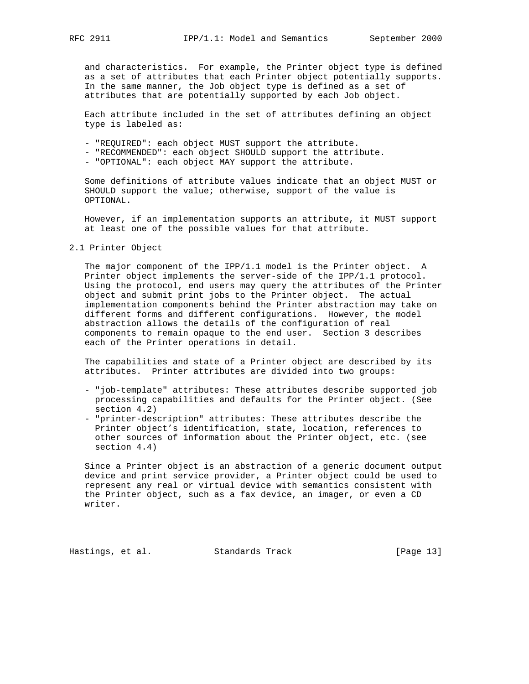and characteristics. For example, the Printer object type is defined as a set of attributes that each Printer object potentially supports. In the same manner, the Job object type is defined as a set of attributes that are potentially supported by each Job object.

 Each attribute included in the set of attributes defining an object type is labeled as:

- "REQUIRED": each object MUST support the attribute.
- "RECOMMENDED": each object SHOULD support the attribute.
- "OPTIONAL": each object MAY support the attribute.

 Some definitions of attribute values indicate that an object MUST or SHOULD support the value; otherwise, support of the value is OPTIONAL.

 However, if an implementation supports an attribute, it MUST support at least one of the possible values for that attribute.

2.1 Printer Object

 The major component of the IPP/1.1 model is the Printer object. A Printer object implements the server-side of the IPP/1.1 protocol. Using the protocol, end users may query the attributes of the Printer object and submit print jobs to the Printer object. The actual implementation components behind the Printer abstraction may take on different forms and different configurations. However, the model abstraction allows the details of the configuration of real components to remain opaque to the end user. Section 3 describes each of the Printer operations in detail.

 The capabilities and state of a Printer object are described by its attributes. Printer attributes are divided into two groups:

- "job-template" attributes: These attributes describe supported job processing capabilities and defaults for the Printer object. (See section 4.2)
- "printer-description" attributes: These attributes describe the Printer object's identification, state, location, references to other sources of information about the Printer object, etc. (see section 4.4)

 Since a Printer object is an abstraction of a generic document output device and print service provider, a Printer object could be used to represent any real or virtual device with semantics consistent with the Printer object, such as a fax device, an imager, or even a CD writer.

Hastings, et al. Standards Track [Page 13]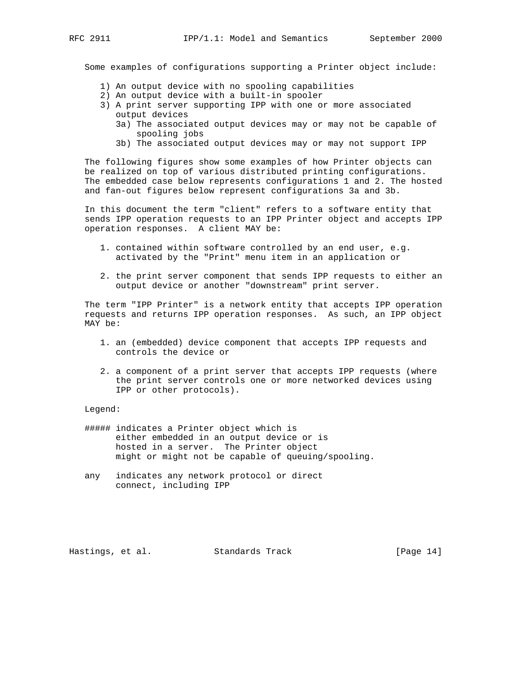Some examples of configurations supporting a Printer object include:

- 1) An output device with no spooling capabilities
- 2) An output device with a built-in spooler
- 3) A print server supporting IPP with one or more associated output devices
	- 3a) The associated output devices may or may not be capable of spooling jobs
	- 3b) The associated output devices may or may not support IPP

 The following figures show some examples of how Printer objects can be realized on top of various distributed printing configurations. The embedded case below represents configurations 1 and 2. The hosted and fan-out figures below represent configurations 3a and 3b.

 In this document the term "client" refers to a software entity that sends IPP operation requests to an IPP Printer object and accepts IPP operation responses. A client MAY be:

- 1. contained within software controlled by an end user, e.g. activated by the "Print" menu item in an application or
- 2. the print server component that sends IPP requests to either an output device or another "downstream" print server.

 The term "IPP Printer" is a network entity that accepts IPP operation requests and returns IPP operation responses. As such, an IPP object MAY be:

- 1. an (embedded) device component that accepts IPP requests and controls the device or
- 2. a component of a print server that accepts IPP requests (where the print server controls one or more networked devices using IPP or other protocols).

Legend:

- ##### indicates a Printer object which is either embedded in an output device or is hosted in a server. The Printer object might or might not be capable of queuing/spooling.
- any indicates any network protocol or direct connect, including IPP

Hastings, et al. Standards Track [Page 14]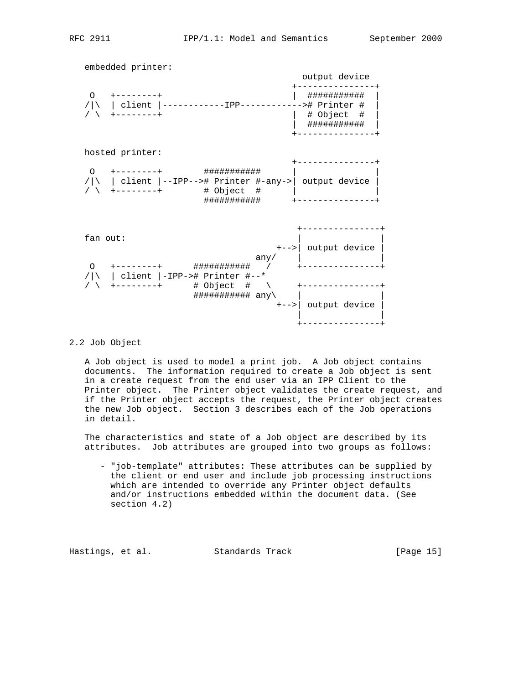embedded printer: output device +---------------+ O +--------+ | ########### | /|\ | client |------------IPP------------># Printer # | / \ +--------+ | # Object # | | ########### | +---------------+ hosted printer: +---------------+ O +--------+ ########### | |  $/|\n\setminus|$  client  $|-$ -IPP--># Printer #-any-> | output device | / \ +--------+ # Object # | | ########### +---------------+ +---------------+  $fan out:$  +-->| output device | any/  $|$  O +--------+ ########### / +---------------+ /|\ | client |-IPP-># Printer #--\* / \ +--------+ # Object # \ +---------------+ ########### any\ | |

+---------------+

## 2.2 Job Object

 A Job object is used to model a print job. A Job object contains documents. The information required to create a Job object is sent in a create request from the end user via an IPP Client to the Printer object. The Printer object validates the create request, and if the Printer object accepts the request, the Printer object creates the new Job object. Section 3 describes each of the Job operations in detail.

 +-->| output device | | |

 The characteristics and state of a Job object are described by its attributes. Job attributes are grouped into two groups as follows:

 - "job-template" attributes: These attributes can be supplied by the client or end user and include job processing instructions which are intended to override any Printer object defaults and/or instructions embedded within the document data. (See section 4.2)

Hastings, et al. Standards Track [Page 15]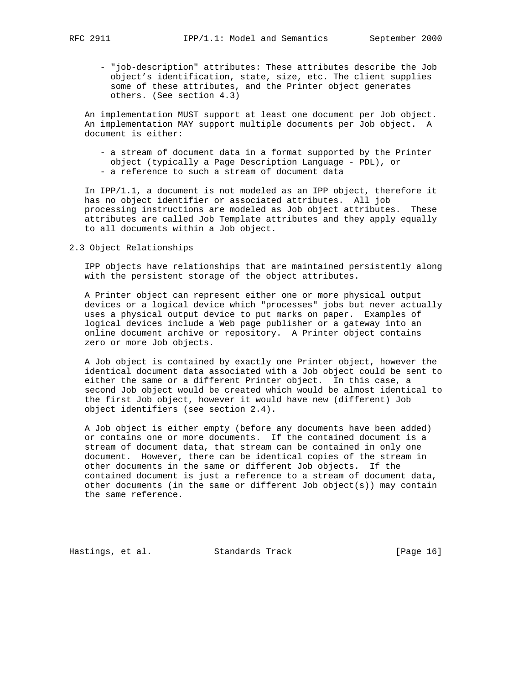- "job-description" attributes: These attributes describe the Job object's identification, state, size, etc. The client supplies some of these attributes, and the Printer object generates others. (See section 4.3)

 An implementation MUST support at least one document per Job object. An implementation MAY support multiple documents per Job object. A document is either:

 - a stream of document data in a format supported by the Printer object (typically a Page Description Language - PDL), or - a reference to such a stream of document data

 In IPP/1.1, a document is not modeled as an IPP object, therefore it has no object identifier or associated attributes. All job processing instructions are modeled as Job object attributes. These attributes are called Job Template attributes and they apply equally to all documents within a Job object.

2.3 Object Relationships

 IPP objects have relationships that are maintained persistently along with the persistent storage of the object attributes.

 A Printer object can represent either one or more physical output devices or a logical device which "processes" jobs but never actually uses a physical output device to put marks on paper. Examples of logical devices include a Web page publisher or a gateway into an online document archive or repository. A Printer object contains zero or more Job objects.

 A Job object is contained by exactly one Printer object, however the identical document data associated with a Job object could be sent to either the same or a different Printer object. In this case, a second Job object would be created which would be almost identical to the first Job object, however it would have new (different) Job object identifiers (see section 2.4).

 A Job object is either empty (before any documents have been added) or contains one or more documents. If the contained document is a stream of document data, that stream can be contained in only one document. However, there can be identical copies of the stream in other documents in the same or different Job objects. If the contained document is just a reference to a stream of document data, other documents (in the same or different Job object(s)) may contain the same reference.

Hastings, et al. Standards Track [Page 16]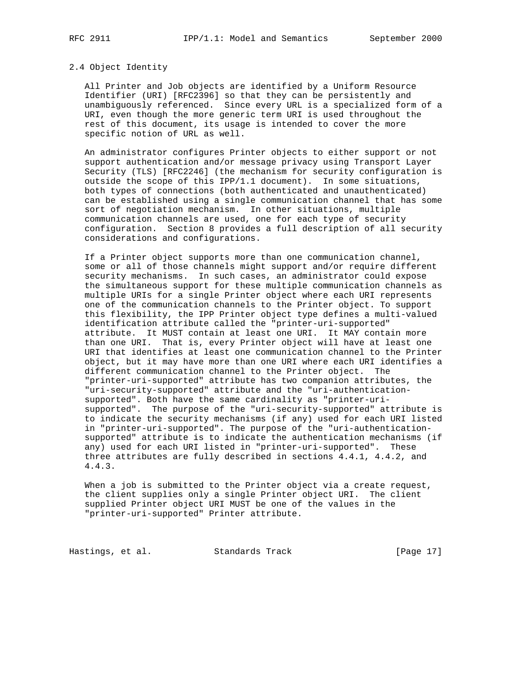#### 2.4 Object Identity

 All Printer and Job objects are identified by a Uniform Resource Identifier (URI) [RFC2396] so that they can be persistently and unambiguously referenced. Since every URL is a specialized form of a URI, even though the more generic term URI is used throughout the rest of this document, its usage is intended to cover the more specific notion of URL as well.

 An administrator configures Printer objects to either support or not support authentication and/or message privacy using Transport Layer Security (TLS) [RFC2246] (the mechanism for security configuration is outside the scope of this IPP/1.1 document). In some situations, both types of connections (both authenticated and unauthenticated) can be established using a single communication channel that has some sort of negotiation mechanism. In other situations, multiple communication channels are used, one for each type of security configuration. Section 8 provides a full description of all security considerations and configurations.

 If a Printer object supports more than one communication channel, some or all of those channels might support and/or require different security mechanisms. In such cases, an administrator could expose the simultaneous support for these multiple communication channels as multiple URIs for a single Printer object where each URI represents one of the communication channels to the Printer object. To support this flexibility, the IPP Printer object type defines a multi-valued identification attribute called the "printer-uri-supported" attribute. It MUST contain at least one URI. It MAY contain more than one URI. That is, every Printer object will have at least one URI that identifies at least one communication channel to the Printer object, but it may have more than one URI where each URI identifies a different communication channel to the Printer object. The "printer-uri-supported" attribute has two companion attributes, the "uri-security-supported" attribute and the "uri-authentication supported". Both have the same cardinality as "printer-uri supported". The purpose of the "uri-security-supported" attribute is to indicate the security mechanisms (if any) used for each URI listed in "printer-uri-supported". The purpose of the "uri-authentication supported" attribute is to indicate the authentication mechanisms (if any) used for each URI listed in "printer-uri-supported". These three attributes are fully described in sections 4.4.1, 4.4.2, and 4.4.3.

 When a job is submitted to the Printer object via a create request, the client supplies only a single Printer object URI. The client supplied Printer object URI MUST be one of the values in the "printer-uri-supported" Printer attribute.

Hastings, et al. Standards Track [Page 17]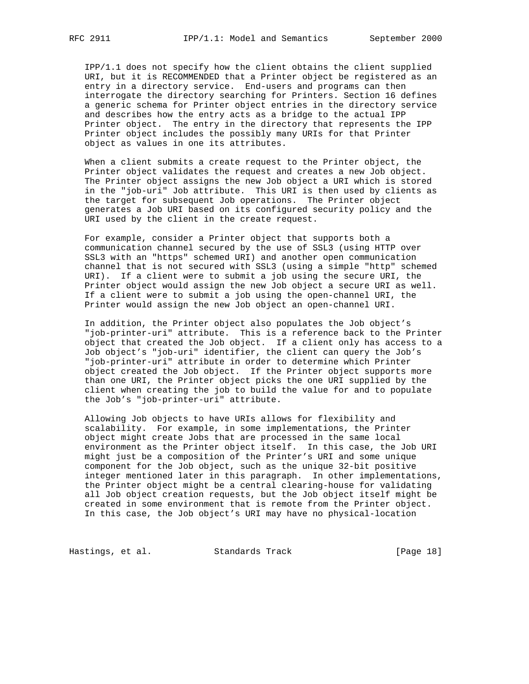IPP/1.1 does not specify how the client obtains the client supplied URI, but it is RECOMMENDED that a Printer object be registered as an entry in a directory service. End-users and programs can then interrogate the directory searching for Printers. Section 16 defines a generic schema for Printer object entries in the directory service and describes how the entry acts as a bridge to the actual IPP Printer object. The entry in the directory that represents the IPP Printer object includes the possibly many URIs for that Printer object as values in one its attributes.

 When a client submits a create request to the Printer object, the Printer object validates the request and creates a new Job object. The Printer object assigns the new Job object a URI which is stored in the "job-uri" Job attribute. This URI is then used by clients as the target for subsequent Job operations. The Printer object generates a Job URI based on its configured security policy and the URI used by the client in the create request.

 For example, consider a Printer object that supports both a communication channel secured by the use of SSL3 (using HTTP over SSL3 with an "https" schemed URI) and another open communication channel that is not secured with SSL3 (using a simple "http" schemed URI). If a client were to submit a job using the secure URI, the Printer object would assign the new Job object a secure URI as well. If a client were to submit a job using the open-channel URI, the Printer would assign the new Job object an open-channel URI.

 In addition, the Printer object also populates the Job object's "job-printer-uri" attribute. This is a reference back to the Printer object that created the Job object. If a client only has access to a Job object's "job-uri" identifier, the client can query the Job's "job-printer-uri" attribute in order to determine which Printer object created the Job object. If the Printer object supports more than one URI, the Printer object picks the one URI supplied by the client when creating the job to build the value for and to populate the Job's "job-printer-uri" attribute.

 Allowing Job objects to have URIs allows for flexibility and scalability. For example, in some implementations, the Printer object might create Jobs that are processed in the same local environment as the Printer object itself. In this case, the Job URI might just be a composition of the Printer's URI and some unique component for the Job object, such as the unique 32-bit positive integer mentioned later in this paragraph. In other implementations, the Printer object might be a central clearing-house for validating all Job object creation requests, but the Job object itself might be created in some environment that is remote from the Printer object. In this case, the Job object's URI may have no physical-location

Hastings, et al. Standards Track [Page 18]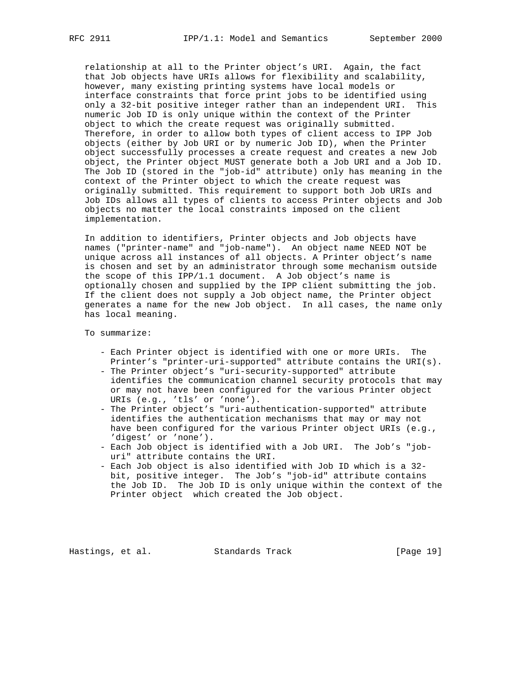relationship at all to the Printer object's URI. Again, the fact that Job objects have URIs allows for flexibility and scalability, however, many existing printing systems have local models or interface constraints that force print jobs to be identified using only a 32-bit positive integer rather than an independent URI. This numeric Job ID is only unique within the context of the Printer object to which the create request was originally submitted. Therefore, in order to allow both types of client access to IPP Job objects (either by Job URI or by numeric Job ID), when the Printer object successfully processes a create request and creates a new Job object, the Printer object MUST generate both a Job URI and a Job ID. The Job ID (stored in the "job-id" attribute) only has meaning in the context of the Printer object to which the create request was originally submitted. This requirement to support both Job URIs and Job IDs allows all types of clients to access Printer objects and Job objects no matter the local constraints imposed on the client implementation.

 In addition to identifiers, Printer objects and Job objects have names ("printer-name" and "job-name"). An object name NEED NOT be unique across all instances of all objects. A Printer object's name is chosen and set by an administrator through some mechanism outside the scope of this IPP/1.1 document. A Job object's name is optionally chosen and supplied by the IPP client submitting the job. If the client does not supply a Job object name, the Printer object generates a name for the new Job object. In all cases, the name only has local meaning.

To summarize:

- Each Printer object is identified with one or more URIs. The Printer's "printer-uri-supported" attribute contains the URI(s).
- The Printer object's "uri-security-supported" attribute identifies the communication channel security protocols that may or may not have been configured for the various Printer object URIs (e.g., 'tls' or 'none').
- The Printer object's "uri-authentication-supported" attribute identifies the authentication mechanisms that may or may not have been configured for the various Printer object URIs (e.g., 'digest' or 'none').
- Each Job object is identified with a Job URI. The Job's "job uri" attribute contains the URI.
- Each Job object is also identified with Job ID which is a 32 bit, positive integer. The Job's "job-id" attribute contains the Job ID. The Job ID is only unique within the context of the Printer object which created the Job object.

Hastings, et al. Standards Track [Page 19]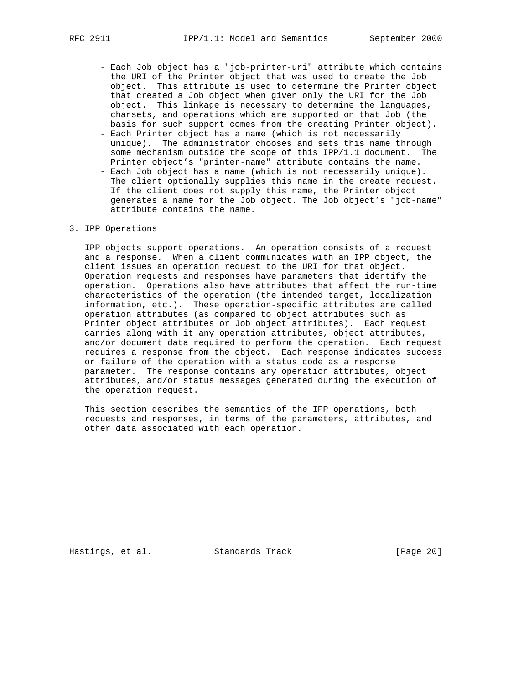- Each Job object has a "job-printer-uri" attribute which contains the URI of the Printer object that was used to create the Job object. This attribute is used to determine the Printer object that created a Job object when given only the URI for the Job object. This linkage is necessary to determine the languages, charsets, and operations which are supported on that Job (the basis for such support comes from the creating Printer object).
- Each Printer object has a name (which is not necessarily unique). The administrator chooses and sets this name through some mechanism outside the scope of this IPP/1.1 document. The Printer object's "printer-name" attribute contains the name.
- Each Job object has a name (which is not necessarily unique). The client optionally supplies this name in the create request. If the client does not supply this name, the Printer object generates a name for the Job object. The Job object's "job-name" attribute contains the name.

## 3. IPP Operations

 IPP objects support operations. An operation consists of a request and a response. When a client communicates with an IPP object, the client issues an operation request to the URI for that object. Operation requests and responses have parameters that identify the operation. Operations also have attributes that affect the run-time characteristics of the operation (the intended target, localization information, etc.). These operation-specific attributes are called operation attributes (as compared to object attributes such as Printer object attributes or Job object attributes). Each request carries along with it any operation attributes, object attributes, and/or document data required to perform the operation. Each request requires a response from the object. Each response indicates success or failure of the operation with a status code as a response parameter. The response contains any operation attributes, object attributes, and/or status messages generated during the execution of the operation request.

 This section describes the semantics of the IPP operations, both requests and responses, in terms of the parameters, attributes, and other data associated with each operation.

Hastings, et al. Standards Track [Page 20]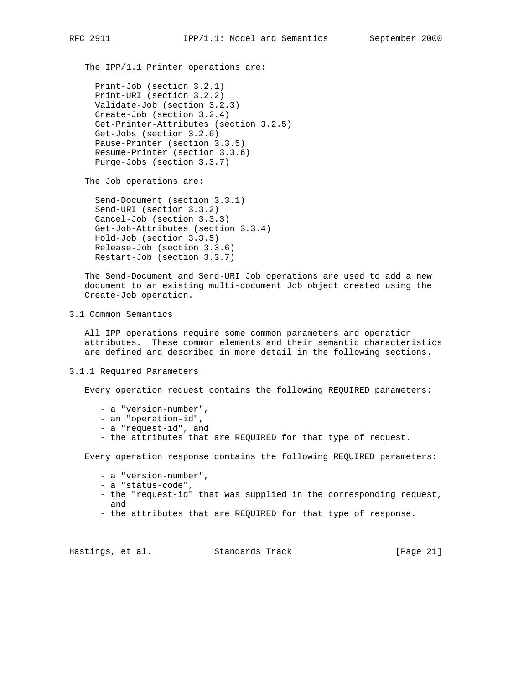The IPP/1.1 Printer operations are:

```
 Print-Job (section 3.2.1)
Print-URI (section 3.2.2)
Validate-Job (section 3.2.3)
Create-Job (section 3.2.4)
Get-Printer-Attributes (section 3.2.5)
Get-Jobs (section 3.2.6)
Pause-Printer (section 3.3.5)
Resume-Printer (section 3.3.6)
Purge-Jobs (section 3.3.7)
```
The Job operations are:

 Send-Document (section 3.3.1) Send-URI (section 3.3.2) Cancel-Job (section 3.3.3) Get-Job-Attributes (section 3.3.4) Hold-Job (section 3.3.5) Release-Job (section 3.3.6) Restart-Job (section 3.3.7)

 The Send-Document and Send-URI Job operations are used to add a new document to an existing multi-document Job object created using the Create-Job operation.

3.1 Common Semantics

 All IPP operations require some common parameters and operation attributes. These common elements and their semantic characteristics are defined and described in more detail in the following sections.

3.1.1 Required Parameters

Every operation request contains the following REQUIRED parameters:

- a "version-number",
- an "operation-id",
- a "request-id", and
- the attributes that are REQUIRED for that type of request.

Every operation response contains the following REQUIRED parameters:

- a "version-number",
- a "status-code",
- the "request-id" that was supplied in the corresponding request, and
- the attributes that are REQUIRED for that type of response.

Hastings, et al. Standards Track [Page 21]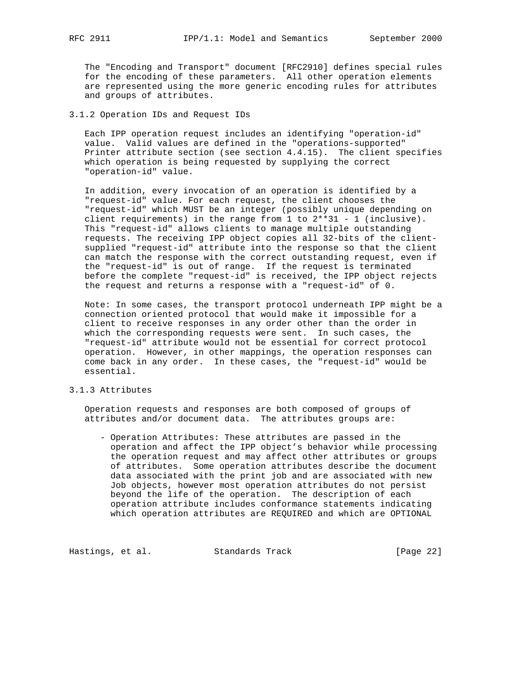The "Encoding and Transport" document [RFC2910] defines special rules for the encoding of these parameters. All other operation elements are represented using the more generic encoding rules for attributes and groups of attributes.

3.1.2 Operation IDs and Request IDs

 Each IPP operation request includes an identifying "operation-id" value. Valid values are defined in the "operations-supported" Printer attribute section (see section 4.4.15). The client specifies which operation is being requested by supplying the correct "operation-id" value.

 In addition, every invocation of an operation is identified by a "request-id" value. For each request, the client chooses the "request-id" which MUST be an integer (possibly unique depending on client requirements) in the range from  $1$  to  $2**31 - 1$  (inclusive). This "request-id" allows clients to manage multiple outstanding requests. The receiving IPP object copies all 32-bits of the client supplied "request-id" attribute into the response so that the client can match the response with the correct outstanding request, even if the "request-id" is out of range. If the request is terminated before the complete "request-id" is received, the IPP object rejects the request and returns a response with a "request-id" of 0.

 Note: In some cases, the transport protocol underneath IPP might be a connection oriented protocol that would make it impossible for a client to receive responses in any order other than the order in which the corresponding requests were sent. In such cases, the "request-id" attribute would not be essential for correct protocol operation. However, in other mappings, the operation responses can come back in any order. In these cases, the "request-id" would be essential.

## 3.1.3 Attributes

 Operation requests and responses are both composed of groups of attributes and/or document data. The attributes groups are:

 - Operation Attributes: These attributes are passed in the operation and affect the IPP object's behavior while processing the operation request and may affect other attributes or groups of attributes. Some operation attributes describe the document data associated with the print job and are associated with new Job objects, however most operation attributes do not persist beyond the life of the operation. The description of each operation attribute includes conformance statements indicating which operation attributes are REQUIRED and which are OPTIONAL

Hastings, et al. Standards Track [Page 22]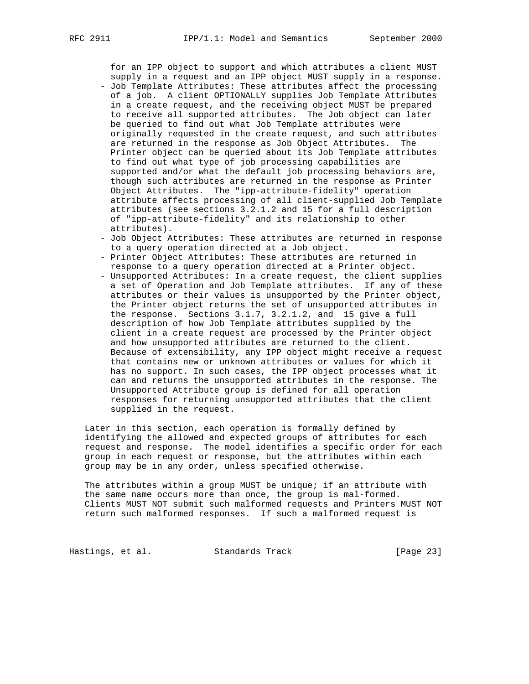for an IPP object to support and which attributes a client MUST supply in a request and an IPP object MUST supply in a response. - Job Template Attributes: These attributes affect the processing of a job. A client OPTIONALLY supplies Job Template Attributes in a create request, and the receiving object MUST be prepared to receive all supported attributes. The Job object can later be queried to find out what Job Template attributes were originally requested in the create request, and such attributes are returned in the response as Job Object Attributes. The Printer object can be queried about its Job Template attributes to find out what type of job processing capabilities are supported and/or what the default job processing behaviors are, though such attributes are returned in the response as Printer

- Object Attributes. The "ipp-attribute-fidelity" operation attribute affects processing of all client-supplied Job Template attributes (see sections 3.2.1.2 and 15 for a full description of "ipp-attribute-fidelity" and its relationship to other attributes).
- Job Object Attributes: These attributes are returned in response to a query operation directed at a Job object.
- Printer Object Attributes: These attributes are returned in response to a query operation directed at a Printer object.
- Unsupported Attributes: In a create request, the client supplies a set of Operation and Job Template attributes. If any of these attributes or their values is unsupported by the Printer object, the Printer object returns the set of unsupported attributes in the response. Sections 3.1.7, 3.2.1.2, and 15 give a full description of how Job Template attributes supplied by the client in a create request are processed by the Printer object and how unsupported attributes are returned to the client. Because of extensibility, any IPP object might receive a request that contains new or unknown attributes or values for which it has no support. In such cases, the IPP object processes what it can and returns the unsupported attributes in the response. The Unsupported Attribute group is defined for all operation responses for returning unsupported attributes that the client supplied in the request.

 Later in this section, each operation is formally defined by identifying the allowed and expected groups of attributes for each request and response. The model identifies a specific order for each group in each request or response, but the attributes within each group may be in any order, unless specified otherwise.

The attributes within a group MUST be unique; if an attribute with the same name occurs more than once, the group is mal-formed. Clients MUST NOT submit such malformed requests and Printers MUST NOT return such malformed responses. If such a malformed request is

Hastings, et al. Standards Track [Page 23]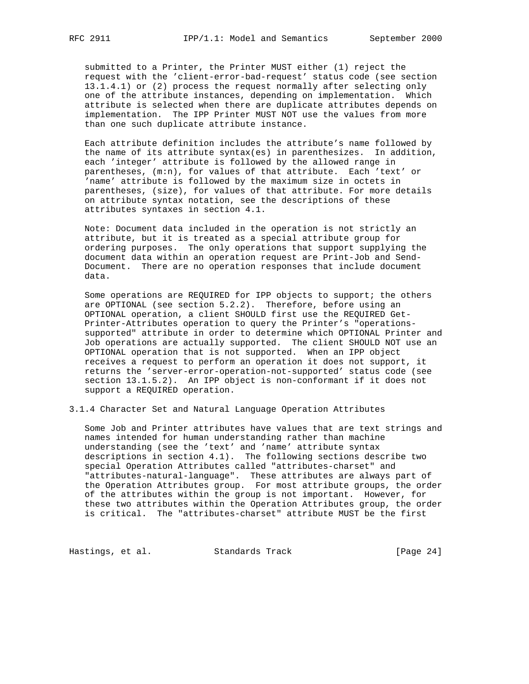submitted to a Printer, the Printer MUST either (1) reject the request with the 'client-error-bad-request' status code (see section 13.1.4.1) or (2) process the request normally after selecting only one of the attribute instances, depending on implementation. Which attribute is selected when there are duplicate attributes depends on implementation. The IPP Printer MUST NOT use the values from more than one such duplicate attribute instance.

 Each attribute definition includes the attribute's name followed by the name of its attribute syntax(es) in parenthesizes. In addition, each 'integer' attribute is followed by the allowed range in parentheses, (m:n), for values of that attribute. Each 'text' or 'name' attribute is followed by the maximum size in octets in parentheses, (size), for values of that attribute. For more details on attribute syntax notation, see the descriptions of these attributes syntaxes in section 4.1.

 Note: Document data included in the operation is not strictly an attribute, but it is treated as a special attribute group for ordering purposes. The only operations that support supplying the document data within an operation request are Print-Job and Send- Document. There are no operation responses that include document data.

 Some operations are REQUIRED for IPP objects to support; the others are OPTIONAL (see section 5.2.2). Therefore, before using an OPTIONAL operation, a client SHOULD first use the REQUIRED Get- Printer-Attributes operation to query the Printer's "operations supported" attribute in order to determine which OPTIONAL Printer and Job operations are actually supported. The client SHOULD NOT use an OPTIONAL operation that is not supported. When an IPP object receives a request to perform an operation it does not support, it returns the 'server-error-operation-not-supported' status code (see section 13.1.5.2). An IPP object is non-conformant if it does not support a REQUIRED operation.

3.1.4 Character Set and Natural Language Operation Attributes

 Some Job and Printer attributes have values that are text strings and names intended for human understanding rather than machine understanding (see the 'text' and 'name' attribute syntax descriptions in section 4.1). The following sections describe two special Operation Attributes called "attributes-charset" and "attributes-natural-language". These attributes are always part of the Operation Attributes group. For most attribute groups, the order of the attributes within the group is not important. However, for these two attributes within the Operation Attributes group, the order is critical. The "attributes-charset" attribute MUST be the first

Hastings, et al. Standards Track [Page 24]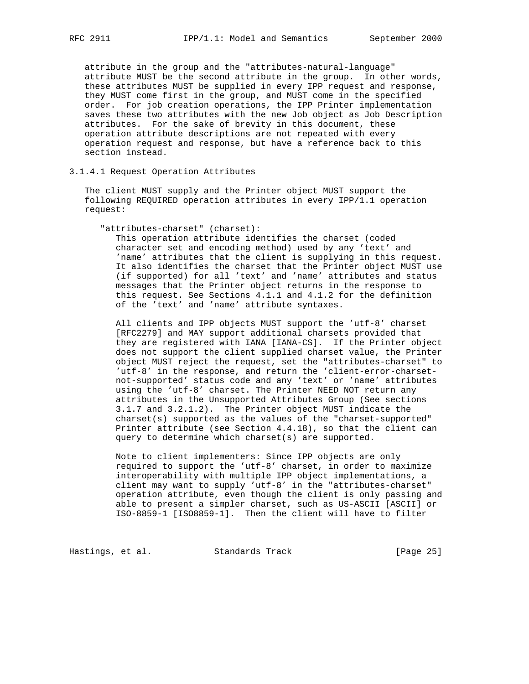attribute in the group and the "attributes-natural-language" attribute MUST be the second attribute in the group. In other words, these attributes MUST be supplied in every IPP request and response, they MUST come first in the group, and MUST come in the specified order. For job creation operations, the IPP Printer implementation saves these two attributes with the new Job object as Job Description attributes. For the sake of brevity in this document, these operation attribute descriptions are not repeated with every operation request and response, but have a reference back to this section instead.

3.1.4.1 Request Operation Attributes

 The client MUST supply and the Printer object MUST support the following REQUIRED operation attributes in every IPP/1.1 operation request:

"attributes-charset" (charset):

 This operation attribute identifies the charset (coded character set and encoding method) used by any 'text' and 'name' attributes that the client is supplying in this request. It also identifies the charset that the Printer object MUST use (if supported) for all 'text' and 'name' attributes and status messages that the Printer object returns in the response to this request. See Sections 4.1.1 and 4.1.2 for the definition of the 'text' and 'name' attribute syntaxes.

 All clients and IPP objects MUST support the 'utf-8' charset [RFC2279] and MAY support additional charsets provided that they are registered with IANA [IANA-CS]. If the Printer object does not support the client supplied charset value, the Printer object MUST reject the request, set the "attributes-charset" to 'utf-8' in the response, and return the 'client-error-charset not-supported' status code and any 'text' or 'name' attributes using the 'utf-8' charset. The Printer NEED NOT return any attributes in the Unsupported Attributes Group (See sections 3.1.7 and 3.2.1.2). The Printer object MUST indicate the charset(s) supported as the values of the "charset-supported" Printer attribute (see Section 4.4.18), so that the client can query to determine which charset(s) are supported.

 Note to client implementers: Since IPP objects are only required to support the 'utf-8' charset, in order to maximize interoperability with multiple IPP object implementations, a client may want to supply 'utf-8' in the "attributes-charset" operation attribute, even though the client is only passing and able to present a simpler charset, such as US-ASCII [ASCII] or ISO-8859-1 [ISO8859-1]. Then the client will have to filter

Hastings, et al. Standards Track [Page 25]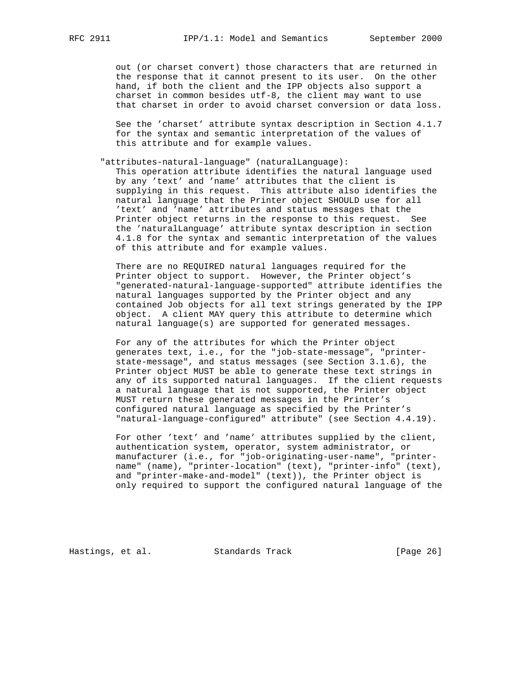out (or charset convert) those characters that are returned in the response that it cannot present to its user. On the other hand, if both the client and the IPP objects also support a charset in common besides utf-8, the client may want to use that charset in order to avoid charset conversion or data loss.

 See the 'charset' attribute syntax description in Section 4.1.7 for the syntax and semantic interpretation of the values of this attribute and for example values.

"attributes-natural-language" (naturalLanguage):

 This operation attribute identifies the natural language used by any 'text' and 'name' attributes that the client is supplying in this request. This attribute also identifies the natural language that the Printer object SHOULD use for all 'text' and 'name' attributes and status messages that the Printer object returns in the response to this request. See the 'naturalLanguage' attribute syntax description in section 4.1.8 for the syntax and semantic interpretation of the values of this attribute and for example values.

 There are no REQUIRED natural languages required for the Printer object to support. However, the Printer object's "generated-natural-language-supported" attribute identifies the natural languages supported by the Printer object and any contained Job objects for all text strings generated by the IPP object. A client MAY query this attribute to determine which natural language(s) are supported for generated messages.

 For any of the attributes for which the Printer object generates text, i.e., for the "job-state-message", "printer state-message", and status messages (see Section 3.1.6), the Printer object MUST be able to generate these text strings in any of its supported natural languages. If the client requests a natural language that is not supported, the Printer object MUST return these generated messages in the Printer's configured natural language as specified by the Printer's "natural-language-configured" attribute" (see Section 4.4.19).

 For other 'text' and 'name' attributes supplied by the client, authentication system, operator, system administrator, or manufacturer (i.e., for "job-originating-user-name", "printer name" (name), "printer-location" (text), "printer-info" (text), and "printer-make-and-model" (text)), the Printer object is only required to support the configured natural language of the

Hastings, et al. Standards Track [Page 26]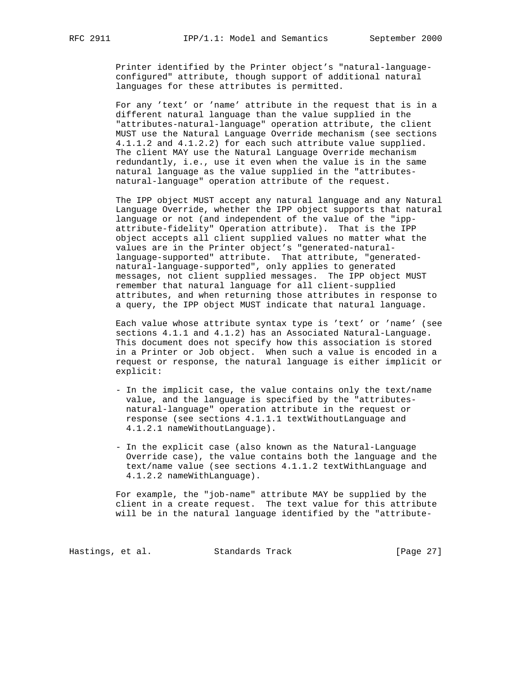Printer identified by the Printer object's "natural-language configured" attribute, though support of additional natural languages for these attributes is permitted.

 For any 'text' or 'name' attribute in the request that is in a different natural language than the value supplied in the "attributes-natural-language" operation attribute, the client MUST use the Natural Language Override mechanism (see sections 4.1.1.2 and 4.1.2.2) for each such attribute value supplied. The client MAY use the Natural Language Override mechanism redundantly, i.e., use it even when the value is in the same natural language as the value supplied in the "attributes natural-language" operation attribute of the request.

 The IPP object MUST accept any natural language and any Natural Language Override, whether the IPP object supports that natural language or not (and independent of the value of the "ipp attribute-fidelity" Operation attribute). That is the IPP object accepts all client supplied values no matter what the values are in the Printer object's "generated-natural language-supported" attribute. That attribute, "generated natural-language-supported", only applies to generated messages, not client supplied messages. The IPP object MUST remember that natural language for all client-supplied attributes, and when returning those attributes in response to a query, the IPP object MUST indicate that natural language.

 Each value whose attribute syntax type is 'text' or 'name' (see sections 4.1.1 and 4.1.2) has an Associated Natural-Language. This document does not specify how this association is stored in a Printer or Job object. When such a value is encoded in a request or response, the natural language is either implicit or explicit:

- In the implicit case, the value contains only the text/name value, and the language is specified by the "attributes natural-language" operation attribute in the request or response (see sections 4.1.1.1 textWithoutLanguage and 4.1.2.1 nameWithoutLanguage).
- In the explicit case (also known as the Natural-Language Override case), the value contains both the language and the text/name value (see sections 4.1.1.2 textWithLanguage and 4.1.2.2 nameWithLanguage).

 For example, the "job-name" attribute MAY be supplied by the client in a create request. The text value for this attribute will be in the natural language identified by the "attribute-

Hastings, et al. Standards Track [Page 27]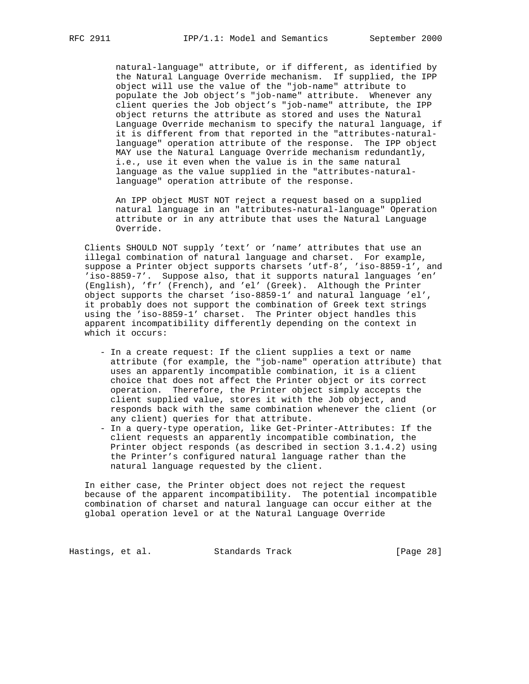natural-language" attribute, or if different, as identified by the Natural Language Override mechanism. If supplied, the IPP object will use the value of the "job-name" attribute to populate the Job object's "job-name" attribute. Whenever any client queries the Job object's "job-name" attribute, the IPP object returns the attribute as stored and uses the Natural Language Override mechanism to specify the natural language, if it is different from that reported in the "attributes-natural language" operation attribute of the response. The IPP object MAY use the Natural Language Override mechanism redundantly, i.e., use it even when the value is in the same natural language as the value supplied in the "attributes-natural language" operation attribute of the response.

 An IPP object MUST NOT reject a request based on a supplied natural language in an "attributes-natural-language" Operation attribute or in any attribute that uses the Natural Language Override.

 Clients SHOULD NOT supply 'text' or 'name' attributes that use an illegal combination of natural language and charset. For example, suppose a Printer object supports charsets 'utf-8', 'iso-8859-1', and 'iso-8859-7'. Suppose also, that it supports natural languages 'en' (English), 'fr' (French), and 'el' (Greek). Although the Printer object supports the charset 'iso-8859-1' and natural language 'el', it probably does not support the combination of Greek text strings using the 'iso-8859-1' charset. The Printer object handles this apparent incompatibility differently depending on the context in which it occurs:

- In a create request: If the client supplies a text or name attribute (for example, the "job-name" operation attribute) that uses an apparently incompatible combination, it is a client choice that does not affect the Printer object or its correct operation. Therefore, the Printer object simply accepts the client supplied value, stores it with the Job object, and responds back with the same combination whenever the client (or any client) queries for that attribute.
- In a query-type operation, like Get-Printer-Attributes: If the client requests an apparently incompatible combination, the Printer object responds (as described in section 3.1.4.2) using the Printer's configured natural language rather than the natural language requested by the client.

 In either case, the Printer object does not reject the request because of the apparent incompatibility. The potential incompatible combination of charset and natural language can occur either at the global operation level or at the Natural Language Override

Hastings, et al. Standards Track [Page 28]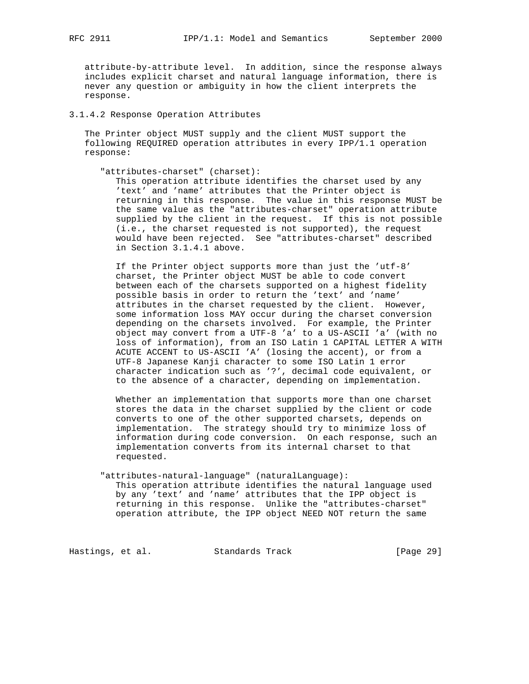attribute-by-attribute level. In addition, since the response always includes explicit charset and natural language information, there is never any question or ambiguity in how the client interprets the response.

# 3.1.4.2 Response Operation Attributes

 The Printer object MUST supply and the client MUST support the following REQUIRED operation attributes in every IPP/1.1 operation response:

"attributes-charset" (charset):

 This operation attribute identifies the charset used by any 'text' and 'name' attributes that the Printer object is returning in this response. The value in this response MUST be the same value as the "attributes-charset" operation attribute supplied by the client in the request. If this is not possible (i.e., the charset requested is not supported), the request would have been rejected. See "attributes-charset" described in Section 3.1.4.1 above.

 If the Printer object supports more than just the 'utf-8' charset, the Printer object MUST be able to code convert between each of the charsets supported on a highest fidelity possible basis in order to return the 'text' and 'name' attributes in the charset requested by the client. However, some information loss MAY occur during the charset conversion depending on the charsets involved. For example, the Printer object may convert from a UTF-8 'a' to a US-ASCII 'a' (with no loss of information), from an ISO Latin 1 CAPITAL LETTER A WITH ACUTE ACCENT to US-ASCII 'A' (losing the accent), or from a UTF-8 Japanese Kanji character to some ISO Latin 1 error character indication such as '?', decimal code equivalent, or to the absence of a character, depending on implementation.

 Whether an implementation that supports more than one charset stores the data in the charset supplied by the client or code converts to one of the other supported charsets, depends on implementation. The strategy should try to minimize loss of information during code conversion. On each response, such an implementation converts from its internal charset to that requested.

 "attributes-natural-language" (naturalLanguage): This operation attribute identifies the natural language used by any 'text' and 'name' attributes that the IPP object is returning in this response. Unlike the "attributes-charset" operation attribute, the IPP object NEED NOT return the same

Hastings, et al. Standards Track [Page 29]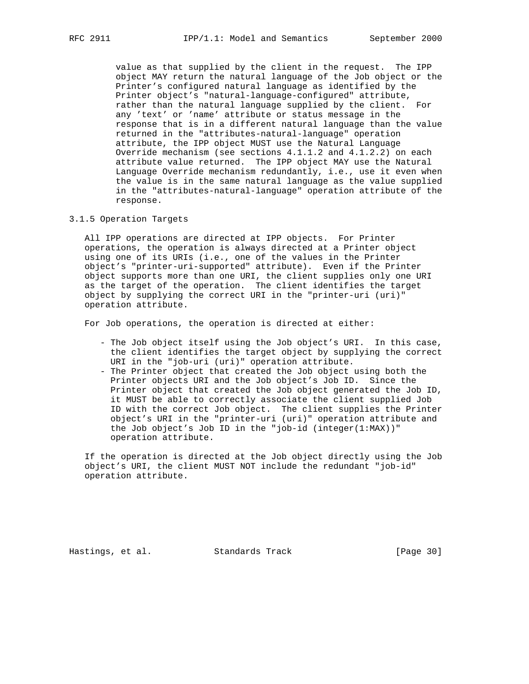value as that supplied by the client in the request. The IPP object MAY return the natural language of the Job object or the Printer's configured natural language as identified by the Printer object's "natural-language-configured" attribute, rather than the natural language supplied by the client. For any 'text' or 'name' attribute or status message in the response that is in a different natural language than the value returned in the "attributes-natural-language" operation attribute, the IPP object MUST use the Natural Language Override mechanism (see sections 4.1.1.2 and 4.1.2.2) on each attribute value returned. The IPP object MAY use the Natural Language Override mechanism redundantly, i.e., use it even when the value is in the same natural language as the value supplied in the "attributes-natural-language" operation attribute of the response.

3.1.5 Operation Targets

 All IPP operations are directed at IPP objects. For Printer operations, the operation is always directed at a Printer object using one of its URIs (i.e., one of the values in the Printer object's "printer-uri-supported" attribute). Even if the Printer object supports more than one URI, the client supplies only one URI as the target of the operation. The client identifies the target object by supplying the correct URI in the "printer-uri (uri)" operation attribute.

For Job operations, the operation is directed at either:

- The Job object itself using the Job object's URI. In this case, the client identifies the target object by supplying the correct URI in the "job-uri (uri)" operation attribute.
- The Printer object that created the Job object using both the Printer objects URI and the Job object's Job ID. Since the Printer object that created the Job object generated the Job ID, it MUST be able to correctly associate the client supplied Job ID with the correct Job object. The client supplies the Printer object's URI in the "printer-uri (uri)" operation attribute and the Job object's Job ID in the "job-id (integer(1:MAX))" operation attribute.

 If the operation is directed at the Job object directly using the Job object's URI, the client MUST NOT include the redundant "job-id" operation attribute.

Hastings, et al. Standards Track [Page 30]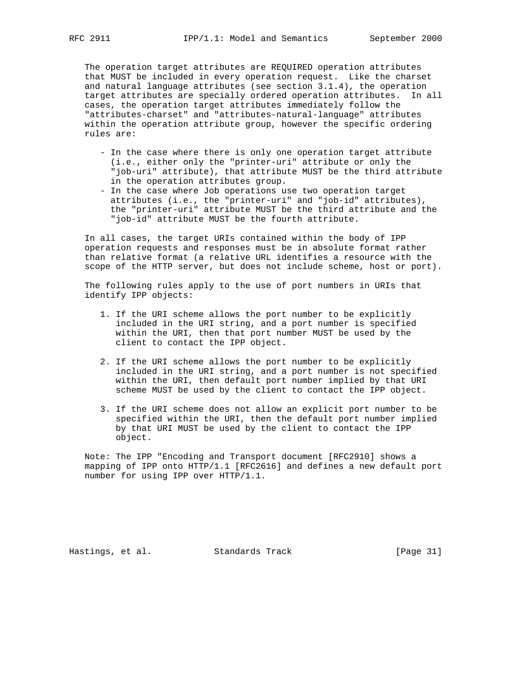The operation target attributes are REQUIRED operation attributes that MUST be included in every operation request. Like the charset and natural language attributes (see section 3.1.4), the operation target attributes are specially ordered operation attributes. In all cases, the operation target attributes immediately follow the "attributes-charset" and "attributes-natural-language" attributes within the operation attribute group, however the specific ordering rules are:

- In the case where there is only one operation target attribute (i.e., either only the "printer-uri" attribute or only the "job-uri" attribute), that attribute MUST be the third attribute in the operation attributes group.
- In the case where Job operations use two operation target attributes (i.e., the "printer-uri" and "job-id" attributes), the "printer-uri" attribute MUST be the third attribute and the "job-id" attribute MUST be the fourth attribute.

 In all cases, the target URIs contained within the body of IPP operation requests and responses must be in absolute format rather than relative format (a relative URL identifies a resource with the scope of the HTTP server, but does not include scheme, host or port).

 The following rules apply to the use of port numbers in URIs that identify IPP objects:

- 1. If the URI scheme allows the port number to be explicitly included in the URI string, and a port number is specified within the URI, then that port number MUST be used by the client to contact the IPP object.
- 2. If the URI scheme allows the port number to be explicitly included in the URI string, and a port number is not specified within the URI, then default port number implied by that URI scheme MUST be used by the client to contact the IPP object.
- 3. If the URI scheme does not allow an explicit port number to be specified within the URI, then the default port number implied by that URI MUST be used by the client to contact the IPP object.

 Note: The IPP "Encoding and Transport document [RFC2910] shows a mapping of IPP onto HTTP/1.1 [RFC2616] and defines a new default port number for using IPP over HTTP/1.1.

Hastings, et al. Standards Track [Page 31]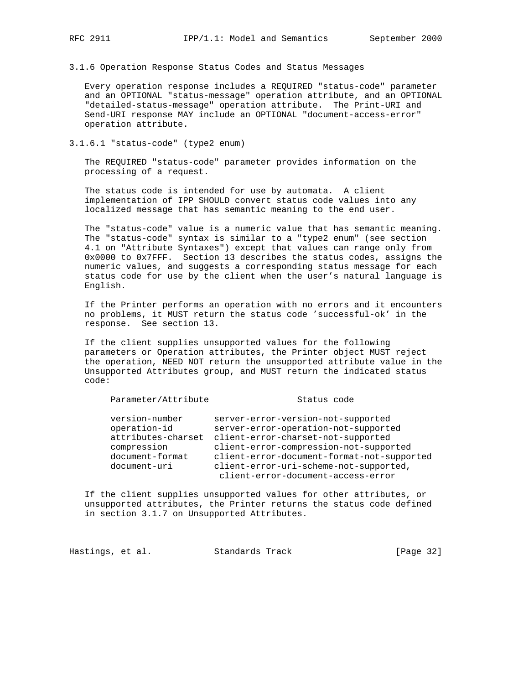3.1.6 Operation Response Status Codes and Status Messages

 Every operation response includes a REQUIRED "status-code" parameter and an OPTIONAL "status-message" operation attribute, and an OPTIONAL "detailed-status-message" operation attribute. The Print-URI and Send-URI response MAY include an OPTIONAL "document-access-error" operation attribute.

3.1.6.1 "status-code" (type2 enum)

 The REQUIRED "status-code" parameter provides information on the processing of a request.

 The status code is intended for use by automata. A client implementation of IPP SHOULD convert status code values into any localized message that has semantic meaning to the end user.

 The "status-code" value is a numeric value that has semantic meaning. The "status-code" syntax is similar to a "type2 enum" (see section 4.1 on "Attribute Syntaxes") except that values can range only from 0x0000 to 0x7FFF. Section 13 describes the status codes, assigns the numeric values, and suggests a corresponding status message for each status code for use by the client when the user's natural language is English.

 If the Printer performs an operation with no errors and it encounters no problems, it MUST return the status code 'successful-ok' in the response. See section 13.

 If the client supplies unsupported values for the following parameters or Operation attributes, the Printer object MUST reject the operation, NEED NOT return the unsupported attribute value in the Unsupported Attributes group, and MUST return the indicated status code:

| Parameter/Attribute |
|---------------------|
|                     |

#### Status code

| version-number     | server-error-version-not-supported         |
|--------------------|--------------------------------------------|
| operation-id       | server-error-operation-not-supported       |
| attributes-charset | client-error-charset-not-supported         |
| compression        | client-error-compression-not-supported     |
| document-format    | client-error-document-format-not-supported |
| document-uri       | client-error-uri-scheme-not-supported,     |
|                    | client-error-document-access-error         |

 If the client supplies unsupported values for other attributes, or unsupported attributes, the Printer returns the status code defined in section 3.1.7 on Unsupported Attributes.

Hastings, et al. Standards Track [Page 32]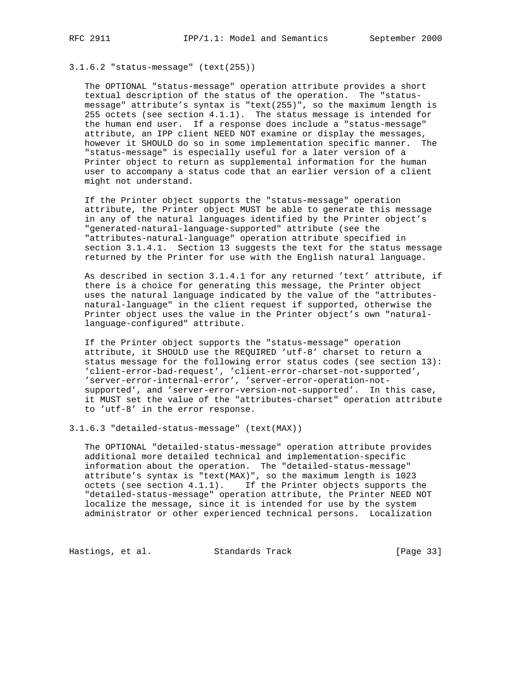3.1.6.2 "status-message" (text(255))

 The OPTIONAL "status-message" operation attribute provides a short textual description of the status of the operation. The "status message" attribute's syntax is "text(255)", so the maximum length is 255 octets (see section 4.1.1). The status message is intended for the human end user. If a response does include a "status-message" attribute, an IPP client NEED NOT examine or display the messages, however it SHOULD do so in some implementation specific manner. The "status-message" is especially useful for a later version of a Printer object to return as supplemental information for the human user to accompany a status code that an earlier version of a client might not understand.

 If the Printer object supports the "status-message" operation attribute, the Printer object MUST be able to generate this message in any of the natural languages identified by the Printer object's "generated-natural-language-supported" attribute (see the "attributes-natural-language" operation attribute specified in section 3.1.4.1. Section 13 suggests the text for the status message returned by the Printer for use with the English natural language.

 As described in section 3.1.4.1 for any returned 'text' attribute, if there is a choice for generating this message, the Printer object uses the natural language indicated by the value of the "attributes natural-language" in the client request if supported, otherwise the Printer object uses the value in the Printer object's own "natural language-configured" attribute.

 If the Printer object supports the "status-message" operation attribute, it SHOULD use the REQUIRED 'utf-8' charset to return a status message for the following error status codes (see section 13): 'client-error-bad-request', 'client-error-charset-not-supported', 'server-error-internal-error', 'server-error-operation-not supported', and 'server-error-version-not-supported'. In this case, it MUST set the value of the "attributes-charset" operation attribute to 'utf-8' in the error response.

3.1.6.3 "detailed-status-message" (text(MAX))

 The OPTIONAL "detailed-status-message" operation attribute provides additional more detailed technical and implementation-specific information about the operation. The "detailed-status-message" attribute's syntax is "text(MAX)", so the maximum length is 1023 octets (see section 4.1.1). If the Printer objects supports the "detailed-status-message" operation attribute, the Printer NEED NOT localize the message, since it is intended for use by the system administrator or other experienced technical persons. Localization

Hastings, et al. Standards Track [Page 33]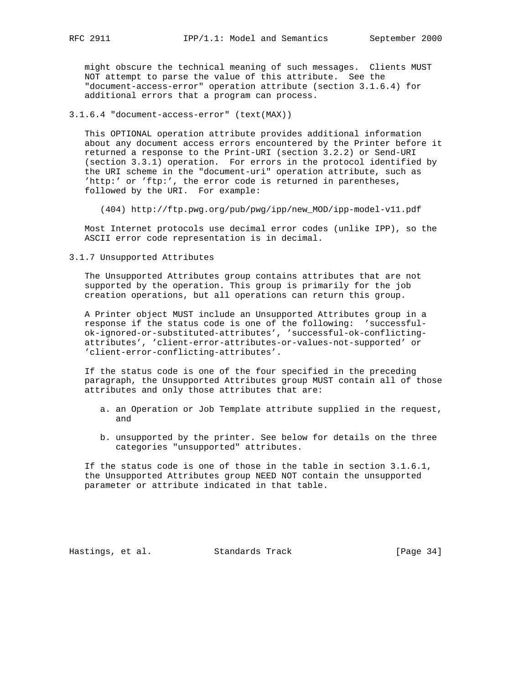might obscure the technical meaning of such messages. Clients MUST NOT attempt to parse the value of this attribute. See the "document-access-error" operation attribute (section 3.1.6.4) for additional errors that a program can process.

3.1.6.4 "document-access-error" (text(MAX))

 This OPTIONAL operation attribute provides additional information about any document access errors encountered by the Printer before it returned a response to the Print-URI (section 3.2.2) or Send-URI (section 3.3.1) operation. For errors in the protocol identified by the URI scheme in the "document-uri" operation attribute, such as 'http:' or 'ftp:', the error code is returned in parentheses, followed by the URI. For example:

(404) http://ftp.pwg.org/pub/pwg/ipp/new\_MOD/ipp-model-v11.pdf

 Most Internet protocols use decimal error codes (unlike IPP), so the ASCII error code representation is in decimal.

3.1.7 Unsupported Attributes

 The Unsupported Attributes group contains attributes that are not supported by the operation. This group is primarily for the job creation operations, but all operations can return this group.

 A Printer object MUST include an Unsupported Attributes group in a response if the status code is one of the following: 'successful ok-ignored-or-substituted-attributes', 'successful-ok-conflicting attributes', 'client-error-attributes-or-values-not-supported' or 'client-error-conflicting-attributes'.

 If the status code is one of the four specified in the preceding paragraph, the Unsupported Attributes group MUST contain all of those attributes and only those attributes that are:

- a. an Operation or Job Template attribute supplied in the request, and
- b. unsupported by the printer. See below for details on the three categories "unsupported" attributes.

 If the status code is one of those in the table in section 3.1.6.1, the Unsupported Attributes group NEED NOT contain the unsupported parameter or attribute indicated in that table.

Hastings, et al. Standards Track [Page 34]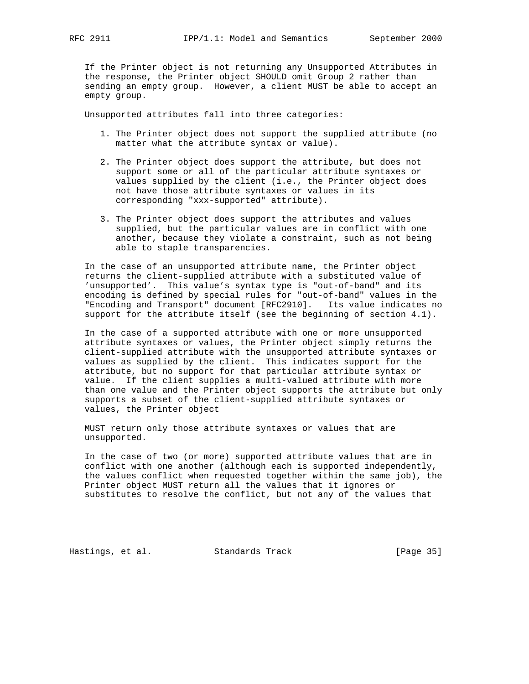If the Printer object is not returning any Unsupported Attributes in the response, the Printer object SHOULD omit Group 2 rather than sending an empty group. However, a client MUST be able to accept an empty group.

Unsupported attributes fall into three categories:

- 1. The Printer object does not support the supplied attribute (no matter what the attribute syntax or value).
- 2. The Printer object does support the attribute, but does not support some or all of the particular attribute syntaxes or values supplied by the client (i.e., the Printer object does not have those attribute syntaxes or values in its corresponding "xxx-supported" attribute).
- 3. The Printer object does support the attributes and values supplied, but the particular values are in conflict with one another, because they violate a constraint, such as not being able to staple transparencies.

 In the case of an unsupported attribute name, the Printer object returns the client-supplied attribute with a substituted value of 'unsupported'. This value's syntax type is "out-of-band" and its encoding is defined by special rules for "out-of-band" values in the "Encoding and Transport" document [RFC2910]. Its value indicates no support for the attribute itself (see the beginning of section 4.1).

 In the case of a supported attribute with one or more unsupported attribute syntaxes or values, the Printer object simply returns the client-supplied attribute with the unsupported attribute syntaxes or values as supplied by the client. This indicates support for the attribute, but no support for that particular attribute syntax or value. If the client supplies a multi-valued attribute with more than one value and the Printer object supports the attribute but only supports a subset of the client-supplied attribute syntaxes or values, the Printer object

 MUST return only those attribute syntaxes or values that are unsupported.

 In the case of two (or more) supported attribute values that are in conflict with one another (although each is supported independently, the values conflict when requested together within the same job), the Printer object MUST return all the values that it ignores or substitutes to resolve the conflict, but not any of the values that

Hastings, et al. Standards Track [Page 35]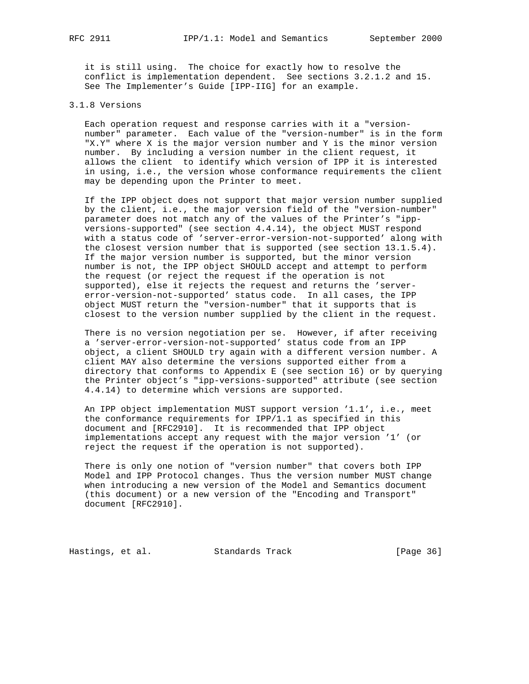it is still using. The choice for exactly how to resolve the conflict is implementation dependent. See sections 3.2.1.2 and 15. See The Implementer's Guide [IPP-IIG] for an example.

## 3.1.8 Versions

 Each operation request and response carries with it a "version number" parameter. Each value of the "version-number" is in the form "X.Y" where X is the major version number and Y is the minor version number. By including a version number in the client request, it allows the client to identify which version of IPP it is interested in using, i.e., the version whose conformance requirements the client may be depending upon the Printer to meet.

 If the IPP object does not support that major version number supplied by the client, i.e., the major version field of the "version-number" parameter does not match any of the values of the Printer's "ipp versions-supported" (see section 4.4.14), the object MUST respond with a status code of 'server-error-version-not-supported' along with the closest version number that is supported (see section 13.1.5.4). If the major version number is supported, but the minor version number is not, the IPP object SHOULD accept and attempt to perform the request (or reject the request if the operation is not supported), else it rejects the request and returns the 'server error-version-not-supported' status code. In all cases, the IPP object MUST return the "version-number" that it supports that is closest to the version number supplied by the client in the request.

There is no version negotiation per se. However, if after receiving a 'server-error-version-not-supported' status code from an IPP object, a client SHOULD try again with a different version number. A client MAY also determine the versions supported either from a directory that conforms to Appendix E (see section 16) or by querying the Printer object's "ipp-versions-supported" attribute (see section 4.4.14) to determine which versions are supported.

 An IPP object implementation MUST support version '1.1', i.e., meet the conformance requirements for IPP/1.1 as specified in this document and [RFC2910]. It is recommended that IPP object implementations accept any request with the major version '1' (or reject the request if the operation is not supported).

 There is only one notion of "version number" that covers both IPP Model and IPP Protocol changes. Thus the version number MUST change when introducing a new version of the Model and Semantics document (this document) or a new version of the "Encoding and Transport" document [RFC2910].

Hastings, et al. Standards Track [Page 36]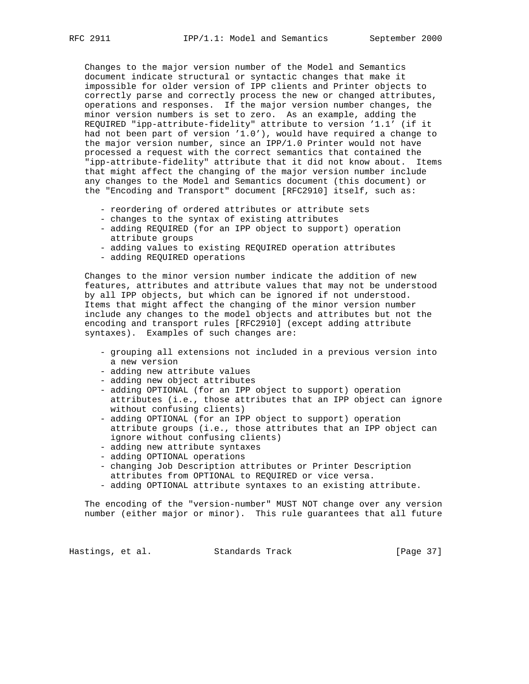Changes to the major version number of the Model and Semantics document indicate structural or syntactic changes that make it impossible for older version of IPP clients and Printer objects to correctly parse and correctly process the new or changed attributes, operations and responses. If the major version number changes, the minor version numbers is set to zero. As an example, adding the REQUIRED "ipp-attribute-fidelity" attribute to version '1.1' (if it had not been part of version '1.0'), would have required a change to the major version number, since an IPP/1.0 Printer would not have processed a request with the correct semantics that contained the "ipp-attribute-fidelity" attribute that it did not know about. Items that might affect the changing of the major version number include any changes to the Model and Semantics document (this document) or the "Encoding and Transport" document [RFC2910] itself, such as:

- reordering of ordered attributes or attribute sets
- changes to the syntax of existing attributes
- adding REQUIRED (for an IPP object to support) operation attribute groups
- adding values to existing REQUIRED operation attributes
- adding REQUIRED operations

 Changes to the minor version number indicate the addition of new features, attributes and attribute values that may not be understood by all IPP objects, but which can be ignored if not understood. Items that might affect the changing of the minor version number include any changes to the model objects and attributes but not the encoding and transport rules [RFC2910] (except adding attribute syntaxes). Examples of such changes are:

- grouping all extensions not included in a previous version into a new version
- adding new attribute values
- adding new object attributes
- adding OPTIONAL (for an IPP object to support) operation attributes (i.e., those attributes that an IPP object can ignore without confusing clients)
- adding OPTIONAL (for an IPP object to support) operation attribute groups (i.e., those attributes that an IPP object can ignore without confusing clients)
- adding new attribute syntaxes
- adding OPTIONAL operations
- changing Job Description attributes or Printer Description attributes from OPTIONAL to REQUIRED or vice versa.
- adding OPTIONAL attribute syntaxes to an existing attribute.

 The encoding of the "version-number" MUST NOT change over any version number (either major or minor). This rule guarantees that all future

Hastings, et al. Standards Track [Page 37]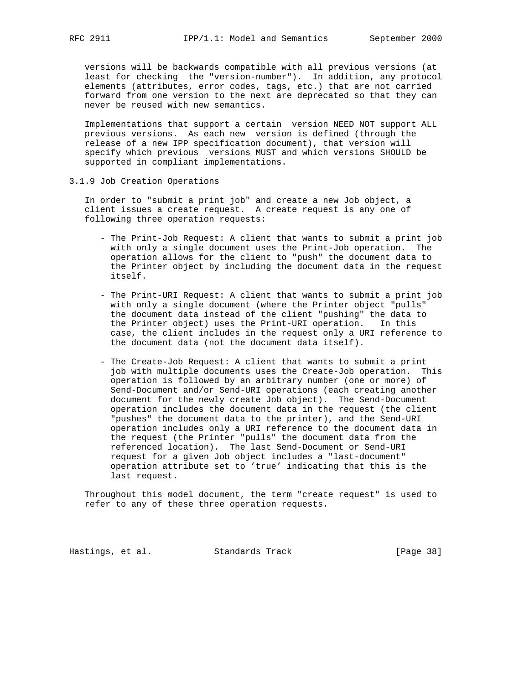versions will be backwards compatible with all previous versions (at least for checking the "version-number"). In addition, any protocol elements (attributes, error codes, tags, etc.) that are not carried forward from one version to the next are deprecated so that they can never be reused with new semantics.

 Implementations that support a certain version NEED NOT support ALL previous versions. As each new version is defined (through the release of a new IPP specification document), that version will specify which previous versions MUST and which versions SHOULD be supported in compliant implementations.

3.1.9 Job Creation Operations

 In order to "submit a print job" and create a new Job object, a client issues a create request. A create request is any one of following three operation requests:

- The Print-Job Request: A client that wants to submit a print job with only a single document uses the Print-Job operation. The operation allows for the client to "push" the document data to the Printer object by including the document data in the request itself.
- The Print-URI Request: A client that wants to submit a print job with only a single document (where the Printer object "pulls" the document data instead of the client "pushing" the data to the Printer object) uses the Print-URI operation. In this case, the client includes in the request only a URI reference to the document data (not the document data itself).
- The Create-Job Request: A client that wants to submit a print job with multiple documents uses the Create-Job operation. This operation is followed by an arbitrary number (one or more) of Send-Document and/or Send-URI operations (each creating another document for the newly create Job object). The Send-Document operation includes the document data in the request (the client "pushes" the document data to the printer), and the Send-URI operation includes only a URI reference to the document data in the request (the Printer "pulls" the document data from the referenced location). The last Send-Document or Send-URI request for a given Job object includes a "last-document" operation attribute set to 'true' indicating that this is the last request.

 Throughout this model document, the term "create request" is used to refer to any of these three operation requests.

Hastings, et al. Standards Track [Page 38]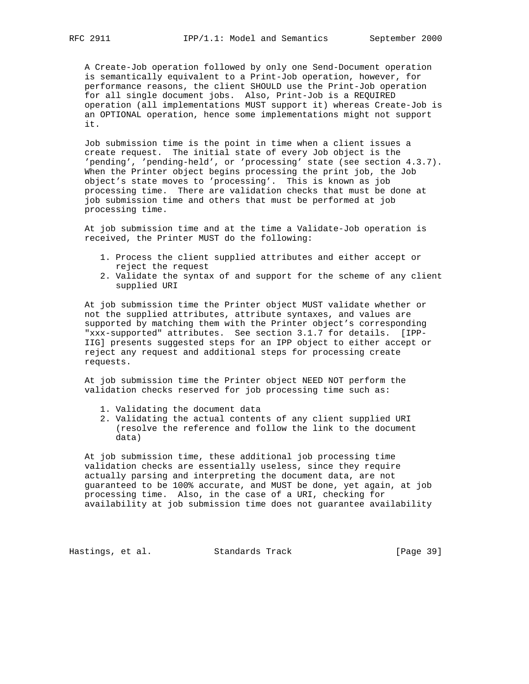A Create-Job operation followed by only one Send-Document operation is semantically equivalent to a Print-Job operation, however, for performance reasons, the client SHOULD use the Print-Job operation for all single document jobs. Also, Print-Job is a REQUIRED operation (all implementations MUST support it) whereas Create-Job is an OPTIONAL operation, hence some implementations might not support it.

 Job submission time is the point in time when a client issues a create request. The initial state of every Job object is the 'pending', 'pending-held', or 'processing' state (see section 4.3.7). When the Printer object begins processing the print job, the Job object's state moves to 'processing'. This is known as job processing time. There are validation checks that must be done at job submission time and others that must be performed at job processing time.

 At job submission time and at the time a Validate-Job operation is received, the Printer MUST do the following:

- 1. Process the client supplied attributes and either accept or reject the request
- 2. Validate the syntax of and support for the scheme of any client supplied URI

 At job submission time the Printer object MUST validate whether or not the supplied attributes, attribute syntaxes, and values are supported by matching them with the Printer object's corresponding "xxx-supported" attributes. See section 3.1.7 for details. [IPP- IIG] presents suggested steps for an IPP object to either accept or reject any request and additional steps for processing create requests.

 At job submission time the Printer object NEED NOT perform the validation checks reserved for job processing time such as:

- 1. Validating the document data
- 2. Validating the actual contents of any client supplied URI (resolve the reference and follow the link to the document data)

 At job submission time, these additional job processing time validation checks are essentially useless, since they require actually parsing and interpreting the document data, are not guaranteed to be 100% accurate, and MUST be done, yet again, at job processing time. Also, in the case of a URI, checking for availability at job submission time does not guarantee availability

Hastings, et al. Standards Track [Page 39]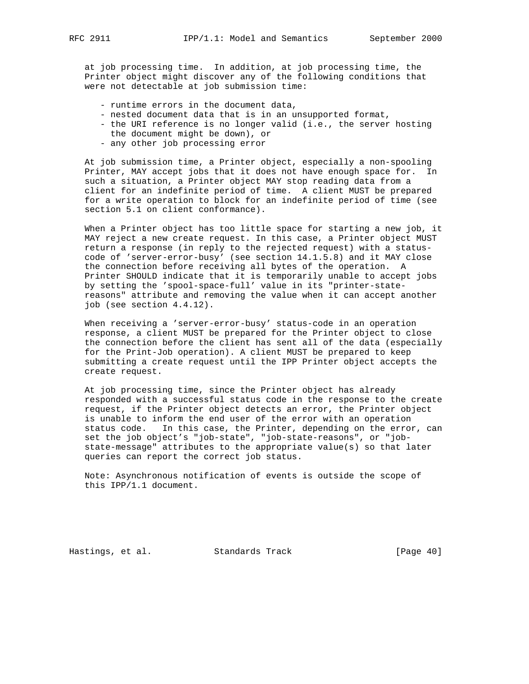at job processing time. In addition, at job processing time, the Printer object might discover any of the following conditions that were not detectable at job submission time:

- runtime errors in the document data,
- nested document data that is in an unsupported format,
- the URI reference is no longer valid (i.e., the server hosting the document might be down), or
- any other job processing error

 At job submission time, a Printer object, especially a non-spooling Printer, MAY accept jobs that it does not have enough space for. In such a situation, a Printer object MAY stop reading data from a client for an indefinite period of time. A client MUST be prepared for a write operation to block for an indefinite period of time (see section 5.1 on client conformance).

 When a Printer object has too little space for starting a new job, it MAY reject a new create request. In this case, a Printer object MUST return a response (in reply to the rejected request) with a status code of 'server-error-busy' (see section 14.1.5.8) and it MAY close the connection before receiving all bytes of the operation. A Printer SHOULD indicate that it is temporarily unable to accept jobs by setting the 'spool-space-full' value in its "printer-state reasons" attribute and removing the value when it can accept another job (see section 4.4.12).

 When receiving a 'server-error-busy' status-code in an operation response, a client MUST be prepared for the Printer object to close the connection before the client has sent all of the data (especially for the Print-Job operation). A client MUST be prepared to keep submitting a create request until the IPP Printer object accepts the create request.

 At job processing time, since the Printer object has already responded with a successful status code in the response to the create request, if the Printer object detects an error, the Printer object is unable to inform the end user of the error with an operation status code. In this case, the Printer, depending on the error, can set the job object's "job-state", "job-state-reasons", or "job state-message" attributes to the appropriate value(s) so that later queries can report the correct job status.

 Note: Asynchronous notification of events is outside the scope of this IPP/1.1 document.

Hastings, et al. Standards Track [Page 40]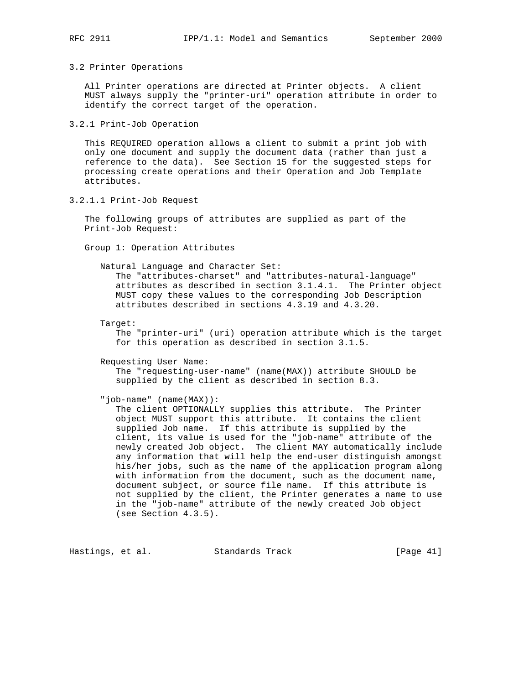#### 3.2 Printer Operations

 All Printer operations are directed at Printer objects. A client MUST always supply the "printer-uri" operation attribute in order to identify the correct target of the operation.

3.2.1 Print-Job Operation

 This REQUIRED operation allows a client to submit a print job with only one document and supply the document data (rather than just a reference to the data). See Section 15 for the suggested steps for processing create operations and their Operation and Job Template attributes.

3.2.1.1 Print-Job Request

 The following groups of attributes are supplied as part of the Print-Job Request:

Group 1: Operation Attributes

Natural Language and Character Set:

 The "attributes-charset" and "attributes-natural-language" attributes as described in section 3.1.4.1. The Printer object MUST copy these values to the corresponding Job Description attributes described in sections 4.3.19 and 4.3.20.

Target:

 The "printer-uri" (uri) operation attribute which is the target for this operation as described in section 3.1.5.

Requesting User Name:

 The "requesting-user-name" (name(MAX)) attribute SHOULD be supplied by the client as described in section 8.3.

"job-name" (name(MAX)):

 The client OPTIONALLY supplies this attribute. The Printer object MUST support this attribute. It contains the client supplied Job name. If this attribute is supplied by the client, its value is used for the "job-name" attribute of the newly created Job object. The client MAY automatically include any information that will help the end-user distinguish amongst his/her jobs, such as the name of the application program along with information from the document, such as the document name, document subject, or source file name. If this attribute is not supplied by the client, the Printer generates a name to use in the "job-name" attribute of the newly created Job object (see Section 4.3.5).

Hastings, et al. Standards Track [Page 41]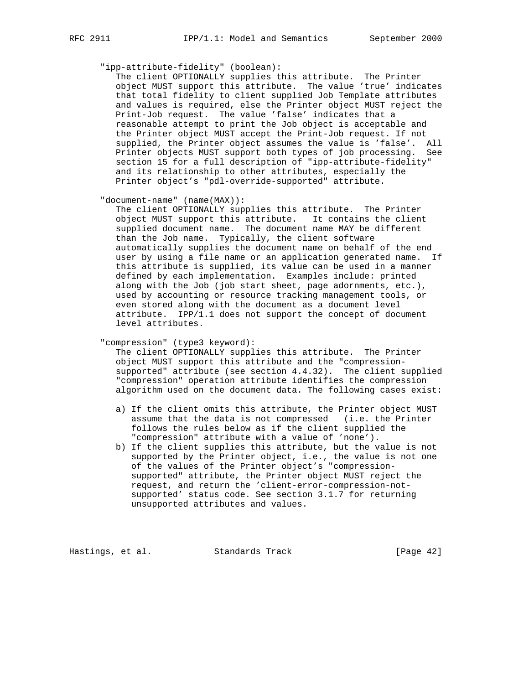### "ipp-attribute-fidelity" (boolean):

 The client OPTIONALLY supplies this attribute. The Printer object MUST support this attribute. The value 'true' indicates that total fidelity to client supplied Job Template attributes and values is required, else the Printer object MUST reject the Print-Job request. The value 'false' indicates that a reasonable attempt to print the Job object is acceptable and the Printer object MUST accept the Print-Job request. If not supplied, the Printer object assumes the value is 'false'. All Printer objects MUST support both types of job processing. See section 15 for a full description of "ipp-attribute-fidelity" and its relationship to other attributes, especially the Printer object's "pdl-override-supported" attribute.

"document-name" (name(MAX)):

 The client OPTIONALLY supplies this attribute. The Printer object MUST support this attribute. It contains the client supplied document name. The document name MAY be different than the Job name. Typically, the client software automatically supplies the document name on behalf of the end user by using a file name or an application generated name. If this attribute is supplied, its value can be used in a manner defined by each implementation. Examples include: printed along with the Job (job start sheet, page adornments, etc.), used by accounting or resource tracking management tools, or even stored along with the document as a document level attribute. IPP/1.1 does not support the concept of document level attributes.

"compression" (type3 keyword):

 The client OPTIONALLY supplies this attribute. The Printer object MUST support this attribute and the "compression supported" attribute (see section 4.4.32). The client supplied "compression" operation attribute identifies the compression algorithm used on the document data. The following cases exist:

- a) If the client omits this attribute, the Printer object MUST assume that the data is not compressed (i.e. the Printer follows the rules below as if the client supplied the "compression" attribute with a value of 'none').
- b) If the client supplies this attribute, but the value is not supported by the Printer object, i.e., the value is not one of the values of the Printer object's "compression supported" attribute, the Printer object MUST reject the request, and return the 'client-error-compression-not supported' status code. See section 3.1.7 for returning unsupported attributes and values.

Hastings, et al. Standards Track [Page 42]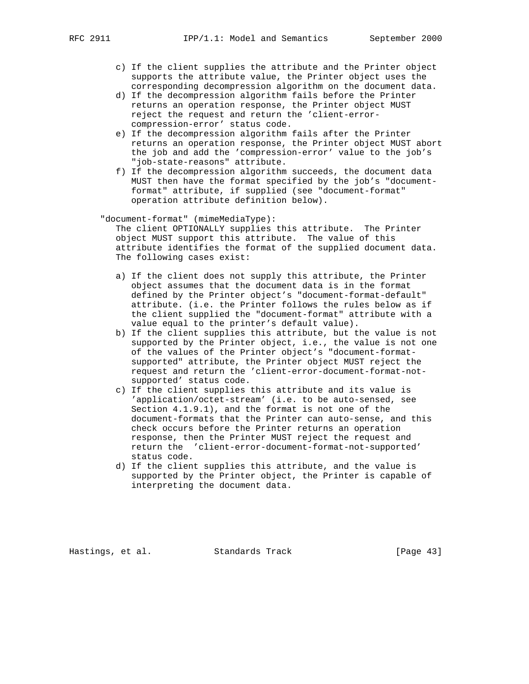- c) If the client supplies the attribute and the Printer object supports the attribute value, the Printer object uses the corresponding decompression algorithm on the document data.
- d) If the decompression algorithm fails before the Printer returns an operation response, the Printer object MUST reject the request and return the 'client-error compression-error' status code.
- e) If the decompression algorithm fails after the Printer returns an operation response, the Printer object MUST abort the job and add the 'compression-error' value to the job's "job-state-reasons" attribute.
- f) If the decompression algorithm succeeds, the document data MUST then have the format specified by the job's "document format" attribute, if supplied (see "document-format" operation attribute definition below).
- "document-format" (mimeMediaType): The client OPTIONALLY supplies this attribute. The Printer object MUST support this attribute. The value of this attribute identifies the format of the supplied document data. The following cases exist:
	- a) If the client does not supply this attribute, the Printer object assumes that the document data is in the format defined by the Printer object's "document-format-default" attribute. (i.e. the Printer follows the rules below as if the client supplied the "document-format" attribute with a value equal to the printer's default value).
	- b) If the client supplies this attribute, but the value is not supported by the Printer object, i.e., the value is not one of the values of the Printer object's "document-format supported" attribute, the Printer object MUST reject the request and return the 'client-error-document-format-not supported' status code.
	- c) If the client supplies this attribute and its value is 'application/octet-stream' (i.e. to be auto-sensed, see Section 4.1.9.1), and the format is not one of the document-formats that the Printer can auto-sense, and this check occurs before the Printer returns an operation response, then the Printer MUST reject the request and return the 'client-error-document-format-not-supported' status code.
	- d) If the client supplies this attribute, and the value is supported by the Printer object, the Printer is capable of interpreting the document data.

Hastings, et al. Standards Track [Page 43]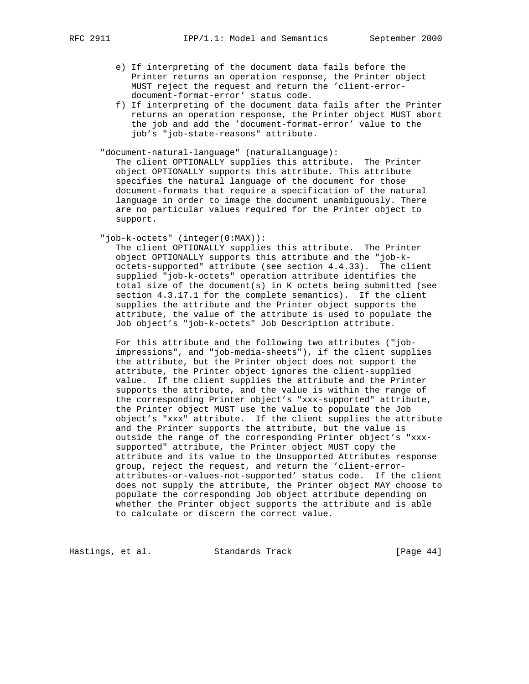- e) If interpreting of the document data fails before the Printer returns an operation response, the Printer object MUST reject the request and return the 'client-error document-format-error' status code.
- f) If interpreting of the document data fails after the Printer returns an operation response, the Printer object MUST abort the job and add the 'document-format-error' value to the job's "job-state-reasons" attribute.

"document-natural-language" (naturalLanguage):

 The client OPTIONALLY supplies this attribute. The Printer object OPTIONALLY supports this attribute. This attribute specifies the natural language of the document for those document-formats that require a specification of the natural language in order to image the document unambiguously. There are no particular values required for the Printer object to support.

"job-k-octets" (integer(0:MAX)):

 The client OPTIONALLY supplies this attribute. The Printer object OPTIONALLY supports this attribute and the "job-k octets-supported" attribute (see section 4.4.33). The client supplied "job-k-octets" operation attribute identifies the total size of the document(s) in K octets being submitted (see section 4.3.17.1 for the complete semantics). If the client supplies the attribute and the Printer object supports the attribute, the value of the attribute is used to populate the Job object's "job-k-octets" Job Description attribute.

 For this attribute and the following two attributes ("job impressions", and "job-media-sheets"), if the client supplies the attribute, but the Printer object does not support the attribute, the Printer object ignores the client-supplied value. If the client supplies the attribute and the Printer supports the attribute, and the value is within the range of the corresponding Printer object's "xxx-supported" attribute, the Printer object MUST use the value to populate the Job object's "xxx" attribute. If the client supplies the attribute and the Printer supports the attribute, but the value is outside the range of the corresponding Printer object's "xxx supported" attribute, the Printer object MUST copy the attribute and its value to the Unsupported Attributes response group, reject the request, and return the 'client-error attributes-or-values-not-supported' status code. If the client does not supply the attribute, the Printer object MAY choose to populate the corresponding Job object attribute depending on whether the Printer object supports the attribute and is able to calculate or discern the correct value.

Hastings, et al. Standards Track [Page 44]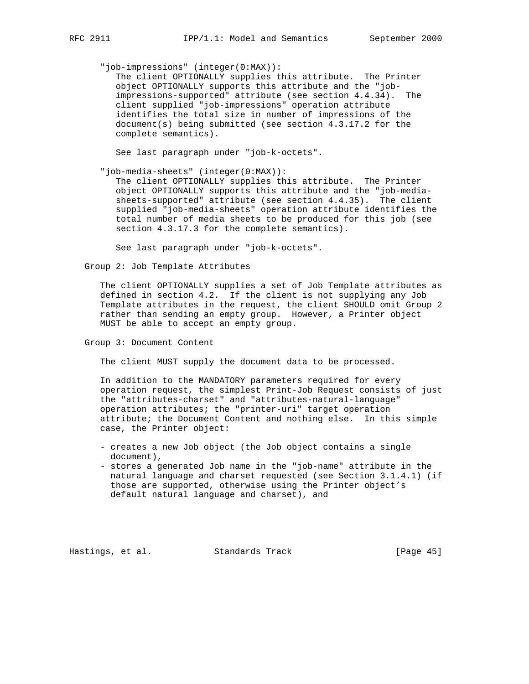"job-impressions" (integer(0:MAX)):

 The client OPTIONALLY supplies this attribute. The Printer object OPTIONALLY supports this attribute and the "job impressions-supported" attribute (see section 4.4.34). The client supplied "job-impressions" operation attribute identifies the total size in number of impressions of the document(s) being submitted (see section 4.3.17.2 for the complete semantics).

See last paragraph under "job-k-octets".

"job-media-sheets" (integer(0:MAX)):

 The client OPTIONALLY supplies this attribute. The Printer object OPTIONALLY supports this attribute and the "job-media sheets-supported" attribute (see section 4.4.35). The client supplied "job-media-sheets" operation attribute identifies the total number of media sheets to be produced for this job (see section 4.3.17.3 for the complete semantics).

See last paragraph under "job-k-octets".

Group 2: Job Template Attributes

 The client OPTIONALLY supplies a set of Job Template attributes as defined in section 4.2. If the client is not supplying any Job Template attributes in the request, the client SHOULD omit Group 2 rather than sending an empty group. However, a Printer object MUST be able to accept an empty group.

Group 3: Document Content

The client MUST supply the document data to be processed.

 In addition to the MANDATORY parameters required for every operation request, the simplest Print-Job Request consists of just the "attributes-charset" and "attributes-natural-language" operation attributes; the "printer-uri" target operation attribute; the Document Content and nothing else. In this simple case, the Printer object:

- creates a new Job object (the Job object contains a single document),
- stores a generated Job name in the "job-name" attribute in the natural language and charset requested (see Section 3.1.4.1) (if those are supported, otherwise using the Printer object's default natural language and charset), and

Hastings, et al. Standards Track [Page 45]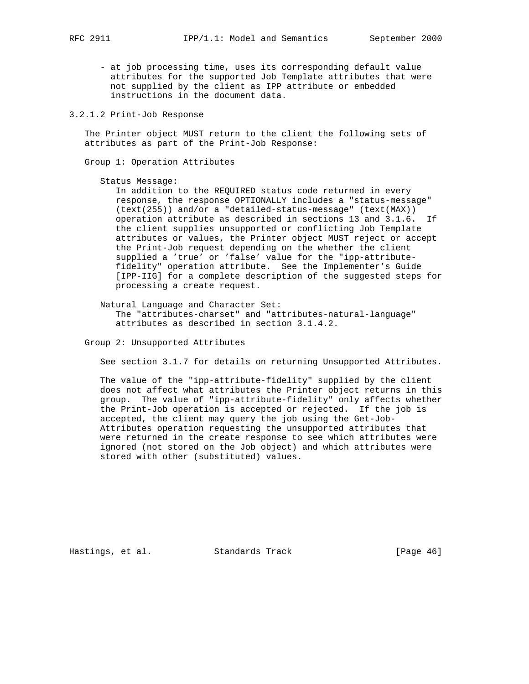- at job processing time, uses its corresponding default value attributes for the supported Job Template attributes that were not supplied by the client as IPP attribute or embedded instructions in the document data.
- 3.2.1.2 Print-Job Response

 The Printer object MUST return to the client the following sets of attributes as part of the Print-Job Response:

Group 1: Operation Attributes

Status Message:

 In addition to the REQUIRED status code returned in every response, the response OPTIONALLY includes a "status-message" (text(255)) and/or a "detailed-status-message" (text(MAX)) operation attribute as described in sections 13 and 3.1.6. If the client supplies unsupported or conflicting Job Template attributes or values, the Printer object MUST reject or accept the Print-Job request depending on the whether the client supplied a 'true' or 'false' value for the "ipp-attribute fidelity" operation attribute. See the Implementer's Guide [IPP-IIG] for a complete description of the suggested steps for processing a create request.

 Natural Language and Character Set: The "attributes-charset" and "attributes-natural-language" attributes as described in section 3.1.4.2.

Group 2: Unsupported Attributes

See section 3.1.7 for details on returning Unsupported Attributes.

 The value of the "ipp-attribute-fidelity" supplied by the client does not affect what attributes the Printer object returns in this group. The value of "ipp-attribute-fidelity" only affects whether the Print-Job operation is accepted or rejected. If the job is accepted, the client may query the job using the Get-Job- Attributes operation requesting the unsupported attributes that were returned in the create response to see which attributes were ignored (not stored on the Job object) and which attributes were stored with other (substituted) values.

Hastings, et al. Standards Track [Page 46]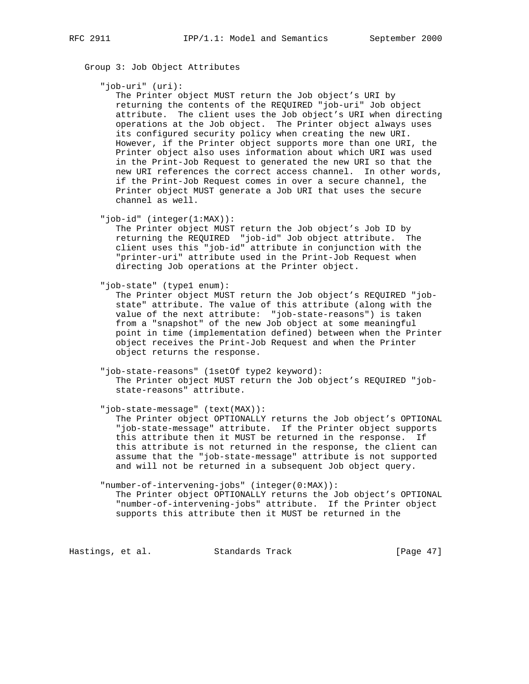Group 3: Job Object Attributes

"job-uri" (uri):

 The Printer object MUST return the Job object's URI by returning the contents of the REQUIRED "job-uri" Job object attribute. The client uses the Job object's URI when directing operations at the Job object. The Printer object always uses its configured security policy when creating the new URI. However, if the Printer object supports more than one URI, the Printer object also uses information about which URI was used in the Print-Job Request to generated the new URI so that the new URI references the correct access channel. In other words, if the Print-Job Request comes in over a secure channel, the Printer object MUST generate a Job URI that uses the secure channel as well.

"job-id" (integer(1:MAX)):

 The Printer object MUST return the Job object's Job ID by returning the REQUIRED "job-id" Job object attribute. The client uses this "job-id" attribute in conjunction with the "printer-uri" attribute used in the Print-Job Request when directing Job operations at the Printer object.

"job-state" (type1 enum):

 The Printer object MUST return the Job object's REQUIRED "job state" attribute. The value of this attribute (along with the value of the next attribute: "job-state-reasons") is taken from a "snapshot" of the new Job object at some meaningful point in time (implementation defined) between when the Printer object receives the Print-Job Request and when the Printer object returns the response.

 "job-state-reasons" (1setOf type2 keyword): The Printer object MUST return the Job object's REQUIRED "job state-reasons" attribute.

"job-state-message" (text(MAX)):

 The Printer object OPTIONALLY returns the Job object's OPTIONAL "job-state-message" attribute. If the Printer object supports this attribute then it MUST be returned in the response. If this attribute is not returned in the response, the client can assume that the "job-state-message" attribute is not supported and will not be returned in a subsequent Job object query.

 "number-of-intervening-jobs" (integer(0:MAX)): The Printer object OPTIONALLY returns the Job object's OPTIONAL "number-of-intervening-jobs" attribute. If the Printer object supports this attribute then it MUST be returned in the

Hastings, et al. Standards Track [Page 47]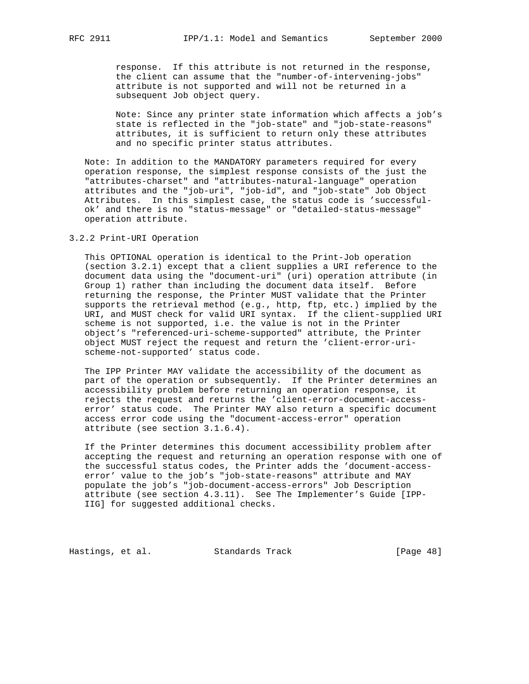response. If this attribute is not returned in the response, the client can assume that the "number-of-intervening-jobs" attribute is not supported and will not be returned in a subsequent Job object query.

 Note: Since any printer state information which affects a job's state is reflected in the "job-state" and "job-state-reasons" attributes, it is sufficient to return only these attributes and no specific printer status attributes.

 Note: In addition to the MANDATORY parameters required for every operation response, the simplest response consists of the just the "attributes-charset" and "attributes-natural-language" operation attributes and the "job-uri", "job-id", and "job-state" Job Object Attributes. In this simplest case, the status code is 'successful ok' and there is no "status-message" or "detailed-status-message" operation attribute.

# 3.2.2 Print-URI Operation

 This OPTIONAL operation is identical to the Print-Job operation (section 3.2.1) except that a client supplies a URI reference to the document data using the "document-uri" (uri) operation attribute (in Group 1) rather than including the document data itself. Before returning the response, the Printer MUST validate that the Printer supports the retrieval method (e.g., http, ftp, etc.) implied by the URI, and MUST check for valid URI syntax. If the client-supplied URI scheme is not supported, i.e. the value is not in the Printer object's "referenced-uri-scheme-supported" attribute, the Printer object MUST reject the request and return the 'client-error-uri scheme-not-supported' status code.

 The IPP Printer MAY validate the accessibility of the document as part of the operation or subsequently. If the Printer determines an accessibility problem before returning an operation response, it rejects the request and returns the 'client-error-document-access error' status code. The Printer MAY also return a specific document access error code using the "document-access-error" operation attribute (see section 3.1.6.4).

 If the Printer determines this document accessibility problem after accepting the request and returning an operation response with one of the successful status codes, the Printer adds the 'document-access error' value to the job's "job-state-reasons" attribute and MAY populate the job's "job-document-access-errors" Job Description attribute (see section 4.3.11). See The Implementer's Guide [IPP- IIG] for suggested additional checks.

Hastings, et al. Standards Track [Page 48]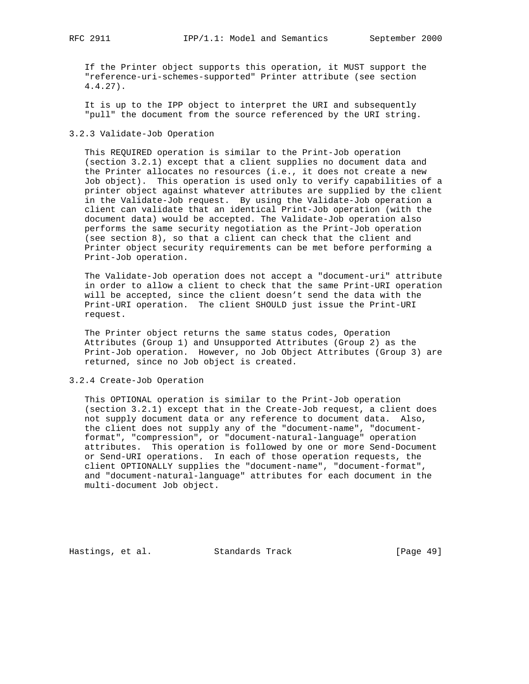If the Printer object supports this operation, it MUST support the "reference-uri-schemes-supported" Printer attribute (see section 4.4.27).

 It is up to the IPP object to interpret the URI and subsequently "pull" the document from the source referenced by the URI string.

#### 3.2.3 Validate-Job Operation

 This REQUIRED operation is similar to the Print-Job operation (section 3.2.1) except that a client supplies no document data and the Printer allocates no resources (i.e., it does not create a new Job object). This operation is used only to verify capabilities of a printer object against whatever attributes are supplied by the client in the Validate-Job request. By using the Validate-Job operation a client can validate that an identical Print-Job operation (with the document data) would be accepted. The Validate-Job operation also performs the same security negotiation as the Print-Job operation (see section 8), so that a client can check that the client and Printer object security requirements can be met before performing a Print-Job operation.

 The Validate-Job operation does not accept a "document-uri" attribute in order to allow a client to check that the same Print-URI operation will be accepted, since the client doesn't send the data with the Print-URI operation. The client SHOULD just issue the Print-URI request.

 The Printer object returns the same status codes, Operation Attributes (Group 1) and Unsupported Attributes (Group 2) as the Print-Job operation. However, no Job Object Attributes (Group 3) are returned, since no Job object is created.

3.2.4 Create-Job Operation

 This OPTIONAL operation is similar to the Print-Job operation (section 3.2.1) except that in the Create-Job request, a client does not supply document data or any reference to document data. Also, the client does not supply any of the "document-name", "document format", "compression", or "document-natural-language" operation attributes. This operation is followed by one or more Send-Document or Send-URI operations. In each of those operation requests, the client OPTIONALLY supplies the "document-name", "document-format", and "document-natural-language" attributes for each document in the multi-document Job object.

Hastings, et al. Standards Track [Page 49]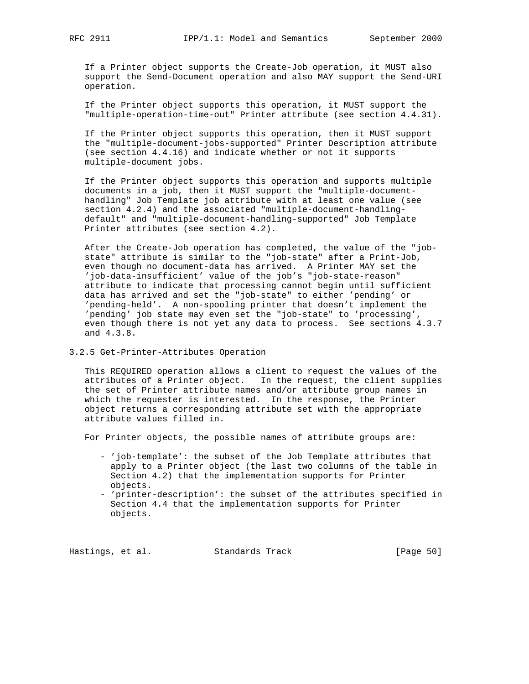If a Printer object supports the Create-Job operation, it MUST also support the Send-Document operation and also MAY support the Send-URI operation.

 If the Printer object supports this operation, it MUST support the "multiple-operation-time-out" Printer attribute (see section 4.4.31).

 If the Printer object supports this operation, then it MUST support the "multiple-document-jobs-supported" Printer Description attribute (see section 4.4.16) and indicate whether or not it supports multiple-document jobs.

 If the Printer object supports this operation and supports multiple documents in a job, then it MUST support the "multiple-document handling" Job Template job attribute with at least one value (see section 4.2.4) and the associated "multiple-document-handling default" and "multiple-document-handling-supported" Job Template Printer attributes (see section 4.2).

 After the Create-Job operation has completed, the value of the "job state" attribute is similar to the "job-state" after a Print-Job, even though no document-data has arrived. A Printer MAY set the 'job-data-insufficient' value of the job's "job-state-reason" attribute to indicate that processing cannot begin until sufficient data has arrived and set the "job-state" to either 'pending' or 'pending-held'. A non-spooling printer that doesn't implement the 'pending' job state may even set the "job-state" to 'processing', even though there is not yet any data to process. See sections 4.3.7 and 4.3.8.

## 3.2.5 Get-Printer-Attributes Operation

 This REQUIRED operation allows a client to request the values of the attributes of a Printer object. In the request, the client supplies the set of Printer attribute names and/or attribute group names in which the requester is interested. In the response, the Printer object returns a corresponding attribute set with the appropriate attribute values filled in.

For Printer objects, the possible names of attribute groups are:

- 'job-template': the subset of the Job Template attributes that apply to a Printer object (the last two columns of the table in Section 4.2) that the implementation supports for Printer objects.
- 'printer-description': the subset of the attributes specified in Section 4.4 that the implementation supports for Printer objects.

Hastings, et al. Standards Track [Page 50]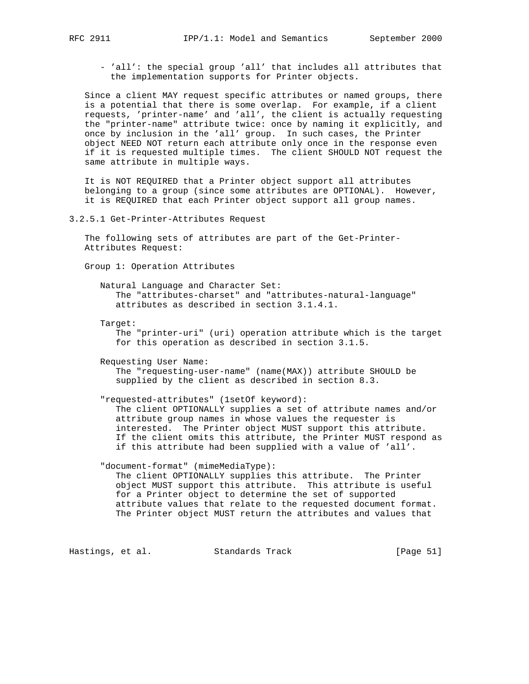- 'all': the special group 'all' that includes all attributes that the implementation supports for Printer objects.

 Since a client MAY request specific attributes or named groups, there is a potential that there is some overlap. For example, if a client requests, 'printer-name' and 'all', the client is actually requesting the "printer-name" attribute twice: once by naming it explicitly, and once by inclusion in the 'all' group. In such cases, the Printer object NEED NOT return each attribute only once in the response even if it is requested multiple times. The client SHOULD NOT request the same attribute in multiple ways.

 It is NOT REQUIRED that a Printer object support all attributes belonging to a group (since some attributes are OPTIONAL). However, it is REQUIRED that each Printer object support all group names.

3.2.5.1 Get-Printer-Attributes Request

 The following sets of attributes are part of the Get-Printer- Attributes Request:

Group 1: Operation Attributes

 Natural Language and Character Set: The "attributes-charset" and "attributes-natural-language" attributes as described in section 3.1.4.1.

Target:

 The "printer-uri" (uri) operation attribute which is the target for this operation as described in section 3.1.5.

Requesting User Name:

 The "requesting-user-name" (name(MAX)) attribute SHOULD be supplied by the client as described in section 8.3.

"requested-attributes" (1setOf keyword):

 The client OPTIONALLY supplies a set of attribute names and/or attribute group names in whose values the requester is interested. The Printer object MUST support this attribute. If the client omits this attribute, the Printer MUST respond as if this attribute had been supplied with a value of 'all'.

 "document-format" (mimeMediaType): The client OPTIONALLY supplies this attribute. The Printer object MUST support this attribute. This attribute is useful for a Printer object to determine the set of supported attribute values that relate to the requested document format. The Printer object MUST return the attributes and values that

Hastings, et al. Standards Track [Page 51]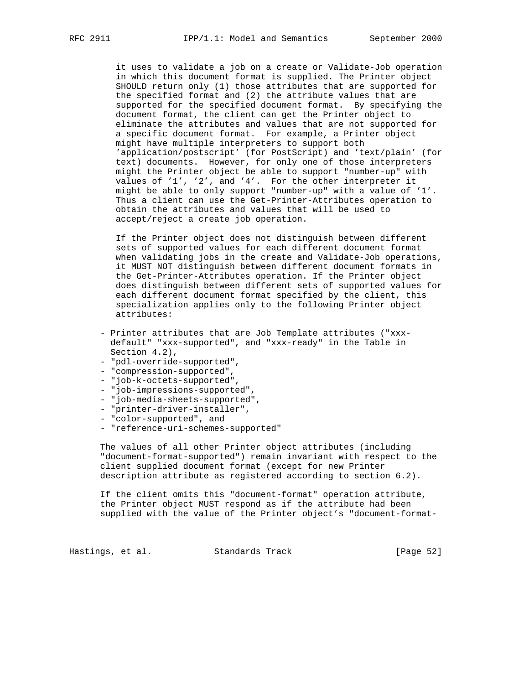it uses to validate a job on a create or Validate-Job operation in which this document format is supplied. The Printer object SHOULD return only (1) those attributes that are supported for the specified format and (2) the attribute values that are supported for the specified document format. By specifying the document format, the client can get the Printer object to eliminate the attributes and values that are not supported for a specific document format. For example, a Printer object might have multiple interpreters to support both 'application/postscript' (for PostScript) and 'text/plain' (for text) documents. However, for only one of those interpreters might the Printer object be able to support "number-up" with values of '1', '2', and '4'. For the other interpreter it might be able to only support "number-up" with a value of '1'. Thus a client can use the Get-Printer-Attributes operation to obtain the attributes and values that will be used to accept/reject a create job operation.

 If the Printer object does not distinguish between different sets of supported values for each different document format when validating jobs in the create and Validate-Job operations, it MUST NOT distinguish between different document formats in the Get-Printer-Attributes operation. If the Printer object does distinguish between different sets of supported values for each different document format specified by the client, this specialization applies only to the following Printer object attributes:

- Printer attributes that are Job Template attributes ("xxx default" "xxx-supported", and "xxx-ready" in the Table in Section 4.2),
- "pdl-override-supported",
- "compression-supported",
- "job-k-octets-supported",
- "job-impressions-supported",
- "job-media-sheets-supported",
- "printer-driver-installer",
- "color-supported", and
- "reference-uri-schemes-supported"

 The values of all other Printer object attributes (including "document-format-supported") remain invariant with respect to the client supplied document format (except for new Printer description attribute as registered according to section 6.2).

 If the client omits this "document-format" operation attribute, the Printer object MUST respond as if the attribute had been supplied with the value of the Printer object's "document-format-

Hastings, et al. Standards Track [Page 52]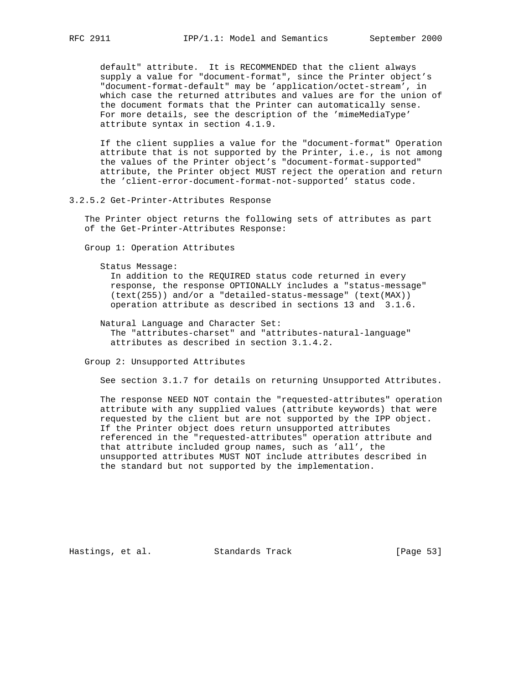default" attribute. It is RECOMMENDED that the client always supply a value for "document-format", since the Printer object's "document-format-default" may be 'application/octet-stream', in which case the returned attributes and values are for the union of the document formats that the Printer can automatically sense. For more details, see the description of the 'mimeMediaType' attribute syntax in section 4.1.9.

 If the client supplies a value for the "document-format" Operation attribute that is not supported by the Printer, i.e., is not among the values of the Printer object's "document-format-supported" attribute, the Printer object MUST reject the operation and return the 'client-error-document-format-not-supported' status code.

3.2.5.2 Get-Printer-Attributes Response

 The Printer object returns the following sets of attributes as part of the Get-Printer-Attributes Response:

Group 1: Operation Attributes

Status Message:

 In addition to the REQUIRED status code returned in every response, the response OPTIONALLY includes a "status-message" (text(255)) and/or a "detailed-status-message" (text(MAX)) operation attribute as described in sections 13 and 3.1.6.

 Natural Language and Character Set: The "attributes-charset" and "attributes-natural-language" attributes as described in section 3.1.4.2.

Group 2: Unsupported Attributes

See section 3.1.7 for details on returning Unsupported Attributes.

 The response NEED NOT contain the "requested-attributes" operation attribute with any supplied values (attribute keywords) that were requested by the client but are not supported by the IPP object. If the Printer object does return unsupported attributes referenced in the "requested-attributes" operation attribute and that attribute included group names, such as 'all', the unsupported attributes MUST NOT include attributes described in the standard but not supported by the implementation.

Hastings, et al. Standards Track [Page 53]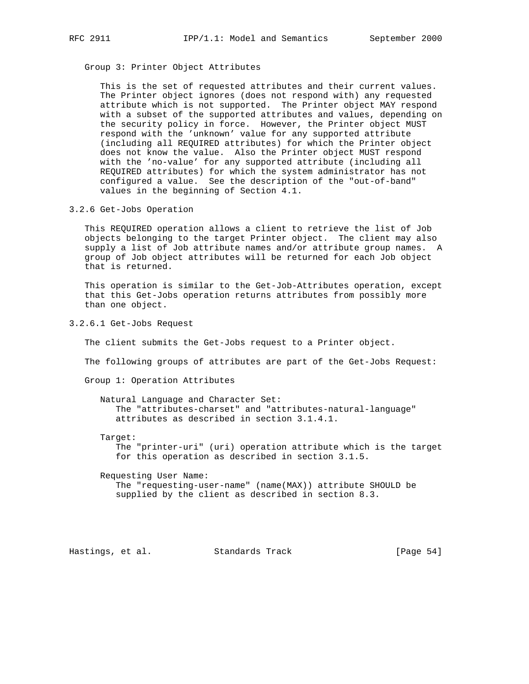Group 3: Printer Object Attributes

 This is the set of requested attributes and their current values. The Printer object ignores (does not respond with) any requested attribute which is not supported. The Printer object MAY respond with a subset of the supported attributes and values, depending on the security policy in force. However, the Printer object MUST respond with the 'unknown' value for any supported attribute (including all REQUIRED attributes) for which the Printer object does not know the value. Also the Printer object MUST respond with the 'no-value' for any supported attribute (including all REQUIRED attributes) for which the system administrator has not configured a value. See the description of the "out-of-band" values in the beginning of Section 4.1.

3.2.6 Get-Jobs Operation

 This REQUIRED operation allows a client to retrieve the list of Job objects belonging to the target Printer object. The client may also supply a list of Job attribute names and/or attribute group names. A group of Job object attributes will be returned for each Job object that is returned.

 This operation is similar to the Get-Job-Attributes operation, except that this Get-Jobs operation returns attributes from possibly more than one object.

3.2.6.1 Get-Jobs Request

The client submits the Get-Jobs request to a Printer object.

The following groups of attributes are part of the Get-Jobs Request:

Group 1: Operation Attributes

 Natural Language and Character Set: The "attributes-charset" and "attributes-natural-language" attributes as described in section 3.1.4.1.

Target:

 The "printer-uri" (uri) operation attribute which is the target for this operation as described in section 3.1.5.

 Requesting User Name: The "requesting-user-name" (name(MAX)) attribute SHOULD be supplied by the client as described in section 8.3.

Hastings, et al. Standards Track [Page 54]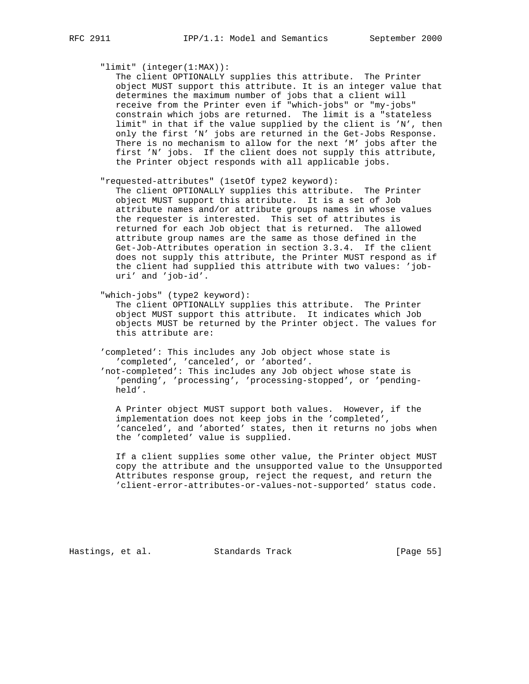"limit" (integer(1:MAX)):

 The client OPTIONALLY supplies this attribute. The Printer object MUST support this attribute. It is an integer value that determines the maximum number of jobs that a client will receive from the Printer even if "which-jobs" or "my-jobs" constrain which jobs are returned. The limit is a "stateless limit" in that if the value supplied by the client is 'N', then only the first 'N' jobs are returned in the Get-Jobs Response. There is no mechanism to allow for the next 'M' jobs after the first 'N' jobs. If the client does not supply this attribute, the Printer object responds with all applicable jobs.

"requested-attributes" (1setOf type2 keyword):

 The client OPTIONALLY supplies this attribute. The Printer object MUST support this attribute. It is a set of Job attribute names and/or attribute groups names in whose values the requester is interested. This set of attributes is returned for each Job object that is returned. The allowed attribute group names are the same as those defined in the Get-Job-Attributes operation in section 3.3.4. If the client does not supply this attribute, the Printer MUST respond as if the client had supplied this attribute with two values: 'job uri' and 'job-id'.

"which-jobs" (type2 keyword):

 The client OPTIONALLY supplies this attribute. The Printer object MUST support this attribute. It indicates which Job objects MUST be returned by the Printer object. The values for this attribute are:

 'completed': This includes any Job object whose state is 'completed', 'canceled', or 'aborted'.

 'not-completed': This includes any Job object whose state is 'pending', 'processing', 'processing-stopped', or 'pending held'.

 A Printer object MUST support both values. However, if the implementation does not keep jobs in the 'completed', 'canceled', and 'aborted' states, then it returns no jobs when the 'completed' value is supplied.

 If a client supplies some other value, the Printer object MUST copy the attribute and the unsupported value to the Unsupported Attributes response group, reject the request, and return the 'client-error-attributes-or-values-not-supported' status code.

Hastings, et al. Standards Track [Page 55]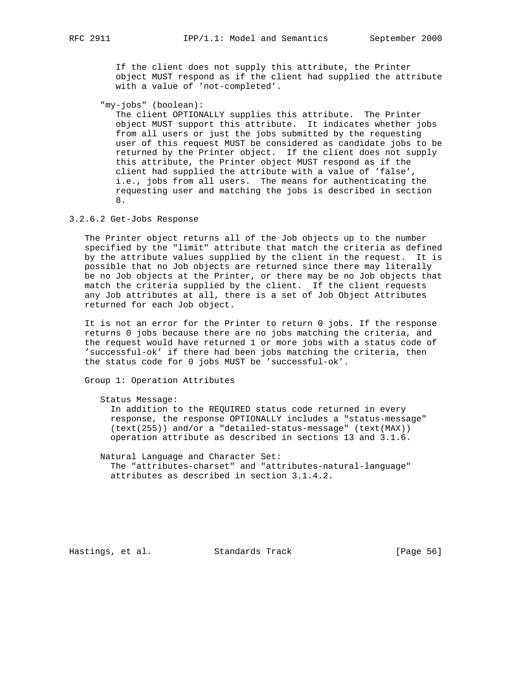If the client does not supply this attribute, the Printer object MUST respond as if the client had supplied the attribute with a value of 'not-completed'.

"my-jobs" (boolean):

 The client OPTIONALLY supplies this attribute. The Printer object MUST support this attribute. It indicates whether jobs from all users or just the jobs submitted by the requesting user of this request MUST be considered as candidate jobs to be returned by the Printer object. If the client does not supply this attribute, the Printer object MUST respond as if the client had supplied the attribute with a value of 'false', i.e., jobs from all users. The means for authenticating the requesting user and matching the jobs is described in section 8.

3.2.6.2 Get-Jobs Response

 The Printer object returns all of the Job objects up to the number specified by the "limit" attribute that match the criteria as defined by the attribute values supplied by the client in the request. It is possible that no Job objects are returned since there may literally be no Job objects at the Printer, or there may be no Job objects that match the criteria supplied by the client. If the client requests any Job attributes at all, there is a set of Job Object Attributes returned for each Job object.

 It is not an error for the Printer to return 0 jobs. If the response returns 0 jobs because there are no jobs matching the criteria, and the request would have returned 1 or more jobs with a status code of 'successful-ok' if there had been jobs matching the criteria, then the status code for 0 jobs MUST be 'successful-ok'.

Group 1: Operation Attributes

Status Message:

 In addition to the REQUIRED status code returned in every response, the response OPTIONALLY includes a "status-message" (text(255)) and/or a "detailed-status-message" (text(MAX)) operation attribute as described in sections 13 and 3.1.6.

 Natural Language and Character Set: The "attributes-charset" and "attributes-natural-language" attributes as described in section 3.1.4.2.

Hastings, et al. Standards Track [Page 56]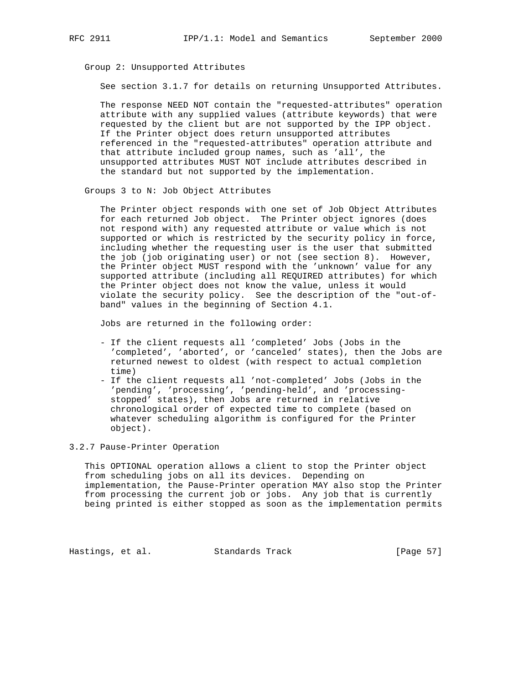Group 2: Unsupported Attributes

See section 3.1.7 for details on returning Unsupported Attributes.

 The response NEED NOT contain the "requested-attributes" operation attribute with any supplied values (attribute keywords) that were requested by the client but are not supported by the IPP object. If the Printer object does return unsupported attributes referenced in the "requested-attributes" operation attribute and that attribute included group names, such as 'all', the unsupported attributes MUST NOT include attributes described in the standard but not supported by the implementation.

Groups 3 to N: Job Object Attributes

 The Printer object responds with one set of Job Object Attributes for each returned Job object. The Printer object ignores (does not respond with) any requested attribute or value which is not supported or which is restricted by the security policy in force, including whether the requesting user is the user that submitted the job (job originating user) or not (see section 8). However, the Printer object MUST respond with the 'unknown' value for any supported attribute (including all REQUIRED attributes) for which the Printer object does not know the value, unless it would violate the security policy. See the description of the "out-of band" values in the beginning of Section 4.1.

Jobs are returned in the following order:

- If the client requests all 'completed' Jobs (Jobs in the 'completed', 'aborted', or 'canceled' states), then the Jobs are returned newest to oldest (with respect to actual completion time)
- If the client requests all 'not-completed' Jobs (Jobs in the 'pending', 'processing', 'pending-held', and 'processing stopped' states), then Jobs are returned in relative chronological order of expected time to complete (based on whatever scheduling algorithm is configured for the Printer object).

3.2.7 Pause-Printer Operation

 This OPTIONAL operation allows a client to stop the Printer object from scheduling jobs on all its devices. Depending on implementation, the Pause-Printer operation MAY also stop the Printer from processing the current job or jobs. Any job that is currently being printed is either stopped as soon as the implementation permits

Hastings, et al. Standards Track [Page 57]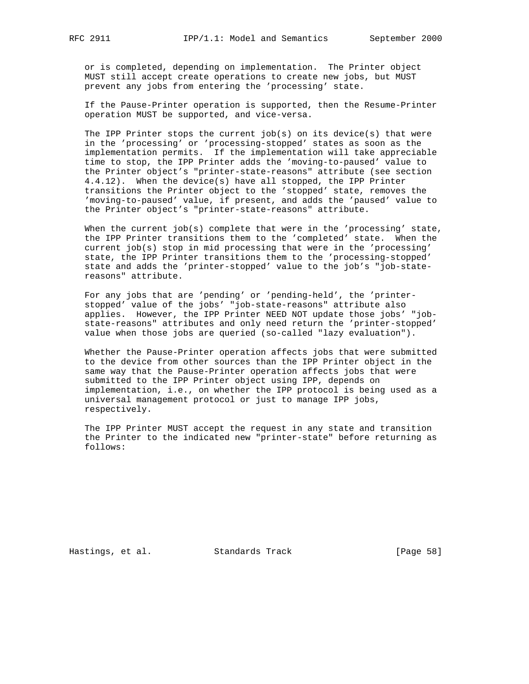or is completed, depending on implementation. The Printer object MUST still accept create operations to create new jobs, but MUST prevent any jobs from entering the 'processing' state.

 If the Pause-Printer operation is supported, then the Resume-Printer operation MUST be supported, and vice-versa.

The IPP Printer stops the current  $job(s)$  on its device(s) that were in the 'processing' or 'processing-stopped' states as soon as the implementation permits. If the implementation will take appreciable time to stop, the IPP Printer adds the 'moving-to-paused' value to the Printer object's "printer-state-reasons" attribute (see section 4.4.12). When the device(s) have all stopped, the IPP Printer transitions the Printer object to the 'stopped' state, removes the 'moving-to-paused' value, if present, and adds the 'paused' value to the Printer object's "printer-state-reasons" attribute.

When the current  $job(s)$  complete that were in the 'processing' state, the IPP Printer transitions them to the 'completed' state. When the current job(s) stop in mid processing that were in the 'processing' state, the IPP Printer transitions them to the 'processing-stopped' state and adds the 'printer-stopped' value to the job's "job-state reasons" attribute.

 For any jobs that are 'pending' or 'pending-held', the 'printer stopped' value of the jobs' "job-state-reasons" attribute also applies. However, the IPP Printer NEED NOT update those jobs' "job state-reasons" attributes and only need return the 'printer-stopped' value when those jobs are queried (so-called "lazy evaluation").

 Whether the Pause-Printer operation affects jobs that were submitted to the device from other sources than the IPP Printer object in the same way that the Pause-Printer operation affects jobs that were submitted to the IPP Printer object using IPP, depends on implementation, i.e., on whether the IPP protocol is being used as a universal management protocol or just to manage IPP jobs, respectively.

 The IPP Printer MUST accept the request in any state and transition the Printer to the indicated new "printer-state" before returning as follows:

Hastings, et al. Standards Track [Page 58]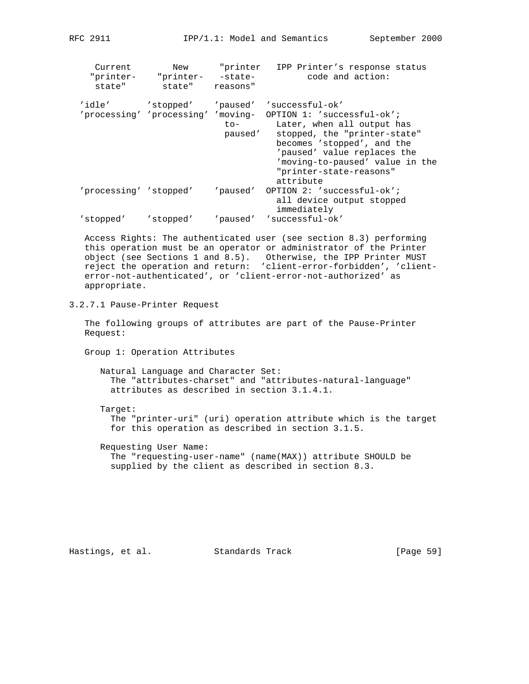Current New "printer IPP Printer's response status "printer- "printer- -state- code and action: state" state" reasons" 'idle' 'stopped' 'paused' 'successful-ok' 'processing' 'processing' 'moving- OPTION 1: 'successful-ok'; to- Later, when all output has paused' stopped, the "printer-state" becomes 'stopped', and the 'paused' value replaces the 'moving-to-paused' value in the "printer-state-reasons" attribute 'processing' 'stopped' 'paused' OPTION 2: 'successful-ok'; all device output stopped immediately 'stopped' 'stopped' 'paused' 'successful-ok'

 Access Rights: The authenticated user (see section 8.3) performing this operation must be an operator or administrator of the Printer object (see Sections 1 and 8.5). Otherwise, the IPP Printer MUST reject the operation and return: 'client-error-forbidden', 'client error-not-authenticated', or 'client-error-not-authorized' as appropriate.

3.2.7.1 Pause-Printer Request

 The following groups of attributes are part of the Pause-Printer Request:

Group 1: Operation Attributes

 Natural Language and Character Set: The "attributes-charset" and "attributes-natural-language" attributes as described in section 3.1.4.1.

Target:

 The "printer-uri" (uri) operation attribute which is the target for this operation as described in section 3.1.5.

 Requesting User Name: The "requesting-user-name" (name(MAX)) attribute SHOULD be supplied by the client as described in section 8.3.

Hastings, et al. Standards Track [Page 59]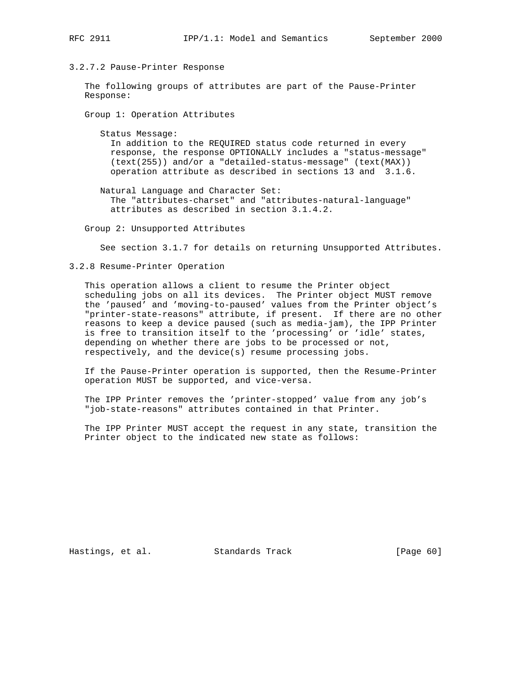### 3.2.7.2 Pause-Printer Response

 The following groups of attributes are part of the Pause-Printer Response:

Group 1: Operation Attributes

 Status Message: In addition to the REQUIRED status code returned in every response, the response OPTIONALLY includes a "status-message" (text(255)) and/or a "detailed-status-message" (text(MAX)) operation attribute as described in sections 13 and 3.1.6.

 Natural Language and Character Set: The "attributes-charset" and "attributes-natural-language" attributes as described in section 3.1.4.2.

Group 2: Unsupported Attributes

See section 3.1.7 for details on returning Unsupported Attributes.

#### 3.2.8 Resume-Printer Operation

 This operation allows a client to resume the Printer object scheduling jobs on all its devices. The Printer object MUST remove the 'paused' and 'moving-to-paused' values from the Printer object's "printer-state-reasons" attribute, if present. If there are no other reasons to keep a device paused (such as media-jam), the IPP Printer is free to transition itself to the 'processing' or 'idle' states, depending on whether there are jobs to be processed or not, respectively, and the device(s) resume processing jobs.

 If the Pause-Printer operation is supported, then the Resume-Printer operation MUST be supported, and vice-versa.

 The IPP Printer removes the 'printer-stopped' value from any job's "job-state-reasons" attributes contained in that Printer.

 The IPP Printer MUST accept the request in any state, transition the Printer object to the indicated new state as follows:

Hastings, et al. Standards Track [Page 60]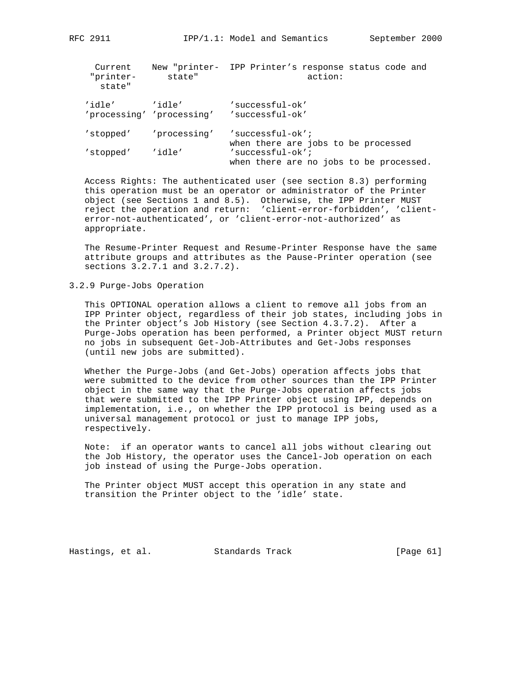| ਸ਼<br>9 F | ⌒ | $\mathbf{C}$ |
|-----------|---|--------------|
|           |   |              |

| Current<br>"printer-<br>state" | state"                              | New "printer- IPP Printer's response status code and<br>action: |
|--------------------------------|-------------------------------------|-----------------------------------------------------------------|
| 'idle'                         | 'idle'<br>'processing' 'processing' | 'successful-ok'<br>'successful-ok'                              |
| 'stopped'                      | 'processing'                        | $'$ successful-ok';<br>when there are jobs to be processed      |
| 'stopped'                      | 'idle'                              | $'$ successful-ok';<br>when there are no jobs to be processed.  |

 Access Rights: The authenticated user (see section 8.3) performing this operation must be an operator or administrator of the Printer object (see Sections 1 and 8.5). Otherwise, the IPP Printer MUST reject the operation and return: 'client-error-forbidden', 'client error-not-authenticated', or 'client-error-not-authorized' as appropriate.

 The Resume-Printer Request and Resume-Printer Response have the same attribute groups and attributes as the Pause-Printer operation (see sections 3.2.7.1 and 3.2.7.2).

## 3.2.9 Purge-Jobs Operation

 This OPTIONAL operation allows a client to remove all jobs from an IPP Printer object, regardless of their job states, including jobs in the Printer object's Job History (see Section 4.3.7.2). After a Purge-Jobs operation has been performed, a Printer object MUST return no jobs in subsequent Get-Job-Attributes and Get-Jobs responses (until new jobs are submitted).

 Whether the Purge-Jobs (and Get-Jobs) operation affects jobs that were submitted to the device from other sources than the IPP Printer object in the same way that the Purge-Jobs operation affects jobs that were submitted to the IPP Printer object using IPP, depends on implementation, i.e., on whether the IPP protocol is being used as a universal management protocol or just to manage IPP jobs, respectively.

 Note: if an operator wants to cancel all jobs without clearing out the Job History, the operator uses the Cancel-Job operation on each job instead of using the Purge-Jobs operation.

 The Printer object MUST accept this operation in any state and transition the Printer object to the 'idle' state.

Hastings, et al. Standards Track [Page 61]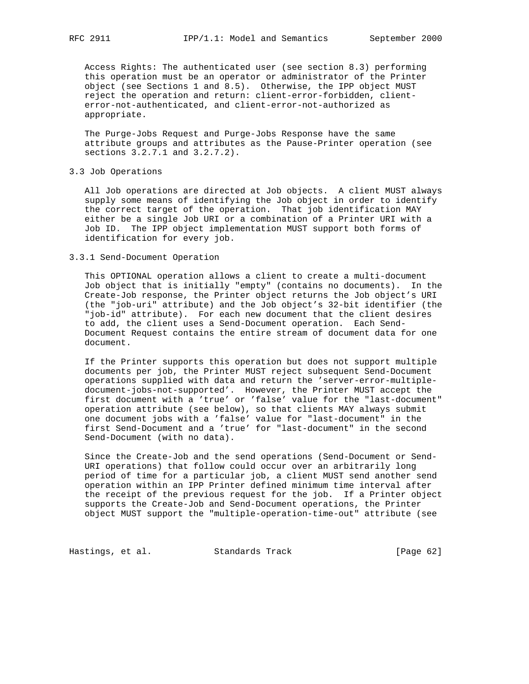Access Rights: The authenticated user (see section 8.3) performing this operation must be an operator or administrator of the Printer object (see Sections 1 and 8.5). Otherwise, the IPP object MUST reject the operation and return: client-error-forbidden, client error-not-authenticated, and client-error-not-authorized as appropriate.

 The Purge-Jobs Request and Purge-Jobs Response have the same attribute groups and attributes as the Pause-Printer operation (see sections 3.2.7.1 and 3.2.7.2).

### 3.3 Job Operations

 All Job operations are directed at Job objects. A client MUST always supply some means of identifying the Job object in order to identify the correct target of the operation. That job identification MAY either be a single Job URI or a combination of a Printer URI with a Job ID. The IPP object implementation MUST support both forms of identification for every job.

#### 3.3.1 Send-Document Operation

 This OPTIONAL operation allows a client to create a multi-document Job object that is initially "empty" (contains no documents). In the Create-Job response, the Printer object returns the Job object's URI (the "job-uri" attribute) and the Job object's 32-bit identifier (the "job-id" attribute). For each new document that the client desires to add, the client uses a Send-Document operation. Each Send- Document Request contains the entire stream of document data for one document.

 If the Printer supports this operation but does not support multiple documents per job, the Printer MUST reject subsequent Send-Document operations supplied with data and return the 'server-error-multiple document-jobs-not-supported'. However, the Printer MUST accept the first document with a 'true' or 'false' value for the "last-document" operation attribute (see below), so that clients MAY always submit one document jobs with a 'false' value for "last-document" in the first Send-Document and a 'true' for "last-document" in the second Send-Document (with no data).

 Since the Create-Job and the send operations (Send-Document or Send- URI operations) that follow could occur over an arbitrarily long period of time for a particular job, a client MUST send another send operation within an IPP Printer defined minimum time interval after the receipt of the previous request for the job. If a Printer object supports the Create-Job and Send-Document operations, the Printer object MUST support the "multiple-operation-time-out" attribute (see

Hastings, et al. Standards Track [Page 62]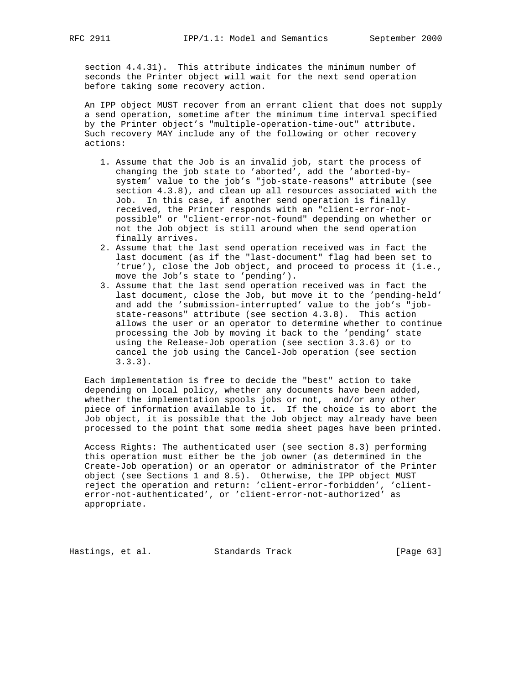section 4.4.31). This attribute indicates the minimum number of seconds the Printer object will wait for the next send operation before taking some recovery action.

 An IPP object MUST recover from an errant client that does not supply a send operation, sometime after the minimum time interval specified by the Printer object's "multiple-operation-time-out" attribute. Such recovery MAY include any of the following or other recovery actions:

- 1. Assume that the Job is an invalid job, start the process of changing the job state to 'aborted', add the 'aborted-by system' value to the job's "job-state-reasons" attribute (see section 4.3.8), and clean up all resources associated with the Job. In this case, if another send operation is finally received, the Printer responds with an "client-error-not possible" or "client-error-not-found" depending on whether or not the Job object is still around when the send operation finally arrives.
- 2. Assume that the last send operation received was in fact the last document (as if the "last-document" flag had been set to 'true'), close the Job object, and proceed to process it (i.e., move the Job's state to 'pending').
- 3. Assume that the last send operation received was in fact the last document, close the Job, but move it to the 'pending-held' and add the 'submission-interrupted' value to the job's "job state-reasons" attribute (see section 4.3.8). This action allows the user or an operator to determine whether to continue processing the Job by moving it back to the 'pending' state using the Release-Job operation (see section 3.3.6) or to cancel the job using the Cancel-Job operation (see section 3.3.3).

 Each implementation is free to decide the "best" action to take depending on local policy, whether any documents have been added, whether the implementation spools jobs or not, and/or any other piece of information available to it. If the choice is to abort the Job object, it is possible that the Job object may already have been processed to the point that some media sheet pages have been printed.

 Access Rights: The authenticated user (see section 8.3) performing this operation must either be the job owner (as determined in the Create-Job operation) or an operator or administrator of the Printer object (see Sections 1 and 8.5). Otherwise, the IPP object MUST reject the operation and return: 'client-error-forbidden', 'client error-not-authenticated', or 'client-error-not-authorized' as appropriate.

Hastings, et al. Standards Track [Page 63]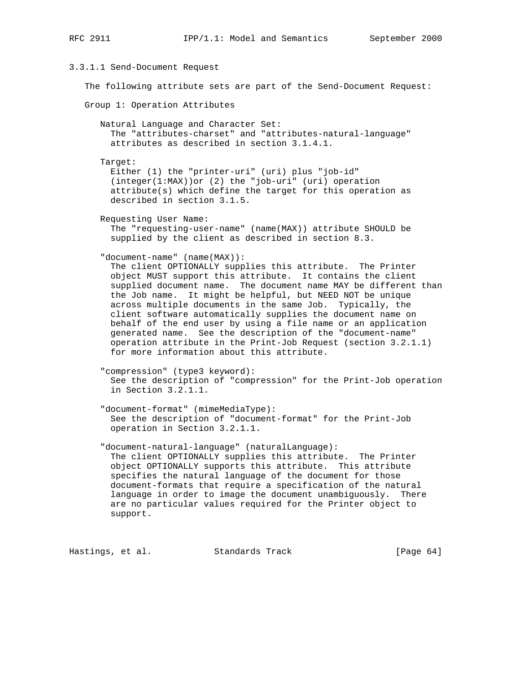# 3.3.1.1 Send-Document Request

The following attribute sets are part of the Send-Document Request:

Group 1: Operation Attributes

 Natural Language and Character Set: The "attributes-charset" and "attributes-natural-language" attributes as described in section 3.1.4.1.

Target:

 Either (1) the "printer-uri" (uri) plus "job-id" (integer(1:MAX))or (2) the "job-uri" (uri) operation attribute(s) which define the target for this operation as described in section 3.1.5.

Requesting User Name:

 The "requesting-user-name" (name(MAX)) attribute SHOULD be supplied by the client as described in section 8.3.

"document-name" (name(MAX)):

 The client OPTIONALLY supplies this attribute. The Printer object MUST support this attribute. It contains the client supplied document name. The document name MAY be different than the Job name. It might be helpful, but NEED NOT be unique across multiple documents in the same Job. Typically, the client software automatically supplies the document name on behalf of the end user by using a file name or an application generated name. See the description of the "document-name" operation attribute in the Print-Job Request (section 3.2.1.1) for more information about this attribute.

```
 "compression" (type3 keyword):
See the description of "compression" for the Print-Job operation
in Section 3.2.1.1.
```
 "document-format" (mimeMediaType): See the description of "document-format" for the Print-Job operation in Section 3.2.1.1.

 "document-natural-language" (naturalLanguage): The client OPTIONALLY supplies this attribute. The Printer object OPTIONALLY supports this attribute. This attribute specifies the natural language of the document for those document-formats that require a specification of the natural language in order to image the document unambiguously. There are no particular values required for the Printer object to support.

Hastings, et al. Standards Track [Page 64]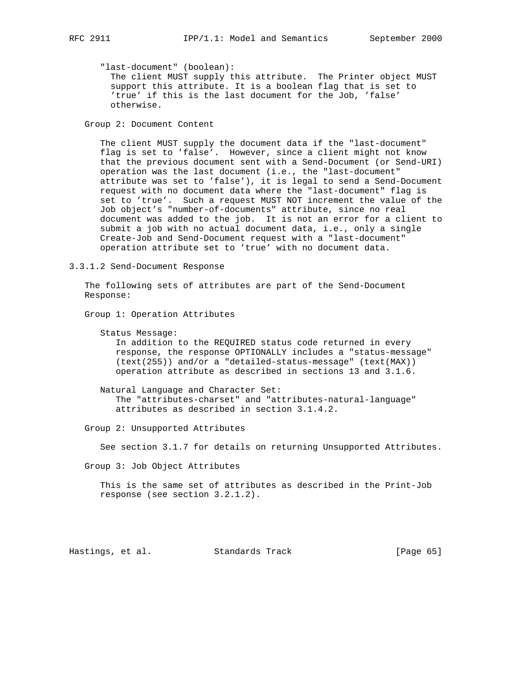"last-document" (boolean):

 The client MUST supply this attribute. The Printer object MUST support this attribute. It is a boolean flag that is set to 'true' if this is the last document for the Job, 'false' otherwise.

Group 2: Document Content

 The client MUST supply the document data if the "last-document" flag is set to 'false'. However, since a client might not know that the previous document sent with a Send-Document (or Send-URI) operation was the last document (i.e., the "last-document" attribute was set to 'false'), it is legal to send a Send-Document request with no document data where the "last-document" flag is set to 'true'. Such a request MUST NOT increment the value of the Job object's "number-of-documents" attribute, since no real document was added to the job. It is not an error for a client to submit a job with no actual document data, i.e., only a single Create-Job and Send-Document request with a "last-document" operation attribute set to 'true' with no document data.

3.3.1.2 Send-Document Response

 The following sets of attributes are part of the Send-Document Response:

Group 1: Operation Attributes

```
 Status Message:
```
 In addition to the REQUIRED status code returned in every response, the response OPTIONALLY includes a "status-message" (text(255)) and/or a "detailed-status-message" (text(MAX)) operation attribute as described in sections 13 and 3.1.6.

 Natural Language and Character Set: The "attributes-charset" and "attributes-natural-language" attributes as described in section 3.1.4.2.

Group 2: Unsupported Attributes

See section 3.1.7 for details on returning Unsupported Attributes.

Group 3: Job Object Attributes

 This is the same set of attributes as described in the Print-Job response (see section 3.2.1.2).

Hastings, et al. Standards Track [Page 65]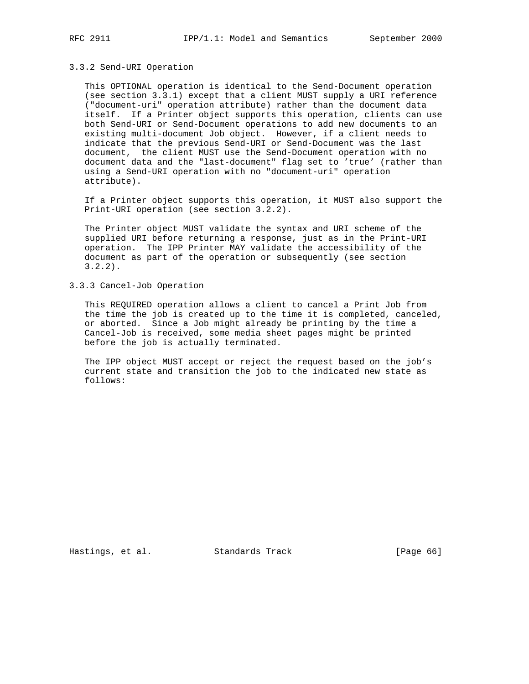#### 3.3.2 Send-URI Operation

 This OPTIONAL operation is identical to the Send-Document operation (see section 3.3.1) except that a client MUST supply a URI reference ("document-uri" operation attribute) rather than the document data itself. If a Printer object supports this operation, clients can use both Send-URI or Send-Document operations to add new documents to an existing multi-document Job object. However, if a client needs to indicate that the previous Send-URI or Send-Document was the last document, the client MUST use the Send-Document operation with no document data and the "last-document" flag set to 'true' (rather than using a Send-URI operation with no "document-uri" operation attribute).

 If a Printer object supports this operation, it MUST also support the Print-URI operation (see section 3.2.2).

 The Printer object MUST validate the syntax and URI scheme of the supplied URI before returning a response, just as in the Print-URI operation. The IPP Printer MAY validate the accessibility of the document as part of the operation or subsequently (see section 3.2.2).

3.3.3 Cancel-Job Operation

 This REQUIRED operation allows a client to cancel a Print Job from the time the job is created up to the time it is completed, canceled, or aborted. Since a Job might already be printing by the time a Cancel-Job is received, some media sheet pages might be printed before the job is actually terminated.

 The IPP object MUST accept or reject the request based on the job's current state and transition the job to the indicated new state as follows:

Hastings, et al. Standards Track [Page 66]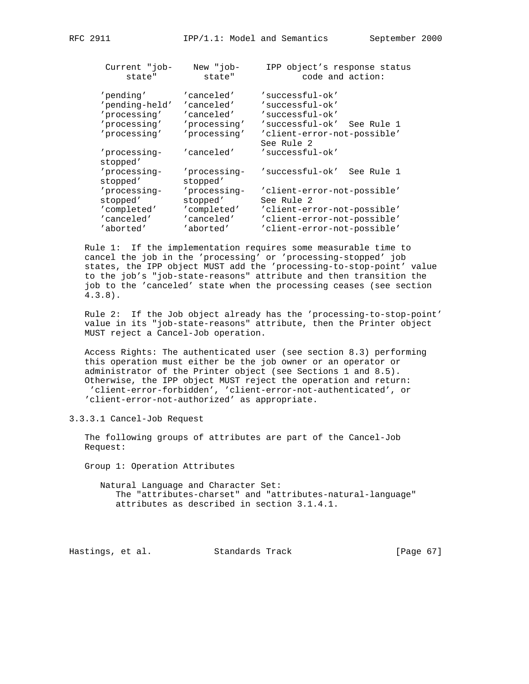| Current "job-                                                               | New "job-                                                              | IPP object's response status                                                                                                        |
|-----------------------------------------------------------------------------|------------------------------------------------------------------------|-------------------------------------------------------------------------------------------------------------------------------------|
| state"                                                                      | state"                                                                 | code and action:                                                                                                                    |
| 'pending'<br>'pending-held'<br>'processing'<br>'processing'<br>'processing' | 'canceled'<br>'canceled'<br>'canceled'<br>'processing'<br>'processing' | 'successful-ok'<br>'successful-ok'<br>'successful-ok'<br>'successful-ok'<br>See Rule 1<br>'client-error-not-possible'<br>See Rule 2 |
| 'processing-<br>stopped'                                                    | 'canceled'                                                             | 'successful-ok'                                                                                                                     |
| 'processing-                                                                | 'processing-                                                           | 'successful-ok'                                                                                                                     |
| stopped'                                                                    | stopped'                                                               | See Rule 1                                                                                                                          |
| 'processing-                                                                | 'processing-                                                           | 'client-error-not-possible'                                                                                                         |
| stopped'                                                                    | stopped'                                                               | See Rule 2                                                                                                                          |
| 'completed'                                                                 | 'completed'                                                            | 'client-error-not-possible'                                                                                                         |
| 'canceled'                                                                  | 'canceled'                                                             | 'client-error-not-possible'                                                                                                         |
| 'aborted'                                                                   | 'aborted'                                                              | 'client-error-not-possible'                                                                                                         |

 Rule 1: If the implementation requires some measurable time to cancel the job in the 'processing' or 'processing-stopped' job states, the IPP object MUST add the 'processing-to-stop-point' value to the job's "job-state-reasons" attribute and then transition the job to the 'canceled' state when the processing ceases (see section 4.3.8).

 Rule 2: If the Job object already has the 'processing-to-stop-point' value in its "job-state-reasons" attribute, then the Printer object MUST reject a Cancel-Job operation.

 Access Rights: The authenticated user (see section 8.3) performing this operation must either be the job owner or an operator or administrator of the Printer object (see Sections 1 and 8.5). Otherwise, the IPP object MUST reject the operation and return: 'client-error-forbidden', 'client-error-not-authenticated', or 'client-error-not-authorized' as appropriate.

3.3.3.1 Cancel-Job Request

 The following groups of attributes are part of the Cancel-Job Request:

Group 1: Operation Attributes

 Natural Language and Character Set: The "attributes-charset" and "attributes-natural-language" attributes as described in section 3.1.4.1.

Hastings, et al. Standards Track [Page 67]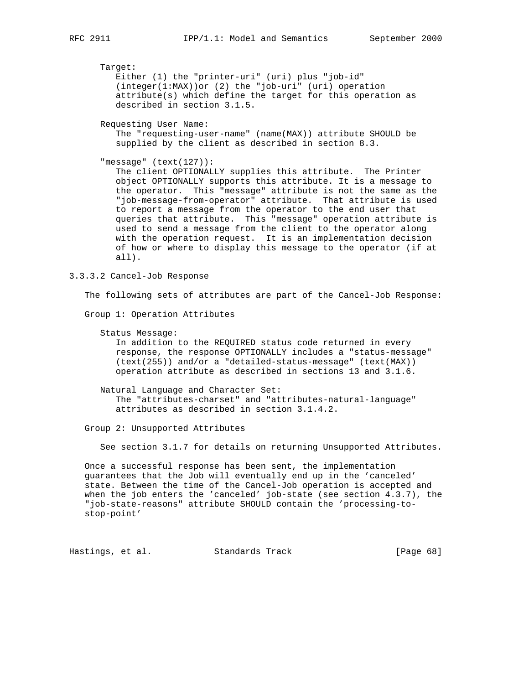Target:

 Either (1) the "printer-uri" (uri) plus "job-id" (integer(1:MAX))or (2) the "job-uri" (uri) operation attribute(s) which define the target for this operation as described in section 3.1.5.

Requesting User Name:

 The "requesting-user-name" (name(MAX)) attribute SHOULD be supplied by the client as described in section 8.3.

"message" (text(127)):

 The client OPTIONALLY supplies this attribute. The Printer object OPTIONALLY supports this attribute. It is a message to the operator. This "message" attribute is not the same as the "job-message-from-operator" attribute. That attribute is used to report a message from the operator to the end user that queries that attribute. This "message" operation attribute is used to send a message from the client to the operator along with the operation request. It is an implementation decision of how or where to display this message to the operator (if at all).

3.3.3.2 Cancel-Job Response

The following sets of attributes are part of the Cancel-Job Response:

Group 1: Operation Attributes

```
 Status Message:
```
 In addition to the REQUIRED status code returned in every response, the response OPTIONALLY includes a "status-message" (text(255)) and/or a "detailed-status-message" (text(MAX)) operation attribute as described in sections 13 and 3.1.6.

 Natural Language and Character Set: The "attributes-charset" and "attributes-natural-language" attributes as described in section 3.1.4.2.

Group 2: Unsupported Attributes

See section 3.1.7 for details on returning Unsupported Attributes.

 Once a successful response has been sent, the implementation guarantees that the Job will eventually end up in the 'canceled' state. Between the time of the Cancel-Job operation is accepted and when the job enters the 'canceled' job-state (see section 4.3.7), the "job-state-reasons" attribute SHOULD contain the 'processing-to stop-point'

Hastings, et al. Standards Track [Page 68]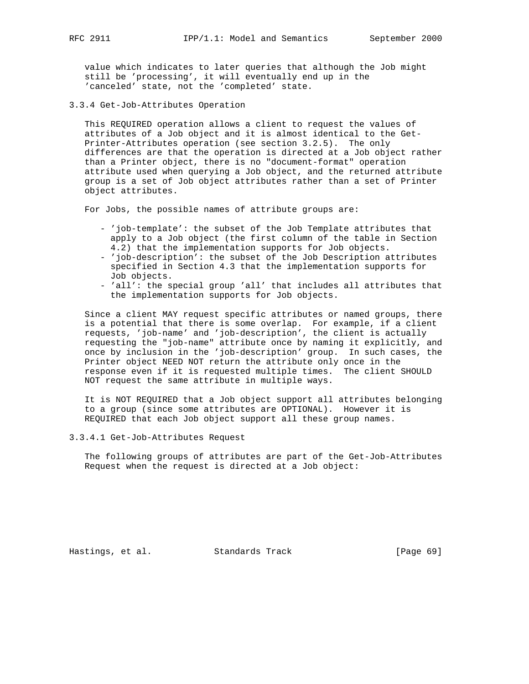value which indicates to later queries that although the Job might still be 'processing', it will eventually end up in the 'canceled' state, not the 'completed' state.

3.3.4 Get-Job-Attributes Operation

 This REQUIRED operation allows a client to request the values of attributes of a Job object and it is almost identical to the Get- Printer-Attributes operation (see section 3.2.5). The only differences are that the operation is directed at a Job object rather than a Printer object, there is no "document-format" operation attribute used when querying a Job object, and the returned attribute group is a set of Job object attributes rather than a set of Printer object attributes.

For Jobs, the possible names of attribute groups are:

- 'job-template': the subset of the Job Template attributes that apply to a Job object (the first column of the table in Section 4.2) that the implementation supports for Job objects.
- 'job-description': the subset of the Job Description attributes specified in Section 4.3 that the implementation supports for Job objects.
- 'all': the special group 'all' that includes all attributes that the implementation supports for Job objects.

 Since a client MAY request specific attributes or named groups, there is a potential that there is some overlap. For example, if a client requests, 'job-name' and 'job-description', the client is actually requesting the "job-name" attribute once by naming it explicitly, and once by inclusion in the 'job-description' group. In such cases, the Printer object NEED NOT return the attribute only once in the response even if it is requested multiple times. The client SHOULD NOT request the same attribute in multiple ways.

 It is NOT REQUIRED that a Job object support all attributes belonging to a group (since some attributes are OPTIONAL). However it is REQUIRED that each Job object support all these group names.

3.3.4.1 Get-Job-Attributes Request

 The following groups of attributes are part of the Get-Job-Attributes Request when the request is directed at a Job object:

Hastings, et al. Standards Track [Page 69]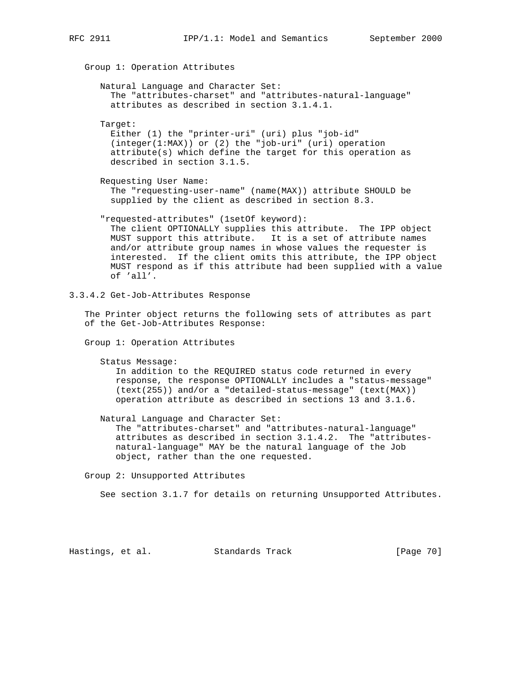Group 1: Operation Attributes Natural Language and Character Set: The "attributes-charset" and "attributes-natural-language" attributes as described in section 3.1.4.1. Target: Either (1) the "printer-uri" (uri) plus "job-id" (integer(1:MAX)) or (2) the "job-uri" (uri) operation attribute(s) which define the target for this operation as described in section 3.1.5. Requesting User Name: The "requesting-user-name" (name(MAX)) attribute SHOULD be supplied by the client as described in section 8.3. "requested-attributes" (1setOf keyword): The client OPTIONALLY supplies this attribute. The IPP object MUST support this attribute. It is a set of attribute names and/or attribute group names in whose values the requester is interested. If the client omits this attribute, the IPP object MUST respond as if this attribute had been supplied with a value of 'all'.

3.3.4.2 Get-Job-Attributes Response

 The Printer object returns the following sets of attributes as part of the Get-Job-Attributes Response:

Group 1: Operation Attributes

Status Message:

 In addition to the REQUIRED status code returned in every response, the response OPTIONALLY includes a "status-message" (text(255)) and/or a "detailed-status-message" (text(MAX)) operation attribute as described in sections 13 and 3.1.6.

 Natural Language and Character Set: The "attributes-charset" and "attributes-natural-language" attributes as described in section 3.1.4.2. The "attributes natural-language" MAY be the natural language of the Job object, rather than the one requested.

Group 2: Unsupported Attributes

See section 3.1.7 for details on returning Unsupported Attributes.

Hastings, et al. Standards Track [Page 70]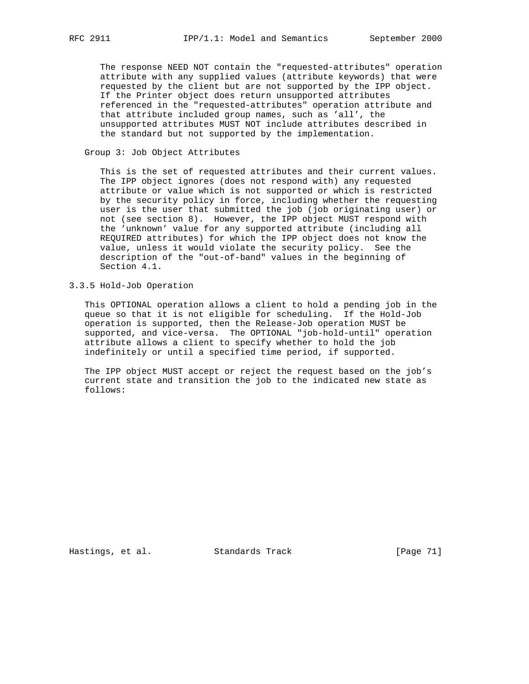The response NEED NOT contain the "requested-attributes" operation attribute with any supplied values (attribute keywords) that were requested by the client but are not supported by the IPP object. If the Printer object does return unsupported attributes referenced in the "requested-attributes" operation attribute and that attribute included group names, such as 'all', the unsupported attributes MUST NOT include attributes described in the standard but not supported by the implementation.

#### Group 3: Job Object Attributes

 This is the set of requested attributes and their current values. The IPP object ignores (does not respond with) any requested attribute or value which is not supported or which is restricted by the security policy in force, including whether the requesting user is the user that submitted the job (job originating user) or not (see section 8). However, the IPP object MUST respond with the 'unknown' value for any supported attribute (including all REQUIRED attributes) for which the IPP object does not know the value, unless it would violate the security policy. See the description of the "out-of-band" values in the beginning of Section 4.1.

# 3.3.5 Hold-Job Operation

 This OPTIONAL operation allows a client to hold a pending job in the queue so that it is not eligible for scheduling. If the Hold-Job operation is supported, then the Release-Job operation MUST be supported, and vice-versa. The OPTIONAL "job-hold-until" operation attribute allows a client to specify whether to hold the job indefinitely or until a specified time period, if supported.

 The IPP object MUST accept or reject the request based on the job's current state and transition the job to the indicated new state as follows:

Hastings, et al. Standards Track [Page 71]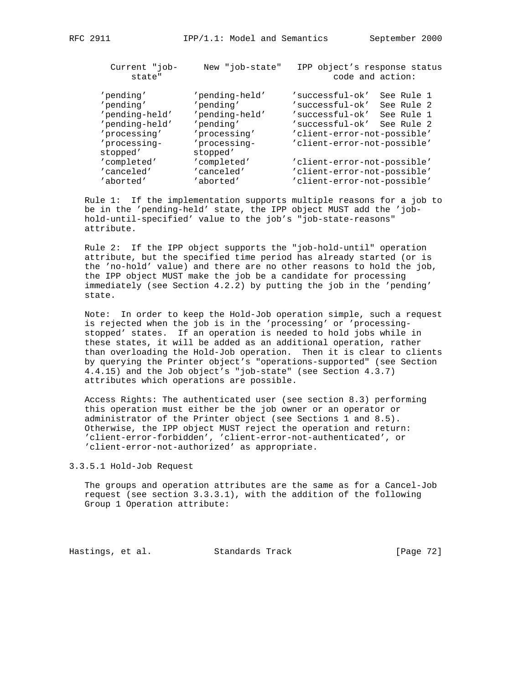| Current "job-<br>state"  | New "job-state"          | IPP object's response status | code and action: |
|--------------------------|--------------------------|------------------------------|------------------|
| 'pending'                |                          | 'successful-ok'              | See Rule 1       |
|                          | 'pending-held'           |                              |                  |
| 'pending'                | 'pending'                | 'successful-ok'              | See Rule 2       |
| 'pending-held'           | 'pending-held'           | 'successful-ok'              | See Rule 1       |
| 'pending-held'           | 'pending'                | 'successful-ok'              | See Rule 2       |
| 'processing'             | 'processing'             | 'client-error-not-possible'  |                  |
| 'processing-<br>stopped' | 'processing-<br>stopped' | 'client-error-not-possible'  |                  |
| 'completed'              | 'completed'              | 'client-error-not-possible'  |                  |

 Rule 1: If the implementation supports multiple reasons for a job to be in the 'pending-held' state, the IPP object MUST add the 'job hold-until-specified' value to the job's "job-state-reasons" attribute.

 'canceled' 'canceled' 'client-error-not-possible' 'aborted' 'aborted' 'client-error-not-possible'

 Rule 2: If the IPP object supports the "job-hold-until" operation attribute, but the specified time period has already started (or is the 'no-hold' value) and there are no other reasons to hold the job, the IPP object MUST make the job be a candidate for processing immediately (see Section 4.2.2) by putting the job in the 'pending' state.

 Note: In order to keep the Hold-Job operation simple, such a request is rejected when the job is in the 'processing' or 'processing stopped' states. If an operation is needed to hold jobs while in these states, it will be added as an additional operation, rather than overloading the Hold-Job operation. Then it is clear to clients by querying the Printer object's "operations-supported" (see Section 4.4.15) and the Job object's "job-state" (see Section 4.3.7) attributes which operations are possible.

 Access Rights: The authenticated user (see section 8.3) performing this operation must either be the job owner or an operator or administrator of the Printer object (see Sections 1 and 8.5). Otherwise, the IPP object MUST reject the operation and return: 'client-error-forbidden', 'client-error-not-authenticated', or 'client-error-not-authorized' as appropriate.

3.3.5.1 Hold-Job Request

 The groups and operation attributes are the same as for a Cancel-Job request (see section 3.3.3.1), with the addition of the following Group 1 Operation attribute:

Hastings, et al. Standards Track [Page 72]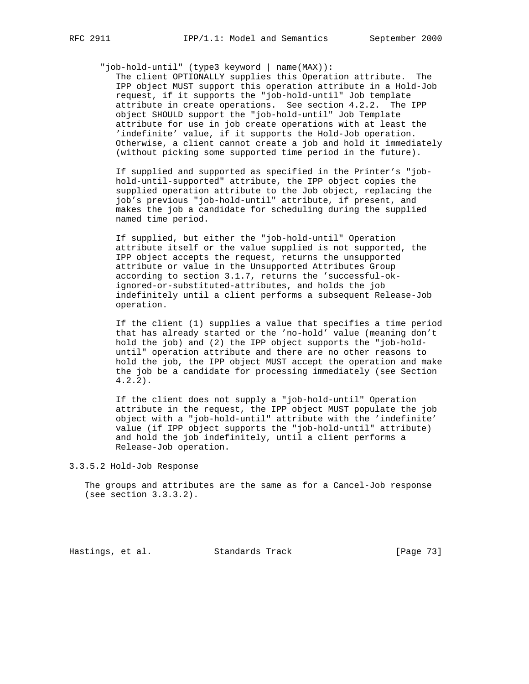"job-hold-until" (type3 keyword | name(MAX)):

 The client OPTIONALLY supplies this Operation attribute. The IPP object MUST support this operation attribute in a Hold-Job request, if it supports the "job-hold-until" Job template attribute in create operations. See section 4.2.2. The IPP object SHOULD support the "job-hold-until" Job Template attribute for use in job create operations with at least the 'indefinite' value, if it supports the Hold-Job operation. Otherwise, a client cannot create a job and hold it immediately (without picking some supported time period in the future).

 If supplied and supported as specified in the Printer's "job hold-until-supported" attribute, the IPP object copies the supplied operation attribute to the Job object, replacing the job's previous "job-hold-until" attribute, if present, and makes the job a candidate for scheduling during the supplied named time period.

 If supplied, but either the "job-hold-until" Operation attribute itself or the value supplied is not supported, the IPP object accepts the request, returns the unsupported attribute or value in the Unsupported Attributes Group according to section 3.1.7, returns the 'successful-ok ignored-or-substituted-attributes, and holds the job indefinitely until a client performs a subsequent Release-Job operation.

 If the client (1) supplies a value that specifies a time period that has already started or the 'no-hold' value (meaning don't hold the job) and (2) the IPP object supports the "job-hold until" operation attribute and there are no other reasons to hold the job, the IPP object MUST accept the operation and make the job be a candidate for processing immediately (see Section 4.2.2).

 If the client does not supply a "job-hold-until" Operation attribute in the request, the IPP object MUST populate the job object with a "job-hold-until" attribute with the 'indefinite' value (if IPP object supports the "job-hold-until" attribute) and hold the job indefinitely, until a client performs a Release-Job operation.

3.3.5.2 Hold-Job Response

 The groups and attributes are the same as for a Cancel-Job response (see section 3.3.3.2).

Hastings, et al. Standards Track [Page 73]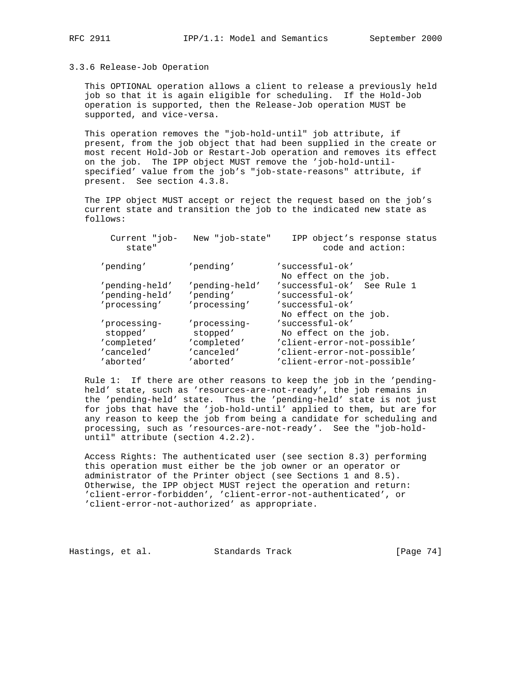## 3.3.6 Release-Job Operation

 This OPTIONAL operation allows a client to release a previously held job so that it is again eligible for scheduling. If the Hold-Job operation is supported, then the Release-Job operation MUST be supported, and vice-versa.

 This operation removes the "job-hold-until" job attribute, if present, from the job object that had been supplied in the create or most recent Hold-Job or Restart-Job operation and removes its effect on the job. The IPP object MUST remove the 'job-hold-until specified' value from the job's "job-state-reasons" attribute, if present. See section 4.3.8.

 The IPP object MUST accept or reject the request based on the job's current state and transition the job to the indicated new state as follows:

| Current "job-<br>state"          | New "job-state"             | IPP object's response status<br>code and action: |
|----------------------------------|-----------------------------|--------------------------------------------------|
| 'pending'                        | 'pending'                   | 'successful-ok'<br>No effect on the job.         |
| 'pending-held'<br>'pending-held' | 'pending-held'<br>'pending' | 'successful-ok' See Rule 1<br>'successful-ok'    |
| 'processing'                     | 'processing'                | 'successful-ok'<br>No effect on the job.         |
| 'processing-                     | 'processing-                | 'successful-ok'                                  |
| stopped'                         | stopped'                    | No effect on the job.                            |
| 'completed'                      | 'completed'                 | 'client-error-not-possible'                      |
| 'canceled'                       | 'canceled'                  | 'client-error-not-possible'                      |
| 'aborted'                        | 'aborted'                   | 'client-error-not-possible'                      |

 Rule 1: If there are other reasons to keep the job in the 'pending held' state, such as 'resources-are-not-ready', the job remains in the 'pending-held' state. Thus the 'pending-held' state is not just for jobs that have the 'job-hold-until' applied to them, but are for any reason to keep the job from being a candidate for scheduling and processing, such as 'resources-are-not-ready'. See the "job-hold until" attribute (section 4.2.2).

 Access Rights: The authenticated user (see section 8.3) performing this operation must either be the job owner or an operator or administrator of the Printer object (see Sections 1 and 8.5). Otherwise, the IPP object MUST reject the operation and return: 'client-error-forbidden', 'client-error-not-authenticated', or 'client-error-not-authorized' as appropriate.

Hastings, et al. Standards Track [Page 74]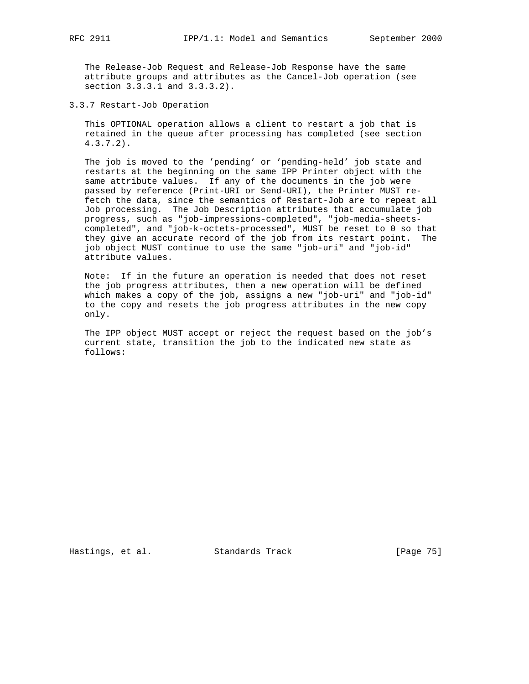The Release-Job Request and Release-Job Response have the same attribute groups and attributes as the Cancel-Job operation (see section 3.3.3.1 and 3.3.3.2).

3.3.7 Restart-Job Operation

 This OPTIONAL operation allows a client to restart a job that is retained in the queue after processing has completed (see section 4.3.7.2).

 The job is moved to the 'pending' or 'pending-held' job state and restarts at the beginning on the same IPP Printer object with the same attribute values. If any of the documents in the job were passed by reference (Print-URI or Send-URI), the Printer MUST re fetch the data, since the semantics of Restart-Job are to repeat all Job processing. The Job Description attributes that accumulate job progress, such as "job-impressions-completed", "job-media-sheets completed", and "job-k-octets-processed", MUST be reset to 0 so that they give an accurate record of the job from its restart point. The job object MUST continue to use the same "job-uri" and "job-id" attribute values.

 Note: If in the future an operation is needed that does not reset the job progress attributes, then a new operation will be defined which makes a copy of the job, assigns a new "job-uri" and "job-id" to the copy and resets the job progress attributes in the new copy only.

 The IPP object MUST accept or reject the request based on the job's current state, transition the job to the indicated new state as follows:

Hastings, et al. Standards Track [Page 75]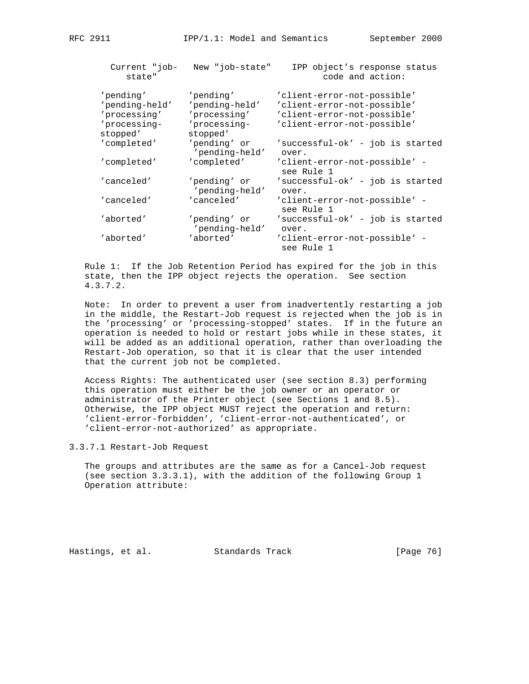| Current "job-<br>state"  | New "job-state"                | IPP object's response status<br>code and action: |
|--------------------------|--------------------------------|--------------------------------------------------|
| 'pending'                | 'pending'                      | 'client-error-not-possible'                      |
| 'pending-held'           | 'pending-held'                 | 'client-error-not-possible'                      |
| 'processing'             | 'processing'                   | 'client-error-not-possible'                      |
| 'processing-<br>stopped' | 'processing-<br>stopped'       | 'client-error-not-possible'                      |
| 'completed'              | 'pending' or<br>'pending-held' | 'successful-ok' - job is started<br>over.        |
| 'completed'              | 'completed'                    | 'client-error-not-possible' -<br>see Rule 1      |
| 'canceled'               | 'pending' or<br>'pending-held' | 'successful-ok' - job is started<br>over.        |
| 'canceled'               | 'canceled'                     | 'client-error-not-possible' -<br>see Rule 1      |
| 'aborted'                | 'pending' or<br>'pending-held' | 'successful-ok' - job is started<br>over.        |
| 'aborted'                | 'aborted'                      | 'client-error-not-possible' -                    |

 Rule 1: If the Job Retention Period has expired for the job in this state, then the IPP object rejects the operation. See section 4.3.7.2.

see Rule 1

 Note: In order to prevent a user from inadvertently restarting a job in the middle, the Restart-Job request is rejected when the job is in the 'processing' or 'processing-stopped' states. If in the future an operation is needed to hold or restart jobs while in these states, it will be added as an additional operation, rather than overloading the Restart-Job operation, so that it is clear that the user intended that the current job not be completed.

 Access Rights: The authenticated user (see section 8.3) performing this operation must either be the job owner or an operator or administrator of the Printer object (see Sections 1 and 8.5). Otherwise, the IPP object MUST reject the operation and return: 'client-error-forbidden', 'client-error-not-authenticated', or 'client-error-not-authorized' as appropriate.

3.3.7.1 Restart-Job Request

 The groups and attributes are the same as for a Cancel-Job request (see section 3.3.3.1), with the addition of the following Group 1 Operation attribute:

Hastings, et al. Standards Track [Page 76]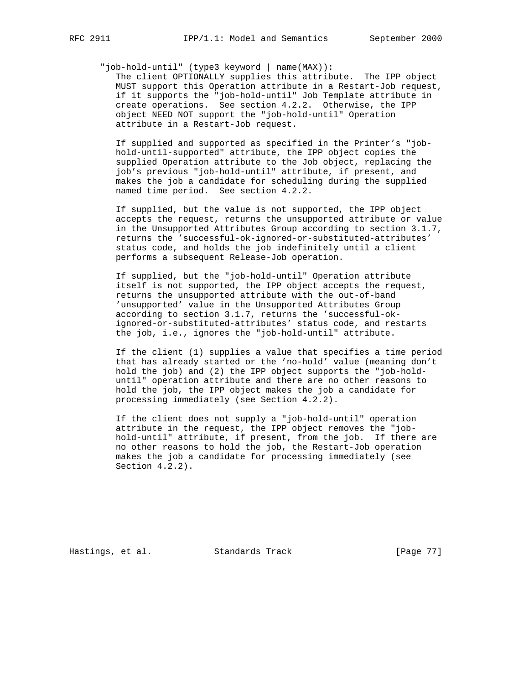"job-hold-until" (type3 keyword | name(MAX)):

 The client OPTIONALLY supplies this attribute. The IPP object MUST support this Operation attribute in a Restart-Job request, if it supports the "job-hold-until" Job Template attribute in create operations. See section 4.2.2. Otherwise, the IPP object NEED NOT support the "job-hold-until" Operation attribute in a Restart-Job request.

 If supplied and supported as specified in the Printer's "job hold-until-supported" attribute, the IPP object copies the supplied Operation attribute to the Job object, replacing the job's previous "job-hold-until" attribute, if present, and makes the job a candidate for scheduling during the supplied named time period. See section 4.2.2.

 If supplied, but the value is not supported, the IPP object accepts the request, returns the unsupported attribute or value in the Unsupported Attributes Group according to section 3.1.7, returns the 'successful-ok-ignored-or-substituted-attributes' status code, and holds the job indefinitely until a client performs a subsequent Release-Job operation.

 If supplied, but the "job-hold-until" Operation attribute itself is not supported, the IPP object accepts the request, returns the unsupported attribute with the out-of-band 'unsupported' value in the Unsupported Attributes Group according to section 3.1.7, returns the 'successful-ok ignored-or-substituted-attributes' status code, and restarts the job, i.e., ignores the "job-hold-until" attribute.

 If the client (1) supplies a value that specifies a time period that has already started or the 'no-hold' value (meaning don't hold the job) and (2) the IPP object supports the "job-hold until" operation attribute and there are no other reasons to hold the job, the IPP object makes the job a candidate for processing immediately (see Section 4.2.2).

 If the client does not supply a "job-hold-until" operation attribute in the request, the IPP object removes the "job hold-until" attribute, if present, from the job. If there are no other reasons to hold the job, the Restart-Job operation makes the job a candidate for processing immediately (see Section 4.2.2).

Hastings, et al. Standards Track [Page 77]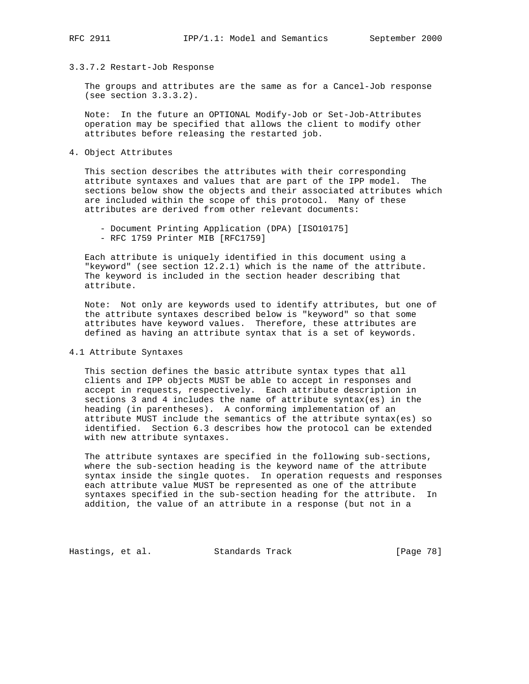# 3.3.7.2 Restart-Job Response

 The groups and attributes are the same as for a Cancel-Job response (see section 3.3.3.2).

 Note: In the future an OPTIONAL Modify-Job or Set-Job-Attributes operation may be specified that allows the client to modify other attributes before releasing the restarted job.

4. Object Attributes

 This section describes the attributes with their corresponding attribute syntaxes and values that are part of the IPP model. The sections below show the objects and their associated attributes which are included within the scope of this protocol. Many of these attributes are derived from other relevant documents:

- Document Printing Application (DPA) [ISO10175]
- RFC 1759 Printer MIB [RFC1759]

 Each attribute is uniquely identified in this document using a "keyword" (see section 12.2.1) which is the name of the attribute. The keyword is included in the section header describing that attribute.

 Note: Not only are keywords used to identify attributes, but one of the attribute syntaxes described below is "keyword" so that some attributes have keyword values. Therefore, these attributes are defined as having an attribute syntax that is a set of keywords.

# 4.1 Attribute Syntaxes

 This section defines the basic attribute syntax types that all clients and IPP objects MUST be able to accept in responses and accept in requests, respectively. Each attribute description in sections 3 and 4 includes the name of attribute syntax(es) in the heading (in parentheses). A conforming implementation of an attribute MUST include the semantics of the attribute syntax(es) so identified. Section 6.3 describes how the protocol can be extended with new attribute syntaxes.

 The attribute syntaxes are specified in the following sub-sections, where the sub-section heading is the keyword name of the attribute syntax inside the single quotes. In operation requests and responses each attribute value MUST be represented as one of the attribute syntaxes specified in the sub-section heading for the attribute. In addition, the value of an attribute in a response (but not in a

Hastings, et al. Standards Track [Page 78]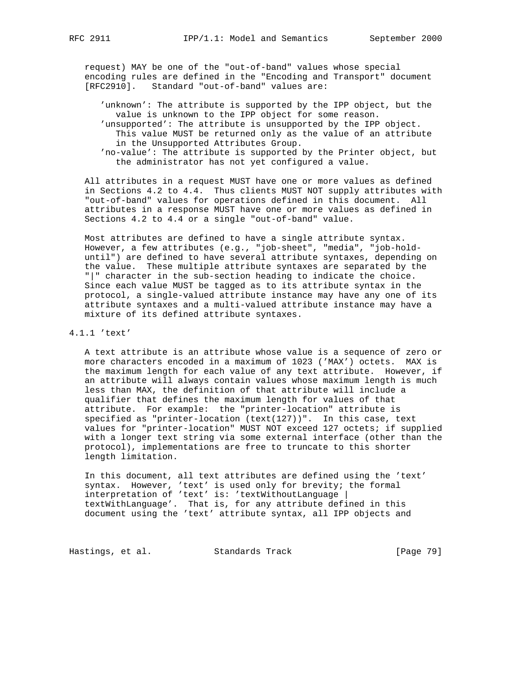request) MAY be one of the "out-of-band" values whose special encoding rules are defined in the "Encoding and Transport" document [RFC2910]. Standard "out-of-band" values are:

 'unknown': The attribute is supported by the IPP object, but the value is unknown to the IPP object for some reason. 'unsupported': The attribute is unsupported by the IPP object. This value MUST be returned only as the value of an attribute in the Unsupported Attributes Group.

 'no-value': The attribute is supported by the Printer object, but the administrator has not yet configured a value.

 All attributes in a request MUST have one or more values as defined in Sections 4.2 to 4.4. Thus clients MUST NOT supply attributes with "out-of-band" values for operations defined in this document. All attributes in a response MUST have one or more values as defined in Sections 4.2 to 4.4 or a single "out-of-band" value.

 Most attributes are defined to have a single attribute syntax. However, a few attributes (e.g., "job-sheet", "media", "job-hold until") are defined to have several attribute syntaxes, depending on the value. These multiple attribute syntaxes are separated by the "|" character in the sub-section heading to indicate the choice. Since each value MUST be tagged as to its attribute syntax in the protocol, a single-valued attribute instance may have any one of its attribute syntaxes and a multi-valued attribute instance may have a mixture of its defined attribute syntaxes.

# 4.1.1 'text'

 A text attribute is an attribute whose value is a sequence of zero or more characters encoded in a maximum of 1023 ('MAX') octets. MAX is the maximum length for each value of any text attribute. However, if an attribute will always contain values whose maximum length is much less than MAX, the definition of that attribute will include a qualifier that defines the maximum length for values of that attribute. For example: the "printer-location" attribute is specified as "printer-location (text(127))". In this case, text values for "printer-location" MUST NOT exceed 127 octets; if supplied with a longer text string via some external interface (other than the protocol), implementations are free to truncate to this shorter length limitation.

 In this document, all text attributes are defined using the 'text' syntax. However, 'text' is used only for brevity; the formal interpretation of 'text' is: 'textWithoutLanguage | textWithLanguage'. That is, for any attribute defined in this document using the 'text' attribute syntax, all IPP objects and

Hastings, et al. Standards Track [Page 79]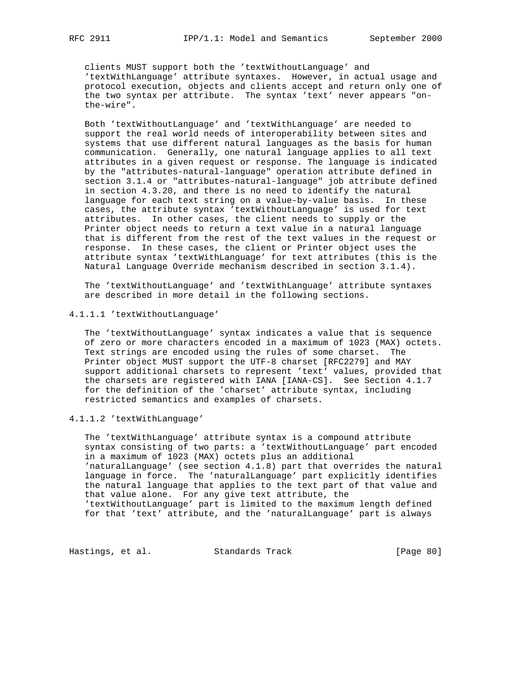clients MUST support both the 'textWithoutLanguage' and 'textWithLanguage' attribute syntaxes. However, in actual usage and protocol execution, objects and clients accept and return only one of the two syntax per attribute. The syntax 'text' never appears "on the-wire".

 Both 'textWithoutLanguage' and 'textWithLanguage' are needed to support the real world needs of interoperability between sites and systems that use different natural languages as the basis for human communication. Generally, one natural language applies to all text attributes in a given request or response. The language is indicated by the "attributes-natural-language" operation attribute defined in section 3.1.4 or "attributes-natural-language" job attribute defined in section 4.3.20, and there is no need to identify the natural language for each text string on a value-by-value basis. In these cases, the attribute syntax 'textWithoutLanguage' is used for text attributes. In other cases, the client needs to supply or the Printer object needs to return a text value in a natural language that is different from the rest of the text values in the request or response. In these cases, the client or Printer object uses the attribute syntax 'textWithLanguage' for text attributes (this is the Natural Language Override mechanism described in section 3.1.4).

 The 'textWithoutLanguage' and 'textWithLanguage' attribute syntaxes are described in more detail in the following sections.

4.1.1.1 'textWithoutLanguage'

 The 'textWithoutLanguage' syntax indicates a value that is sequence of zero or more characters encoded in a maximum of 1023 (MAX) octets. Text strings are encoded using the rules of some charset. The Printer object MUST support the UTF-8 charset [RFC2279] and MAY support additional charsets to represent 'text' values, provided that the charsets are registered with IANA [IANA-CS]. See Section 4.1.7 for the definition of the 'charset' attribute syntax, including restricted semantics and examples of charsets.

4.1.1.2 'textWithLanguage'

 The 'textWithLanguage' attribute syntax is a compound attribute syntax consisting of two parts: a 'textWithoutLanguage' part encoded in a maximum of 1023 (MAX) octets plus an additional 'naturalLanguage' (see section 4.1.8) part that overrides the natural language in force. The 'naturalLanguage' part explicitly identifies the natural language that applies to the text part of that value and that value alone. For any give text attribute, the 'textWithoutLanguage' part is limited to the maximum length defined for that 'text' attribute, and the 'naturalLanguage' part is always

Hastings, et al. Standards Track [Page 80]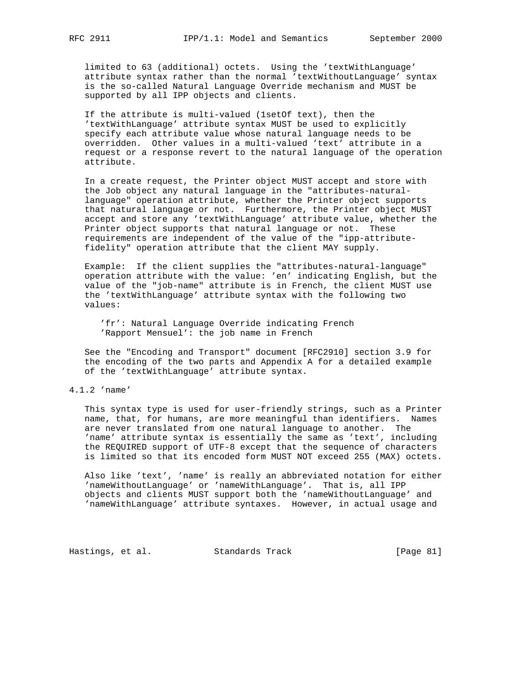limited to 63 (additional) octets. Using the 'textWithLanguage' attribute syntax rather than the normal 'textWithoutLanguage' syntax is the so-called Natural Language Override mechanism and MUST be supported by all IPP objects and clients.

 If the attribute is multi-valued (1setOf text), then the 'textWithLanguage' attribute syntax MUST be used to explicitly specify each attribute value whose natural language needs to be overridden. Other values in a multi-valued 'text' attribute in a request or a response revert to the natural language of the operation attribute.

 In a create request, the Printer object MUST accept and store with the Job object any natural language in the "attributes-natural language" operation attribute, whether the Printer object supports that natural language or not. Furthermore, the Printer object MUST accept and store any 'textWithLanguage' attribute value, whether the Printer object supports that natural language or not. These requirements are independent of the value of the "ipp-attribute fidelity" operation attribute that the client MAY supply.

 Example: If the client supplies the "attributes-natural-language" operation attribute with the value: 'en' indicating English, but the value of the "job-name" attribute is in French, the client MUST use the 'textWithLanguage' attribute syntax with the following two values:

 'fr': Natural Language Override indicating French 'Rapport Mensuel': the job name in French

 See the "Encoding and Transport" document [RFC2910] section 3.9 for the encoding of the two parts and Appendix A for a detailed example of the 'textWithLanguage' attribute syntax.

# 4.1.2 'name'

 This syntax type is used for user-friendly strings, such as a Printer name, that, for humans, are more meaningful than identifiers. Names are never translated from one natural language to another. The 'name' attribute syntax is essentially the same as 'text', including the REQUIRED support of UTF-8 except that the sequence of characters is limited so that its encoded form MUST NOT exceed 255 (MAX) octets.

 Also like 'text', 'name' is really an abbreviated notation for either 'nameWithoutLanguage' or 'nameWithLanguage'. That is, all IPP objects and clients MUST support both the 'nameWithoutLanguage' and 'nameWithLanguage' attribute syntaxes. However, in actual usage and

Hastings, et al. Standards Track [Page 81]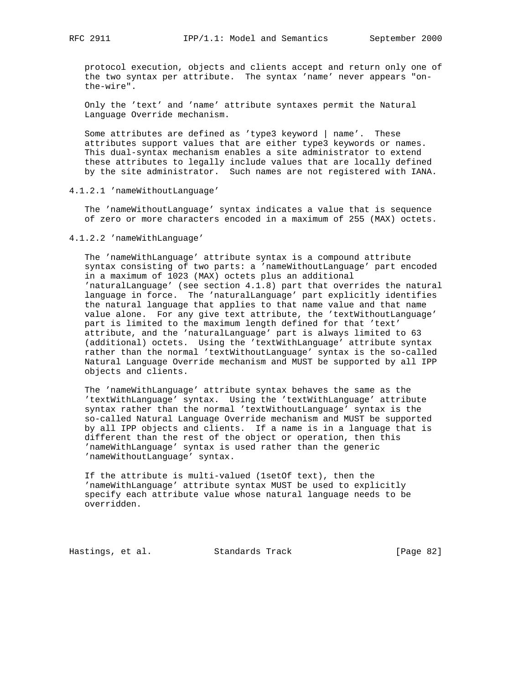protocol execution, objects and clients accept and return only one of the two syntax per attribute. The syntax 'name' never appears "on the-wire".

 Only the 'text' and 'name' attribute syntaxes permit the Natural Language Override mechanism.

 Some attributes are defined as 'type3 keyword | name'. These attributes support values that are either type3 keywords or names. This dual-syntax mechanism enables a site administrator to extend these attributes to legally include values that are locally defined by the site administrator. Such names are not registered with IANA.

4.1.2.1 'nameWithoutLanguage'

 The 'nameWithoutLanguage' syntax indicates a value that is sequence of zero or more characters encoded in a maximum of 255 (MAX) octets.

4.1.2.2 'nameWithLanguage'

 The 'nameWithLanguage' attribute syntax is a compound attribute syntax consisting of two parts: a 'nameWithoutLanguage' part encoded in a maximum of 1023 (MAX) octets plus an additional 'naturalLanguage' (see section 4.1.8) part that overrides the natural language in force. The 'naturalLanguage' part explicitly identifies the natural language that applies to that name value and that name value alone. For any give text attribute, the 'textWithoutLanguage' part is limited to the maximum length defined for that 'text' attribute, and the 'naturalLanguage' part is always limited to 63 (additional) octets. Using the 'textWithLanguage' attribute syntax rather than the normal 'textWithoutLanguage' syntax is the so-called Natural Language Override mechanism and MUST be supported by all IPP objects and clients.

 The 'nameWithLanguage' attribute syntax behaves the same as the 'textWithLanguage' syntax. Using the 'textWithLanguage' attribute syntax rather than the normal 'textWithoutLanguage' syntax is the so-called Natural Language Override mechanism and MUST be supported by all IPP objects and clients. If a name is in a language that is different than the rest of the object or operation, then this 'nameWithLanguage' syntax is used rather than the generic 'nameWithoutLanguage' syntax.

 If the attribute is multi-valued (1setOf text), then the 'nameWithLanguage' attribute syntax MUST be used to explicitly specify each attribute value whose natural language needs to be overridden.

Hastings, et al. Standards Track [Page 82]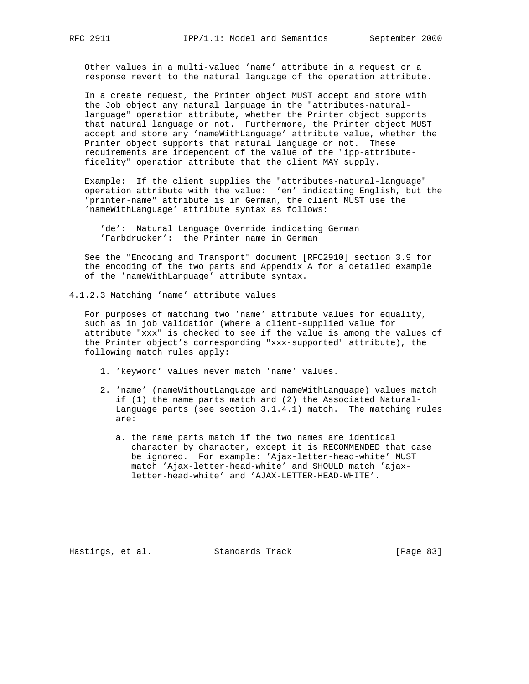Other values in a multi-valued 'name' attribute in a request or a response revert to the natural language of the operation attribute.

 In a create request, the Printer object MUST accept and store with the Job object any natural language in the "attributes-natural language" operation attribute, whether the Printer object supports that natural language or not. Furthermore, the Printer object MUST accept and store any 'nameWithLanguage' attribute value, whether the Printer object supports that natural language or not. These requirements are independent of the value of the "ipp-attribute fidelity" operation attribute that the client MAY supply.

 Example: If the client supplies the "attributes-natural-language" operation attribute with the value: 'en' indicating English, but the "printer-name" attribute is in German, the client MUST use the 'nameWithLanguage' attribute syntax as follows:

 'de': Natural Language Override indicating German 'Farbdrucker': the Printer name in German

 See the "Encoding and Transport" document [RFC2910] section 3.9 for the encoding of the two parts and Appendix A for a detailed example of the 'nameWithLanguage' attribute syntax.

4.1.2.3 Matching 'name' attribute values

 For purposes of matching two 'name' attribute values for equality, such as in job validation (where a client-supplied value for attribute "xxx" is checked to see if the value is among the values of the Printer object's corresponding "xxx-supported" attribute), the following match rules apply:

- 1. 'keyword' values never match 'name' values.
- 2. 'name' (nameWithoutLanguage and nameWithLanguage) values match if (1) the name parts match and (2) the Associated Natural- Language parts (see section 3.1.4.1) match. The matching rules are:
	- a. the name parts match if the two names are identical character by character, except it is RECOMMENDED that case be ignored. For example: 'Ajax-letter-head-white' MUST match 'Ajax-letter-head-white' and SHOULD match 'ajax letter-head-white' and 'AJAX-LETTER-HEAD-WHITE'.

Hastings, et al. Standards Track [Page 83]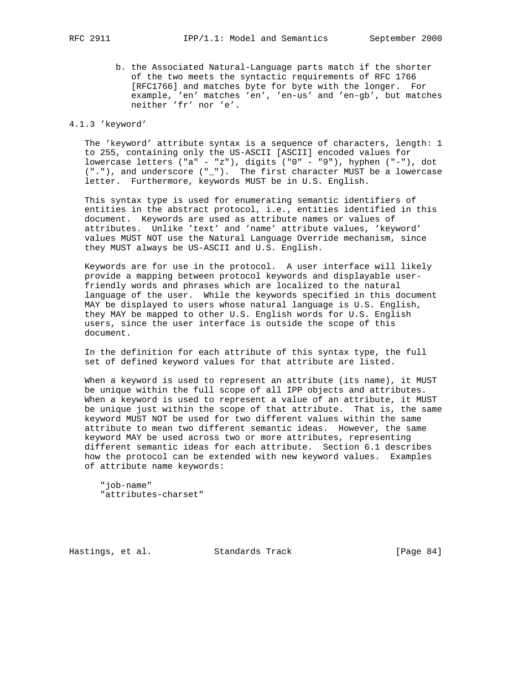b. the Associated Natural-Language parts match if the shorter of the two meets the syntactic requirements of RFC 1766 [RFC1766] and matches byte for byte with the longer. For example, 'en' matches 'en', 'en-us' and 'en-gb', but matches neither 'fr' nor 'e'.

## 4.1.3 'keyword'

 The 'keyword' attribute syntax is a sequence of characters, length: 1 to 255, containing only the US-ASCII [ASCII] encoded values for lowercase letters ("a" - "z"), digits ("0" - "9"), hyphen ("-"), dot ("."), and underscore ("\_"). The first character MUST be a lowercase letter. Furthermore, keywords MUST be in U.S. English.

 This syntax type is used for enumerating semantic identifiers of entities in the abstract protocol, i.e., entities identified in this document. Keywords are used as attribute names or values of attributes. Unlike 'text' and 'name' attribute values, 'keyword' values MUST NOT use the Natural Language Override mechanism, since they MUST always be US-ASCII and U.S. English.

 Keywords are for use in the protocol. A user interface will likely provide a mapping between protocol keywords and displayable user friendly words and phrases which are localized to the natural language of the user. While the keywords specified in this document MAY be displayed to users whose natural language is U.S. English, they MAY be mapped to other U.S. English words for U.S. English users, since the user interface is outside the scope of this document.

 In the definition for each attribute of this syntax type, the full set of defined keyword values for that attribute are listed.

 When a keyword is used to represent an attribute (its name), it MUST be unique within the full scope of all IPP objects and attributes. When a keyword is used to represent a value of an attribute, it MUST be unique just within the scope of that attribute. That is, the same keyword MUST NOT be used for two different values within the same attribute to mean two different semantic ideas. However, the same keyword MAY be used across two or more attributes, representing different semantic ideas for each attribute. Section 6.1 describes how the protocol can be extended with new keyword values. Examples of attribute name keywords:

 "job-name" "attributes-charset"

Hastings, et al. Standards Track [Page 84]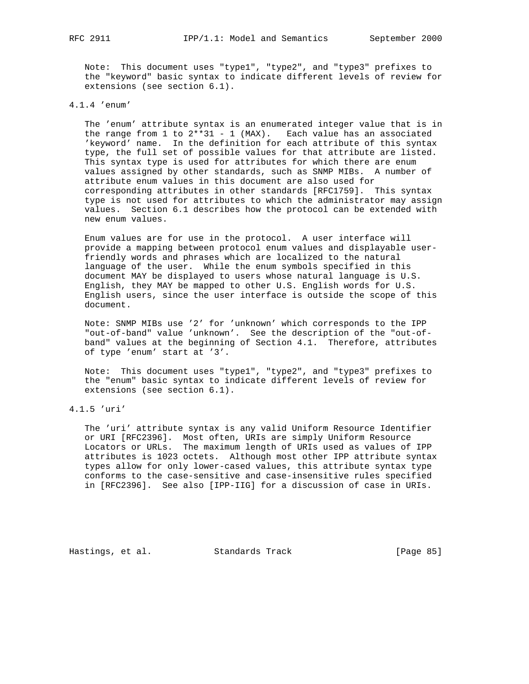Note: This document uses "type1", "type2", and "type3" prefixes to the "keyword" basic syntax to indicate different levels of review for extensions (see section 6.1).

# 4.1.4 'enum'

 The 'enum' attribute syntax is an enumerated integer value that is in the range from  $1$  to  $2**31 - 1$  (MAX). Each value has an associated 'keyword' name. In the definition for each attribute of this syntax type, the full set of possible values for that attribute are listed. This syntax type is used for attributes for which there are enum values assigned by other standards, such as SNMP MIBs. A number of attribute enum values in this document are also used for corresponding attributes in other standards [RFC1759]. This syntax type is not used for attributes to which the administrator may assign values. Section 6.1 describes how the protocol can be extended with new enum values.

 Enum values are for use in the protocol. A user interface will provide a mapping between protocol enum values and displayable user friendly words and phrases which are localized to the natural language of the user. While the enum symbols specified in this document MAY be displayed to users whose natural language is U.S. English, they MAY be mapped to other U.S. English words for U.S. English users, since the user interface is outside the scope of this document.

 Note: SNMP MIBs use '2' for 'unknown' which corresponds to the IPP "out-of-band" value 'unknown'. See the description of the "out-of band" values at the beginning of Section 4.1. Therefore, attributes of type 'enum' start at '3'.

 Note: This document uses "type1", "type2", and "type3" prefixes to the "enum" basic syntax to indicate different levels of review for extensions (see section 6.1).

# 4.1.5 'uri'

 The 'uri' attribute syntax is any valid Uniform Resource Identifier or URI [RFC2396]. Most often, URIs are simply Uniform Resource Locators or URLs. The maximum length of URIs used as values of IPP attributes is 1023 octets. Although most other IPP attribute syntax types allow for only lower-cased values, this attribute syntax type conforms to the case-sensitive and case-insensitive rules specified in [RFC2396]. See also [IPP-IIG] for a discussion of case in URIs.

Hastings, et al. Standards Track [Page 85]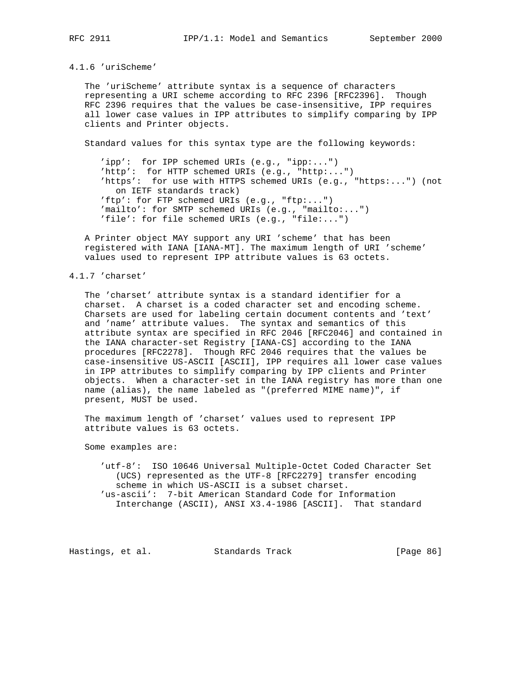## 4.1.6 'uriScheme'

 The 'uriScheme' attribute syntax is a sequence of characters representing a URI scheme according to RFC 2396 [RFC2396]. Though RFC 2396 requires that the values be case-insensitive, IPP requires all lower case values in IPP attributes to simplify comparing by IPP clients and Printer objects.

Standard values for this syntax type are the following keywords:

 'ipp': for IPP schemed URIs (e.g., "ipp:...") 'http': for HTTP schemed URIs (e.g., "http:...") 'https': for use with HTTPS schemed URIs (e.g., "https:...") (not on IETF standards track) 'ftp': for FTP schemed URIs (e.g., "ftp:...") 'mailto': for SMTP schemed URIs (e.g., "mailto:...") 'file': for file schemed URIs  $(e.g., "file:...")$ 

 A Printer object MAY support any URI 'scheme' that has been registered with IANA [IANA-MT]. The maximum length of URI 'scheme' values used to represent IPP attribute values is 63 octets.

## 4.1.7 'charset'

 The 'charset' attribute syntax is a standard identifier for a charset. A charset is a coded character set and encoding scheme. Charsets are used for labeling certain document contents and 'text' and 'name' attribute values. The syntax and semantics of this attribute syntax are specified in RFC 2046 [RFC2046] and contained in the IANA character-set Registry [IANA-CS] according to the IANA procedures [RFC2278]. Though RFC 2046 requires that the values be case-insensitive US-ASCII [ASCII], IPP requires all lower case values in IPP attributes to simplify comparing by IPP clients and Printer objects. When a character-set in the IANA registry has more than one name (alias), the name labeled as "(preferred MIME name)", if present, MUST be used.

 The maximum length of 'charset' values used to represent IPP attribute values is 63 octets.

Some examples are:

 'utf-8': ISO 10646 Universal Multiple-Octet Coded Character Set (UCS) represented as the UTF-8 [RFC2279] transfer encoding scheme in which US-ASCII is a subset charset. 'us-ascii': 7-bit American Standard Code for Information Interchange (ASCII), ANSI X3.4-1986 [ASCII]. That standard

Hastings, et al. Standards Track [Page 86]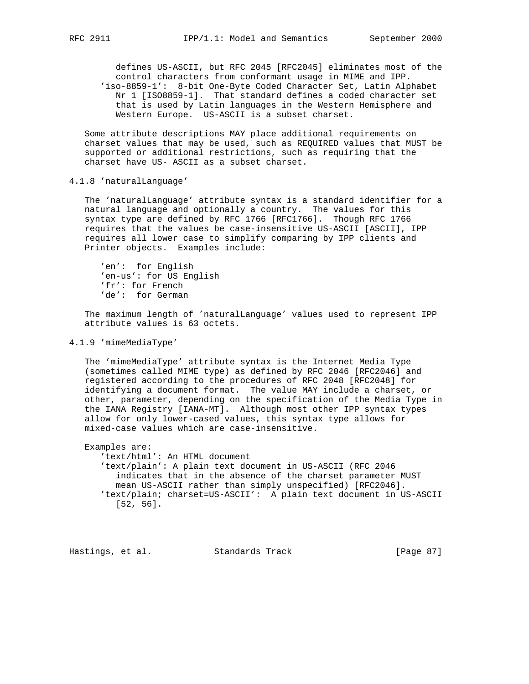defines US-ASCII, but RFC 2045 [RFC2045] eliminates most of the control characters from conformant usage in MIME and IPP. 'iso-8859-1': 8-bit One-Byte Coded Character Set, Latin Alphabet Nr 1 [ISO8859-1]. That standard defines a coded character set that is used by Latin languages in the Western Hemisphere and Western Europe. US-ASCII is a subset charset.

 Some attribute descriptions MAY place additional requirements on charset values that may be used, such as REQUIRED values that MUST be supported or additional restrictions, such as requiring that the charset have US- ASCII as a subset charset.

### 4.1.8 'naturalLanguage'

 The 'naturalLanguage' attribute syntax is a standard identifier for a natural language and optionally a country. The values for this syntax type are defined by RFC 1766 [RFC1766]. Though RFC 1766 requires that the values be case-insensitive US-ASCII [ASCII], IPP requires all lower case to simplify comparing by IPP clients and Printer objects. Examples include:

 'en': for English 'en-us': for US English 'fr': for French 'de': for German

 The maximum length of 'naturalLanguage' values used to represent IPP attribute values is 63 octets.

## 4.1.9 'mimeMediaType'

 The 'mimeMediaType' attribute syntax is the Internet Media Type (sometimes called MIME type) as defined by RFC 2046 [RFC2046] and registered according to the procedures of RFC 2048 [RFC2048] for identifying a document format. The value MAY include a charset, or other, parameter, depending on the specification of the Media Type in the IANA Registry [IANA-MT]. Although most other IPP syntax types allow for only lower-cased values, this syntax type allows for mixed-case values which are case-insensitive.

 Examples are: 'text/html': An HTML document 'text/plain': A plain text document in US-ASCII (RFC 2046 indicates that in the absence of the charset parameter MUST mean US-ASCII rather than simply unspecified) [RFC2046]. 'text/plain; charset=US-ASCII': A plain text document in US-ASCII [52, 56].

Hastings, et al. Standards Track [Page 87]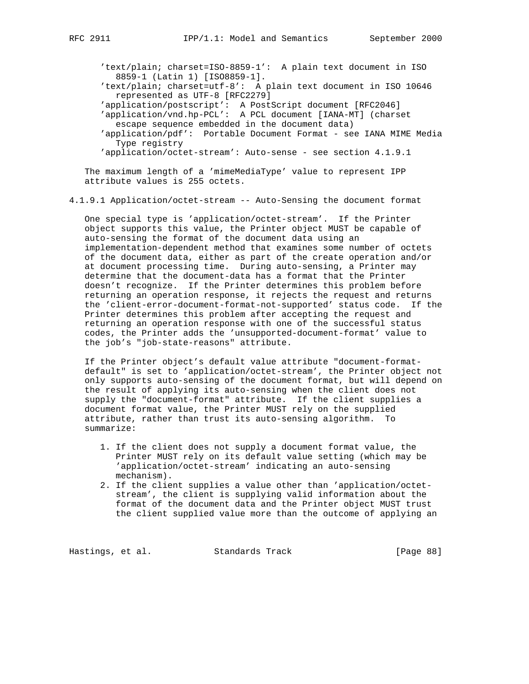'text/plain; charset=ISO-8859-1': A plain text document in ISO 8859-1 (Latin 1) [ISO8859-1].

 'text/plain; charset=utf-8': A plain text document in ISO 10646 represented as UTF-8 [RFC2279]

'application/postscript': A PostScript document [RFC2046]

- 'application/vnd.hp-PCL': A PCL document [IANA-MT] (charset escape sequence embedded in the document data)
	- 'application/pdf': Portable Document Format see IANA MIME Media Type registry

'application/octet-stream': Auto-sense - see section 4.1.9.1

 The maximum length of a 'mimeMediaType' value to represent IPP attribute values is 255 octets.

4.1.9.1 Application/octet-stream -- Auto-Sensing the document format

 One special type is 'application/octet-stream'. If the Printer object supports this value, the Printer object MUST be capable of auto-sensing the format of the document data using an implementation-dependent method that examines some number of octets of the document data, either as part of the create operation and/or at document processing time. During auto-sensing, a Printer may determine that the document-data has a format that the Printer doesn't recognize. If the Printer determines this problem before returning an operation response, it rejects the request and returns the 'client-error-document-format-not-supported' status code. If the Printer determines this problem after accepting the request and returning an operation response with one of the successful status codes, the Printer adds the 'unsupported-document-format' value to the job's "job-state-reasons" attribute.

 If the Printer object's default value attribute "document-format default" is set to 'application/octet-stream', the Printer object not only supports auto-sensing of the document format, but will depend on the result of applying its auto-sensing when the client does not supply the "document-format" attribute. If the client supplies a document format value, the Printer MUST rely on the supplied attribute, rather than trust its auto-sensing algorithm. To summarize:

- 1. If the client does not supply a document format value, the Printer MUST rely on its default value setting (which may be 'application/octet-stream' indicating an auto-sensing mechanism).
- 2. If the client supplies a value other than 'application/octet stream', the client is supplying valid information about the format of the document data and the Printer object MUST trust the client supplied value more than the outcome of applying an

Hastings, et al. Standards Track [Page 88]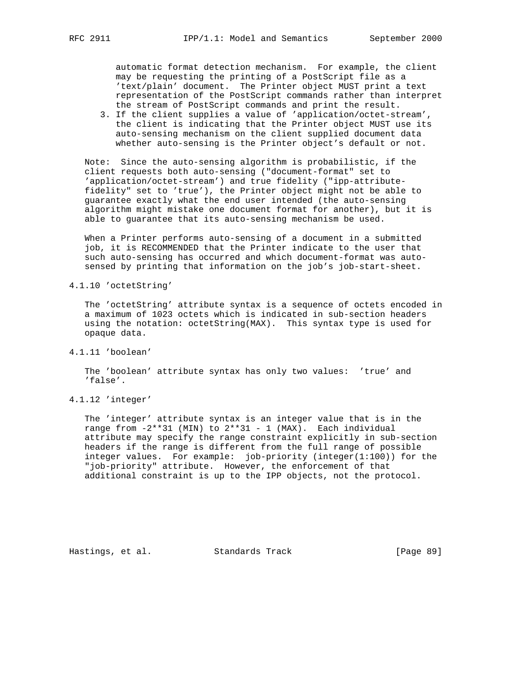automatic format detection mechanism. For example, the client may be requesting the printing of a PostScript file as a 'text/plain' document. The Printer object MUST print a text representation of the PostScript commands rather than interpret the stream of PostScript commands and print the result.

 3. If the client supplies a value of 'application/octet-stream', the client is indicating that the Printer object MUST use its auto-sensing mechanism on the client supplied document data whether auto-sensing is the Printer object's default or not.

 Note: Since the auto-sensing algorithm is probabilistic, if the client requests both auto-sensing ("document-format" set to 'application/octet-stream') and true fidelity ("ipp-attribute fidelity" set to 'true'), the Printer object might not be able to guarantee exactly what the end user intended (the auto-sensing algorithm might mistake one document format for another), but it is able to guarantee that its auto-sensing mechanism be used.

 When a Printer performs auto-sensing of a document in a submitted job, it is RECOMMENDED that the Printer indicate to the user that such auto-sensing has occurred and which document-format was auto sensed by printing that information on the job's job-start-sheet.

4.1.10 'octetString'

 The 'octetString' attribute syntax is a sequence of octets encoded in a maximum of 1023 octets which is indicated in sub-section headers using the notation: octetString(MAX). This syntax type is used for opaque data.

4.1.11 'boolean'

 The 'boolean' attribute syntax has only two values: 'true' and 'false'.

4.1.12 'integer'

 The 'integer' attribute syntax is an integer value that is in the range from  $-2**31$  (MIN) to  $2**31$  - 1 (MAX). Each individual attribute may specify the range constraint explicitly in sub-section headers if the range is different from the full range of possible integer values. For example: job-priority (integer(1:100)) for the "job-priority" attribute. However, the enforcement of that additional constraint is up to the IPP objects, not the protocol.

Hastings, et al. Standards Track [Page 89]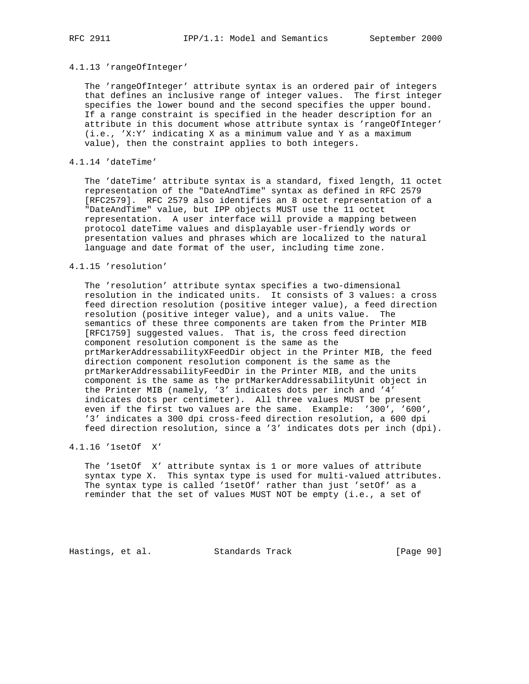## 4.1.13 'rangeOfInteger'

 The 'rangeOfInteger' attribute syntax is an ordered pair of integers that defines an inclusive range of integer values. The first integer specifies the lower bound and the second specifies the upper bound. If a range constraint is specified in the header description for an attribute in this document whose attribute syntax is 'rangeOfInteger' (i.e., 'X:Y' indicating X as a minimum value and Y as a maximum value), then the constraint applies to both integers.

## 4.1.14 'dateTime'

 The 'dateTime' attribute syntax is a standard, fixed length, 11 octet representation of the "DateAndTime" syntax as defined in RFC 2579 [RFC2579]. RFC 2579 also identifies an 8 octet representation of a "DateAndTime" value, but IPP objects MUST use the 11 octet representation. A user interface will provide a mapping between protocol dateTime values and displayable user-friendly words or presentation values and phrases which are localized to the natural language and date format of the user, including time zone.

## 4.1.15 'resolution'

 The 'resolution' attribute syntax specifies a two-dimensional resolution in the indicated units. It consists of 3 values: a cross feed direction resolution (positive integer value), a feed direction resolution (positive integer value), and a units value. The semantics of these three components are taken from the Printer MIB [RFC1759] suggested values. That is, the cross feed direction component resolution component is the same as the prtMarkerAddressabilityXFeedDir object in the Printer MIB, the feed direction component resolution component is the same as the prtMarkerAddressabilityFeedDir in the Printer MIB, and the units component is the same as the prtMarkerAddressabilityUnit object in the Printer MIB (namely, '3' indicates dots per inch and '4' indicates dots per centimeter). All three values MUST be present even if the first two values are the same. Example: '300', '600', '3' indicates a 300 dpi cross-feed direction resolution, a 600 dpi feed direction resolution, since a '3' indicates dots per inch (dpi).

# 4.1.16 '1setOf X'

 The '1setOf X' attribute syntax is 1 or more values of attribute syntax type X. This syntax type is used for multi-valued attributes. The syntax type is called '1setOf' rather than just 'setOf' as a reminder that the set of values MUST NOT be empty (i.e., a set of

Hastings, et al. Standards Track [Page 90]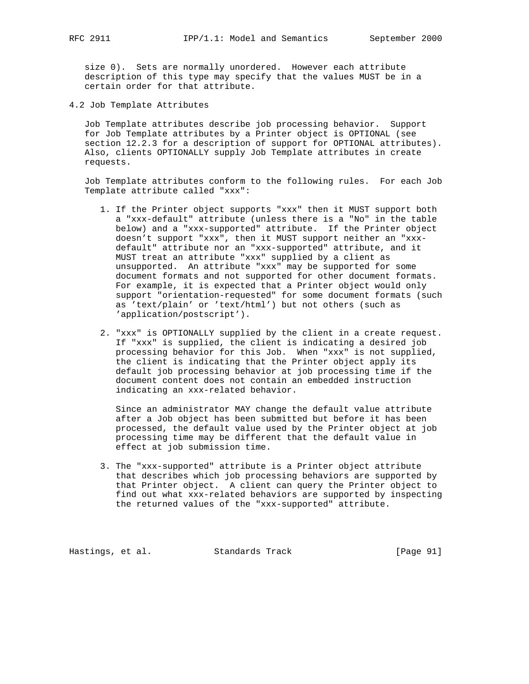size 0). Sets are normally unordered. However each attribute description of this type may specify that the values MUST be in a certain order for that attribute.

4.2 Job Template Attributes

 Job Template attributes describe job processing behavior. Support for Job Template attributes by a Printer object is OPTIONAL (see section 12.2.3 for a description of support for OPTIONAL attributes). Also, clients OPTIONALLY supply Job Template attributes in create requests.

 Job Template attributes conform to the following rules. For each Job Template attribute called "xxx":

- 1. If the Printer object supports "xxx" then it MUST support both a "xxx-default" attribute (unless there is a "No" in the table below) and a "xxx-supported" attribute. If the Printer object doesn't support "xxx", then it MUST support neither an "xxx default" attribute nor an "xxx-supported" attribute, and it MUST treat an attribute "xxx" supplied by a client as unsupported. An attribute "xxx" may be supported for some document formats and not supported for other document formats. For example, it is expected that a Printer object would only support "orientation-requested" for some document formats (such as 'text/plain' or 'text/html') but not others (such as 'application/postscript').
- 2. "xxx" is OPTIONALLY supplied by the client in a create request. If "xxx" is supplied, the client is indicating a desired job processing behavior for this Job. When "xxx" is not supplied, the client is indicating that the Printer object apply its default job processing behavior at job processing time if the document content does not contain an embedded instruction indicating an xxx-related behavior.

 Since an administrator MAY change the default value attribute after a Job object has been submitted but before it has been processed, the default value used by the Printer object at job processing time may be different that the default value in effect at job submission time.

 3. The "xxx-supported" attribute is a Printer object attribute that describes which job processing behaviors are supported by that Printer object. A client can query the Printer object to find out what xxx-related behaviors are supported by inspecting the returned values of the "xxx-supported" attribute.

Hastings, et al. Standards Track [Page 91]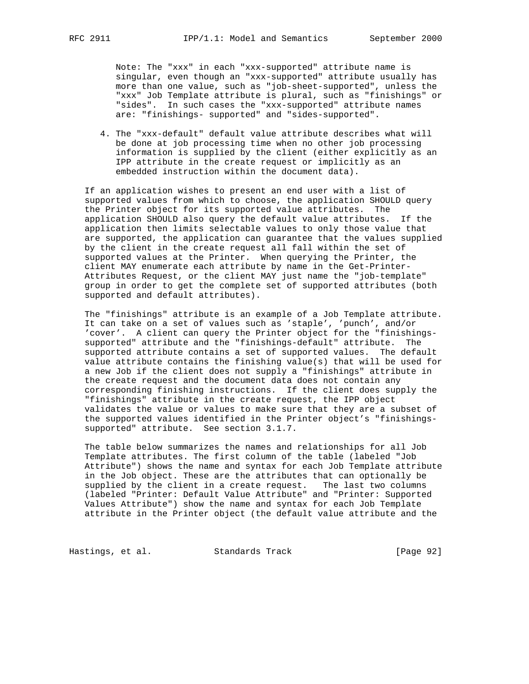Note: The "xxx" in each "xxx-supported" attribute name is singular, even though an "xxx-supported" attribute usually has more than one value, such as "job-sheet-supported", unless the "xxx" Job Template attribute is plural, such as "finishings" or "sides". In such cases the "xxx-supported" attribute names are: "finishings- supported" and "sides-supported".

 4. The "xxx-default" default value attribute describes what will be done at job processing time when no other job processing information is supplied by the client (either explicitly as an IPP attribute in the create request or implicitly as an embedded instruction within the document data).

 If an application wishes to present an end user with a list of supported values from which to choose, the application SHOULD query the Printer object for its supported value attributes. The application SHOULD also query the default value attributes. If the application then limits selectable values to only those value that are supported, the application can guarantee that the values supplied by the client in the create request all fall within the set of supported values at the Printer. When querying the Printer, the client MAY enumerate each attribute by name in the Get-Printer- Attributes Request, or the client MAY just name the "job-template" group in order to get the complete set of supported attributes (both supported and default attributes).

 The "finishings" attribute is an example of a Job Template attribute. It can take on a set of values such as 'staple', 'punch', and/or 'cover'. A client can query the Printer object for the "finishings supported" attribute and the "finishings-default" attribute. The supported attribute contains a set of supported values. The default value attribute contains the finishing value(s) that will be used for a new Job if the client does not supply a "finishings" attribute in the create request and the document data does not contain any corresponding finishing instructions. If the client does supply the "finishings" attribute in the create request, the IPP object validates the value or values to make sure that they are a subset of the supported values identified in the Printer object's "finishings supported" attribute. See section 3.1.7.

 The table below summarizes the names and relationships for all Job Template attributes. The first column of the table (labeled "Job Attribute") shows the name and syntax for each Job Template attribute in the Job object. These are the attributes that can optionally be supplied by the client in a create request. The last two columns (labeled "Printer: Default Value Attribute" and "Printer: Supported Values Attribute") show the name and syntax for each Job Template attribute in the Printer object (the default value attribute and the

Hastings, et al. Standards Track [Page 92]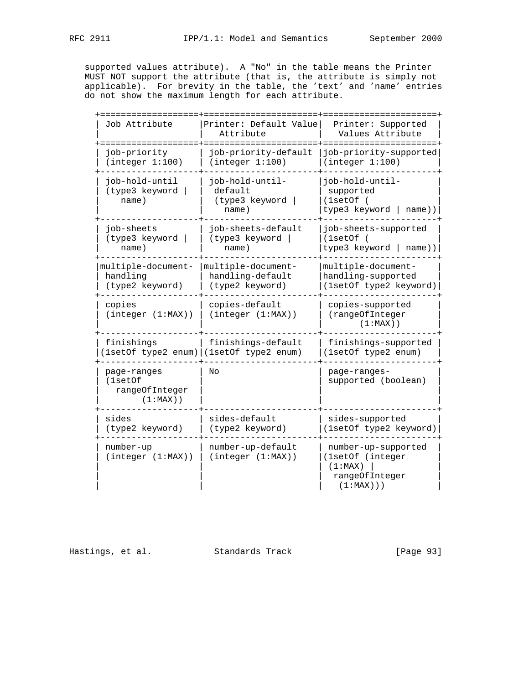supported values attribute). A "No" in the table means the Printer MUST NOT support the attribute (that is, the attribute is simply not applicable). For brevity in the table, the 'text' and 'name' entries do not show the maximum length for each attribute.

| Job Attribute                                           | Printer: Default Value<br>Attribute                            | Printer: Supported<br>Values Attribute                                               |
|---------------------------------------------------------|----------------------------------------------------------------|--------------------------------------------------------------------------------------|
| job-priority<br>(integer 1:100)                         | job-priority-default<br>(integer 1:100)                        | job-priority-supported<br>(integer 1:100)                                            |
| job-hold-until<br>(type3 keyword<br>name)               | job-hold-until-<br>default<br>(type3 keyword<br>name)          | job-hold-until-<br>supported<br>(1setOf)<br>type3 keyword  <br>name))                |
| job-sheets<br>(type3 keyword  <br>name)                 | iob-sheets-default<br>(type3 keyword  <br>name)                | job-sheets-supported<br>(1setOf)<br>type3 keyword   name))                           |
| multiple-document-<br>handling<br>(type2 keyword)       | multiple-document-<br>handling-default<br>(type2 keyword)      | multiple-document-<br>handling-supported<br>(1setOf type2 keyword)                   |
| copies<br>(integer (1:MAX))                             | copies-default<br>(integer (1:MAX))                            | copies-supported<br>(rangeOfInteger<br>$(1:MAX)$ )                                   |
| finishings                                              | finishings-default<br>1setOf type2 enum)   (1setOf type2 enum) | finishings-supported<br>(1setOf type2 enum)                                          |
| page-ranges<br>(1setOf<br>rangeOfInteger<br>$(1:MAX)$ ) | Nο                                                             | page-ranges-<br>supported (boolean)                                                  |
| sides<br>(type2 keyword)                                | sides-default<br>(type2 keyword)                               | sides-supported<br>(1setOf type2 keyword)                                            |
| number-up<br>(integer (1:MAX))                          | number-up-default<br>(integer (1:MAX))                         | number-up-supported<br>(1setOf (integer<br>(1:MAX)<br>rangeOfInteger<br>$(1:MAX)$ )) |

Hastings, et al. Standards Track [Page 93]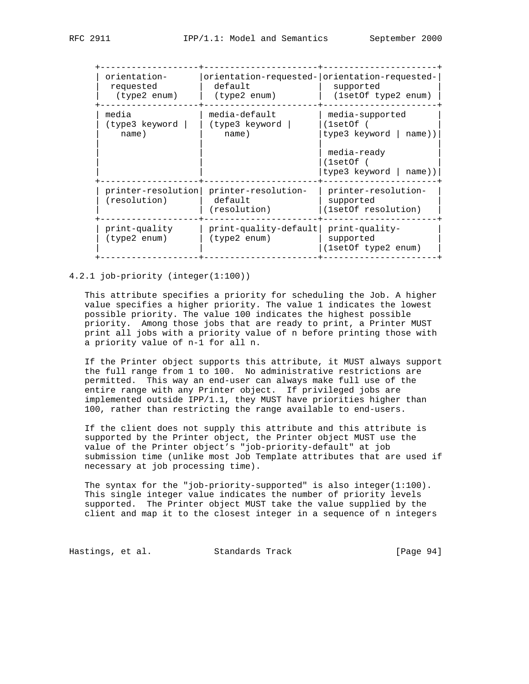| orientation-<br>requested<br>(type2 enum) | default<br>(type2 enum)                        | orientation-requested- orientation-requested-<br>supported<br>(1setOf type2 enum)                              |
|-------------------------------------------|------------------------------------------------|----------------------------------------------------------------------------------------------------------------|
| media<br>(type3 keyword<br>name)          | media-default<br>(type3 keyword<br>name)       | media-supported<br>(1setOf)<br>type3 keyword $ $ name))<br>media-ready<br>(1setOf)<br>type3 keyword $ $ name)) |
| printer-resolution <br>(resolution)       | printer-resolution-<br>default<br>(resolution) | printer-resolution-<br>supported<br>(1setOf resolution)                                                        |
| print-quality<br>(type2 enum)             | print-quality-default <br>(type2 enum)         | print-quality-<br>supported<br>(1setOf type2 enum)                                                             |
|                                           |                                                |                                                                                                                |

## 4.2.1 job-priority (integer(1:100))

 This attribute specifies a priority for scheduling the Job. A higher value specifies a higher priority. The value 1 indicates the lowest possible priority. The value 100 indicates the highest possible priority. Among those jobs that are ready to print, a Printer MUST print all jobs with a priority value of n before printing those with a priority value of n-1 for all n.

 If the Printer object supports this attribute, it MUST always support the full range from 1 to 100. No administrative restrictions are permitted. This way an end-user can always make full use of the entire range with any Printer object. If privileged jobs are implemented outside IPP/1.1, they MUST have priorities higher than 100, rather than restricting the range available to end-users.

 If the client does not supply this attribute and this attribute is supported by the Printer object, the Printer object MUST use the value of the Printer object's "job-priority-default" at job submission time (unlike most Job Template attributes that are used if necessary at job processing time).

 The syntax for the "job-priority-supported" is also integer(1:100). This single integer value indicates the number of priority levels supported. The Printer object MUST take the value supplied by the client and map it to the closest integer in a sequence of n integers

Hastings, et al. Standards Track [Page 94]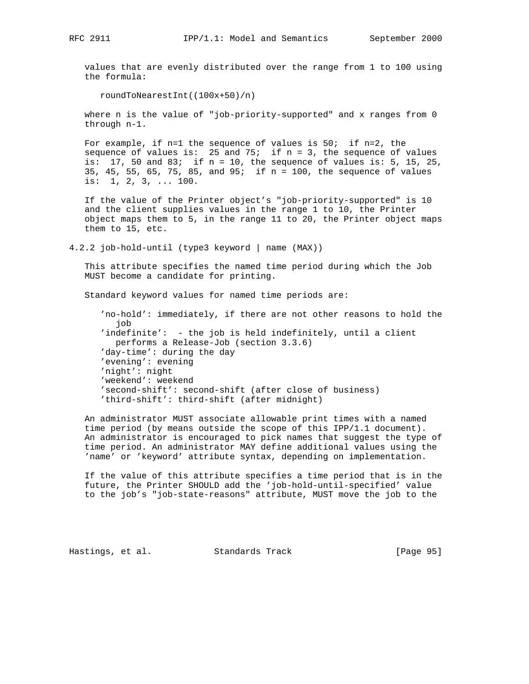values that are evenly distributed over the range from 1 to 100 using the formula:

roundToNearestInt((100x+50)/n)

 where n is the value of "job-priority-supported" and x ranges from 0 through n-1.

For example, if  $n=1$  the sequence of values is  $50$ ; if  $n=2$ , the sequence of values is: 25 and 75; if  $n = 3$ , the sequence of values is:  $17$ , 50 and  $83$ ; if n = 10, the sequence of values is: 5, 15, 25, 35, 45, 55, 65, 75, 85, and 95; if n = 100, the sequence of values is: 1, 2, 3, ... 100.

 If the value of the Printer object's "job-priority-supported" is 10 and the client supplies values in the range 1 to 10, the Printer object maps them to 5, in the range 11 to 20, the Printer object maps them to 15, etc.

4.2.2 job-hold-until (type3 keyword | name (MAX))

 This attribute specifies the named time period during which the Job MUST become a candidate for printing.

Standard keyword values for named time periods are:

 'no-hold': immediately, if there are not other reasons to hold the job 'indefinite': - the job is held indefinitely, until a client performs a Release-Job (section 3.3.6) 'day-time': during the day 'evening': evening 'night': night 'weekend': weekend 'second-shift': second-shift (after close of business) 'third-shift': third-shift (after midnight)

 An administrator MUST associate allowable print times with a named time period (by means outside the scope of this IPP/1.1 document). An administrator is encouraged to pick names that suggest the type of time period. An administrator MAY define additional values using the 'name' or 'keyword' attribute syntax, depending on implementation.

 If the value of this attribute specifies a time period that is in the future, the Printer SHOULD add the 'job-hold-until-specified' value to the job's "job-state-reasons" attribute, MUST move the job to the

Hastings, et al. Standards Track [Page 95]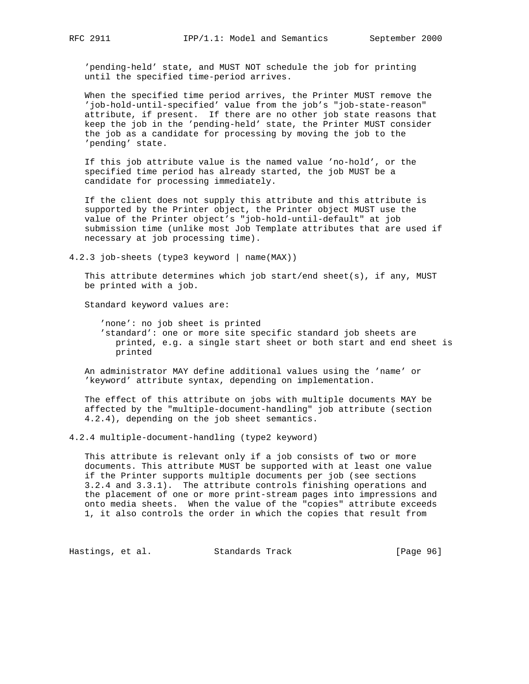'pending-held' state, and MUST NOT schedule the job for printing until the specified time-period arrives.

 When the specified time period arrives, the Printer MUST remove the 'job-hold-until-specified' value from the job's "job-state-reason" attribute, if present. If there are no other job state reasons that keep the job in the 'pending-held' state, the Printer MUST consider the job as a candidate for processing by moving the job to the 'pending' state.

 If this job attribute value is the named value 'no-hold', or the specified time period has already started, the job MUST be a candidate for processing immediately.

 If the client does not supply this attribute and this attribute is supported by the Printer object, the Printer object MUST use the value of the Printer object's "job-hold-until-default" at job submission time (unlike most Job Template attributes that are used if necessary at job processing time).

4.2.3 job-sheets (type3 keyword | name(MAX))

 This attribute determines which job start/end sheet(s), if any, MUST be printed with a job.

Standard keyword values are:

 'none': no job sheet is printed 'standard': one or more site specific standard job sheets are printed, e.g. a single start sheet or both start and end sheet is printed

 An administrator MAY define additional values using the 'name' or 'keyword' attribute syntax, depending on implementation.

 The effect of this attribute on jobs with multiple documents MAY be affected by the "multiple-document-handling" job attribute (section 4.2.4), depending on the job sheet semantics.

4.2.4 multiple-document-handling (type2 keyword)

 This attribute is relevant only if a job consists of two or more documents. This attribute MUST be supported with at least one value if the Printer supports multiple documents per job (see sections 3.2.4 and 3.3.1). The attribute controls finishing operations and the placement of one or more print-stream pages into impressions and onto media sheets. When the value of the "copies" attribute exceeds 1, it also controls the order in which the copies that result from

Hastings, et al. Standards Track [Page 96]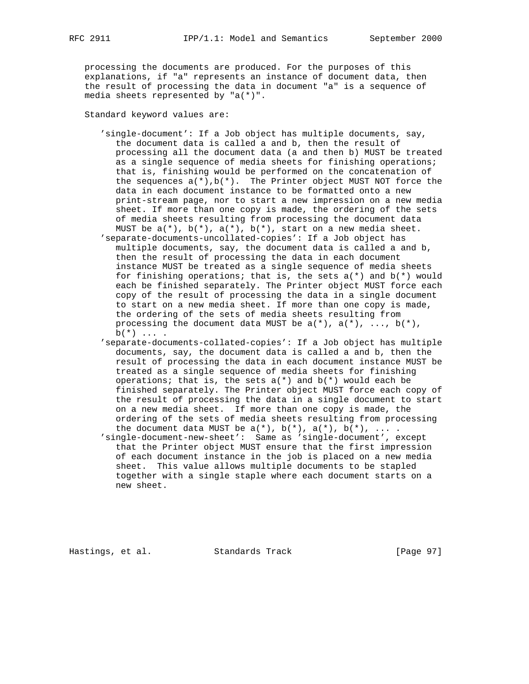processing the documents are produced. For the purposes of this explanations, if "a" represents an instance of document data, then the result of processing the data in document "a" is a sequence of media sheets represented by "a(\*)".

Standard keyword values are:

- 'single-document': If a Job object has multiple documents, say, the document data is called a and b, then the result of processing all the document data (a and then b) MUST be treated as a single sequence of media sheets for finishing operations; that is, finishing would be performed on the concatenation of the sequences  $a(*)$ ,  $b(*)$ . The Printer object MUST NOT force the data in each document instance to be formatted onto a new print-stream page, nor to start a new impression on a new media sheet. If more than one copy is made, the ordering of the sets of media sheets resulting from processing the document data MUST be  $a(*)$ ,  $b(*)$ ,  $a(*)$ ,  $b(*)$ ,  $b(*)$ , start on a new media sheet.
- 'separate-documents-uncollated-copies': If a Job object has multiple documents, say, the document data is called a and b, then the result of processing the data in each document instance MUST be treated as a single sequence of media sheets for finishing operations; that is, the sets  $a(*)$  and  $b(*)$  would each be finished separately. The Printer object MUST force each copy of the result of processing the data in a single document to start on a new media sheet. If more than one copy is made, the ordering of the sets of media sheets resulting from processing the document data MUST be  $a(*)$ ,  $a(*)$ , ...,  $b(*)$ ,  $b(*) \ldots$ .
- 'separate-documents-collated-copies': If a Job object has multiple documents, say, the document data is called a and b, then the result of processing the data in each document instance MUST be treated as a single sequence of media sheets for finishing operations; that is, the sets  $a(*)$  and  $b(*)$  would each be finished separately. The Printer object MUST force each copy of the result of processing the data in a single document to start on a new media sheet. If more than one copy is made, the ordering of the sets of media sheets resulting from processing the document data MUST be  $a(*)$ ,  $b(*)$ ,  $a(*)$ ,  $b(*)$ , ....
- 'single-document-new-sheet': Same as 'single-document', except that the Printer object MUST ensure that the first impression of each document instance in the job is placed on a new media sheet. This value allows multiple documents to be stapled together with a single staple where each document starts on a new sheet.

Hastings, et al. Standards Track [Page 97]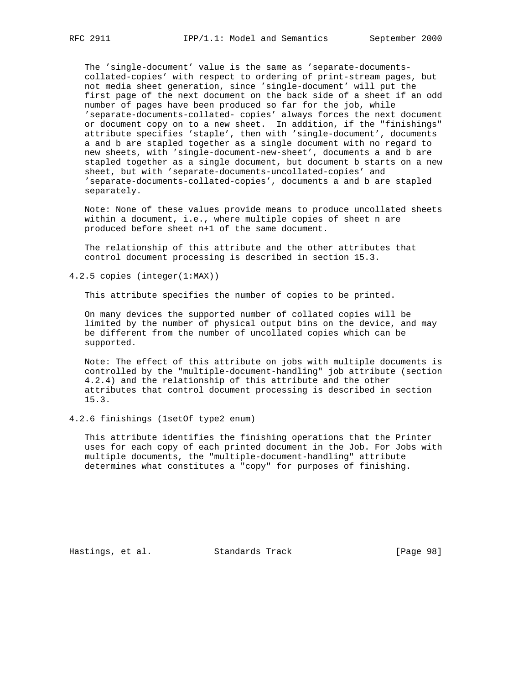The 'single-document' value is the same as 'separate-documents collated-copies' with respect to ordering of print-stream pages, but not media sheet generation, since 'single-document' will put the first page of the next document on the back side of a sheet if an odd number of pages have been produced so far for the job, while 'separate-documents-collated- copies' always forces the next document or document copy on to a new sheet. In addition, if the "finishings" attribute specifies 'staple', then with 'single-document', documents a and b are stapled together as a single document with no regard to new sheets, with 'single-document-new-sheet', documents a and b are stapled together as a single document, but document b starts on a new sheet, but with 'separate-documents-uncollated-copies' and 'separate-documents-collated-copies', documents a and b are stapled separately.

 Note: None of these values provide means to produce uncollated sheets within a document, i.e., where multiple copies of sheet n are produced before sheet n+1 of the same document.

 The relationship of this attribute and the other attributes that control document processing is described in section 15.3.

4.2.5 copies (integer(1:MAX))

This attribute specifies the number of copies to be printed.

 On many devices the supported number of collated copies will be limited by the number of physical output bins on the device, and may be different from the number of uncollated copies which can be supported.

 Note: The effect of this attribute on jobs with multiple documents is controlled by the "multiple-document-handling" job attribute (section 4.2.4) and the relationship of this attribute and the other attributes that control document processing is described in section 15.3.

4.2.6 finishings (1setOf type2 enum)

 This attribute identifies the finishing operations that the Printer uses for each copy of each printed document in the Job. For Jobs with multiple documents, the "multiple-document-handling" attribute determines what constitutes a "copy" for purposes of finishing.

Hastings, et al. Standards Track [Page 98]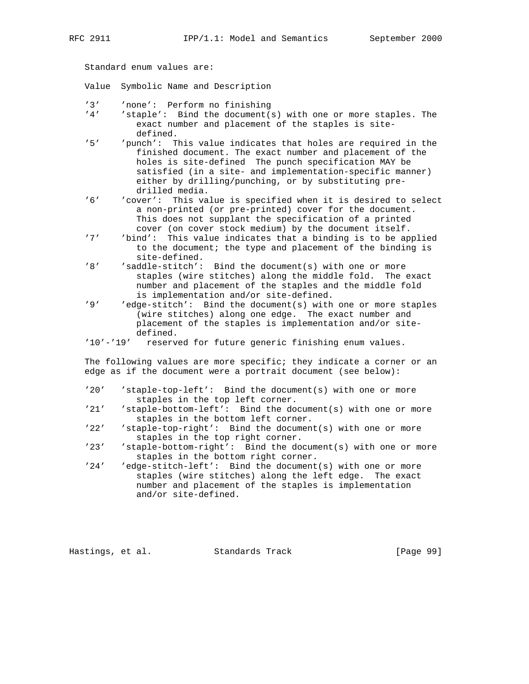Standard enum values are:

Value Symbolic Name and Description

- '3' 'none': Perform no finishing<br>'4' 'staple': Bind the document(s
- $'$  staple': Bind the document(s) with one or more staples. The exact number and placement of the staples is site defined.<br>'5' 'nunch': T
- 'punch': This value indicates that holes are required in the finished document. The exact number and placement of the holes is site-defined The punch specification MAY be satisfied (in a site- and implementation-specific manner) either by drilling/punching, or by substituting pre drilled media.<br>6' cover': This va
- 'cover': This value is specified when it is desired to select a non-printed (or pre-printed) cover for the document. This does not supplant the specification of a printed cover (on cover stock medium) by the document itself.<br>'7' (bind': This value indicates that a binding is to be ap
- 'bind': This value indicates that a binding is to be applied to the document; the type and placement of the binding is site-defined.<br>8' saddle-stitch':
- 'saddle-stitch': Bind the document(s) with one or more staples (wire stitches) along the middle fold. The exact number and placement of the staples and the middle fold is implementation and/or site-defined.<br>'9' 'edge-stitch': Bind the document(s) with
- 'edge-stitch': Bind the document(s) with one or more staples (wire stitches) along one edge. The exact number and placement of the staples is implementation and/or site defined.
- '10'-'19' reserved for future generic finishing enum values.

 The following values are more specific; they indicate a corner or an edge as if the document were a portrait document (see below):

- '20' 'staple-top-left': Bind the document(s) with one or more staples in the top left corner.<br>'21' 'staple-bottom-left': Bind the do-
- 'staple-bottom-left': Bind the document(s) with one or more staples in the bottom left corner.
- '22' 'staple-top-right': Bind the document(s) with one or more staples in the top right corner.
- '23' 'staple-bottom-right': Bind the document(s) with one or more staples in the bottom right corner.<br>'24' 'edge-stitch-left': Bind the document
- 'edge-stitch-left': Bind the document(s) with one or more staples (wire stitches) along the left edge. The exact number and placement of the staples is implementation and/or site-defined.

Hastings, et al. Standards Track [Page 99]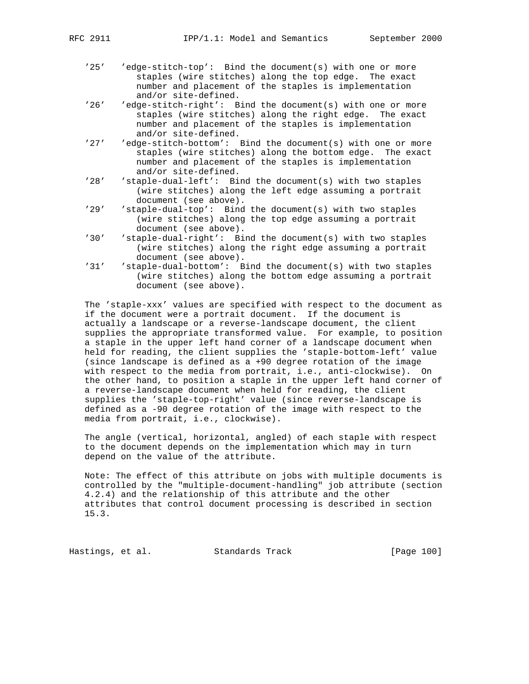- '25' 'edge-stitch-top': Bind the document(s) with one or more staples (wire stitches) along the top edge. The exact number and placement of the staples is implementation and/or site-defined.<br>26' 'edge-stitch-right': B
- 'edge-stitch-right': Bind the document(s) with one or more staples (wire stitches) along the right edge. The exact number and placement of the staples is implementation and/or site-defined.<br>27' dedge-stitch-bottom':
- 'edge-stitch-bottom': Bind the document(s) with one or more staples (wire stitches) along the bottom edge. The exact number and placement of the staples is implementation and/or site-defined.<br>'28' 'staple-dual-left': Bi
- 'staple-dual-left': Bind the document(s) with two staples (wire stitches) along the left edge assuming a portrait document (see above).
- '29' 'staple-dual-top': Bind the document(s) with two staples (wire stitches) along the top edge assuming a portrait document (see above).<br>30' 'staple-dual-right': Bi
- 'staple-dual-right': Bind the document(s) with two staples (wire stitches) along the right edge assuming a portrait document (see above).
- '31' 'staple-dual-bottom': Bind the document(s) with two staples (wire stitches) along the bottom edge assuming a portrait document (see above).

 The 'staple-xxx' values are specified with respect to the document as if the document were a portrait document. If the document is actually a landscape or a reverse-landscape document, the client supplies the appropriate transformed value. For example, to position a staple in the upper left hand corner of a landscape document when held for reading, the client supplies the 'staple-bottom-left' value (since landscape is defined as a +90 degree rotation of the image with respect to the media from portrait, i.e., anti-clockwise). On the other hand, to position a staple in the upper left hand corner of a reverse-landscape document when held for reading, the client supplies the 'staple-top-right' value (since reverse-landscape is defined as a -90 degree rotation of the image with respect to the media from portrait, i.e., clockwise).

 The angle (vertical, horizontal, angled) of each staple with respect to the document depends on the implementation which may in turn depend on the value of the attribute.

 Note: The effect of this attribute on jobs with multiple documents is controlled by the "multiple-document-handling" job attribute (section 4.2.4) and the relationship of this attribute and the other attributes that control document processing is described in section 15.3.

Hastings, et al. Standards Track [Page 100]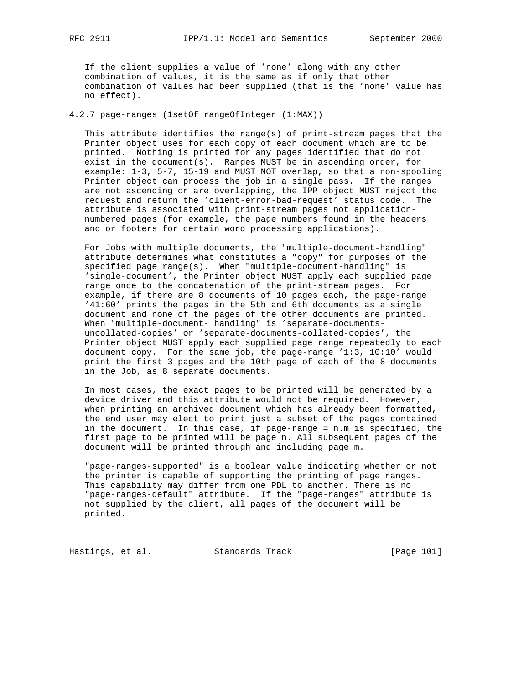If the client supplies a value of 'none' along with any other combination of values, it is the same as if only that other combination of values had been supplied (that is the 'none' value has no effect).

4.2.7 page-ranges (1setOf rangeOfInteger (1:MAX))

 This attribute identifies the range(s) of print-stream pages that the Printer object uses for each copy of each document which are to be printed. Nothing is printed for any pages identified that do not exist in the document(s). Ranges MUST be in ascending order, for example: 1-3, 5-7, 15-19 and MUST NOT overlap, so that a non-spooling Printer object can process the job in a single pass. If the ranges are not ascending or are overlapping, the IPP object MUST reject the request and return the 'client-error-bad-request' status code. The attribute is associated with print-stream pages not application numbered pages (for example, the page numbers found in the headers and or footers for certain word processing applications).

 For Jobs with multiple documents, the "multiple-document-handling" attribute determines what constitutes a "copy" for purposes of the specified page range(s). When "multiple-document-handling" is 'single-document', the Printer object MUST apply each supplied page range once to the concatenation of the print-stream pages. For example, if there are 8 documents of 10 pages each, the page-range '41:60' prints the pages in the 5th and 6th documents as a single document and none of the pages of the other documents are printed. When "multiple-document- handling" is 'separate-documents uncollated-copies' or 'separate-documents-collated-copies', the Printer object MUST apply each supplied page range repeatedly to each document copy. For the same job, the page-range '1:3, 10:10' would print the first 3 pages and the 10th page of each of the 8 documents in the Job, as 8 separate documents.

 In most cases, the exact pages to be printed will be generated by a device driver and this attribute would not be required. However, when printing an archived document which has already been formatted, the end user may elect to print just a subset of the pages contained in the document. In this case, if page-range = n.m is specified, the first page to be printed will be page n. All subsequent pages of the document will be printed through and including page m.

 "page-ranges-supported" is a boolean value indicating whether or not the printer is capable of supporting the printing of page ranges. This capability may differ from one PDL to another. There is no "page-ranges-default" attribute. If the "page-ranges" attribute is not supplied by the client, all pages of the document will be printed.

Hastings, et al. Standards Track [Page 101]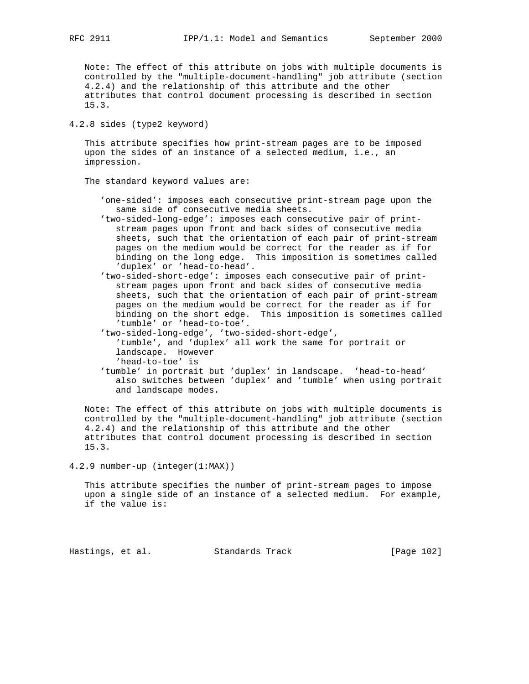Note: The effect of this attribute on jobs with multiple documents is controlled by the "multiple-document-handling" job attribute (section 4.2.4) and the relationship of this attribute and the other attributes that control document processing is described in section 15.3.

4.2.8 sides (type2 keyword)

 This attribute specifies how print-stream pages are to be imposed upon the sides of an instance of a selected medium, i.e., an impression.

The standard keyword values are:

- 'one-sided': imposes each consecutive print-stream page upon the same side of consecutive media sheets.
- 'two-sided-long-edge': imposes each consecutive pair of print stream pages upon front and back sides of consecutive media sheets, such that the orientation of each pair of print-stream pages on the medium would be correct for the reader as if for binding on the long edge. This imposition is sometimes called 'duplex' or 'head-to-head'.
- 'two-sided-short-edge': imposes each consecutive pair of print stream pages upon front and back sides of consecutive media sheets, such that the orientation of each pair of print-stream pages on the medium would be correct for the reader as if for binding on the short edge. This imposition is sometimes called 'tumble' or 'head-to-toe'.
- 'two-sided-long-edge', 'two-sided-short-edge',
	- 'tumble', and 'duplex' all work the same for portrait or landscape. However
	- 'head-to-toe' is
- 'tumble' in portrait but 'duplex' in landscape. 'head-to-head' also switches between 'duplex' and 'tumble' when using portrait and landscape modes.

 Note: The effect of this attribute on jobs with multiple documents is controlled by the "multiple-document-handling" job attribute (section 4.2.4) and the relationship of this attribute and the other attributes that control document processing is described in section 15.3.

4.2.9 number-up (integer(1:MAX))

 This attribute specifies the number of print-stream pages to impose upon a single side of an instance of a selected medium. For example, if the value is:

Hastings, et al. Standards Track [Page 102]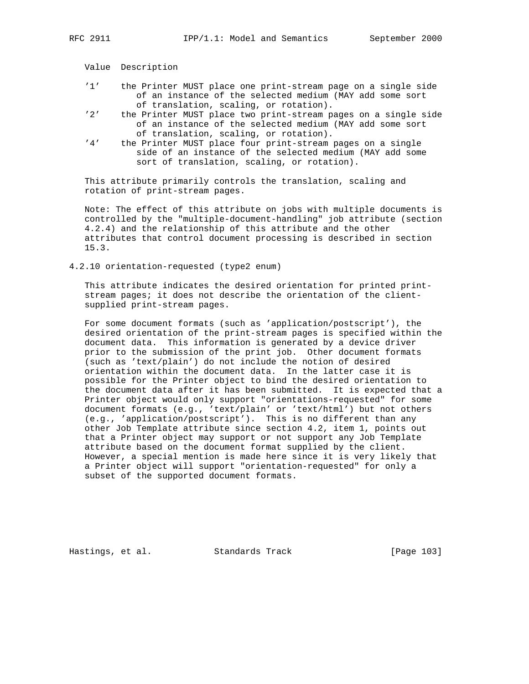Value Description

- '1' the Printer MUST place one print-stream page on a single side of an instance of the selected medium (MAY add some sort of translation, scaling, or rotation).<br>2' the Printer MUST place two print-stream p.
- the Printer MUST place two print-stream pages on a single side of an instance of the selected medium (MAY add some sort of translation, scaling, or rotation).<br>'4' the Printer MUST place four print-stream
- the Printer MUST place four print-stream pages on a single side of an instance of the selected medium (MAY add some sort of translation, scaling, or rotation).

 This attribute primarily controls the translation, scaling and rotation of print-stream pages.

 Note: The effect of this attribute on jobs with multiple documents is controlled by the "multiple-document-handling" job attribute (section 4.2.4) and the relationship of this attribute and the other attributes that control document processing is described in section 15.3.

4.2.10 orientation-requested (type2 enum)

 This attribute indicates the desired orientation for printed print stream pages; it does not describe the orientation of the client supplied print-stream pages.

 For some document formats (such as 'application/postscript'), the desired orientation of the print-stream pages is specified within the document data. This information is generated by a device driver prior to the submission of the print job. Other document formats (such as 'text/plain') do not include the notion of desired orientation within the document data. In the latter case it is possible for the Printer object to bind the desired orientation to the document data after it has been submitted. It is expected that a Printer object would only support "orientations-requested" for some document formats (e.g., 'text/plain' or 'text/html') but not others (e.g., 'application/postscript'). This is no different than any other Job Template attribute since section 4.2, item 1, points out that a Printer object may support or not support any Job Template attribute based on the document format supplied by the client. However, a special mention is made here since it is very likely that a Printer object will support "orientation-requested" for only a subset of the supported document formats.

Hastings, et al. Standards Track [Page 103]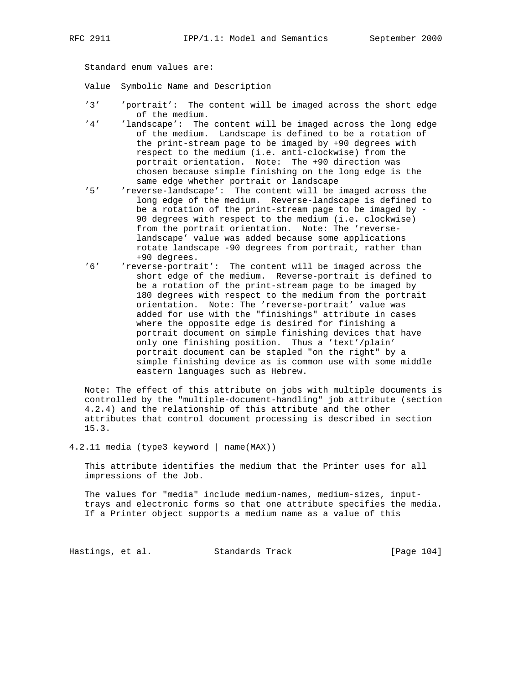Standard enum values are:

Value Symbolic Name and Description

- '3' 'portrait': The content will be imaged across the short edge of the medium.<br>'4' 'landscape': The
- 'landscape': The content will be imaged across the long edge of the medium. Landscape is defined to be a rotation of the print-stream page to be imaged by +90 degrees with respect to the medium (i.e. anti-clockwise) from the portrait orientation. Note: The +90 direction was chosen because simple finishing on the long edge is the same edge whether portrait or landscape<br>'5' (reverse-landscape': The content will be
- 'reverse-landscape': The content will be imaged across the long edge of the medium. Reverse-landscape is defined to be a rotation of the print-stream page to be imaged by - 90 degrees with respect to the medium (i.e. clockwise) from the portrait orientation. Note: The 'reverse landscape' value was added because some applications rotate landscape -90 degrees from portrait, rather than +90 degrees.<br>6' reverse-portra'
- 'reverse-portrait': The content will be imaged across the short edge of the medium. Reverse-portrait is defined to be a rotation of the print-stream page to be imaged by 180 degrees with respect to the medium from the portrait orientation. Note: The 'reverse-portrait' value was added for use with the "finishings" attribute in cases where the opposite edge is desired for finishing a portrait document on simple finishing devices that have only one finishing position. Thus a 'text'/plain' portrait document can be stapled "on the right" by a simple finishing device as is common use with some middle eastern languages such as Hebrew.

 Note: The effect of this attribute on jobs with multiple documents is controlled by the "multiple-document-handling" job attribute (section 4.2.4) and the relationship of this attribute and the other attributes that control document processing is described in section 15.3.

4.2.11 media (type3 keyword | name(MAX))

 This attribute identifies the medium that the Printer uses for all impressions of the Job.

 The values for "media" include medium-names, medium-sizes, input trays and electronic forms so that one attribute specifies the media. If a Printer object supports a medium name as a value of this

Hastings, et al. Standards Track [Page 104]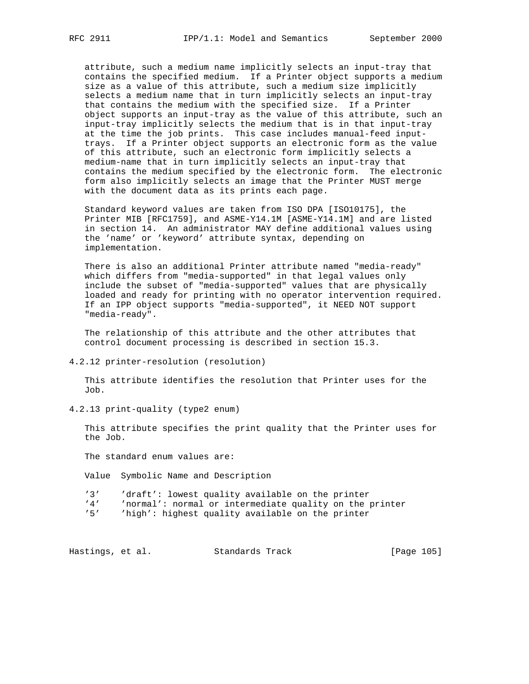attribute, such a medium name implicitly selects an input-tray that contains the specified medium. If a Printer object supports a medium size as a value of this attribute, such a medium size implicitly selects a medium name that in turn implicitly selects an input-tray that contains the medium with the specified size. If a Printer object supports an input-tray as the value of this attribute, such an input-tray implicitly selects the medium that is in that input-tray at the time the job prints. This case includes manual-feed input trays. If a Printer object supports an electronic form as the value of this attribute, such an electronic form implicitly selects a medium-name that in turn implicitly selects an input-tray that contains the medium specified by the electronic form. The electronic form also implicitly selects an image that the Printer MUST merge with the document data as its prints each page.

 Standard keyword values are taken from ISO DPA [ISO10175], the Printer MIB [RFC1759], and ASME-Y14.1M [ASME-Y14.1M] and are listed in section 14. An administrator MAY define additional values using the 'name' or 'keyword' attribute syntax, depending on implementation.

 There is also an additional Printer attribute named "media-ready" which differs from "media-supported" in that legal values only include the subset of "media-supported" values that are physically loaded and ready for printing with no operator intervention required. If an IPP object supports "media-supported", it NEED NOT support "media-ready".

 The relationship of this attribute and the other attributes that control document processing is described in section 15.3.

4.2.12 printer-resolution (resolution)

 This attribute identifies the resolution that Printer uses for the Job.

4.2.13 print-quality (type2 enum)

 This attribute specifies the print quality that the Printer uses for the Job.

The standard enum values are:

Value Symbolic Name and Description

'3' 'draft': lowest quality available on the printer

'4' 'normal': normal or intermediate quality on the printer<br>'5' 'high': highest quality available on the printer

'high': highest quality available on the printer

Hastings, et al. Standards Track [Page 105]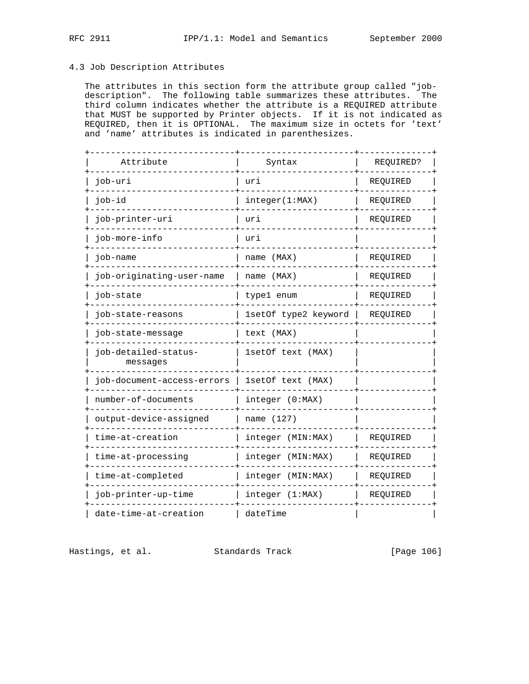# 4.3 Job Description Attributes

 The attributes in this section form the attribute group called "job description". The following table summarizes these attributes. The third column indicates whether the attribute is a REQUIRED attribute that MUST be supported by Printer objects. If it is not indicated as REQUIRED, then it is OPTIONAL. The maximum size in octets for 'text' and 'name' attributes is indicated in parenthesizes.

| Attribute                        | Syntax               | REQUIRED? |
|----------------------------------|----------------------|-----------|
| job-uri                          | uri                  | REQUIRED  |
| job-id                           | integer(1:MAX)       | REQUIRED  |
| job-printer-uri                  | uri                  | REQUIRED  |
| job-more-info                    | uri                  |           |
| job-name                         | name (MAX)           | REQUIRED  |
| job-originating-user-name        | name (MAX)           | REQUIRED  |
| job-state                        | type1 enum           | REQUIRED  |
| job-state-reasons                | 1setOf type2 keyword | REQUIRED  |
| job-state-message                | text (MAX)           |           |
| job-detailed-status-<br>messages | 1setOf text (MAX)    |           |
| iob-document-access-errors       | 1setOf text (MAX)    |           |
| number-of-documents              | integer (0:MAX)      |           |
| output-device-assigned           | name (127)           |           |
| time-at-creation                 | integer (MIN:MAX)    | REQUIRED  |
| time-at-processing               | integer (MIN:MAX)    | REQUIRED  |
| time-at-completed                | integer (MIN:MAX)    | REQUIRED  |
| job-printer-up-time              | integer (1:MAX)      | REQUIRED  |
| date-time-at-creation            | dateTime             |           |

Hastings, et al. Standards Track [Page 106]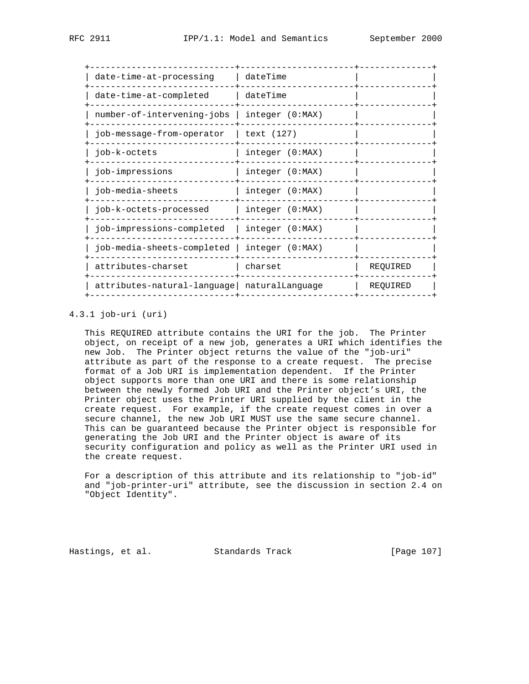| date-time-at-processing                      | dateTime        |          |
|----------------------------------------------|-----------------|----------|
| date-time-at-completed                       | dateTime        |          |
| number-of-intervening-jobs                   | integer (0:MAX) |          |
| job-message-from-operator                    | text (127)      |          |
| job-k-octets                                 | integer (0:MAX) |          |
| job-impressions                              | integer (0:MAX) |          |
| job-media-sheets                             | integer (0:MAX) |          |
| job-k-octets-processed                       | integer (0:MAX) |          |
| job-impressions-completed                    | integer (0:MAX) |          |
| job-media-sheets-completed                   | integer (0:MAX) |          |
| attributes-charset                           | charset         | REOUIRED |
| attributes-natural-language  naturalLanguage |                 | REQUIRED |
|                                              |                 |          |

# 4.3.1 job-uri (uri)

 This REQUIRED attribute contains the URI for the job. The Printer object, on receipt of a new job, generates a URI which identifies the new Job. The Printer object returns the value of the "job-uri" attribute as part of the response to a create request. The precise format of a Job URI is implementation dependent. If the Printer object supports more than one URI and there is some relationship between the newly formed Job URI and the Printer object's URI, the Printer object uses the Printer URI supplied by the client in the create request. For example, if the create request comes in over a secure channel, the new Job URI MUST use the same secure channel. This can be guaranteed because the Printer object is responsible for generating the Job URI and the Printer object is aware of its security configuration and policy as well as the Printer URI used in the create request.

 For a description of this attribute and its relationship to "job-id" and "job-printer-uri" attribute, see the discussion in section 2.4 on "Object Identity".

Hastings, et al. Standards Track [Page 107]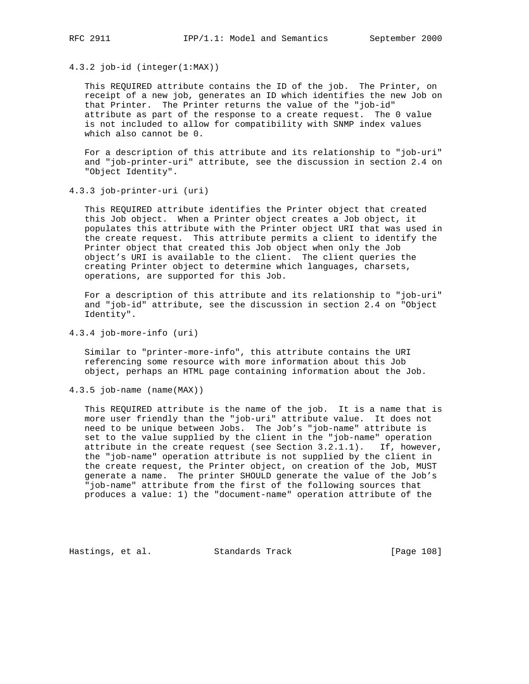4.3.2 job-id (integer(1:MAX))

 This REQUIRED attribute contains the ID of the job. The Printer, on receipt of a new job, generates an ID which identifies the new Job on that Printer. The Printer returns the value of the "job-id" attribute as part of the response to a create request. The 0 value is not included to allow for compatibility with SNMP index values which also cannot be 0.

 For a description of this attribute and its relationship to "job-uri" and "job-printer-uri" attribute, see the discussion in section 2.4 on "Object Identity".

4.3.3 job-printer-uri (uri)

 This REQUIRED attribute identifies the Printer object that created this Job object. When a Printer object creates a Job object, it populates this attribute with the Printer object URI that was used in the create request. This attribute permits a client to identify the Printer object that created this Job object when only the Job object's URI is available to the client. The client queries the creating Printer object to determine which languages, charsets, operations, are supported for this Job.

 For a description of this attribute and its relationship to "job-uri" and "job-id" attribute, see the discussion in section 2.4 on "Object Identity".

4.3.4 job-more-info (uri)

 Similar to "printer-more-info", this attribute contains the URI referencing some resource with more information about this Job object, perhaps an HTML page containing information about the Job.

4.3.5 job-name (name(MAX))

 This REQUIRED attribute is the name of the job. It is a name that is more user friendly than the "job-uri" attribute value. It does not need to be unique between Jobs. The Job's "job-name" attribute is set to the value supplied by the client in the "job-name" operation attribute in the create request (see Section 3.2.1.1). If, however, the "job-name" operation attribute is not supplied by the client in the create request, the Printer object, on creation of the Job, MUST generate a name. The printer SHOULD generate the value of the Job's "job-name" attribute from the first of the following sources that produces a value: 1) the "document-name" operation attribute of the

Hastings, et al. Standards Track [Page 108]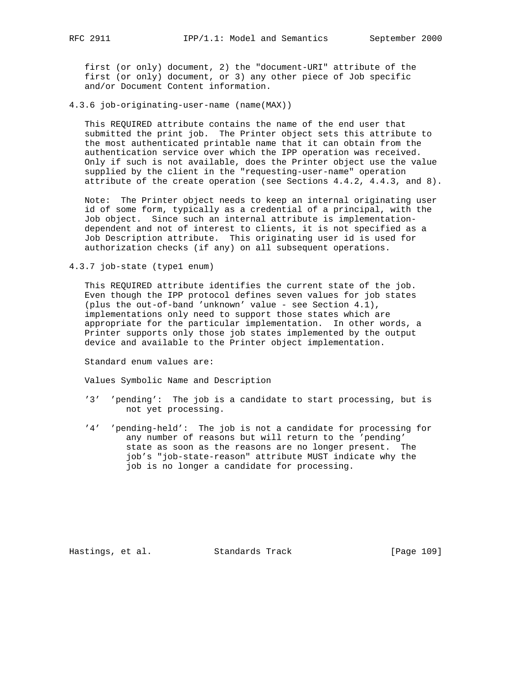first (or only) document, 2) the "document-URI" attribute of the first (or only) document, or 3) any other piece of Job specific and/or Document Content information.

4.3.6 job-originating-user-name (name(MAX))

 This REQUIRED attribute contains the name of the end user that submitted the print job. The Printer object sets this attribute to the most authenticated printable name that it can obtain from the authentication service over which the IPP operation was received. Only if such is not available, does the Printer object use the value supplied by the client in the "requesting-user-name" operation attribute of the create operation (see Sections 4.4.2, 4.4.3, and 8).

 Note: The Printer object needs to keep an internal originating user id of some form, typically as a credential of a principal, with the Job object. Since such an internal attribute is implementation dependent and not of interest to clients, it is not specified as a Job Description attribute. This originating user id is used for authorization checks (if any) on all subsequent operations.

4.3.7 job-state (type1 enum)

 This REQUIRED attribute identifies the current state of the job. Even though the IPP protocol defines seven values for job states (plus the out-of-band 'unknown' value - see Section 4.1), implementations only need to support those states which are appropriate for the particular implementation. In other words, a Printer supports only those job states implemented by the output device and available to the Printer object implementation.

Standard enum values are:

Values Symbolic Name and Description

- '3' 'pending': The job is a candidate to start processing, but is not yet processing.
- '4' 'pending-held': The job is not a candidate for processing for any number of reasons but will return to the 'pending' state as soon as the reasons are no longer present. The job's "job-state-reason" attribute MUST indicate why the job is no longer a candidate for processing.

Hastings, et al. Standards Track [Page 109]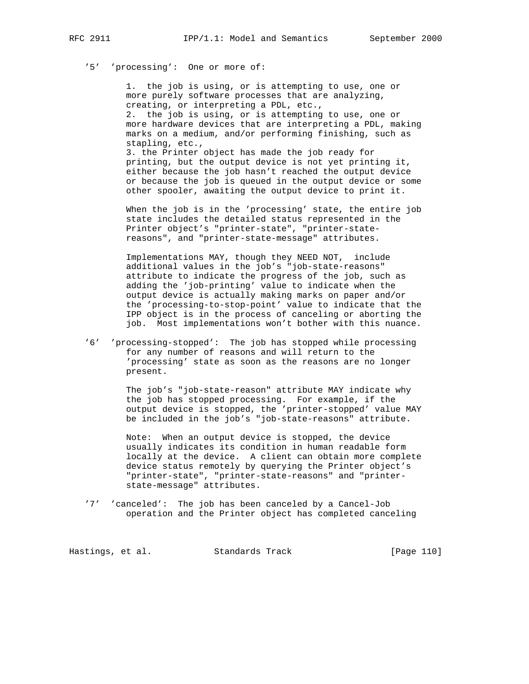# '5' 'processing': One or more of:

 1. the job is using, or is attempting to use, one or more purely software processes that are analyzing, creating, or interpreting a PDL, etc., 2. the job is using, or is attempting to use, one or more hardware devices that are interpreting a PDL, making marks on a medium, and/or performing finishing, such as stapling, etc., 3. the Printer object has made the job ready for

 printing, but the output device is not yet printing it, either because the job hasn't reached the output device or because the job is queued in the output device or some other spooler, awaiting the output device to print it.

 When the job is in the 'processing' state, the entire job state includes the detailed status represented in the Printer object's "printer-state", "printer-state reasons", and "printer-state-message" attributes.

 Implementations MAY, though they NEED NOT, include additional values in the job's "job-state-reasons" attribute to indicate the progress of the job, such as adding the 'job-printing' value to indicate when the output device is actually making marks on paper and/or the 'processing-to-stop-point' value to indicate that the IPP object is in the process of canceling or aborting the job. Most implementations won't bother with this nuance.

 '6' 'processing-stopped': The job has stopped while processing for any number of reasons and will return to the 'processing' state as soon as the reasons are no longer present.

> The job's "job-state-reason" attribute MAY indicate why the job has stopped processing. For example, if the output device is stopped, the 'printer-stopped' value MAY be included in the job's "job-state-reasons" attribute.

> Note: When an output device is stopped, the device usually indicates its condition in human readable form locally at the device. A client can obtain more complete device status remotely by querying the Printer object's "printer-state", "printer-state-reasons" and "printer state-message" attributes.

 '7' 'canceled': The job has been canceled by a Cancel-Job operation and the Printer object has completed canceling

Hastings, et al. Standards Track [Page 110]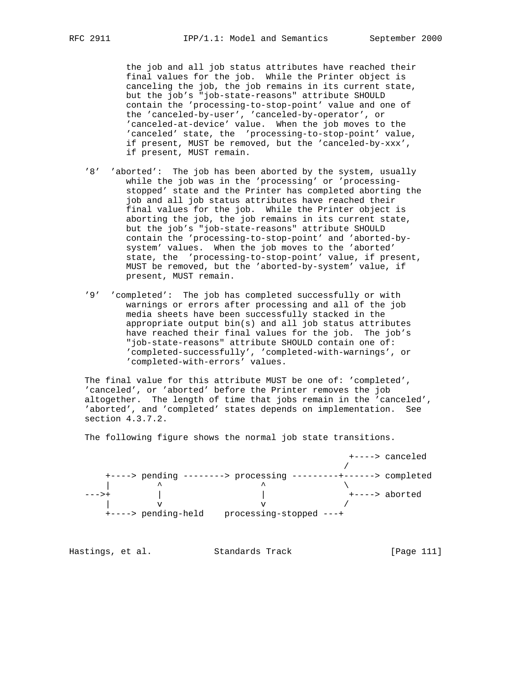the job and all job status attributes have reached their final values for the job. While the Printer object is canceling the job, the job remains in its current state, but the job's "job-state-reasons" attribute SHOULD contain the 'processing-to-stop-point' value and one of the 'canceled-by-user', 'canceled-by-operator', or 'canceled-at-device' value. When the job moves to the 'canceled' state, the 'processing-to-stop-point' value, if present, MUST be removed, but the 'canceled-by-xxx', if present, MUST remain.

- '8' 'aborted': The job has been aborted by the system, usually while the job was in the 'processing' or 'processing stopped' state and the Printer has completed aborting the job and all job status attributes have reached their final values for the job. While the Printer object is aborting the job, the job remains in its current state, but the job's "job-state-reasons" attribute SHOULD contain the 'processing-to-stop-point' and 'aborted-by system' values. When the job moves to the 'aborted' state, the 'processing-to-stop-point' value, if present, MUST be removed, but the 'aborted-by-system' value, if present, MUST remain.
- '9' 'completed': The job has completed successfully or with warnings or errors after processing and all of the job media sheets have been successfully stacked in the appropriate output bin(s) and all job status attributes have reached their final values for the job. The job's "job-state-reasons" attribute SHOULD contain one of: 'completed-successfully', 'completed-with-warnings', or 'completed-with-errors' values.

 The final value for this attribute MUST be one of: 'completed', 'canceled', or 'aborted' before the Printer removes the job altogether. The length of time that jobs remain in the 'canceled', 'aborted', and 'completed' states depends on implementation. See section 4.3.7.2.

The following figure shows the normal job state transitions.

|       |                     |                                         |                             | +----> canceled |
|-------|---------------------|-----------------------------------------|-----------------------------|-----------------|
|       |                     |                                         |                             |                 |
|       |                     | $+\$ ----> pending --------> processing | ---------+------> completed |                 |
|       | ᄉ                   |                                         |                             |                 |
| --->+ |                     |                                         |                             | +----> aborted  |
|       |                     |                                         |                             |                 |
|       | +----> pending-held | processing-stopped ---+                 |                             |                 |

| Hastings, et al. |  | Standards Track | [Page 111] |  |
|------------------|--|-----------------|------------|--|
|                  |  |                 |            |  |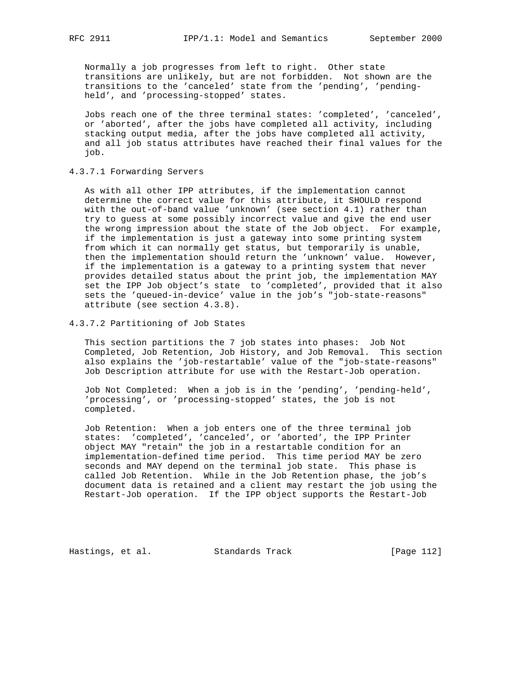Normally a job progresses from left to right. Other state transitions are unlikely, but are not forbidden. Not shown are the transitions to the 'canceled' state from the 'pending', 'pending held', and 'processing-stopped' states.

 Jobs reach one of the three terminal states: 'completed', 'canceled', or 'aborted', after the jobs have completed all activity, including stacking output media, after the jobs have completed all activity, and all job status attributes have reached their final values for the job.

4.3.7.1 Forwarding Servers

 As with all other IPP attributes, if the implementation cannot determine the correct value for this attribute, it SHOULD respond with the out-of-band value 'unknown' (see section 4.1) rather than try to guess at some possibly incorrect value and give the end user the wrong impression about the state of the Job object. For example, if the implementation is just a gateway into some printing system from which it can normally get status, but temporarily is unable, then the implementation should return the 'unknown' value. However, if the implementation is a gateway to a printing system that never provides detailed status about the print job, the implementation MAY set the IPP Job object's state to 'completed', provided that it also sets the 'queued-in-device' value in the job's "job-state-reasons" attribute (see section 4.3.8).

4.3.7.2 Partitioning of Job States

 This section partitions the 7 job states into phases: Job Not Completed, Job Retention, Job History, and Job Removal. This section also explains the 'job-restartable' value of the "job-state-reasons" Job Description attribute for use with the Restart-Job operation.

 Job Not Completed: When a job is in the 'pending', 'pending-held', 'processing', or 'processing-stopped' states, the job is not completed.

 Job Retention: When a job enters one of the three terminal job states: 'completed', 'canceled', or 'aborted', the IPP Printer object MAY "retain" the job in a restartable condition for an implementation-defined time period. This time period MAY be zero seconds and MAY depend on the terminal job state. This phase is called Job Retention. While in the Job Retention phase, the job's document data is retained and a client may restart the job using the Restart-Job operation. If the IPP object supports the Restart-Job

Hastings, et al. Standards Track [Page 112]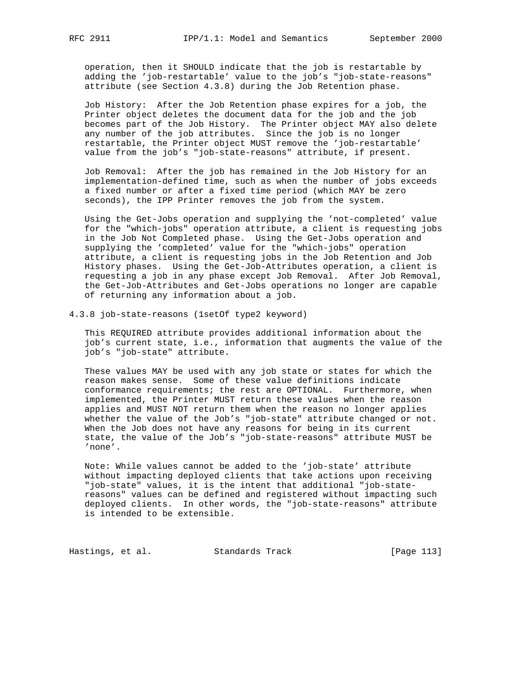operation, then it SHOULD indicate that the job is restartable by adding the 'job-restartable' value to the job's "job-state-reasons" attribute (see Section 4.3.8) during the Job Retention phase.

 Job History: After the Job Retention phase expires for a job, the Printer object deletes the document data for the job and the job becomes part of the Job History. The Printer object MAY also delete any number of the job attributes. Since the job is no longer restartable, the Printer object MUST remove the 'job-restartable' value from the job's "job-state-reasons" attribute, if present.

 Job Removal: After the job has remained in the Job History for an implementation-defined time, such as when the number of jobs exceeds a fixed number or after a fixed time period (which MAY be zero seconds), the IPP Printer removes the job from the system.

 Using the Get-Jobs operation and supplying the 'not-completed' value for the "which-jobs" operation attribute, a client is requesting jobs in the Job Not Completed phase. Using the Get-Jobs operation and supplying the 'completed' value for the "which-jobs" operation attribute, a client is requesting jobs in the Job Retention and Job History phases. Using the Get-Job-Attributes operation, a client is requesting a job in any phase except Job Removal. After Job Removal, the Get-Job-Attributes and Get-Jobs operations no longer are capable of returning any information about a job.

4.3.8 job-state-reasons (1setOf type2 keyword)

 This REQUIRED attribute provides additional information about the job's current state, i.e., information that augments the value of the job's "job-state" attribute.

 These values MAY be used with any job state or states for which the reason makes sense. Some of these value definitions indicate conformance requirements; the rest are OPTIONAL. Furthermore, when implemented, the Printer MUST return these values when the reason applies and MUST NOT return them when the reason no longer applies whether the value of the Job's "job-state" attribute changed or not. When the Job does not have any reasons for being in its current state, the value of the Job's "job-state-reasons" attribute MUST be 'none'.

 Note: While values cannot be added to the 'job-state' attribute without impacting deployed clients that take actions upon receiving "job-state" values, it is the intent that additional "job-state reasons" values can be defined and registered without impacting such deployed clients. In other words, the "job-state-reasons" attribute is intended to be extensible.

Hastings, et al. Standards Track [Page 113]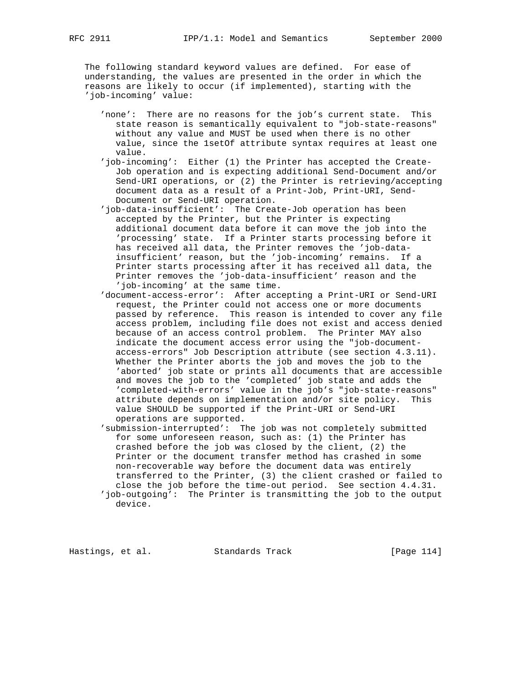The following standard keyword values are defined. For ease of understanding, the values are presented in the order in which the reasons are likely to occur (if implemented), starting with the 'job-incoming' value:

- 'none': There are no reasons for the job's current state. This state reason is semantically equivalent to "job-state-reasons" without any value and MUST be used when there is no other value, since the 1setOf attribute syntax requires at least one value.
- 'job-incoming': Either (1) the Printer has accepted the Create- Job operation and is expecting additional Send-Document and/or Send-URI operations, or (2) the Printer is retrieving/accepting document data as a result of a Print-Job, Print-URI, Send- Document or Send-URI operation.
- 'job-data-insufficient': The Create-Job operation has been accepted by the Printer, but the Printer is expecting additional document data before it can move the job into the 'processing' state. If a Printer starts processing before it has received all data, the Printer removes the 'job-data insufficient' reason, but the 'job-incoming' remains. If a Printer starts processing after it has received all data, the Printer removes the 'job-data-insufficient' reason and the 'job-incoming' at the same time.
- 'document-access-error': After accepting a Print-URI or Send-URI request, the Printer could not access one or more documents passed by reference. This reason is intended to cover any file access problem, including file does not exist and access denied because of an access control problem. The Printer MAY also indicate the document access error using the "job-document access-errors" Job Description attribute (see section 4.3.11). Whether the Printer aborts the job and moves the job to the 'aborted' job state or prints all documents that are accessible and moves the job to the 'completed' job state and adds the 'completed-with-errors' value in the job's "job-state-reasons" attribute depends on implementation and/or site policy. This value SHOULD be supported if the Print-URI or Send-URI operations are supported.
- 'submission-interrupted': The job was not completely submitted for some unforeseen reason, such as: (1) the Printer has crashed before the job was closed by the client, (2) the Printer or the document transfer method has crashed in some non-recoverable way before the document data was entirely transferred to the Printer, (3) the client crashed or failed to close the job before the time-out period. See section 4.4.31. 'job-outgoing': The Printer is transmitting the job to the output device.

Hastings, et al. Standards Track [Page 114]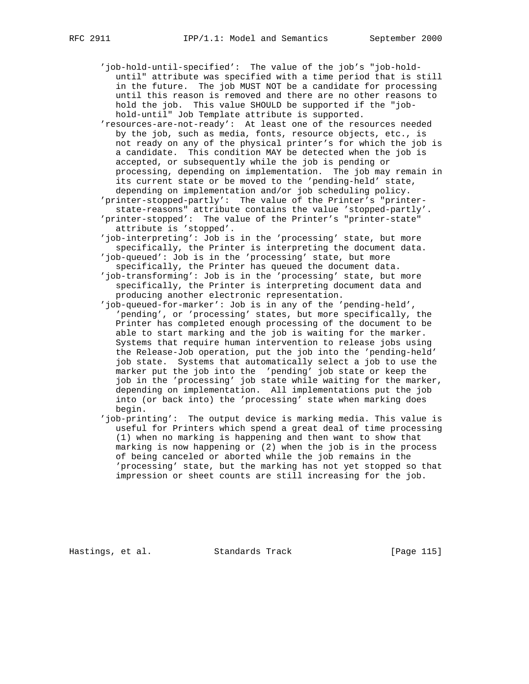- 'job-hold-until-specified': The value of the job's "job-hold until" attribute was specified with a time period that is still in the future. The job MUST NOT be a candidate for processing until this reason is removed and there are no other reasons to hold the job. This value SHOULD be supported if the "job hold-until" Job Template attribute is supported.
- 'resources-are-not-ready': At least one of the resources needed by the job, such as media, fonts, resource objects, etc., is not ready on any of the physical printer's for which the job is a candidate. This condition MAY be detected when the job is accepted, or subsequently while the job is pending or processing, depending on implementation. The job may remain in its current state or be moved to the 'pending-held' state, depending on implementation and/or job scheduling policy.
- 'printer-stopped-partly': The value of the Printer's "printer state-reasons" attribute contains the value 'stopped-partly'. 'printer-stopped': The value of the Printer's "printer-state" attribute is 'stopped'.
- 'job-interpreting': Job is in the 'processing' state, but more specifically, the Printer is interpreting the document data.
- 'job-queued': Job is in the 'processing' state, but more specifically, the Printer has queued the document data.
- 'job-transforming': Job is in the 'processing' state, but more specifically, the Printer is interpreting document data and producing another electronic representation.
- 'job-queued-for-marker': Job is in any of the 'pending-held', 'pending', or 'processing' states, but more specifically, the Printer has completed enough processing of the document to be able to start marking and the job is waiting for the marker. Systems that require human intervention to release jobs using the Release-Job operation, put the job into the 'pending-held' job state. Systems that automatically select a job to use the marker put the job into the 'pending' job state or keep the job in the 'processing' job state while waiting for the marker, depending on implementation. All implementations put the job into (or back into) the 'processing' state when marking does begin.
- 'job-printing': The output device is marking media. This value is useful for Printers which spend a great deal of time processing (1) when no marking is happening and then want to show that marking is now happening or (2) when the job is in the process of being canceled or aborted while the job remains in the 'processing' state, but the marking has not yet stopped so that impression or sheet counts are still increasing for the job.

Hastings, et al. Standards Track [Page 115]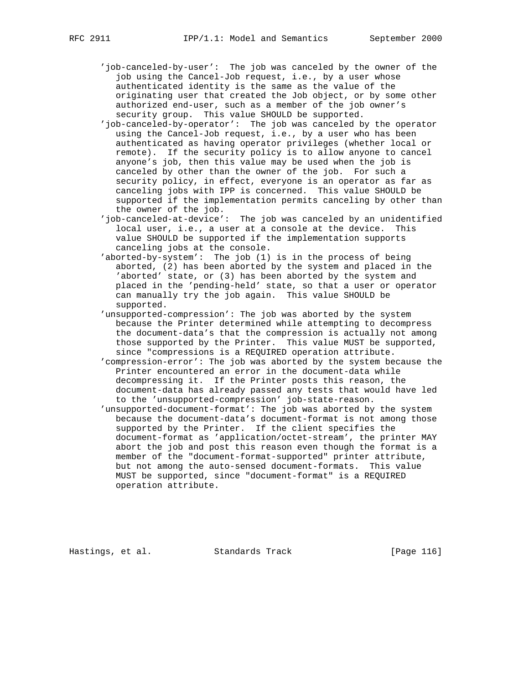- - 'job-canceled-by-user': The job was canceled by the owner of the job using the Cancel-Job request, i.e., by a user whose authenticated identity is the same as the value of the originating user that created the Job object, or by some other authorized end-user, such as a member of the job owner's security group. This value SHOULD be supported.
	- 'job-canceled-by-operator': The job was canceled by the operator using the Cancel-Job request, i.e., by a user who has been authenticated as having operator privileges (whether local or remote). If the security policy is to allow anyone to cancel anyone's job, then this value may be used when the job is canceled by other than the owner of the job. For such a security policy, in effect, everyone is an operator as far as canceling jobs with IPP is concerned. This value SHOULD be supported if the implementation permits canceling by other than the owner of the job.
	- 'job-canceled-at-device': The job was canceled by an unidentified local user, i.e., a user at a console at the device. This value SHOULD be supported if the implementation supports canceling jobs at the console.
	- 'aborted-by-system': The job (1) is in the process of being aborted, (2) has been aborted by the system and placed in the 'aborted' state, or (3) has been aborted by the system and placed in the 'pending-held' state, so that a user or operator can manually try the job again. This value SHOULD be supported.
	- 'unsupported-compression': The job was aborted by the system because the Printer determined while attempting to decompress the document-data's that the compression is actually not among those supported by the Printer. This value MUST be supported, since "compressions is a REQUIRED operation attribute.
	- 'compression-error': The job was aborted by the system because the Printer encountered an error in the document-data while decompressing it. If the Printer posts this reason, the document-data has already passed any tests that would have led to the 'unsupported-compression' job-state-reason.
	- 'unsupported-document-format': The job was aborted by the system because the document-data's document-format is not among those supported by the Printer. If the client specifies the document-format as 'application/octet-stream', the printer MAY abort the job and post this reason even though the format is a member of the "document-format-supported" printer attribute, but not among the auto-sensed document-formats. This value MUST be supported, since "document-format" is a REQUIRED operation attribute.

Hastings, et al. Standards Track [Page 116]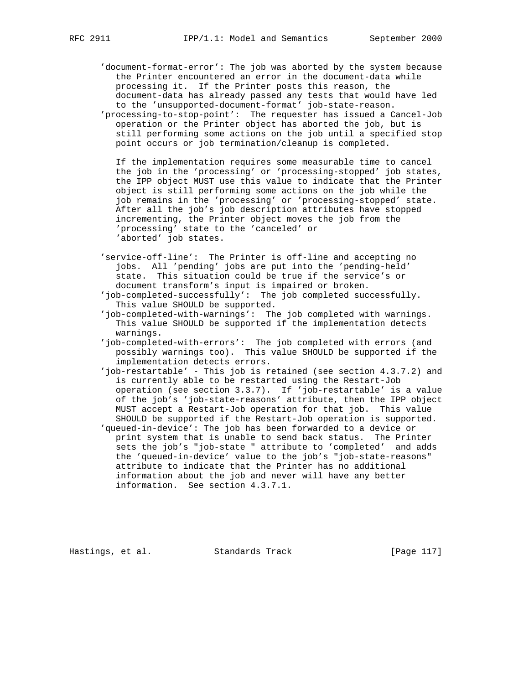'document-format-error': The job was aborted by the system because the Printer encountered an error in the document-data while processing it. If the Printer posts this reason, the document-data has already passed any tests that would have led to the 'unsupported-document-format' job-state-reason. 'processing-to-stop-point': The requester has issued a Cancel-Job operation or the Printer object has aborted the job, but is still performing some actions on the job until a specified stop point occurs or job termination/cleanup is completed.

 If the implementation requires some measurable time to cancel the job in the 'processing' or 'processing-stopped' job states, the IPP object MUST use this value to indicate that the Printer object is still performing some actions on the job while the job remains in the 'processing' or 'processing-stopped' state. After all the job's job description attributes have stopped incrementing, the Printer object moves the job from the 'processing' state to the 'canceled' or 'aborted' job states.

- 'service-off-line': The Printer is off-line and accepting no jobs. All 'pending' jobs are put into the 'pending-held' state. This situation could be true if the service's or document transform's input is impaired or broken.
- 'job-completed-successfully': The job completed successfully. This value SHOULD be supported.
- 'job-completed-with-warnings': The job completed with warnings. This value SHOULD be supported if the implementation detects warnings.
- 'job-completed-with-errors': The job completed with errors (and possibly warnings too). This value SHOULD be supported if the implementation detects errors.
- 'job-restartable' This job is retained (see section 4.3.7.2) and is currently able to be restarted using the Restart-Job operation (see section 3.3.7). If 'job-restartable' is a value of the job's 'job-state-reasons' attribute, then the IPP object MUST accept a Restart-Job operation for that job. This value SHOULD be supported if the Restart-Job operation is supported.
- 'queued-in-device': The job has been forwarded to a device or print system that is unable to send back status. The Printer sets the job's "job-state " attribute to 'completed' and adds the 'queued-in-device' value to the job's "job-state-reasons" attribute to indicate that the Printer has no additional information about the job and never will have any better information. See section 4.3.7.1.

Hastings, et al. Standards Track [Page 117]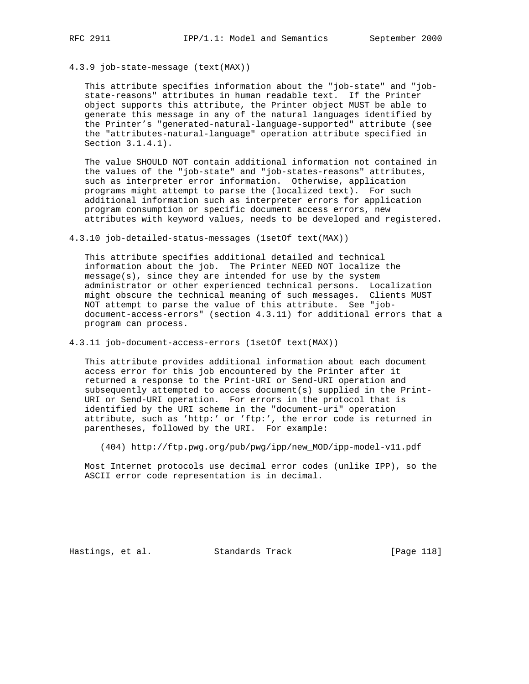### 4.3.9 job-state-message (text(MAX))

 This attribute specifies information about the "job-state" and "job state-reasons" attributes in human readable text. If the Printer object supports this attribute, the Printer object MUST be able to generate this message in any of the natural languages identified by the Printer's "generated-natural-language-supported" attribute (see the "attributes-natural-language" operation attribute specified in Section 3.1.4.1).

 The value SHOULD NOT contain additional information not contained in the values of the "job-state" and "job-states-reasons" attributes, such as interpreter error information. Otherwise, application programs might attempt to parse the (localized text). For such additional information such as interpreter errors for application program consumption or specific document access errors, new attributes with keyword values, needs to be developed and registered.

4.3.10 job-detailed-status-messages (1setOf text(MAX))

 This attribute specifies additional detailed and technical information about the job. The Printer NEED NOT localize the message(s), since they are intended for use by the system administrator or other experienced technical persons. Localization might obscure the technical meaning of such messages. Clients MUST NOT attempt to parse the value of this attribute. See "job document-access-errors" (section 4.3.11) for additional errors that a program can process.

4.3.11 job-document-access-errors (1setOf text(MAX))

 This attribute provides additional information about each document access error for this job encountered by the Printer after it returned a response to the Print-URI or Send-URI operation and subsequently attempted to access document(s) supplied in the Print- URI or Send-URI operation. For errors in the protocol that is identified by the URI scheme in the "document-uri" operation attribute, such as 'http:' or 'ftp:', the error code is returned in parentheses, followed by the URI. For example:

(404) http://ftp.pwg.org/pub/pwg/ipp/new\_MOD/ipp-model-v11.pdf

 Most Internet protocols use decimal error codes (unlike IPP), so the ASCII error code representation is in decimal.

Hastings, et al. Standards Track [Page 118]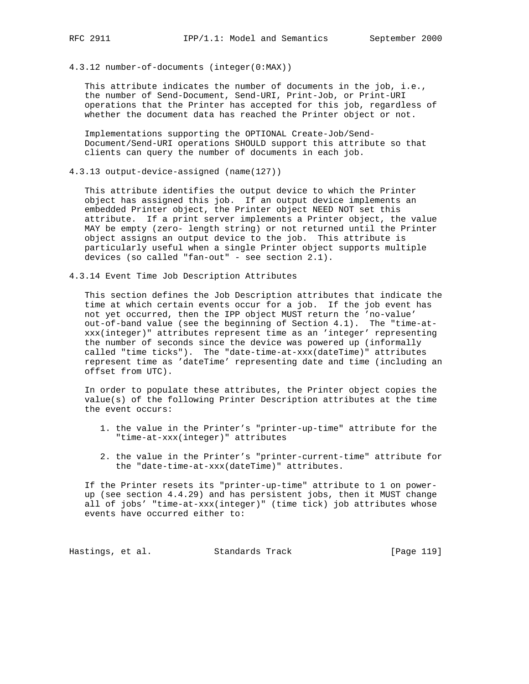4.3.12 number-of-documents (integer(0:MAX))

 This attribute indicates the number of documents in the job, i.e., the number of Send-Document, Send-URI, Print-Job, or Print-URI operations that the Printer has accepted for this job, regardless of whether the document data has reached the Printer object or not.

 Implementations supporting the OPTIONAL Create-Job/Send- Document/Send-URI operations SHOULD support this attribute so that clients can query the number of documents in each job.

4.3.13 output-device-assigned (name(127))

 This attribute identifies the output device to which the Printer object has assigned this job. If an output device implements an embedded Printer object, the Printer object NEED NOT set this attribute. If a print server implements a Printer object, the value MAY be empty (zero- length string) or not returned until the Printer object assigns an output device to the job. This attribute is particularly useful when a single Printer object supports multiple devices (so called "fan-out" - see section 2.1).

4.3.14 Event Time Job Description Attributes

 This section defines the Job Description attributes that indicate the time at which certain events occur for a job. If the job event has not yet occurred, then the IPP object MUST return the 'no-value' out-of-band value (see the beginning of Section 4.1). The "time-at xxx(integer)" attributes represent time as an 'integer' representing the number of seconds since the device was powered up (informally called "time ticks"). The "date-time-at-xxx(dateTime)" attributes represent time as 'dateTime' representing date and time (including an offset from UTC).

 In order to populate these attributes, the Printer object copies the value(s) of the following Printer Description attributes at the time the event occurs:

- 1. the value in the Printer's "printer-up-time" attribute for the "time-at-xxx(integer)" attributes
- 2. the value in the Printer's "printer-current-time" attribute for the "date-time-at-xxx(dateTime)" attributes.

 If the Printer resets its "printer-up-time" attribute to 1 on power up (see section 4.4.29) and has persistent jobs, then it MUST change all of jobs' "time-at-xxx(integer)" (time tick) job attributes whose events have occurred either to:

Hastings, et al. Standards Track [Page 119]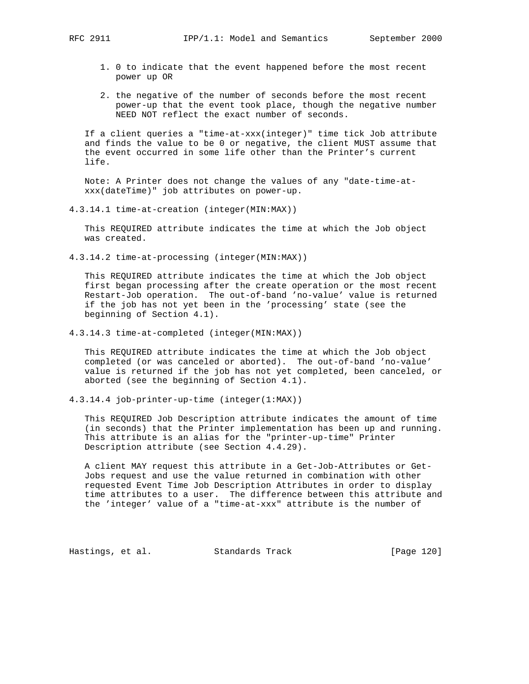- 1. 0 to indicate that the event happened before the most recent power up OR
- 2. the negative of the number of seconds before the most recent power-up that the event took place, though the negative number NEED NOT reflect the exact number of seconds.

 If a client queries a "time-at-xxx(integer)" time tick Job attribute and finds the value to be 0 or negative, the client MUST assume that the event occurred in some life other than the Printer's current life.

 Note: A Printer does not change the values of any "date-time-at xxx(dateTime)" job attributes on power-up.

4.3.14.1 time-at-creation (integer(MIN:MAX))

 This REQUIRED attribute indicates the time at which the Job object was created.

4.3.14.2 time-at-processing (integer(MIN:MAX))

 This REQUIRED attribute indicates the time at which the Job object first began processing after the create operation or the most recent Restart-Job operation. The out-of-band 'no-value' value is returned if the job has not yet been in the 'processing' state (see the beginning of Section 4.1).

4.3.14.3 time-at-completed (integer(MIN:MAX))

 This REQUIRED attribute indicates the time at which the Job object completed (or was canceled or aborted). The out-of-band 'no-value' value is returned if the job has not yet completed, been canceled, or aborted (see the beginning of Section 4.1).

4.3.14.4 job-printer-up-time (integer(1:MAX))

 This REQUIRED Job Description attribute indicates the amount of time (in seconds) that the Printer implementation has been up and running. This attribute is an alias for the "printer-up-time" Printer Description attribute (see Section 4.4.29).

 A client MAY request this attribute in a Get-Job-Attributes or Get- Jobs request and use the value returned in combination with other requested Event Time Job Description Attributes in order to display time attributes to a user. The difference between this attribute and the 'integer' value of a "time-at-xxx" attribute is the number of

Hastings, et al. Standards Track [Page 120]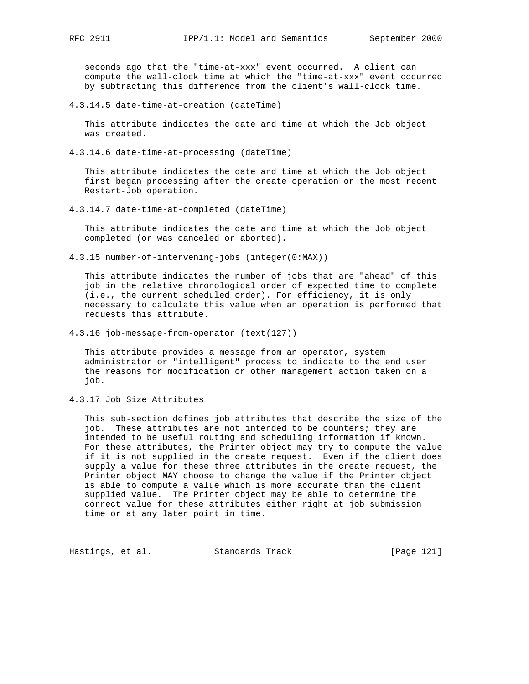seconds ago that the "time-at-xxx" event occurred. A client can compute the wall-clock time at which the "time-at-xxx" event occurred by subtracting this difference from the client's wall-clock time.

4.3.14.5 date-time-at-creation (dateTime)

 This attribute indicates the date and time at which the Job object was created.

4.3.14.6 date-time-at-processing (dateTime)

 This attribute indicates the date and time at which the Job object first began processing after the create operation or the most recent Restart-Job operation.

4.3.14.7 date-time-at-completed (dateTime)

 This attribute indicates the date and time at which the Job object completed (or was canceled or aborted).

4.3.15 number-of-intervening-jobs (integer(0:MAX))

 This attribute indicates the number of jobs that are "ahead" of this job in the relative chronological order of expected time to complete (i.e., the current scheduled order). For efficiency, it is only necessary to calculate this value when an operation is performed that requests this attribute.

4.3.16 job-message-from-operator (text(127))

 This attribute provides a message from an operator, system administrator or "intelligent" process to indicate to the end user the reasons for modification or other management action taken on a job.

4.3.17 Job Size Attributes

 This sub-section defines job attributes that describe the size of the job. These attributes are not intended to be counters; they are intended to be useful routing and scheduling information if known. For these attributes, the Printer object may try to compute the value if it is not supplied in the create request. Even if the client does supply a value for these three attributes in the create request, the Printer object MAY choose to change the value if the Printer object is able to compute a value which is more accurate than the client supplied value. The Printer object may be able to determine the correct value for these attributes either right at job submission time or at any later point in time.

Hastings, et al. Standards Track [Page 121]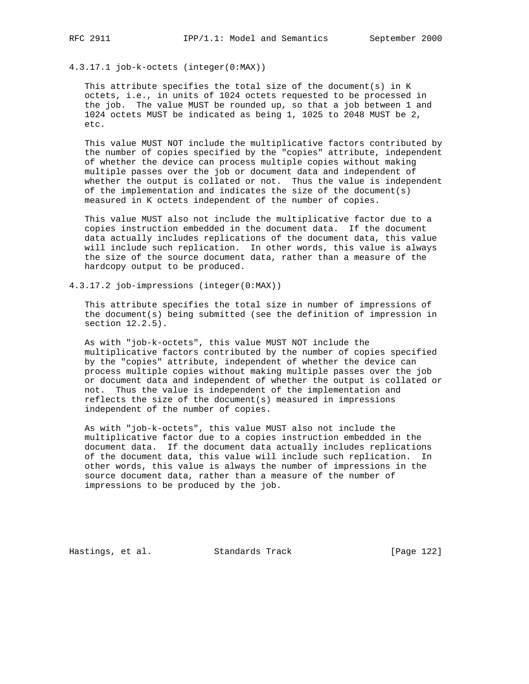# 4.3.17.1 job-k-octets (integer(0:MAX))

This attribute specifies the total size of the document(s) in  $K$  octets, i.e., in units of 1024 octets requested to be processed in the job. The value MUST be rounded up, so that a job between 1 and 1024 octets MUST be indicated as being 1, 1025 to 2048 MUST be 2, etc.

 This value MUST NOT include the multiplicative factors contributed by the number of copies specified by the "copies" attribute, independent of whether the device can process multiple copies without making multiple passes over the job or document data and independent of whether the output is collated or not. Thus the value is independent of the implementation and indicates the size of the document(s) measured in K octets independent of the number of copies.

 This value MUST also not include the multiplicative factor due to a copies instruction embedded in the document data. If the document data actually includes replications of the document data, this value will include such replication. In other words, this value is always the size of the source document data, rather than a measure of the hardcopy output to be produced.

4.3.17.2 job-impressions (integer(0:MAX))

 This attribute specifies the total size in number of impressions of the document(s) being submitted (see the definition of impression in section 12.2.5).

 As with "job-k-octets", this value MUST NOT include the multiplicative factors contributed by the number of copies specified by the "copies" attribute, independent of whether the device can process multiple copies without making multiple passes over the job or document data and independent of whether the output is collated or not. Thus the value is independent of the implementation and reflects the size of the document(s) measured in impressions independent of the number of copies.

 As with "job-k-octets", this value MUST also not include the multiplicative factor due to a copies instruction embedded in the document data. If the document data actually includes replications of the document data, this value will include such replication. In other words, this value is always the number of impressions in the source document data, rather than a measure of the number of impressions to be produced by the job.

Hastings, et al. Standards Track [Page 122]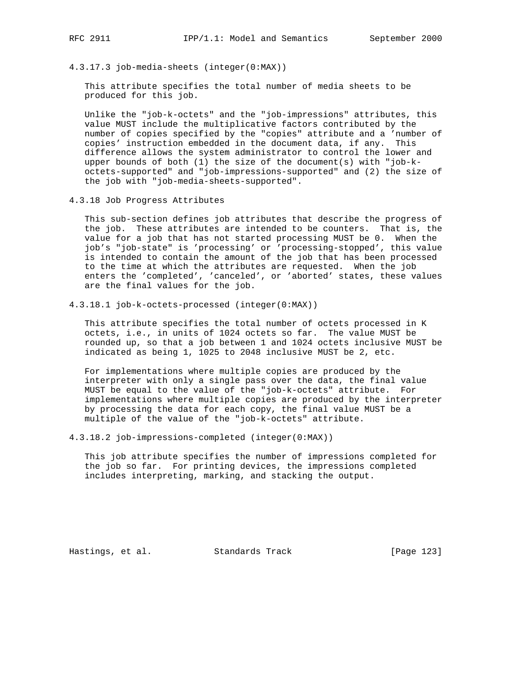4.3.17.3 job-media-sheets (integer(0:MAX))

 This attribute specifies the total number of media sheets to be produced for this job.

 Unlike the "job-k-octets" and the "job-impressions" attributes, this value MUST include the multiplicative factors contributed by the number of copies specified by the "copies" attribute and a 'number of copies' instruction embedded in the document data, if any. This difference allows the system administrator to control the lower and upper bounds of both (1) the size of the document(s) with "job-k octets-supported" and "job-impressions-supported" and (2) the size of the job with "job-media-sheets-supported".

4.3.18 Job Progress Attributes

 This sub-section defines job attributes that describe the progress of the job. These attributes are intended to be counters. That is, the value for a job that has not started processing MUST be 0. When the job's "job-state" is 'processing' or 'processing-stopped', this value is intended to contain the amount of the job that has been processed to the time at which the attributes are requested. When the job enters the 'completed', 'canceled', or 'aborted' states, these values are the final values for the job.

4.3.18.1 job-k-octets-processed (integer(0:MAX))

 This attribute specifies the total number of octets processed in K octets, i.e., in units of 1024 octets so far. The value MUST be rounded up, so that a job between 1 and 1024 octets inclusive MUST be indicated as being 1, 1025 to 2048 inclusive MUST be 2, etc.

 For implementations where multiple copies are produced by the interpreter with only a single pass over the data, the final value MUST be equal to the value of the "job-k-octets" attribute. For implementations where multiple copies are produced by the interpreter by processing the data for each copy, the final value MUST be a multiple of the value of the "job-k-octets" attribute.

4.3.18.2 job-impressions-completed (integer(0:MAX))

 This job attribute specifies the number of impressions completed for the job so far. For printing devices, the impressions completed includes interpreting, marking, and stacking the output.

Hastings, et al. Standards Track [Page 123]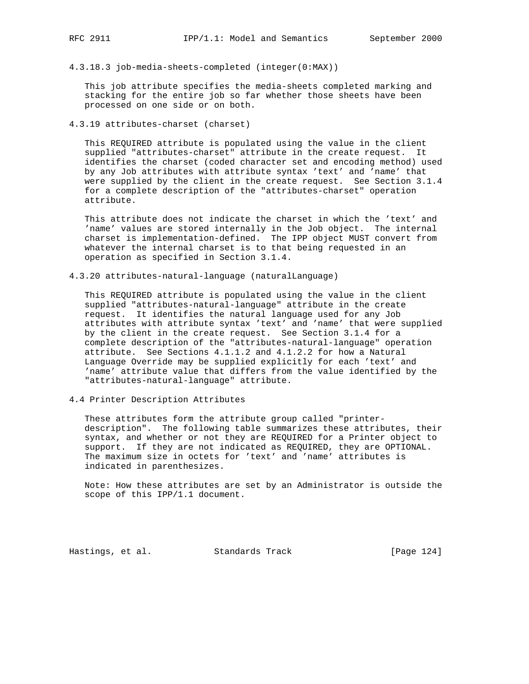4.3.18.3 job-media-sheets-completed (integer(0:MAX))

 This job attribute specifies the media-sheets completed marking and stacking for the entire job so far whether those sheets have been processed on one side or on both.

4.3.19 attributes-charset (charset)

 This REQUIRED attribute is populated using the value in the client supplied "attributes-charset" attribute in the create request. It identifies the charset (coded character set and encoding method) used by any Job attributes with attribute syntax 'text' and 'name' that were supplied by the client in the create request. See Section 3.1.4 for a complete description of the "attributes-charset" operation attribute.

 This attribute does not indicate the charset in which the 'text' and 'name' values are stored internally in the Job object. The internal charset is implementation-defined. The IPP object MUST convert from whatever the internal charset is to that being requested in an operation as specified in Section 3.1.4.

4.3.20 attributes-natural-language (naturalLanguage)

 This REQUIRED attribute is populated using the value in the client supplied "attributes-natural-language" attribute in the create request. It identifies the natural language used for any Job attributes with attribute syntax 'text' and 'name' that were supplied by the client in the create request. See Section 3.1.4 for a complete description of the "attributes-natural-language" operation attribute. See Sections 4.1.1.2 and 4.1.2.2 for how a Natural Language Override may be supplied explicitly for each 'text' and 'name' attribute value that differs from the value identified by the "attributes-natural-language" attribute.

4.4 Printer Description Attributes

 These attributes form the attribute group called "printer description". The following table summarizes these attributes, their syntax, and whether or not they are REQUIRED for a Printer object to support. If they are not indicated as REQUIRED, they are OPTIONAL. The maximum size in octets for 'text' and 'name' attributes is indicated in parenthesizes.

 Note: How these attributes are set by an Administrator is outside the scope of this IPP/1.1 document.

Hastings, et al. Standards Track [Page 124]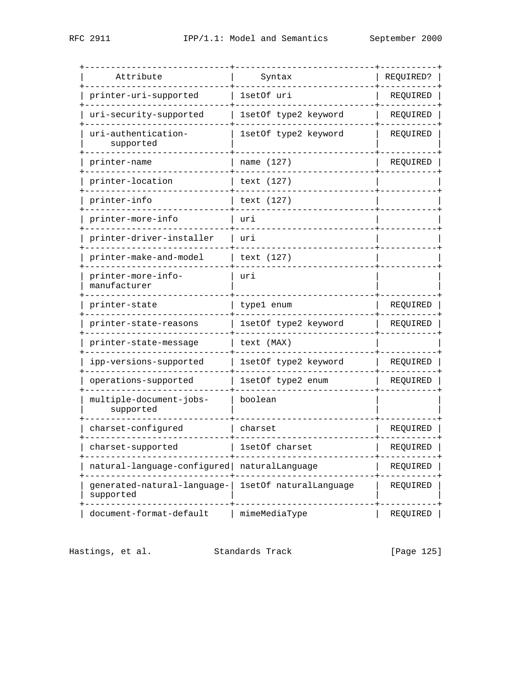| Attribute                                     | Syntax                 | REQUIRED? |
|-----------------------------------------------|------------------------|-----------|
| printer-uri-supported                         | lsetOf uri             | REQUIRED  |
| uri-security-supported                        | 1setOf type2 keyword   | REQUIRED  |
| uri-authentication-<br>supported              | 1setOf type2 keyword   | REQUIRED  |
| printer-name                                  | name (127)             | REQUIRED  |
| printer-location                              | text (127)             |           |
| printer-info                                  | text (127)             |           |
| printer-more-info                             | uri                    |           |
| printer-driver-installer                      | uri                    |           |
| printer-make-and-model                        | text (127)             |           |
| printer-more-info-<br>manufacturer            | uri                    |           |
| printer-state                                 | type1 enum             | REQUIRED  |
| printer-state-reasons                         | 1setOf type2 keyword   | REQUIRED  |
| printer-state-message                         | text (MAX)             |           |
| ipp-versions-supported                        | 1setOf type2 keyword   | REQUIRED  |
| operations-supported                          | 1setOf type2 enum      | REQUIRED  |
| multiple-document-jobs-<br>supported          | boolean                |           |
| charset-configured                            | charset                | REQUIRED  |
| charset-supported                             | lsetOf charset         | REQUIRED  |
| natural-language-configured   naturalLanguage |                        | REQUIRED  |
| generated-natural-language-<br>supported      | 1setOf naturalLanguage | REQUIRED  |
| document-format-default                       | mimeMediaType          | REQUIRED  |

Hastings, et al. Standards Track [Page 125]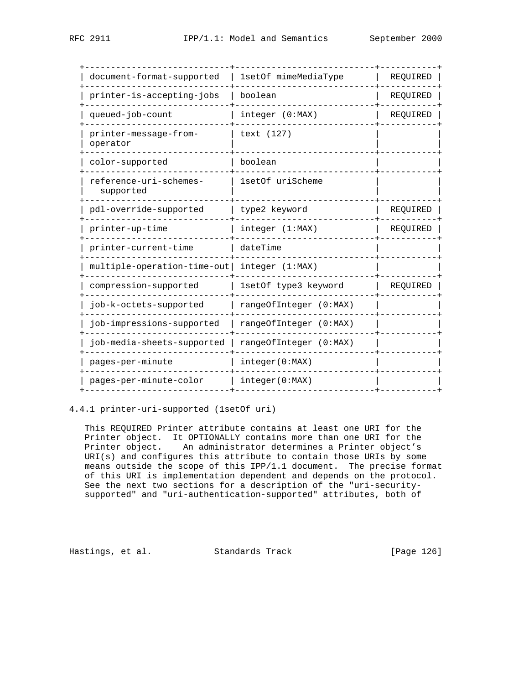| document-format-supported           | 1setOf mimeMediaType   | REQUIRED |
|-------------------------------------|------------------------|----------|
| printer-is-accepting-jobs           | boolean                | REQUIRED |
| queued-job-count                    | integer (0:MAX)        | REOUIRED |
| printer-message-from-<br>operator   | text (127)             |          |
| color-supported                     | boolean                |          |
| reference-uri-schemes-<br>supported | 1setOf uriScheme       |          |
| pdl-override-supported              | type2 keyword          | REQUIRED |
| printer-up-time                     | integer (1:MAX)        | REQUIRED |
| printer-current-time                | dateTime               |          |
| multiple-operation-time-out         | integer (1:MAX)        |          |
| compression-supported               | 1setOf type3 keyword   | REQUIRED |
| job-k-octets-supported              | rangeOfInteger (0:MAX) |          |
| job-impressions-supported           | rangeOfInteger (0:MAX) |          |
| job-media-sheets-supported          | rangeOfInteger (0:MAX) |          |
| pages-per-minute                    | integer(0:MAX)         |          |
| pages-per-minute-color              | integer(0:MAX)         |          |

## 4.4.1 printer-uri-supported (1setOf uri)

 This REQUIRED Printer attribute contains at least one URI for the Printer object. It OPTIONALLY contains more than one URI for the Printer object. An administrator determines a Printer object's URI(s) and configures this attribute to contain those URIs by some means outside the scope of this IPP/1.1 document. The precise format of this URI is implementation dependent and depends on the protocol. See the next two sections for a description of the "uri-security supported" and "uri-authentication-supported" attributes, both of

Hastings, et al. Standards Track [Page 126]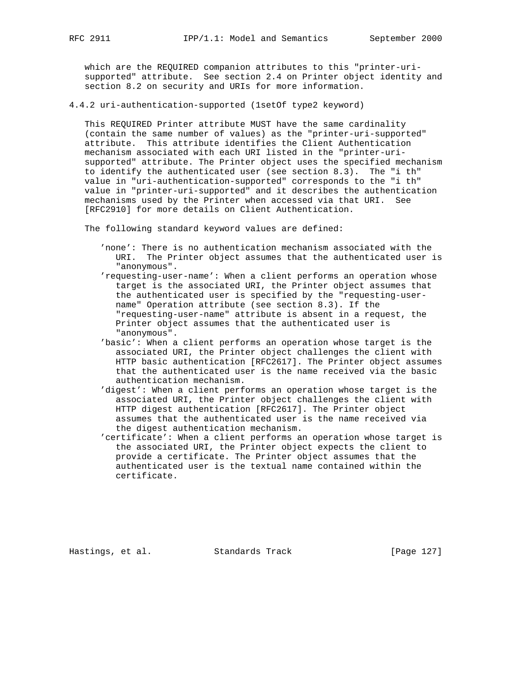which are the REQUIRED companion attributes to this "printer-uri supported" attribute. See section 2.4 on Printer object identity and section 8.2 on security and URIs for more information.

4.4.2 uri-authentication-supported (1setOf type2 keyword)

 This REQUIRED Printer attribute MUST have the same cardinality (contain the same number of values) as the "printer-uri-supported" attribute. This attribute identifies the Client Authentication mechanism associated with each URI listed in the "printer-uri supported" attribute. The Printer object uses the specified mechanism to identify the authenticated user (see section 8.3). The "i th" value in "uri-authentication-supported" corresponds to the "i th" value in "printer-uri-supported" and it describes the authentication mechanisms used by the Printer when accessed via that URI. See [RFC2910] for more details on Client Authentication.

The following standard keyword values are defined:

- 'none': There is no authentication mechanism associated with the URI. The Printer object assumes that the authenticated user is "anonymous".
- 'requesting-user-name': When a client performs an operation whose target is the associated URI, the Printer object assumes that the authenticated user is specified by the "requesting-user name" Operation attribute (see section 8.3). If the "requesting-user-name" attribute is absent in a request, the Printer object assumes that the authenticated user is "anonymous".
- 'basic': When a client performs an operation whose target is the associated URI, the Printer object challenges the client with HTTP basic authentication [RFC2617]. The Printer object assumes that the authenticated user is the name received via the basic authentication mechanism.
- 'digest': When a client performs an operation whose target is the associated URI, the Printer object challenges the client with HTTP digest authentication [RFC2617]. The Printer object assumes that the authenticated user is the name received via the digest authentication mechanism.
- 'certificate': When a client performs an operation whose target is the associated URI, the Printer object expects the client to provide a certificate. The Printer object assumes that the authenticated user is the textual name contained within the certificate.

Hastings, et al. Standards Track [Page 127]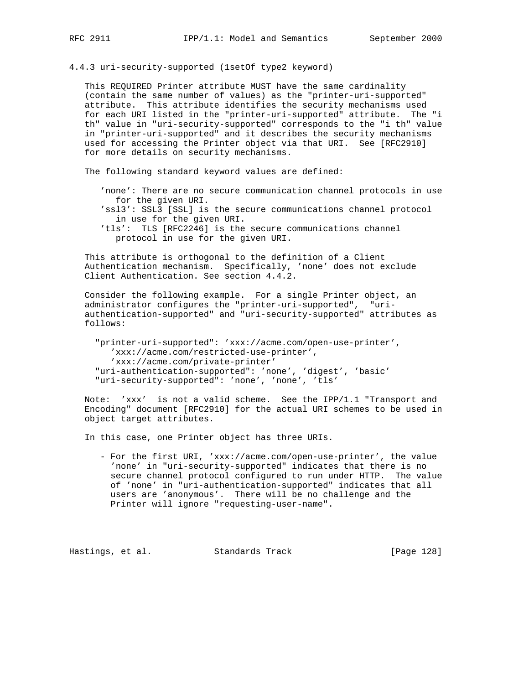4.4.3 uri-security-supported (1setOf type2 keyword)

 This REQUIRED Printer attribute MUST have the same cardinality (contain the same number of values) as the "printer-uri-supported" attribute. This attribute identifies the security mechanisms used for each URI listed in the "printer-uri-supported" attribute. The "i th" value in "uri-security-supported" corresponds to the "i th" value in "printer-uri-supported" and it describes the security mechanisms used for accessing the Printer object via that URI. See [RFC2910] for more details on security mechanisms.

The following standard keyword values are defined:

- 'none': There are no secure communication channel protocols in use for the given URI.
- 'ssl3': SSL3 [SSL] is the secure communications channel protocol in use for the given URI.
- 'tls': TLS [RFC2246] is the secure communications channel protocol in use for the given URI.

 This attribute is orthogonal to the definition of a Client Authentication mechanism. Specifically, 'none' does not exclude Client Authentication. See section 4.4.2.

 Consider the following example. For a single Printer object, an administrator configures the "printer-uri-supported", "uri authentication-supported" and "uri-security-supported" attributes as follows:

 "printer-uri-supported": 'xxx://acme.com/open-use-printer', 'xxx://acme.com/restricted-use-printer', 'xxx://acme.com/private-printer' "uri-authentication-supported": 'none', 'digest', 'basic' "uri-security-supported": 'none', 'none', 'tls'

 Note: 'xxx' is not a valid scheme. See the IPP/1.1 "Transport and Encoding" document [RFC2910] for the actual URI schemes to be used in object target attributes.

In this case, one Printer object has three URIs.

 - For the first URI, 'xxx://acme.com/open-use-printer', the value 'none' in "uri-security-supported" indicates that there is no secure channel protocol configured to run under HTTP. The value of 'none' in "uri-authentication-supported" indicates that all users are 'anonymous'. There will be no challenge and the Printer will ignore "requesting-user-name".

Hastings, et al. Standards Track [Page 128]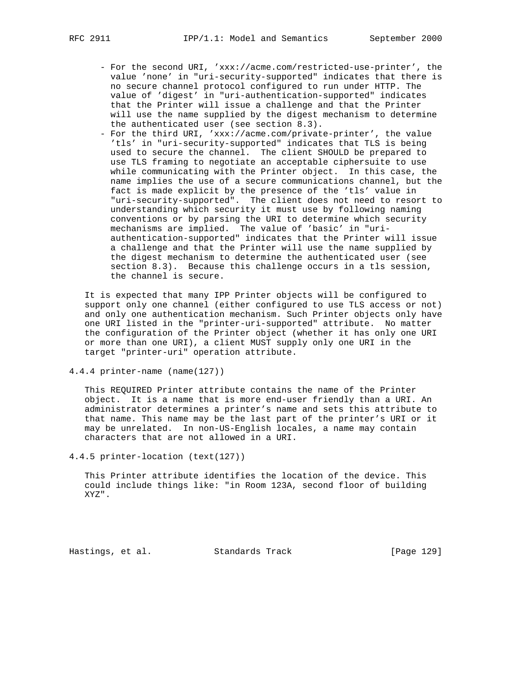- For the second URI, 'xxx://acme.com/restricted-use-printer', the value 'none' in "uri-security-supported" indicates that there is no secure channel protocol configured to run under HTTP. The value of 'digest' in "uri-authentication-supported" indicates that the Printer will issue a challenge and that the Printer will use the name supplied by the digest mechanism to determine the authenticated user (see section 8.3).
- For the third URI, 'xxx://acme.com/private-printer', the value 'tls' in "uri-security-supported" indicates that TLS is being used to secure the channel. The client SHOULD be prepared to use TLS framing to negotiate an acceptable ciphersuite to use while communicating with the Printer object. In this case, the name implies the use of a secure communications channel, but the fact is made explicit by the presence of the 'tls' value in "uri-security-supported". The client does not need to resort to understanding which security it must use by following naming conventions or by parsing the URI to determine which security mechanisms are implied. The value of 'basic' in "uri authentication-supported" indicates that the Printer will issue a challenge and that the Printer will use the name supplied by the digest mechanism to determine the authenticated user (see section 8.3). Because this challenge occurs in a tls session, the channel is secure.

 It is expected that many IPP Printer objects will be configured to support only one channel (either configured to use TLS access or not) and only one authentication mechanism. Such Printer objects only have one URI listed in the "printer-uri-supported" attribute. No matter the configuration of the Printer object (whether it has only one URI or more than one URI), a client MUST supply only one URI in the target "printer-uri" operation attribute.

4.4.4 printer-name (name(127))

 This REQUIRED Printer attribute contains the name of the Printer object. It is a name that is more end-user friendly than a URI. An administrator determines a printer's name and sets this attribute to that name. This name may be the last part of the printer's URI or it may be unrelated. In non-US-English locales, a name may contain characters that are not allowed in a URI.

4.4.5 printer-location (text(127))

 This Printer attribute identifies the location of the device. This could include things like: "in Room 123A, second floor of building XYZ".

Hastings, et al. Standards Track [Page 129]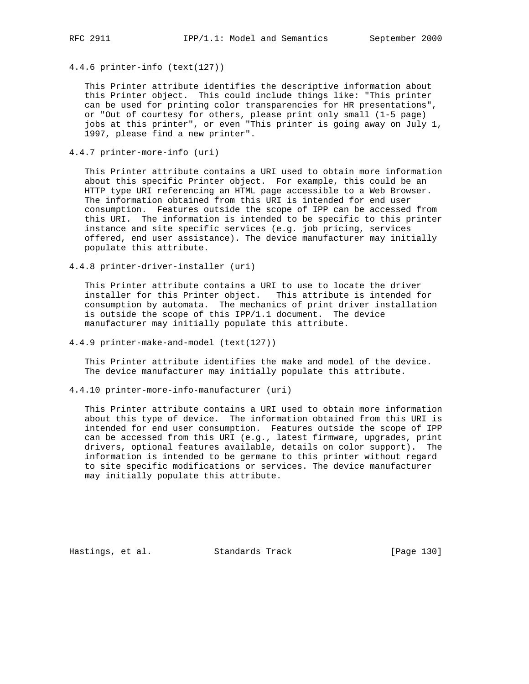4.4.6 printer-info (text(127))

 This Printer attribute identifies the descriptive information about this Printer object. This could include things like: "This printer can be used for printing color transparencies for HR presentations", or "Out of courtesy for others, please print only small (1-5 page) jobs at this printer", or even "This printer is going away on July 1, 1997, please find a new printer".

4.4.7 printer-more-info (uri)

 This Printer attribute contains a URI used to obtain more information about this specific Printer object. For example, this could be an HTTP type URI referencing an HTML page accessible to a Web Browser. The information obtained from this URI is intended for end user consumption. Features outside the scope of IPP can be accessed from this URI. The information is intended to be specific to this printer instance and site specific services (e.g. job pricing, services offered, end user assistance). The device manufacturer may initially populate this attribute.

4.4.8 printer-driver-installer (uri)

 This Printer attribute contains a URI to use to locate the driver installer for this Printer object. This attribute is intended for consumption by automata. The mechanics of print driver installation is outside the scope of this IPP/1.1 document. The device manufacturer may initially populate this attribute.

4.4.9 printer-make-and-model (text(127))

 This Printer attribute identifies the make and model of the device. The device manufacturer may initially populate this attribute.

4.4.10 printer-more-info-manufacturer (uri)

 This Printer attribute contains a URI used to obtain more information about this type of device. The information obtained from this URI is intended for end user consumption. Features outside the scope of IPP can be accessed from this URI (e.g., latest firmware, upgrades, print drivers, optional features available, details on color support). The information is intended to be germane to this printer without regard to site specific modifications or services. The device manufacturer may initially populate this attribute.

Hastings, et al. Standards Track [Page 130]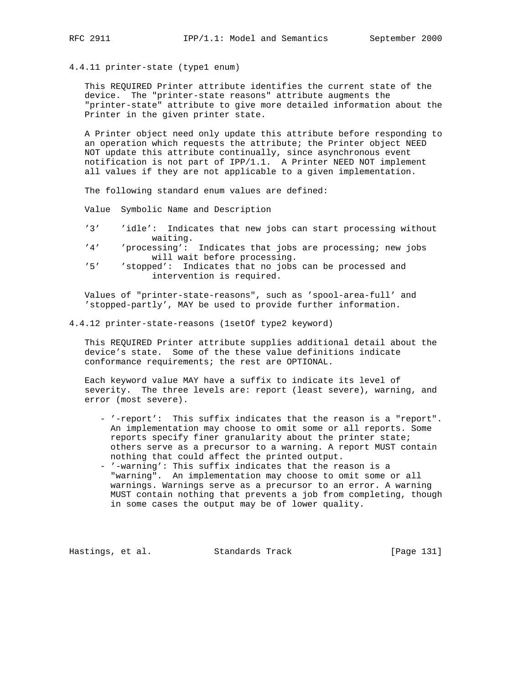4.4.11 printer-state (type1 enum)

 This REQUIRED Printer attribute identifies the current state of the device. The "printer-state reasons" attribute augments the "printer-state" attribute to give more detailed information about the Printer in the given printer state.

 A Printer object need only update this attribute before responding to an operation which requests the attribute; the Printer object NEED NOT update this attribute continually, since asynchronous event notification is not part of IPP/1.1. A Printer NEED NOT implement all values if they are not applicable to a given implementation.

The following standard enum values are defined:

Value Symbolic Name and Description

- '3' 'idle': Indicates that new jobs can start processing without waiting.<br>'4' 'processing':
- 'processing': Indicates that jobs are processing; new jobs will wait before processing.<br>'5' (stopped': Indicates that no jobs
- 'stopped': Indicates that no jobs can be processed and intervention is required.

 Values of "printer-state-reasons", such as 'spool-area-full' and 'stopped-partly', MAY be used to provide further information.

4.4.12 printer-state-reasons (1setOf type2 keyword)

 This REQUIRED Printer attribute supplies additional detail about the device's state. Some of the these value definitions indicate conformance requirements; the rest are OPTIONAL.

 Each keyword value MAY have a suffix to indicate its level of severity. The three levels are: report (least severe), warning, and error (most severe).

- '-report': This suffix indicates that the reason is a "report". An implementation may choose to omit some or all reports. Some reports specify finer granularity about the printer state; others serve as a precursor to a warning. A report MUST contain nothing that could affect the printed output.
- '-warning': This suffix indicates that the reason is a "warning". An implementation may choose to omit some or all warnings. Warnings serve as a precursor to an error. A warning MUST contain nothing that prevents a job from completing, though in some cases the output may be of lower quality.

Hastings, et al. Standards Track [Page 131]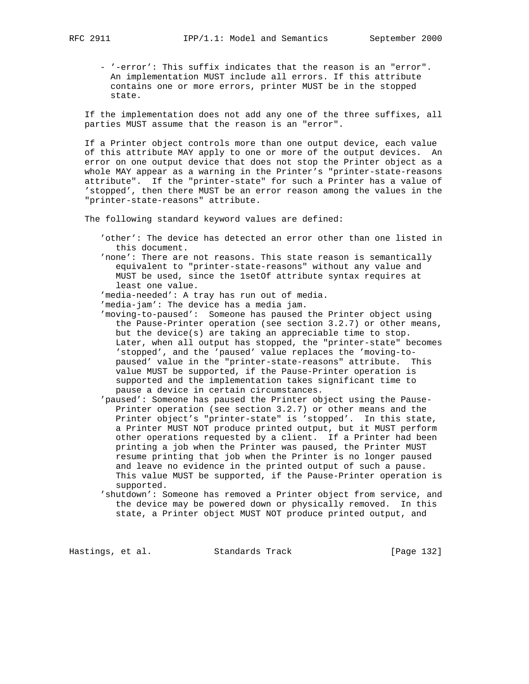- '-error': This suffix indicates that the reason is an "error". An implementation MUST include all errors. If this attribute contains one or more errors, printer MUST be in the stopped state.

 If the implementation does not add any one of the three suffixes, all parties MUST assume that the reason is an "error".

 If a Printer object controls more than one output device, each value of this attribute MAY apply to one or more of the output devices. An error on one output device that does not stop the Printer object as a whole MAY appear as a warning in the Printer's "printer-state-reasons attribute". If the "printer-state" for such a Printer has a value of 'stopped', then there MUST be an error reason among the values in the "printer-state-reasons" attribute.

The following standard keyword values are defined:

- 'other': The device has detected an error other than one listed in this document.
- 'none': There are not reasons. This state reason is semantically equivalent to "printer-state-reasons" without any value and MUST be used, since the 1setOf attribute syntax requires at least one value.

'media-needed': A tray has run out of media.

- 'media-jam': The device has a media jam.
- 'moving-to-paused': Someone has paused the Printer object using the Pause-Printer operation (see section 3.2.7) or other means, but the device(s) are taking an appreciable time to stop. Later, when all output has stopped, the "printer-state" becomes 'stopped', and the 'paused' value replaces the 'moving-to paused' value in the "printer-state-reasons" attribute. This value MUST be supported, if the Pause-Printer operation is supported and the implementation takes significant time to pause a device in certain circumstances.
- 'paused': Someone has paused the Printer object using the Pause- Printer operation (see section 3.2.7) or other means and the Printer object's "printer-state" is 'stopped'. In this state, a Printer MUST NOT produce printed output, but it MUST perform other operations requested by a client. If a Printer had been printing a job when the Printer was paused, the Printer MUST resume printing that job when the Printer is no longer paused and leave no evidence in the printed output of such a pause. This value MUST be supported, if the Pause-Printer operation is supported.
- 'shutdown': Someone has removed a Printer object from service, and the device may be powered down or physically removed. In this state, a Printer object MUST NOT produce printed output, and

Hastings, et al. Standards Track [Page 132]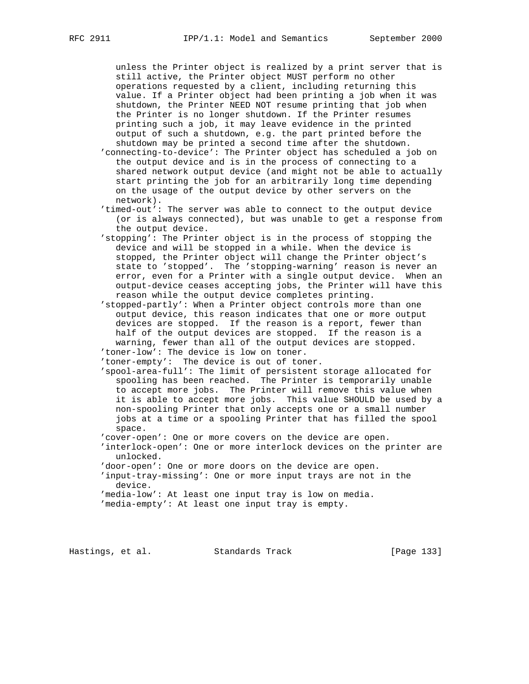unless the Printer object is realized by a print server that is still active, the Printer object MUST perform no other operations requested by a client, including returning this value. If a Printer object had been printing a job when it was shutdown, the Printer NEED NOT resume printing that job when the Printer is no longer shutdown. If the Printer resumes printing such a job, it may leave evidence in the printed output of such a shutdown, e.g. the part printed before the shutdown may be printed a second time after the shutdown.

- 'connecting-to-device': The Printer object has scheduled a job on the output device and is in the process of connecting to a shared network output device (and might not be able to actually start printing the job for an arbitrarily long time depending on the usage of the output device by other servers on the network).
- 'timed-out': The server was able to connect to the output device (or is always connected), but was unable to get a response from the output device.
- 'stopping': The Printer object is in the process of stopping the device and will be stopped in a while. When the device is stopped, the Printer object will change the Printer object's state to 'stopped'. The 'stopping-warning' reason is never an error, even for a Printer with a single output device. When an output-device ceases accepting jobs, the Printer will have this reason while the output device completes printing.
- 'stopped-partly': When a Printer object controls more than one output device, this reason indicates that one or more output devices are stopped. If the reason is a report, fewer than half of the output devices are stopped. If the reason is a warning, fewer than all of the output devices are stopped. 'toner-low': The device is low on toner.

'toner-empty': The device is out of toner.

- 'spool-area-full': The limit of persistent storage allocated for spooling has been reached. The Printer is temporarily unable to accept more jobs. The Printer will remove this value when it is able to accept more jobs. This value SHOULD be used by a non-spooling Printer that only accepts one or a small number jobs at a time or a spooling Printer that has filled the spool space.
- 'cover-open': One or more covers on the device are open.
- 'interlock-open': One or more interlock devices on the printer are unlocked.
- 'door-open': One or more doors on the device are open.
- 'input-tray-missing': One or more input trays are not in the device.
- 'media-low': At least one input tray is low on media.
- 'media-empty': At least one input tray is empty.

Hastings, et al. Standards Track [Page 133]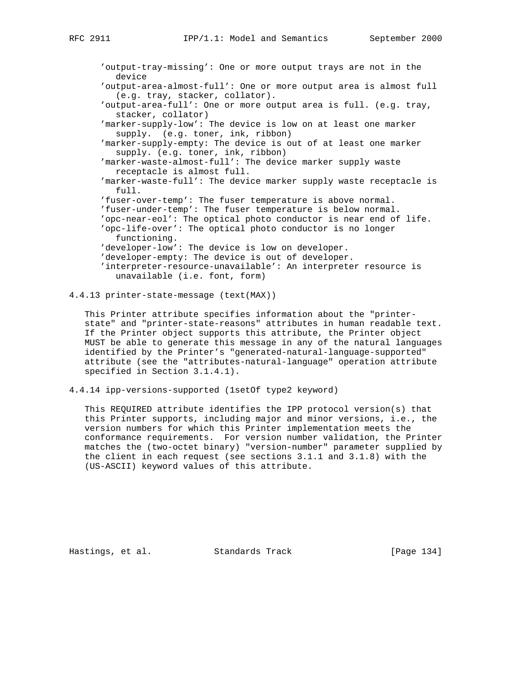```
 'output-tray-missing': One or more output trays are not in the
  device
'output-area-almost-full': One or more output area is almost full
  (e.g. tray, stacker, collator).
'output-area-full': One or more output area is full. (e.g. tray,
  stacker, collator)
'marker-supply-low': The device is low on at least one marker
  supply. (e.g. toner, ink, ribbon)
'marker-supply-empty: The device is out of at least one marker
  supply. (e.g. toner, ink, ribbon)
'marker-waste-almost-full': The device marker supply waste
  receptacle is almost full.
'marker-waste-full': The device marker supply waste receptacle is
  full.
'fuser-over-temp': The fuser temperature is above normal.
'fuser-under-temp': The fuser temperature is below normal.
'opc-near-eol': The optical photo conductor is near end of life.
'opc-life-over': The optical photo conductor is no longer
  functioning.
'developer-low': The device is low on developer.
'developer-empty: The device is out of developer.
'interpreter-resource-unavailable': An interpreter resource is
  unavailable (i.e. font, form)
```

```
4.4.13 printer-state-message (text(MAX))
```
 This Printer attribute specifies information about the "printer state" and "printer-state-reasons" attributes in human readable text. If the Printer object supports this attribute, the Printer object MUST be able to generate this message in any of the natural languages identified by the Printer's "generated-natural-language-supported" attribute (see the "attributes-natural-language" operation attribute specified in Section 3.1.4.1).

4.4.14 ipp-versions-supported (1setOf type2 keyword)

 This REQUIRED attribute identifies the IPP protocol version(s) that this Printer supports, including major and minor versions, i.e., the version numbers for which this Printer implementation meets the conformance requirements. For version number validation, the Printer matches the (two-octet binary) "version-number" parameter supplied by the client in each request (see sections 3.1.1 and 3.1.8) with the (US-ASCII) keyword values of this attribute.

Hastings, et al. Standards Track [Page 134]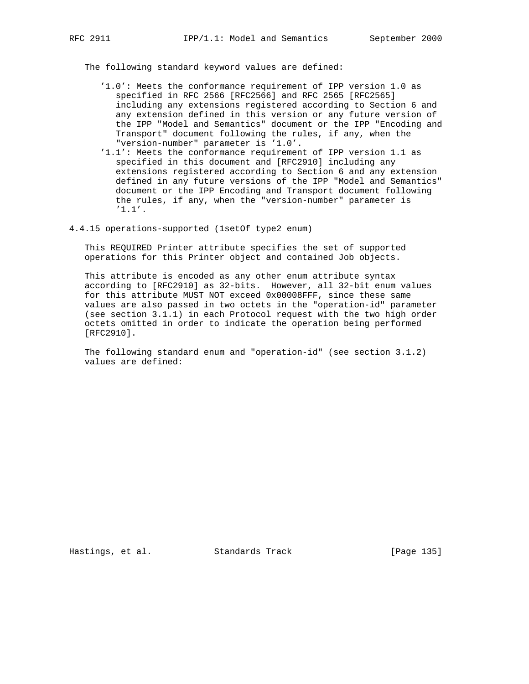The following standard keyword values are defined:

- '1.0': Meets the conformance requirement of IPP version 1.0 as specified in RFC 2566 [RFC2566] and RFC 2565 [RFC2565] including any extensions registered according to Section 6 and any extension defined in this version or any future version of the IPP "Model and Semantics" document or the IPP "Encoding and Transport" document following the rules, if any, when the "version-number" parameter is '1.0'.
- '1.1': Meets the conformance requirement of IPP version 1.1 as specified in this document and [RFC2910] including any extensions registered according to Section 6 and any extension defined in any future versions of the IPP "Model and Semantics" document or the IPP Encoding and Transport document following the rules, if any, when the "version-number" parameter is '1.1'.
- 4.4.15 operations-supported (1setOf type2 enum)

 This REQUIRED Printer attribute specifies the set of supported operations for this Printer object and contained Job objects.

 This attribute is encoded as any other enum attribute syntax according to [RFC2910] as 32-bits. However, all 32-bit enum values for this attribute MUST NOT exceed 0x00008FFF, since these same values are also passed in two octets in the "operation-id" parameter (see section 3.1.1) in each Protocol request with the two high order octets omitted in order to indicate the operation being performed [RFC2910].

 The following standard enum and "operation-id" (see section 3.1.2) values are defined:

Hastings, et al. Standards Track [Page 135]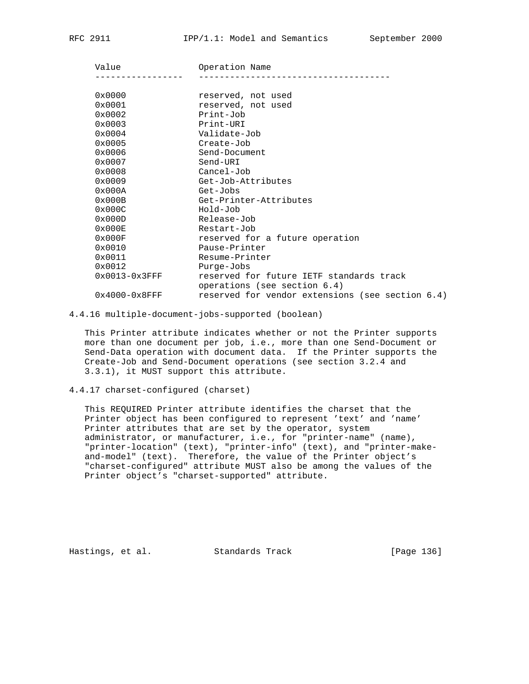| Value            | Operation Name                                                           |  |  |
|------------------|--------------------------------------------------------------------------|--|--|
|                  |                                                                          |  |  |
| 0x0000           | reserved, not used                                                       |  |  |
| 0x0001           | reserved, not used                                                       |  |  |
| 0x0002           | Print-Job                                                                |  |  |
| 0x0003           | Print-URI                                                                |  |  |
| 0x0004           | Validate-Job                                                             |  |  |
| 0x0005           | Create-Job                                                               |  |  |
| 0x0006           | Send-Document                                                            |  |  |
| 0x0007           | Send-URI                                                                 |  |  |
| 0x0008           | Cancel-Job                                                               |  |  |
| 0x0009           | Get-Job-Attributes                                                       |  |  |
| 0x000A           | Get-Jobs                                                                 |  |  |
| 0x000B           | Get-Printer-Attributes                                                   |  |  |
| 0x000C           | Hold-Job                                                                 |  |  |
| 0x000D           | Release-Job                                                              |  |  |
| 0x000E           | Restart-Job                                                              |  |  |
| 0x000F           | reserved for a future operation                                          |  |  |
| 0x0010           | Pause-Printer                                                            |  |  |
| 0x0011           | Resume-Printer                                                           |  |  |
| 0x0012           | Purge-Jobs                                                               |  |  |
| $0x0013-0x3$ FFF | reserved for future IETF standards track<br>operations (see section 6.4) |  |  |
| $0x4000-0x8$ FFF | reserved for vendor extensions (see section 6.4)                         |  |  |

4.4.16 multiple-document-jobs-supported (boolean)

 This Printer attribute indicates whether or not the Printer supports more than one document per job, i.e., more than one Send-Document or Send-Data operation with document data. If the Printer supports the Create-Job and Send-Document operations (see section 3.2.4 and 3.3.1), it MUST support this attribute.

4.4.17 charset-configured (charset)

 This REQUIRED Printer attribute identifies the charset that the Printer object has been configured to represent 'text' and 'name' Printer attributes that are set by the operator, system administrator, or manufacturer, i.e., for "printer-name" (name), "printer-location" (text), "printer-info" (text), and "printer-make and-model" (text). Therefore, the value of the Printer object's "charset-configured" attribute MUST also be among the values of the Printer object's "charset-supported" attribute.

Hastings, et al. Standards Track [Page 136]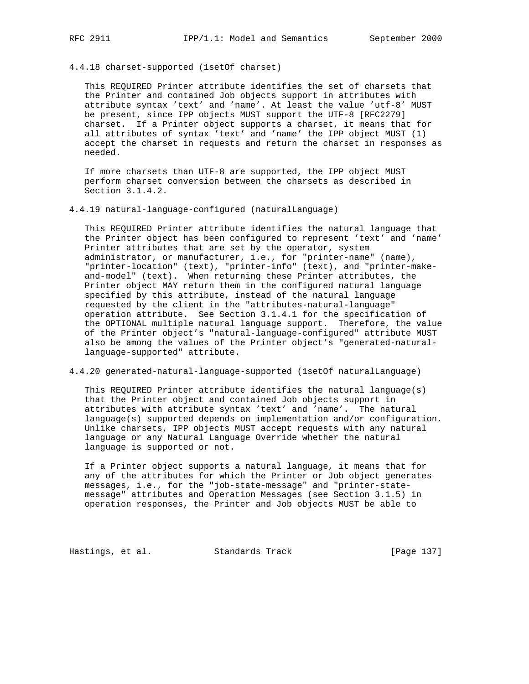- 
- 4.4.18 charset-supported (1setOf charset)

 This REQUIRED Printer attribute identifies the set of charsets that the Printer and contained Job objects support in attributes with attribute syntax 'text' and 'name'. At least the value 'utf-8' MUST be present, since IPP objects MUST support the UTF-8 [RFC2279] charset. If a Printer object supports a charset, it means that for all attributes of syntax 'text' and 'name' the IPP object MUST (1) accept the charset in requests and return the charset in responses as needed.

 If more charsets than UTF-8 are supported, the IPP object MUST perform charset conversion between the charsets as described in Section 3.1.4.2.

4.4.19 natural-language-configured (naturalLanguage)

 This REQUIRED Printer attribute identifies the natural language that the Printer object has been configured to represent 'text' and 'name' Printer attributes that are set by the operator, system administrator, or manufacturer, i.e., for "printer-name" (name), "printer-location" (text), "printer-info" (text), and "printer-make and-model" (text). When returning these Printer attributes, the Printer object MAY return them in the configured natural language specified by this attribute, instead of the natural language requested by the client in the "attributes-natural-language" operation attribute. See Section 3.1.4.1 for the specification of the OPTIONAL multiple natural language support. Therefore, the value of the Printer object's "natural-language-configured" attribute MUST also be among the values of the Printer object's "generated-natural language-supported" attribute.

4.4.20 generated-natural-language-supported (1setOf naturalLanguage)

 This REQUIRED Printer attribute identifies the natural language(s) that the Printer object and contained Job objects support in attributes with attribute syntax 'text' and 'name'. The natural language(s) supported depends on implementation and/or configuration. Unlike charsets, IPP objects MUST accept requests with any natural language or any Natural Language Override whether the natural language is supported or not.

 If a Printer object supports a natural language, it means that for any of the attributes for which the Printer or Job object generates messages, i.e., for the "job-state-message" and "printer-state message" attributes and Operation Messages (see Section 3.1.5) in operation responses, the Printer and Job objects MUST be able to

Hastings, et al. Standards Track [Page 137]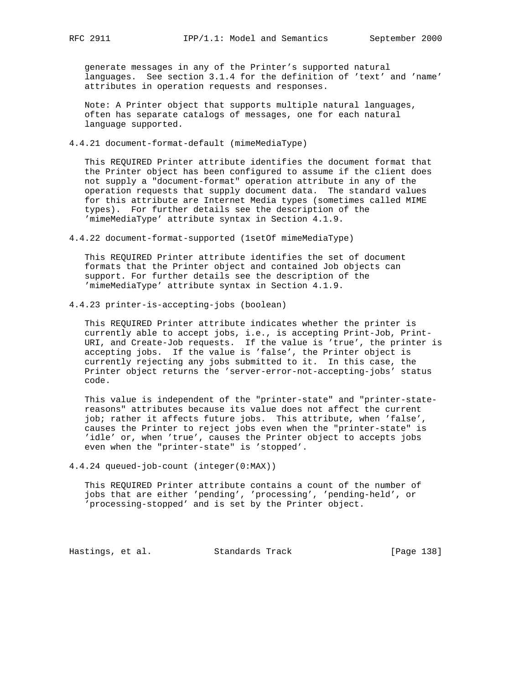generate messages in any of the Printer's supported natural languages. See section 3.1.4 for the definition of 'text' and 'name' attributes in operation requests and responses.

 Note: A Printer object that supports multiple natural languages, often has separate catalogs of messages, one for each natural language supported.

4.4.21 document-format-default (mimeMediaType)

 This REQUIRED Printer attribute identifies the document format that the Printer object has been configured to assume if the client does not supply a "document-format" operation attribute in any of the operation requests that supply document data. The standard values for this attribute are Internet Media types (sometimes called MIME types). For further details see the description of the 'mimeMediaType' attribute syntax in Section 4.1.9.

4.4.22 document-format-supported (1setOf mimeMediaType)

 This REQUIRED Printer attribute identifies the set of document formats that the Printer object and contained Job objects can support. For further details see the description of the 'mimeMediaType' attribute syntax in Section 4.1.9.

4.4.23 printer-is-accepting-jobs (boolean)

 This REQUIRED Printer attribute indicates whether the printer is currently able to accept jobs, i.e., is accepting Print-Job, Print- URI, and Create-Job requests. If the value is 'true', the printer is accepting jobs. If the value is 'false', the Printer object is currently rejecting any jobs submitted to it. In this case, the Printer object returns the 'server-error-not-accepting-jobs' status code.

 This value is independent of the "printer-state" and "printer-state reasons" attributes because its value does not affect the current job; rather it affects future jobs. This attribute, when 'false', causes the Printer to reject jobs even when the "printer-state" is 'idle' or, when 'true', causes the Printer object to accepts jobs even when the "printer-state" is 'stopped'.

4.4.24 queued-job-count (integer(0:MAX))

 This REQUIRED Printer attribute contains a count of the number of jobs that are either 'pending', 'processing', 'pending-held', or 'processing-stopped' and is set by the Printer object.

Hastings, et al. Standards Track [Page 138]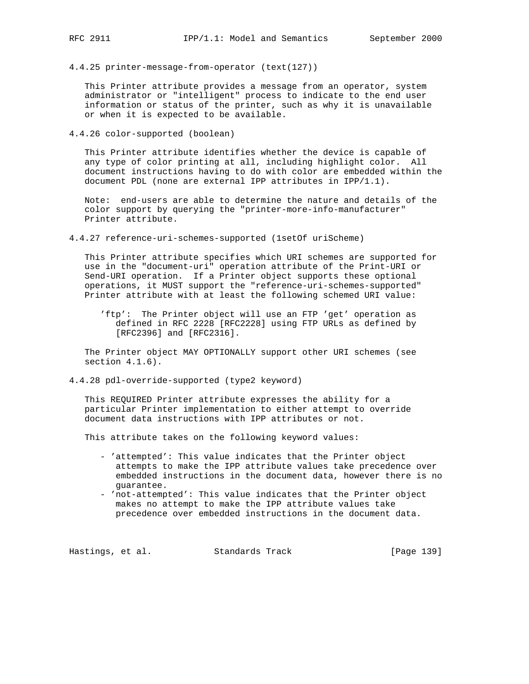4.4.25 printer-message-from-operator (text(127))

 This Printer attribute provides a message from an operator, system administrator or "intelligent" process to indicate to the end user information or status of the printer, such as why it is unavailable or when it is expected to be available.

4.4.26 color-supported (boolean)

 This Printer attribute identifies whether the device is capable of any type of color printing at all, including highlight color. All document instructions having to do with color are embedded within the document PDL (none are external IPP attributes in IPP/1.1).

 Note: end-users are able to determine the nature and details of the color support by querying the "printer-more-info-manufacturer" Printer attribute.

4.4.27 reference-uri-schemes-supported (1setOf uriScheme)

 This Printer attribute specifies which URI schemes are supported for use in the "document-uri" operation attribute of the Print-URI or Send-URI operation. If a Printer object supports these optional operations, it MUST support the "reference-uri-schemes-supported" Printer attribute with at least the following schemed URI value:

 'ftp': The Printer object will use an FTP 'get' operation as defined in RFC 2228 [RFC2228] using FTP URLs as defined by [RFC2396] and [RFC2316].

 The Printer object MAY OPTIONALLY support other URI schemes (see section  $4.1.6$ ).

4.4.28 pdl-override-supported (type2 keyword)

 This REQUIRED Printer attribute expresses the ability for a particular Printer implementation to either attempt to override document data instructions with IPP attributes or not.

This attribute takes on the following keyword values:

- 'attempted': This value indicates that the Printer object attempts to make the IPP attribute values take precedence over embedded instructions in the document data, however there is no guarantee.
- 'not-attempted': This value indicates that the Printer object makes no attempt to make the IPP attribute values take precedence over embedded instructions in the document data.

Hastings, et al. Standards Track [Page 139]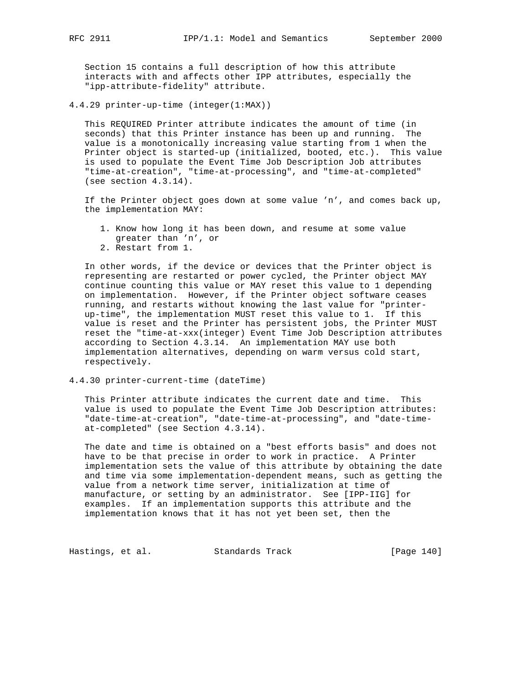Section 15 contains a full description of how this attribute interacts with and affects other IPP attributes, especially the "ipp-attribute-fidelity" attribute.

4.4.29 printer-up-time (integer(1:MAX))

 This REQUIRED Printer attribute indicates the amount of time (in seconds) that this Printer instance has been up and running. The value is a monotonically increasing value starting from 1 when the Printer object is started-up (initialized, booted, etc.). This value is used to populate the Event Time Job Description Job attributes "time-at-creation", "time-at-processing", and "time-at-completed" (see section 4.3.14).

 If the Printer object goes down at some value 'n', and comes back up, the implementation MAY:

- 1. Know how long it has been down, and resume at some value greater than 'n', or
- 2. Restart from 1.

 In other words, if the device or devices that the Printer object is representing are restarted or power cycled, the Printer object MAY continue counting this value or MAY reset this value to 1 depending on implementation. However, if the Printer object software ceases running, and restarts without knowing the last value for "printer up-time", the implementation MUST reset this value to 1. If this value is reset and the Printer has persistent jobs, the Printer MUST reset the "time-at-xxx(integer) Event Time Job Description attributes according to Section 4.3.14. An implementation MAY use both implementation alternatives, depending on warm versus cold start, respectively.

4.4.30 printer-current-time (dateTime)

 This Printer attribute indicates the current date and time. This value is used to populate the Event Time Job Description attributes: "date-time-at-creation", "date-time-at-processing", and "date-time at-completed" (see Section 4.3.14).

 The date and time is obtained on a "best efforts basis" and does not have to be that precise in order to work in practice. A Printer implementation sets the value of this attribute by obtaining the date and time via some implementation-dependent means, such as getting the value from a network time server, initialization at time of manufacture, or setting by an administrator. See [IPP-IIG] for examples. If an implementation supports this attribute and the implementation knows that it has not yet been set, then the

Hastings, et al. Standards Track [Page 140]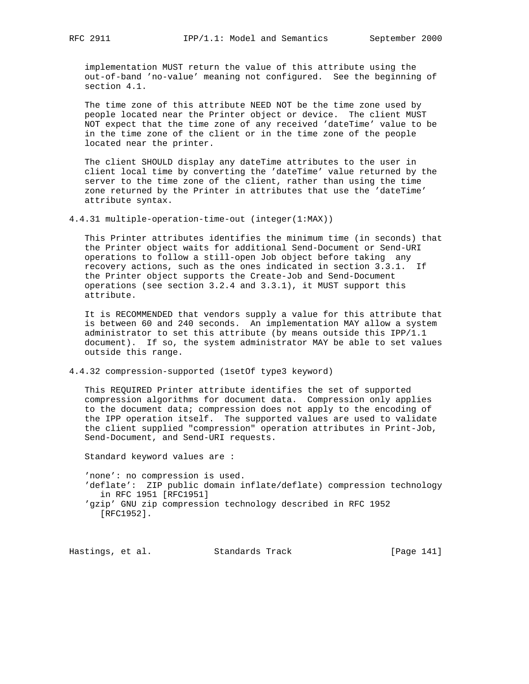implementation MUST return the value of this attribute using the out-of-band 'no-value' meaning not configured. See the beginning of section 4.1.

 The time zone of this attribute NEED NOT be the time zone used by people located near the Printer object or device. The client MUST NOT expect that the time zone of any received 'dateTime' value to be in the time zone of the client or in the time zone of the people located near the printer.

 The client SHOULD display any dateTime attributes to the user in client local time by converting the 'dateTime' value returned by the server to the time zone of the client, rather than using the time zone returned by the Printer in attributes that use the 'dateTime' attribute syntax.

4.4.31 multiple-operation-time-out (integer(1:MAX))

 This Printer attributes identifies the minimum time (in seconds) that the Printer object waits for additional Send-Document or Send-URI operations to follow a still-open Job object before taking any recovery actions, such as the ones indicated in section 3.3.1. If the Printer object supports the Create-Job and Send-Document operations (see section 3.2.4 and 3.3.1), it MUST support this attribute.

 It is RECOMMENDED that vendors supply a value for this attribute that is between 60 and 240 seconds. An implementation MAY allow a system administrator to set this attribute (by means outside this IPP/1.1 document). If so, the system administrator MAY be able to set values outside this range.

4.4.32 compression-supported (1setOf type3 keyword)

 This REQUIRED Printer attribute identifies the set of supported compression algorithms for document data. Compression only applies to the document data; compression does not apply to the encoding of the IPP operation itself. The supported values are used to validate the client supplied "compression" operation attributes in Print-Job, Send-Document, and Send-URI requests.

Standard keyword values are :

 'none': no compression is used. 'deflate': ZIP public domain inflate/deflate) compression technology in RFC 1951 [RFC1951] 'gzip' GNU zip compression technology described in RFC 1952 [RFC1952].

Hastings, et al. Standards Track [Page 141]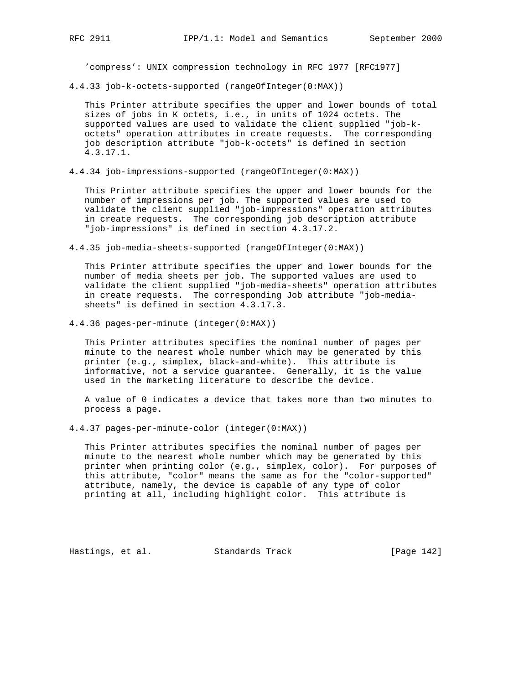'compress': UNIX compression technology in RFC 1977 [RFC1977]

4.4.33 job-k-octets-supported (rangeOfInteger(0:MAX))

 This Printer attribute specifies the upper and lower bounds of total sizes of jobs in K octets, i.e., in units of 1024 octets. The supported values are used to validate the client supplied "job-k octets" operation attributes in create requests. The corresponding job description attribute "job-k-octets" is defined in section 4.3.17.1.

4.4.34 job-impressions-supported (rangeOfInteger(0:MAX))

 This Printer attribute specifies the upper and lower bounds for the number of impressions per job. The supported values are used to validate the client supplied "job-impressions" operation attributes in create requests. The corresponding job description attribute "job-impressions" is defined in section 4.3.17.2.

4.4.35 job-media-sheets-supported (rangeOfInteger(0:MAX))

 This Printer attribute specifies the upper and lower bounds for the number of media sheets per job. The supported values are used to validate the client supplied "job-media-sheets" operation attributes in create requests. The corresponding Job attribute "job-media sheets" is defined in section 4.3.17.3.

4.4.36 pages-per-minute (integer(0:MAX))

 This Printer attributes specifies the nominal number of pages per minute to the nearest whole number which may be generated by this printer (e.g., simplex, black-and-white). This attribute is informative, not a service guarantee. Generally, it is the value used in the marketing literature to describe the device.

 A value of 0 indicates a device that takes more than two minutes to process a page.

4.4.37 pages-per-minute-color (integer(0:MAX))

 This Printer attributes specifies the nominal number of pages per minute to the nearest whole number which may be generated by this printer when printing color (e.g., simplex, color). For purposes of this attribute, "color" means the same as for the "color-supported" attribute, namely, the device is capable of any type of color printing at all, including highlight color. This attribute is

Hastings, et al. Standards Track [Page 142]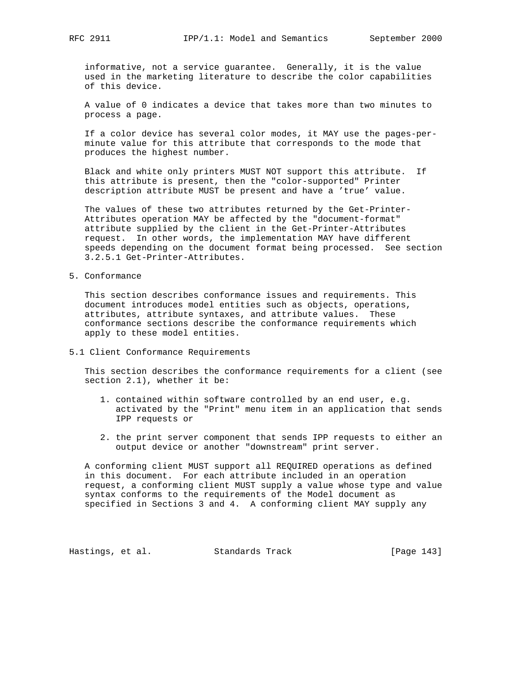informative, not a service guarantee. Generally, it is the value used in the marketing literature to describe the color capabilities of this device.

 A value of 0 indicates a device that takes more than two minutes to process a page.

 If a color device has several color modes, it MAY use the pages-per minute value for this attribute that corresponds to the mode that produces the highest number.

 Black and white only printers MUST NOT support this attribute. If this attribute is present, then the "color-supported" Printer description attribute MUST be present and have a 'true' value.

 The values of these two attributes returned by the Get-Printer- Attributes operation MAY be affected by the "document-format" attribute supplied by the client in the Get-Printer-Attributes request. In other words, the implementation MAY have different speeds depending on the document format being processed. See section 3.2.5.1 Get-Printer-Attributes.

5. Conformance

 This section describes conformance issues and requirements. This document introduces model entities such as objects, operations, attributes, attribute syntaxes, and attribute values. These conformance sections describe the conformance requirements which apply to these model entities.

5.1 Client Conformance Requirements

 This section describes the conformance requirements for a client (see section 2.1), whether it be:

- 1. contained within software controlled by an end user, e.g. activated by the "Print" menu item in an application that sends IPP requests or
- 2. the print server component that sends IPP requests to either an output device or another "downstream" print server.

 A conforming client MUST support all REQUIRED operations as defined in this document. For each attribute included in an operation request, a conforming client MUST supply a value whose type and value syntax conforms to the requirements of the Model document as specified in Sections 3 and 4. A conforming client MAY supply any

Hastings, et al. Standards Track [Page 143]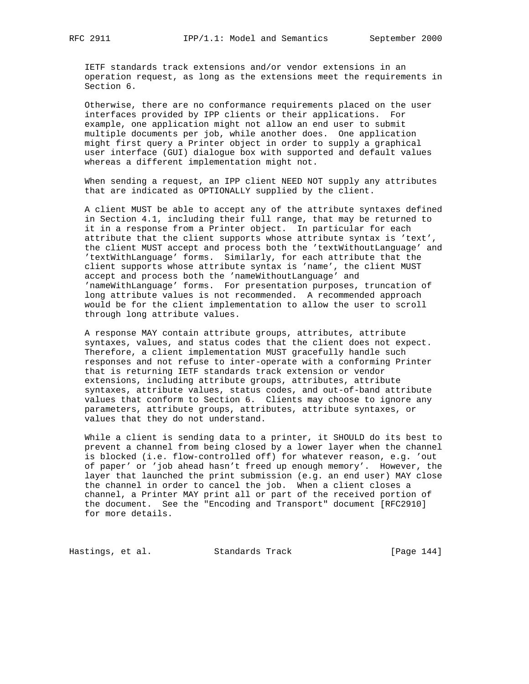IETF standards track extensions and/or vendor extensions in an operation request, as long as the extensions meet the requirements in Section 6.

 Otherwise, there are no conformance requirements placed on the user interfaces provided by IPP clients or their applications. For example, one application might not allow an end user to submit multiple documents per job, while another does. One application might first query a Printer object in order to supply a graphical user interface (GUI) dialogue box with supported and default values whereas a different implementation might not.

 When sending a request, an IPP client NEED NOT supply any attributes that are indicated as OPTIONALLY supplied by the client.

 A client MUST be able to accept any of the attribute syntaxes defined in Section 4.1, including their full range, that may be returned to it in a response from a Printer object. In particular for each attribute that the client supports whose attribute syntax is 'text', the client MUST accept and process both the 'textWithoutLanguage' and 'textWithLanguage' forms. Similarly, for each attribute that the client supports whose attribute syntax is 'name', the client MUST accept and process both the 'nameWithoutLanguage' and 'nameWithLanguage' forms. For presentation purposes, truncation of long attribute values is not recommended. A recommended approach would be for the client implementation to allow the user to scroll through long attribute values.

 A response MAY contain attribute groups, attributes, attribute syntaxes, values, and status codes that the client does not expect. Therefore, a client implementation MUST gracefully handle such responses and not refuse to inter-operate with a conforming Printer that is returning IETF standards track extension or vendor extensions, including attribute groups, attributes, attribute syntaxes, attribute values, status codes, and out-of-band attribute values that conform to Section 6. Clients may choose to ignore any parameters, attribute groups, attributes, attribute syntaxes, or values that they do not understand.

 While a client is sending data to a printer, it SHOULD do its best to prevent a channel from being closed by a lower layer when the channel is blocked (i.e. flow-controlled off) for whatever reason, e.g. 'out of paper' or 'job ahead hasn't freed up enough memory'. However, the layer that launched the print submission (e.g. an end user) MAY close the channel in order to cancel the job. When a client closes a channel, a Printer MAY print all or part of the received portion of the document. See the "Encoding and Transport" document [RFC2910] for more details.

Hastings, et al. Standards Track [Page 144]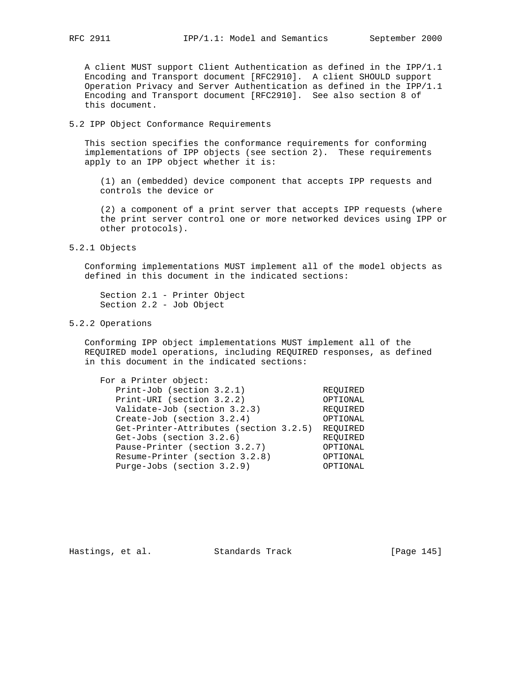A client MUST support Client Authentication as defined in the IPP/1.1 Encoding and Transport document [RFC2910]. A client SHOULD support Operation Privacy and Server Authentication as defined in the IPP/1.1 Encoding and Transport document [RFC2910]. See also section 8 of this document.

## 5.2 IPP Object Conformance Requirements

 This section specifies the conformance requirements for conforming implementations of IPP objects (see section 2). These requirements apply to an IPP object whether it is:

 (1) an (embedded) device component that accepts IPP requests and controls the device or

 (2) a component of a print server that accepts IPP requests (where the print server control one or more networked devices using IPP or other protocols).

# 5.2.1 Objects

 Conforming implementations MUST implement all of the model objects as defined in this document in the indicated sections:

 Section 2.1 - Printer Object Section 2.2 - Job Object

# 5.2.2 Operations

 Conforming IPP object implementations MUST implement all of the REQUIRED model operations, including REQUIRED responses, as defined in this document in the indicated sections:

| For a Printer object:                  |          |
|----------------------------------------|----------|
| Print-Job (section 3.2.1)              | REOUIRED |
| Print-URI (section 3.2.2)              | OPTIONAL |
| Validate-Job (section 3.2.3)           | REOUIRED |
| Create-Job (section $3.2.4$ )          | OPTIONAL |
| Get-Printer-Attributes (section 3.2.5) | REOUIRED |
| Get-Jobs (section 3.2.6)               | REOUIRED |
| Pause-Printer (section 3.2.7)          | OPTIONAL |
| Resume-Printer (section 3.2.8)         | OPTIONAL |
| Purge-Jobs (section 3.2.9)             | OPTIONAL |
|                                        |          |

Hastings, et al. Standards Track [Page 145]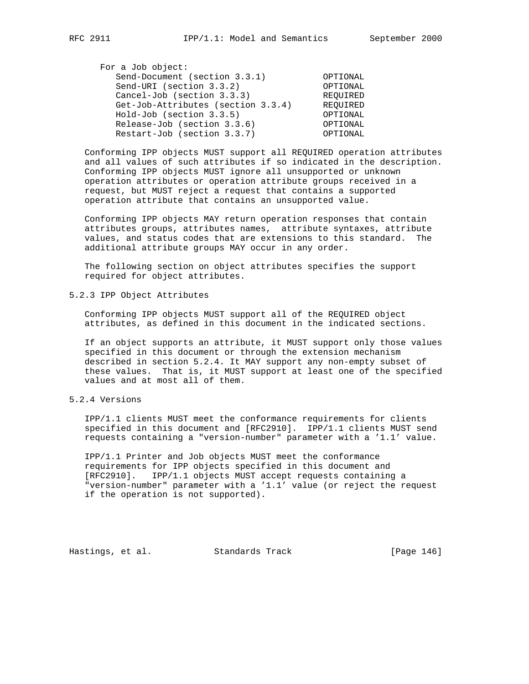| For a Job object:                  |          |
|------------------------------------|----------|
| Send-Document (section 3.3.1)      | OPTIONAL |
| Send-URI (section 3.3.2)           | OPTIONAL |
| Cancel-Job (section 3.3.3)         | REOUIRED |
| Get-Job-Attributes (section 3.3.4) | REOUIRED |
| Hold-Job (section 3.3.5)           | OPTIONAL |
| Release-Job (section 3.3.6)        | OPTIONAL |
| Restart-Job (section 3.3.7)        | OPTIONAL |

 Conforming IPP objects MUST support all REQUIRED operation attributes and all values of such attributes if so indicated in the description. Conforming IPP objects MUST ignore all unsupported or unknown operation attributes or operation attribute groups received in a request, but MUST reject a request that contains a supported operation attribute that contains an unsupported value.

 Conforming IPP objects MAY return operation responses that contain attributes groups, attributes names, attribute syntaxes, attribute values, and status codes that are extensions to this standard. The additional attribute groups MAY occur in any order.

 The following section on object attributes specifies the support required for object attributes.

5.2.3 IPP Object Attributes

 Conforming IPP objects MUST support all of the REQUIRED object attributes, as defined in this document in the indicated sections.

 If an object supports an attribute, it MUST support only those values specified in this document or through the extension mechanism described in section 5.2.4. It MAY support any non-empty subset of these values. That is, it MUST support at least one of the specified values and at most all of them.

5.2.4 Versions

 IPP/1.1 clients MUST meet the conformance requirements for clients specified in this document and [RFC2910]. IPP/1.1 clients MUST send requests containing a "version-number" parameter with a '1.1' value.

 IPP/1.1 Printer and Job objects MUST meet the conformance requirements for IPP objects specified in this document and [RFC2910]. IPP/1.1 objects MUST accept requests containing a "version-number" parameter with a '1.1' value (or reject the request if the operation is not supported).

Hastings, et al. Standards Track [Page 146]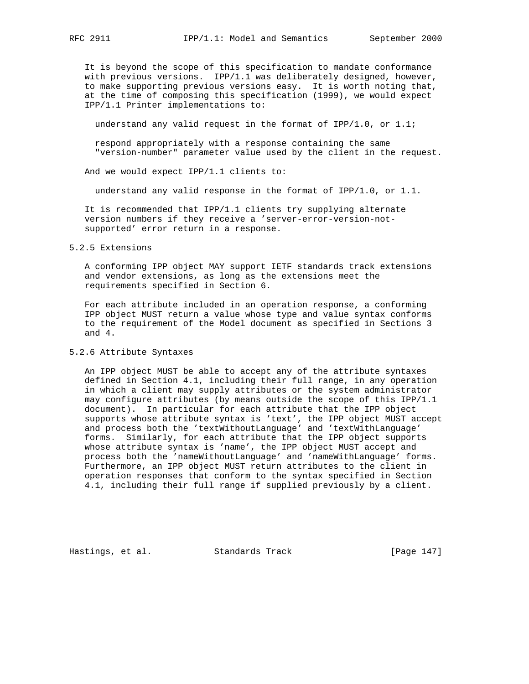It is beyond the scope of this specification to mandate conformance with previous versions. IPP/1.1 was deliberately designed, however, to make supporting previous versions easy. It is worth noting that, at the time of composing this specification (1999), we would expect IPP/1.1 Printer implementations to:

understand any valid request in the format of IPP/1.0, or 1.1;

 respond appropriately with a response containing the same "version-number" parameter value used by the client in the request.

And we would expect IPP/1.1 clients to:

understand any valid response in the format of IPP/1.0, or 1.1.

 It is recommended that IPP/1.1 clients try supplying alternate version numbers if they receive a 'server-error-version-not supported' error return in a response.

#### 5.2.5 Extensions

 A conforming IPP object MAY support IETF standards track extensions and vendor extensions, as long as the extensions meet the requirements specified in Section 6.

 For each attribute included in an operation response, a conforming IPP object MUST return a value whose type and value syntax conforms to the requirement of the Model document as specified in Sections 3 and 4.

### 5.2.6 Attribute Syntaxes

 An IPP object MUST be able to accept any of the attribute syntaxes defined in Section 4.1, including their full range, in any operation in which a client may supply attributes or the system administrator may configure attributes (by means outside the scope of this IPP/1.1 document). In particular for each attribute that the IPP object supports whose attribute syntax is 'text', the IPP object MUST accept and process both the 'textWithoutLanguage' and 'textWithLanguage' forms. Similarly, for each attribute that the IPP object supports whose attribute syntax is 'name', the IPP object MUST accept and process both the 'nameWithoutLanguage' and 'nameWithLanguage' forms. Furthermore, an IPP object MUST return attributes to the client in operation responses that conform to the syntax specified in Section 4.1, including their full range if supplied previously by a client.

Hastings, et al. Standards Track [Page 147]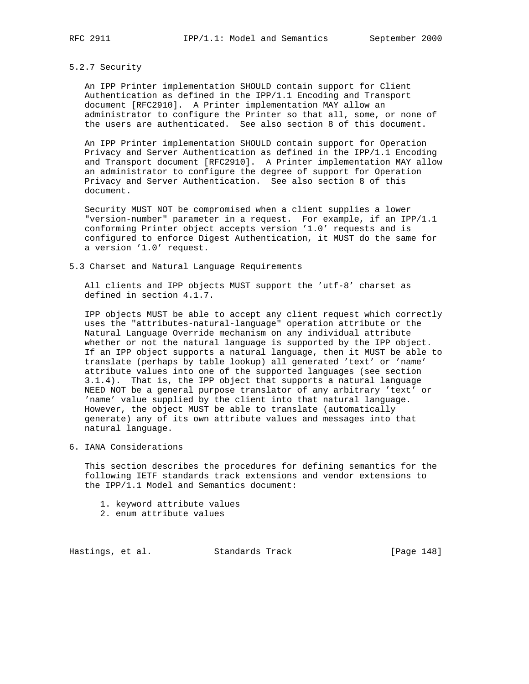### 5.2.7 Security

 An IPP Printer implementation SHOULD contain support for Client Authentication as defined in the IPP/1.1 Encoding and Transport document [RFC2910]. A Printer implementation MAY allow an administrator to configure the Printer so that all, some, or none of the users are authenticated. See also section 8 of this document.

 An IPP Printer implementation SHOULD contain support for Operation Privacy and Server Authentication as defined in the IPP/1.1 Encoding and Transport document [RFC2910]. A Printer implementation MAY allow an administrator to configure the degree of support for Operation Privacy and Server Authentication. See also section 8 of this document.

 Security MUST NOT be compromised when a client supplies a lower "version-number" parameter in a request. For example, if an IPP/1.1 conforming Printer object accepts version '1.0' requests and is configured to enforce Digest Authentication, it MUST do the same for a version '1.0' request.

5.3 Charset and Natural Language Requirements

 All clients and IPP objects MUST support the 'utf-8' charset as defined in section 4.1.7.

 IPP objects MUST be able to accept any client request which correctly uses the "attributes-natural-language" operation attribute or the Natural Language Override mechanism on any individual attribute whether or not the natural language is supported by the IPP object. If an IPP object supports a natural language, then it MUST be able to translate (perhaps by table lookup) all generated 'text' or 'name' attribute values into one of the supported languages (see section 3.1.4). That is, the IPP object that supports a natural language NEED NOT be a general purpose translator of any arbitrary 'text' or 'name' value supplied by the client into that natural language. However, the object MUST be able to translate (automatically generate) any of its own attribute values and messages into that natural language.

6. IANA Considerations

 This section describes the procedures for defining semantics for the following IETF standards track extensions and vendor extensions to the IPP/1.1 Model and Semantics document:

- 1. keyword attribute values
- 2. enum attribute values

Hastings, et al. Standards Track [Page 148]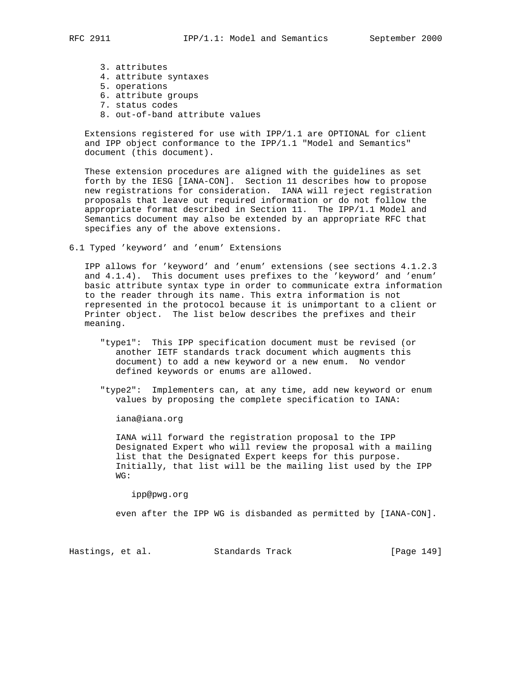- 3. attributes
- 4. attribute syntaxes
- 5. operations
- 6. attribute groups
- 7. status codes
- 8. out-of-band attribute values

 Extensions registered for use with IPP/1.1 are OPTIONAL for client and IPP object conformance to the IPP/1.1 "Model and Semantics" document (this document).

 These extension procedures are aligned with the guidelines as set forth by the IESG [IANA-CON]. Section 11 describes how to propose new registrations for consideration. IANA will reject registration proposals that leave out required information or do not follow the appropriate format described in Section 11. The IPP/1.1 Model and Semantics document may also be extended by an appropriate RFC that specifies any of the above extensions.

6.1 Typed 'keyword' and 'enum' Extensions

 IPP allows for 'keyword' and 'enum' extensions (see sections 4.1.2.3 and 4.1.4). This document uses prefixes to the 'keyword' and 'enum' basic attribute syntax type in order to communicate extra information to the reader through its name. This extra information is not represented in the protocol because it is unimportant to a client or Printer object. The list below describes the prefixes and their meaning.

- "type1": This IPP specification document must be revised (or another IETF standards track document which augments this document) to add a new keyword or a new enum. No vendor defined keywords or enums are allowed.
- "type2": Implementers can, at any time, add new keyword or enum values by proposing the complete specification to IANA:

iana@iana.org

 IANA will forward the registration proposal to the IPP Designated Expert who will review the proposal with a mailing list that the Designated Expert keeps for this purpose. Initially, that list will be the mailing list used by the IPP WG:

ipp@pwg.org

even after the IPP WG is disbanded as permitted by [IANA-CON].

Hastings, et al. Standards Track [Page 149]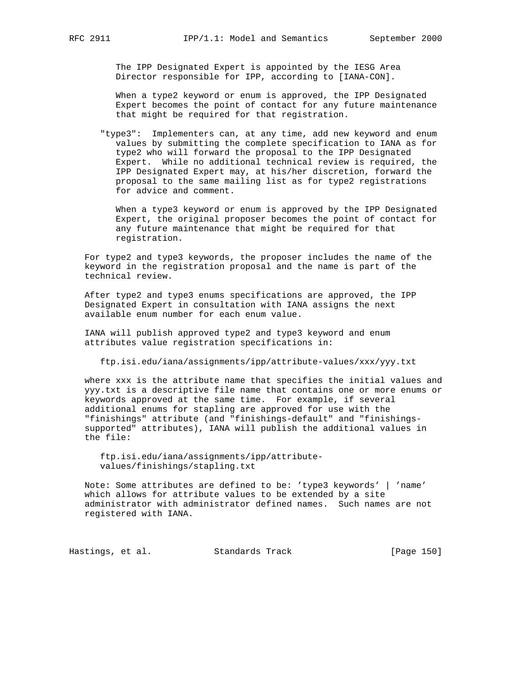The IPP Designated Expert is appointed by the IESG Area Director responsible for IPP, according to [IANA-CON].

 When a type2 keyword or enum is approved, the IPP Designated Expert becomes the point of contact for any future maintenance that might be required for that registration.

 "type3": Implementers can, at any time, add new keyword and enum values by submitting the complete specification to IANA as for type2 who will forward the proposal to the IPP Designated Expert. While no additional technical review is required, the IPP Designated Expert may, at his/her discretion, forward the proposal to the same mailing list as for type2 registrations for advice and comment.

 When a type3 keyword or enum is approved by the IPP Designated Expert, the original proposer becomes the point of contact for any future maintenance that might be required for that registration.

 For type2 and type3 keywords, the proposer includes the name of the keyword in the registration proposal and the name is part of the technical review.

 After type2 and type3 enums specifications are approved, the IPP Designated Expert in consultation with IANA assigns the next available enum number for each enum value.

 IANA will publish approved type2 and type3 keyword and enum attributes value registration specifications in:

ftp.isi.edu/iana/assignments/ipp/attribute-values/xxx/yyy.txt

 where xxx is the attribute name that specifies the initial values and yyy.txt is a descriptive file name that contains one or more enums or keywords approved at the same time. For example, if several additional enums for stapling are approved for use with the "finishings" attribute (and "finishings-default" and "finishings supported" attributes), IANA will publish the additional values in the file:

 ftp.isi.edu/iana/assignments/ipp/attribute values/finishings/stapling.txt

 Note: Some attributes are defined to be: 'type3 keywords' | 'name' which allows for attribute values to be extended by a site administrator with administrator defined names. Such names are not registered with IANA.

Hastings, et al. Standards Track [Page 150]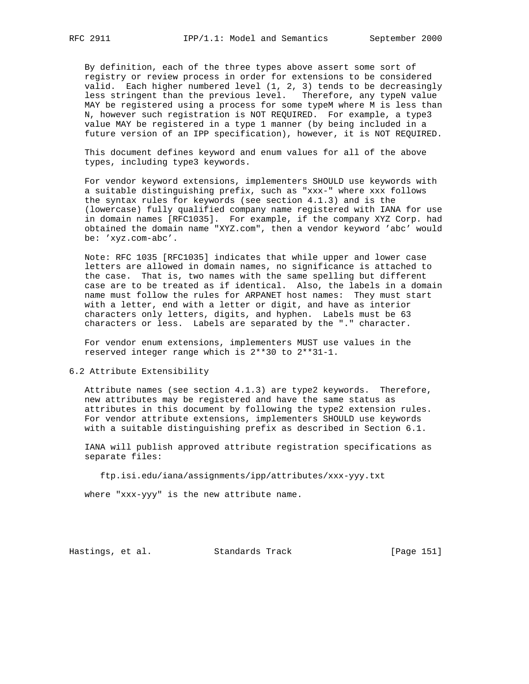By definition, each of the three types above assert some sort of registry or review process in order for extensions to be considered valid. Each higher numbered level (1, 2, 3) tends to be decreasingly less stringent than the previous level. Therefore, any typeN value MAY be registered using a process for some typeM where M is less than N, however such registration is NOT REQUIRED. For example, a type3 value MAY be registered in a type 1 manner (by being included in a future version of an IPP specification), however, it is NOT REQUIRED.

 This document defines keyword and enum values for all of the above types, including type3 keywords.

 For vendor keyword extensions, implementers SHOULD use keywords with a suitable distinguishing prefix, such as "xxx-" where xxx follows the syntax rules for keywords (see section 4.1.3) and is the (lowercase) fully qualified company name registered with IANA for use in domain names [RFC1035]. For example, if the company XYZ Corp. had obtained the domain name "XYZ.com", then a vendor keyword 'abc' would be: 'xyz.com-abc'.

 Note: RFC 1035 [RFC1035] indicates that while upper and lower case letters are allowed in domain names, no significance is attached to the case. That is, two names with the same spelling but different case are to be treated as if identical. Also, the labels in a domain name must follow the rules for ARPANET host names: They must start with a letter, end with a letter or digit, and have as interior characters only letters, digits, and hyphen. Labels must be 63 characters or less. Labels are separated by the "." character.

 For vendor enum extensions, implementers MUST use values in the reserved integer range which is 2\*\*30 to 2\*\*31-1.

6.2 Attribute Extensibility

 Attribute names (see section 4.1.3) are type2 keywords. Therefore, new attributes may be registered and have the same status as attributes in this document by following the type2 extension rules. For vendor attribute extensions, implementers SHOULD use keywords with a suitable distinguishing prefix as described in Section 6.1.

 IANA will publish approved attribute registration specifications as separate files:

ftp.isi.edu/iana/assignments/ipp/attributes/xxx-yyy.txt

where "xxx-yyy" is the new attribute name.

Hastings, et al. Standards Track [Page 151]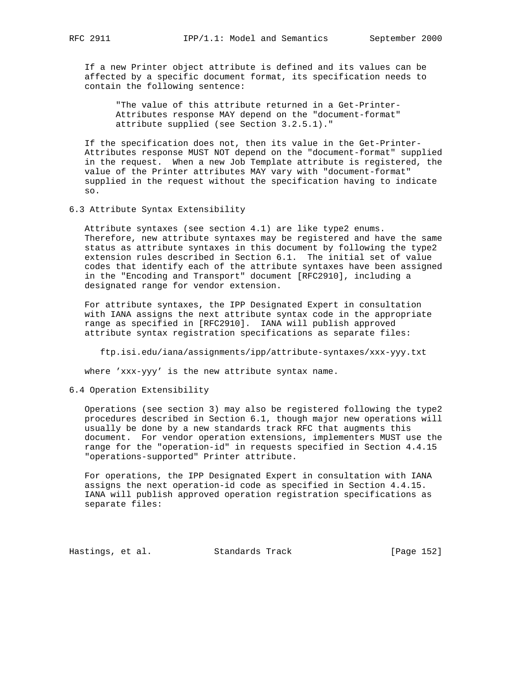If a new Printer object attribute is defined and its values can be affected by a specific document format, its specification needs to contain the following sentence:

 "The value of this attribute returned in a Get-Printer- Attributes response MAY depend on the "document-format" attribute supplied (see Section 3.2.5.1)."

 If the specification does not, then its value in the Get-Printer- Attributes response MUST NOT depend on the "document-format" supplied in the request. When a new Job Template attribute is registered, the value of the Printer attributes MAY vary with "document-format" supplied in the request without the specification having to indicate so.

6.3 Attribute Syntax Extensibility

 Attribute syntaxes (see section 4.1) are like type2 enums. Therefore, new attribute syntaxes may be registered and have the same status as attribute syntaxes in this document by following the type2 extension rules described in Section 6.1. The initial set of value codes that identify each of the attribute syntaxes have been assigned in the "Encoding and Transport" document [RFC2910], including a designated range for vendor extension.

 For attribute syntaxes, the IPP Designated Expert in consultation with IANA assigns the next attribute syntax code in the appropriate range as specified in [RFC2910]. IANA will publish approved attribute syntax registration specifications as separate files:

ftp.isi.edu/iana/assignments/ipp/attribute-syntaxes/xxx-yyy.txt

where 'xxx-yyy' is the new attribute syntax name.

## 6.4 Operation Extensibility

 Operations (see section 3) may also be registered following the type2 procedures described in Section 6.1, though major new operations will usually be done by a new standards track RFC that augments this document. For vendor operation extensions, implementers MUST use the range for the "operation-id" in requests specified in Section 4.4.15 "operations-supported" Printer attribute.

 For operations, the IPP Designated Expert in consultation with IANA assigns the next operation-id code as specified in Section 4.4.15. IANA will publish approved operation registration specifications as separate files:

Hastings, et al. Standards Track [Page 152]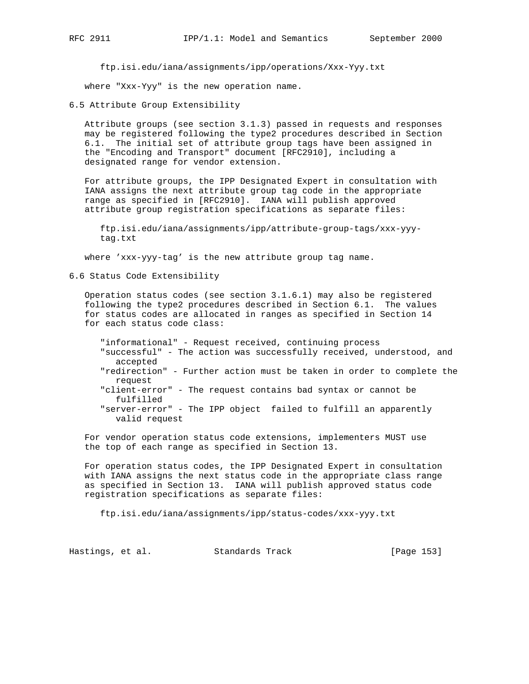ftp.isi.edu/iana/assignments/ipp/operations/Xxx-Yyy.txt

where "Xxx-Yyy" is the new operation name.

6.5 Attribute Group Extensibility

 Attribute groups (see section 3.1.3) passed in requests and responses may be registered following the type2 procedures described in Section 6.1. The initial set of attribute group tags have been assigned in the "Encoding and Transport" document [RFC2910], including a designated range for vendor extension.

 For attribute groups, the IPP Designated Expert in consultation with IANA assigns the next attribute group tag code in the appropriate range as specified in [RFC2910]. IANA will publish approved attribute group registration specifications as separate files:

 ftp.isi.edu/iana/assignments/ipp/attribute-group-tags/xxx-yyy tag.txt

where 'xxx-yyy-tag' is the new attribute group tag name.

6.6 Status Code Extensibility

 Operation status codes (see section 3.1.6.1) may also be registered following the type2 procedures described in Section 6.1. The values for status codes are allocated in ranges as specified in Section 14 for each status code class:

 "informational" - Request received, continuing process "successful" - The action was successfully received, understood, and accepted "redirection" - Further action must be taken in order to complete the request "client-error" - The request contains bad syntax or cannot be fulfilled "server-error" - The IPP object failed to fulfill an apparently valid request

 For vendor operation status code extensions, implementers MUST use the top of each range as specified in Section 13.

 For operation status codes, the IPP Designated Expert in consultation with IANA assigns the next status code in the appropriate class range as specified in Section 13. IANA will publish approved status code registration specifications as separate files:

ftp.isi.edu/iana/assignments/ipp/status-codes/xxx-yyy.txt

Hastings, et al. Standards Track [Page 153]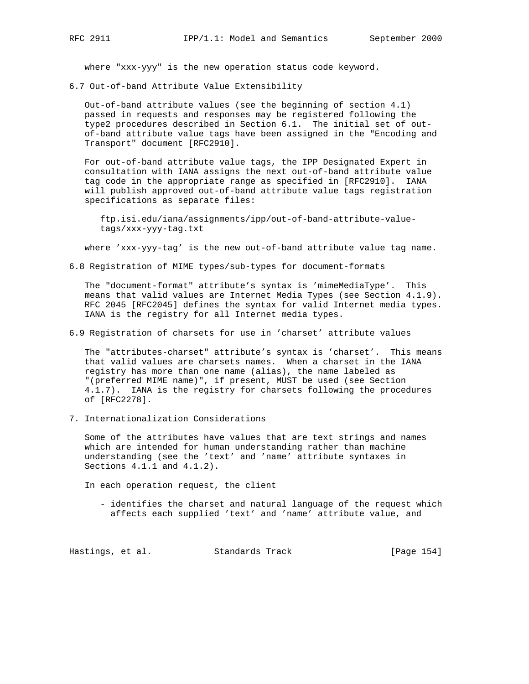where "xxx-yyy" is the new operation status code keyword.

6.7 Out-of-band Attribute Value Extensibility

 Out-of-band attribute values (see the beginning of section 4.1) passed in requests and responses may be registered following the type2 procedures described in Section 6.1. The initial set of out of-band attribute value tags have been assigned in the "Encoding and Transport" document [RFC2910].

 For out-of-band attribute value tags, the IPP Designated Expert in consultation with IANA assigns the next out-of-band attribute value tag code in the appropriate range as specified in [RFC2910]. IANA will publish approved out-of-band attribute value tags registration specifications as separate files:

 ftp.isi.edu/iana/assignments/ipp/out-of-band-attribute-value tags/xxx-yyy-tag.txt

where 'xxx-yyy-tag' is the new out-of-band attribute value tag name.

6.8 Registration of MIME types/sub-types for document-formats

 The "document-format" attribute's syntax is 'mimeMediaType'. This means that valid values are Internet Media Types (see Section 4.1.9). RFC 2045 [RFC2045] defines the syntax for valid Internet media types. IANA is the registry for all Internet media types.

6.9 Registration of charsets for use in 'charset' attribute values

 The "attributes-charset" attribute's syntax is 'charset'. This means that valid values are charsets names. When a charset in the IANA registry has more than one name (alias), the name labeled as "(preferred MIME name)", if present, MUST be used (see Section 4.1.7). IANA is the registry for charsets following the procedures of [RFC2278].

7. Internationalization Considerations

 Some of the attributes have values that are text strings and names which are intended for human understanding rather than machine understanding (see the 'text' and 'name' attribute syntaxes in Sections 4.1.1 and 4.1.2).

In each operation request, the client

 - identifies the charset and natural language of the request which affects each supplied 'text' and 'name' attribute value, and

Hastings, et al. Standards Track [Page 154]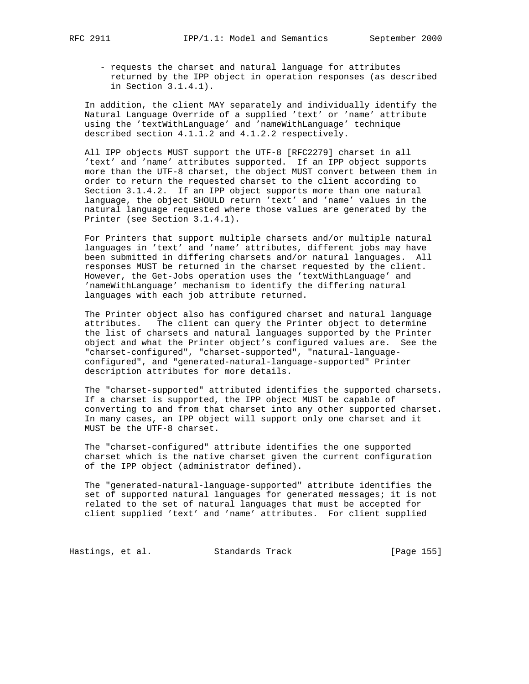- requests the charset and natural language for attributes returned by the IPP object in operation responses (as described in Section 3.1.4.1).

 In addition, the client MAY separately and individually identify the Natural Language Override of a supplied 'text' or 'name' attribute using the 'textWithLanguage' and 'nameWithLanguage' technique described section 4.1.1.2 and 4.1.2.2 respectively.

 All IPP objects MUST support the UTF-8 [RFC2279] charset in all 'text' and 'name' attributes supported. If an IPP object supports more than the UTF-8 charset, the object MUST convert between them in order to return the requested charset to the client according to Section 3.1.4.2. If an IPP object supports more than one natural language, the object SHOULD return 'text' and 'name' values in the natural language requested where those values are generated by the Printer (see Section 3.1.4.1).

 For Printers that support multiple charsets and/or multiple natural languages in 'text' and 'name' attributes, different jobs may have been submitted in differing charsets and/or natural languages. All responses MUST be returned in the charset requested by the client. However, the Get-Jobs operation uses the 'textWithLanguage' and 'nameWithLanguage' mechanism to identify the differing natural languages with each job attribute returned.

 The Printer object also has configured charset and natural language attributes. The client can query the Printer object to determine the list of charsets and natural languages supported by the Printer object and what the Printer object's configured values are. See the "charset-configured", "charset-supported", "natural-language configured", and "generated-natural-language-supported" Printer description attributes for more details.

 The "charset-supported" attributed identifies the supported charsets. If a charset is supported, the IPP object MUST be capable of converting to and from that charset into any other supported charset. In many cases, an IPP object will support only one charset and it MUST be the UTF-8 charset.

 The "charset-configured" attribute identifies the one supported charset which is the native charset given the current configuration of the IPP object (administrator defined).

 The "generated-natural-language-supported" attribute identifies the set of supported natural languages for generated messages; it is not related to the set of natural languages that must be accepted for client supplied 'text' and 'name' attributes. For client supplied

Hastings, et al. Standards Track [Page 155]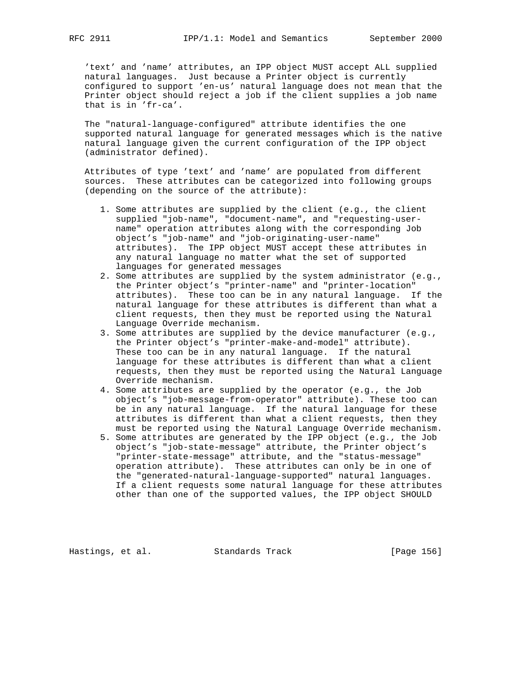'text' and 'name' attributes, an IPP object MUST accept ALL supplied natural languages. Just because a Printer object is currently configured to support 'en-us' natural language does not mean that the Printer object should reject a job if the client supplies a job name that is in 'fr-ca'.

 The "natural-language-configured" attribute identifies the one supported natural language for generated messages which is the native natural language given the current configuration of the IPP object (administrator defined).

 Attributes of type 'text' and 'name' are populated from different sources. These attributes can be categorized into following groups (depending on the source of the attribute):

- 1. Some attributes are supplied by the client (e.g., the client supplied "job-name", "document-name", and "requesting-user name" operation attributes along with the corresponding Job object's "job-name" and "job-originating-user-name" attributes). The IPP object MUST accept these attributes in any natural language no matter what the set of supported languages for generated messages
- 2. Some attributes are supplied by the system administrator (e.g., the Printer object's "printer-name" and "printer-location" attributes). These too can be in any natural language. If the natural language for these attributes is different than what a client requests, then they must be reported using the Natural Language Override mechanism.
- 3. Some attributes are supplied by the device manufacturer (e.g., the Printer object's "printer-make-and-model" attribute). These too can be in any natural language. If the natural language for these attributes is different than what a client requests, then they must be reported using the Natural Language Override mechanism.
- 4. Some attributes are supplied by the operator (e.g., the Job object's "job-message-from-operator" attribute). These too can be in any natural language. If the natural language for these attributes is different than what a client requests, then they must be reported using the Natural Language Override mechanism.
- 5. Some attributes are generated by the IPP object (e.g., the Job object's "job-state-message" attribute, the Printer object's "printer-state-message" attribute, and the "status-message" operation attribute). These attributes can only be in one of the "generated-natural-language-supported" natural languages. If a client requests some natural language for these attributes other than one of the supported values, the IPP object SHOULD

Hastings, et al. Standards Track [Page 156]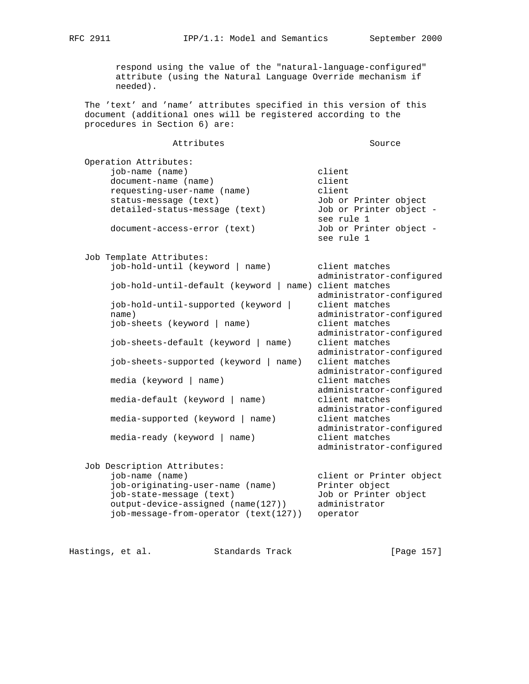respond using the value of the "natural-language-configured" attribute (using the Natural Language Override mechanism if needed).

 The 'text' and 'name' attributes specified in this version of this document (additional ones will be registered according to the procedures in Section 6) are:

| Attributes                                 | Source                   |
|--------------------------------------------|--------------------------|
| Operation Attributes:                      |                          |
| job-name (name)                            | client                   |
| document-name (name)                       | client                   |
| requesting-user-name (name)                | client                   |
| status-message (text)                      | Job or Printer object    |
|                                            | Job or Printer object -  |
| detailed-status-message (text)             | see rule 1               |
|                                            |                          |
| document-access-error (text)               | Job or Printer object -  |
|                                            | see rule 1               |
| Job Template Attributes:                   |                          |
| job-hold-until (keyword   name)            | client matches           |
|                                            | administrator-configured |
| job-hold-until-default (keyword  <br>name) | client matches           |
|                                            | administrator-configured |
| job-hold-until-supported (keyword          | client matches           |
| name)                                      | administrator-configured |
| job-sheets (keyword  <br>name)             | client matches           |
|                                            | administrator-configured |
| job-sheets-default (keyword   name)        | client matches           |
|                                            | administrator-configured |
| job-sheets-supported (keyword   name)      | client matches           |
|                                            | administrator-configured |
| media (keyword  <br>name)                  | client matches           |
|                                            | administrator-configured |
| media-default (keyword  <br>name)          | client matches           |
|                                            |                          |
|                                            | administrator-configured |
| media-supported (keyword   name)           | client matches           |
|                                            | administrator-configured |
| media-ready (keyword   name)               | client matches           |
|                                            | administrator-configured |
| Job Description Attributes:                |                          |
| job-name (name)                            | client or Printer object |
| job-originating-user-name (name)           | Printer object           |
| job-state-message (text)                   | Job or Printer object    |
| output-device-assigned (name(127))         | administrator            |
| job-message-from-operator (text(127))      | operator                 |

|  | Hastings, et al. |  | Standards Track |  | [Page 157] |  |
|--|------------------|--|-----------------|--|------------|--|
|--|------------------|--|-----------------|--|------------|--|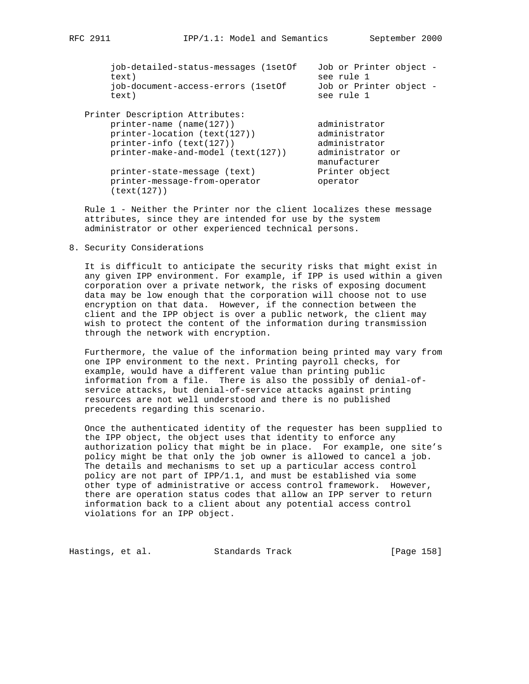| job-detailed-status-messages (1setOf<br>text)<br>job-document-access-errors (lsetOf | Job or Printer object -<br>see rule 1<br>Job or Printer object - |
|-------------------------------------------------------------------------------------|------------------------------------------------------------------|
| text)                                                                               | see rule 1                                                       |
| Printer Description Attributes:                                                     |                                                                  |
| $printer$ -name (name(127))                                                         | administrator                                                    |
| printer-location (text(127))                                                        | administrator                                                    |
| $printer-int6$ (text(127))                                                          | administrator                                                    |
| printer-make-and-model (text(127))                                                  | administrator or<br>manufacturer                                 |
| printer-state-message (text)                                                        | Printer object                                                   |
| printer-message-from-operator<br>(text(127))                                        | operator                                                         |

 Rule 1 - Neither the Printer nor the client localizes these message attributes, since they are intended for use by the system administrator or other experienced technical persons.

8. Security Considerations

 It is difficult to anticipate the security risks that might exist in any given IPP environment. For example, if IPP is used within a given corporation over a private network, the risks of exposing document data may be low enough that the corporation will choose not to use encryption on that data. However, if the connection between the client and the IPP object is over a public network, the client may wish to protect the content of the information during transmission through the network with encryption.

 Furthermore, the value of the information being printed may vary from one IPP environment to the next. Printing payroll checks, for example, would have a different value than printing public information from a file. There is also the possibly of denial-of service attacks, but denial-of-service attacks against printing resources are not well understood and there is no published precedents regarding this scenario.

 Once the authenticated identity of the requester has been supplied to the IPP object, the object uses that identity to enforce any authorization policy that might be in place. For example, one site's policy might be that only the job owner is allowed to cancel a job. The details and mechanisms to set up a particular access control policy are not part of IPP/1.1, and must be established via some other type of administrative or access control framework. However, there are operation status codes that allow an IPP server to return information back to a client about any potential access control violations for an IPP object.

Hastings, et al. Standards Track [Page 158]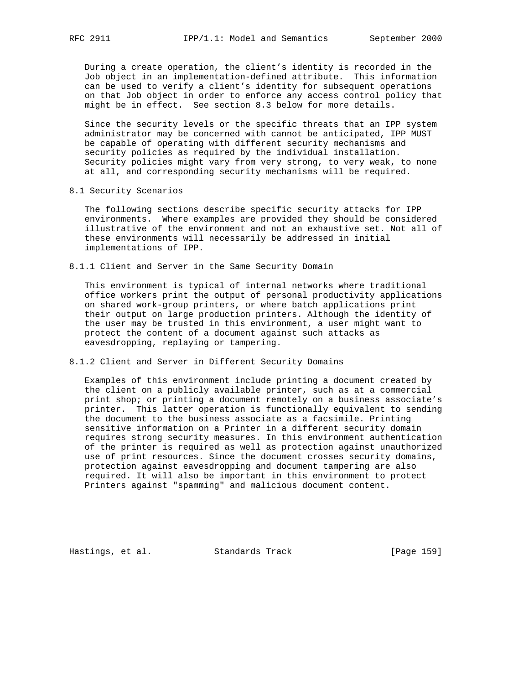During a create operation, the client's identity is recorded in the Job object in an implementation-defined attribute. This information can be used to verify a client's identity for subsequent operations on that Job object in order to enforce any access control policy that might be in effect. See section 8.3 below for more details.

 Since the security levels or the specific threats that an IPP system administrator may be concerned with cannot be anticipated, IPP MUST be capable of operating with different security mechanisms and security policies as required by the individual installation. Security policies might vary from very strong, to very weak, to none at all, and corresponding security mechanisms will be required.

8.1 Security Scenarios

 The following sections describe specific security attacks for IPP environments. Where examples are provided they should be considered illustrative of the environment and not an exhaustive set. Not all of these environments will necessarily be addressed in initial implementations of IPP.

8.1.1 Client and Server in the Same Security Domain

 This environment is typical of internal networks where traditional office workers print the output of personal productivity applications on shared work-group printers, or where batch applications print their output on large production printers. Although the identity of the user may be trusted in this environment, a user might want to protect the content of a document against such attacks as eavesdropping, replaying or tampering.

8.1.2 Client and Server in Different Security Domains

 Examples of this environment include printing a document created by the client on a publicly available printer, such as at a commercial print shop; or printing a document remotely on a business associate's printer. This latter operation is functionally equivalent to sending the document to the business associate as a facsimile. Printing sensitive information on a Printer in a different security domain requires strong security measures. In this environment authentication of the printer is required as well as protection against unauthorized use of print resources. Since the document crosses security domains, protection against eavesdropping and document tampering are also required. It will also be important in this environment to protect Printers against "spamming" and malicious document content.

Hastings, et al. Standards Track [Page 159]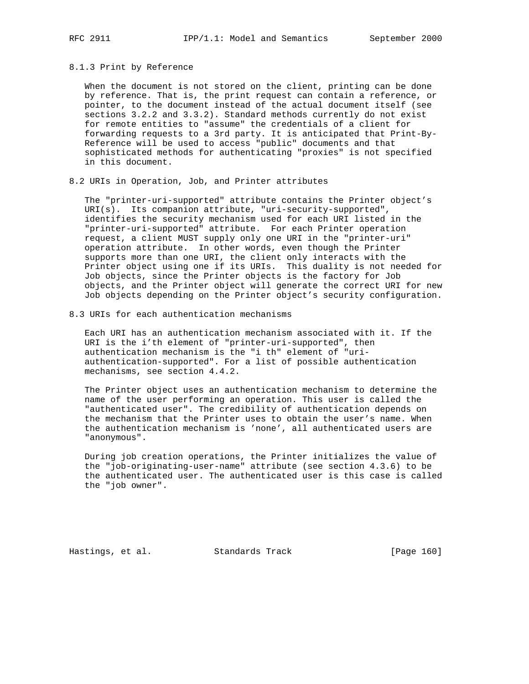### 8.1.3 Print by Reference

 When the document is not stored on the client, printing can be done by reference. That is, the print request can contain a reference, or pointer, to the document instead of the actual document itself (see sections 3.2.2 and 3.3.2). Standard methods currently do not exist for remote entities to "assume" the credentials of a client for forwarding requests to a 3rd party. It is anticipated that Print-By- Reference will be used to access "public" documents and that sophisticated methods for authenticating "proxies" is not specified in this document.

8.2 URIs in Operation, Job, and Printer attributes

 The "printer-uri-supported" attribute contains the Printer object's URI(s). Its companion attribute, "uri-security-supported", identifies the security mechanism used for each URI listed in the "printer-uri-supported" attribute. For each Printer operation request, a client MUST supply only one URI in the "printer-uri" operation attribute. In other words, even though the Printer supports more than one URI, the client only interacts with the Printer object using one if its URIs. This duality is not needed for Job objects, since the Printer objects is the factory for Job objects, and the Printer object will generate the correct URI for new Job objects depending on the Printer object's security configuration.

8.3 URIs for each authentication mechanisms

 Each URI has an authentication mechanism associated with it. If the URI is the i'th element of "printer-uri-supported", then authentication mechanism is the "i th" element of "uri authentication-supported". For a list of possible authentication mechanisms, see section 4.4.2.

 The Printer object uses an authentication mechanism to determine the name of the user performing an operation. This user is called the "authenticated user". The credibility of authentication depends on the mechanism that the Printer uses to obtain the user's name. When the authentication mechanism is 'none', all authenticated users are "anonymous".

 During job creation operations, the Printer initializes the value of the "job-originating-user-name" attribute (see section 4.3.6) to be the authenticated user. The authenticated user is this case is called the "job owner".

Hastings, et al. Standards Track [Page 160]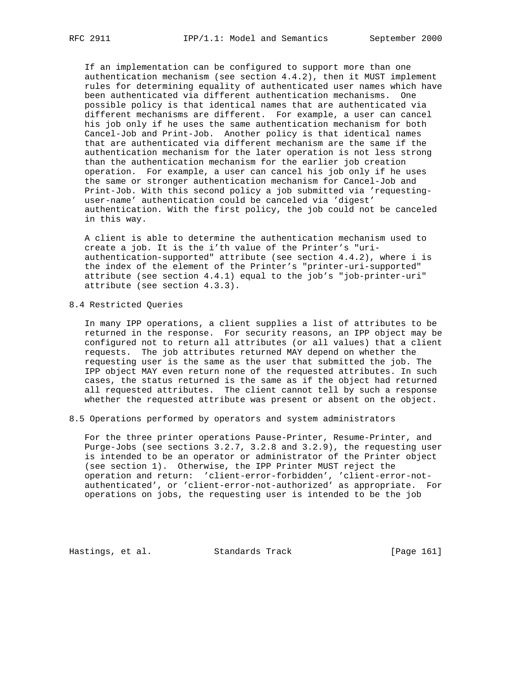If an implementation can be configured to support more than one authentication mechanism (see section 4.4.2), then it MUST implement rules for determining equality of authenticated user names which have been authenticated via different authentication mechanisms. One possible policy is that identical names that are authenticated via different mechanisms are different. For example, a user can cancel his job only if he uses the same authentication mechanism for both Cancel-Job and Print-Job. Another policy is that identical names that are authenticated via different mechanism are the same if the authentication mechanism for the later operation is not less strong than the authentication mechanism for the earlier job creation operation. For example, a user can cancel his job only if he uses the same or stronger authentication mechanism for Cancel-Job and Print-Job. With this second policy a job submitted via 'requesting user-name' authentication could be canceled via 'digest' authentication. With the first policy, the job could not be canceled in this way.

 A client is able to determine the authentication mechanism used to create a job. It is the i'th value of the Printer's "uri authentication-supported" attribute (see section 4.4.2), where i is the index of the element of the Printer's "printer-uri-supported" attribute (see section 4.4.1) equal to the job's "job-printer-uri" attribute (see section 4.3.3).

# 8.4 Restricted Queries

 In many IPP operations, a client supplies a list of attributes to be returned in the response. For security reasons, an IPP object may be configured not to return all attributes (or all values) that a client requests. The job attributes returned MAY depend on whether the requesting user is the same as the user that submitted the job. The IPP object MAY even return none of the requested attributes. In such cases, the status returned is the same as if the object had returned all requested attributes. The client cannot tell by such a response whether the requested attribute was present or absent on the object.

### 8.5 Operations performed by operators and system administrators

 For the three printer operations Pause-Printer, Resume-Printer, and Purge-Jobs (see sections 3.2.7, 3.2.8 and 3.2.9), the requesting user is intended to be an operator or administrator of the Printer object (see section 1). Otherwise, the IPP Printer MUST reject the operation and return: 'client-error-forbidden', 'client-error-not authenticated', or 'client-error-not-authorized' as appropriate. For operations on jobs, the requesting user is intended to be the job

Hastings, et al. Standards Track [Page 161]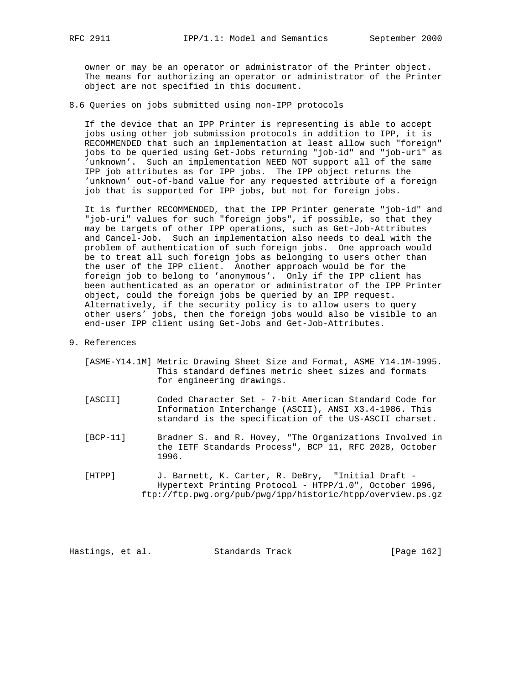owner or may be an operator or administrator of the Printer object. The means for authorizing an operator or administrator of the Printer object are not specified in this document.

8.6 Queries on jobs submitted using non-IPP protocols

 If the device that an IPP Printer is representing is able to accept jobs using other job submission protocols in addition to IPP, it is RECOMMENDED that such an implementation at least allow such "foreign" jobs to be queried using Get-Jobs returning "job-id" and "job-uri" as 'unknown'. Such an implementation NEED NOT support all of the same IPP job attributes as for IPP jobs. The IPP object returns the 'unknown' out-of-band value for any requested attribute of a foreign job that is supported for IPP jobs, but not for foreign jobs.

 It is further RECOMMENDED, that the IPP Printer generate "job-id" and "job-uri" values for such "foreign jobs", if possible, so that they may be targets of other IPP operations, such as Get-Job-Attributes and Cancel-Job. Such an implementation also needs to deal with the problem of authentication of such foreign jobs. One approach would be to treat all such foreign jobs as belonging to users other than the user of the IPP client. Another approach would be for the foreign job to belong to 'anonymous'. Only if the IPP client has been authenticated as an operator or administrator of the IPP Printer object, could the foreign jobs be queried by an IPP request. Alternatively, if the security policy is to allow users to query other users' jobs, then the foreign jobs would also be visible to an end-user IPP client using Get-Jobs and Get-Job-Attributes.

#### 9. References

- [ASME-Y14.1M] Metric Drawing Sheet Size and Format, ASME Y14.1M-1995. This standard defines metric sheet sizes and formats for engineering drawings.
- [ASCII] Coded Character Set 7-bit American Standard Code for Information Interchange (ASCII), ANSI X3.4-1986. This standard is the specification of the US-ASCII charset.
- [BCP-11] Bradner S. and R. Hovey, "The Organizations Involved in the IETF Standards Process", BCP 11, RFC 2028, October 1996.
- [HTPP] J. Barnett, K. Carter, R. DeBry, "Initial Draft Hypertext Printing Protocol - HTPP/1.0", October 1996, ftp://ftp.pwg.org/pub/pwg/ipp/historic/htpp/overview.ps.gz

Hastings, et al. Standards Track [Page 162]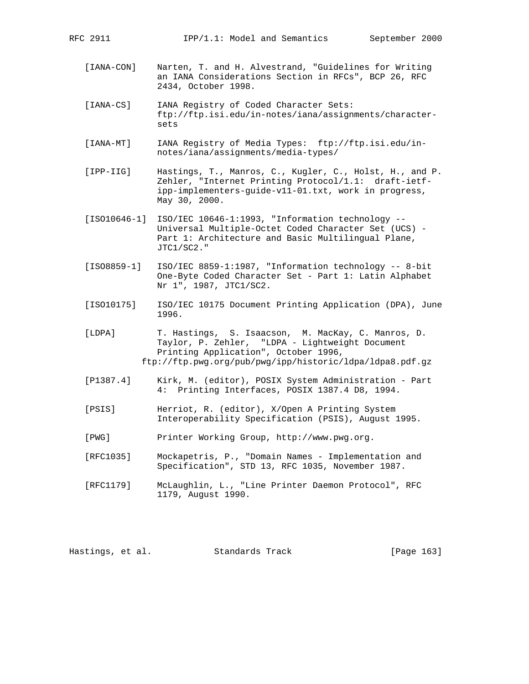[IANA-CON] Narten, T. and H. Alvestrand, "Guidelines for Writing an IANA Considerations Section in RFCs", BCP 26, RFC 2434, October 1998.

 [IANA-CS] IANA Registry of Coded Character Sets: ftp://ftp.isi.edu/in-notes/iana/assignments/character sets

 [IANA-MT] IANA Registry of Media Types: ftp://ftp.isi.edu/in notes/iana/assignments/media-types/

 [IPP-IIG] Hastings, T., Manros, C., Kugler, C., Holst, H., and P. Zehler, "Internet Printing Protocol/1.1: draft-ietf ipp-implementers-guide-v11-01.txt, work in progress, May 30, 2000.

- [ISO10646-1] ISO/IEC 10646-1:1993, "Information technology -- Universal Multiple-Octet Coded Character Set (UCS) - Part 1: Architecture and Basic Multilingual Plane, JTC1/SC2."
- [ISO8859-1] ISO/IEC 8859-1:1987, "Information technology -- 8-bit One-Byte Coded Character Set - Part 1: Latin Alphabet Nr 1", 1987, JTC1/SC2.
- [ISO10175] ISO/IEC 10175 Document Printing Application (DPA), June 1996.
- [LDPA] T. Hastings, S. Isaacson, M. MacKay, C. Manros, D. Taylor, P. Zehler, "LDPA - Lightweight Document Printing Application", October 1996, ftp://ftp.pwg.org/pub/pwg/ipp/historic/ldpa/ldpa8.pdf.gz
- [P1387.4] Kirk, M. (editor), POSIX System Administration Part 4: Printing Interfaces, POSIX 1387.4 D8, 1994.
- [PSIS] Herriot, R. (editor), X/Open A Printing System Interoperability Specification (PSIS), August 1995.
- [PWG] Printer Working Group, http://www.pwg.org.
- [RFC1035] Mockapetris, P., "Domain Names Implementation and Specification", STD 13, RFC 1035, November 1987.
- [RFC1179] McLaughlin, L., "Line Printer Daemon Protocol", RFC 1179, August 1990.

Hastings, et al. Standards Track [Page 163]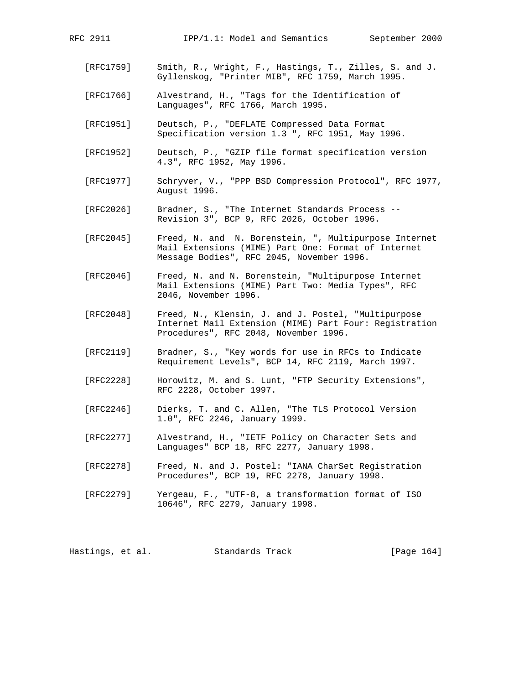- [RFC1759] Smith, R., Wright, F., Hastings, T., Zilles, S. and J. Gyllenskog, "Printer MIB", RFC 1759, March 1995.
- [RFC1766] Alvestrand, H., "Tags for the Identification of Languages", RFC 1766, March 1995.
- [RFC1951] Deutsch, P., "DEFLATE Compressed Data Format Specification version 1.3 ", RFC 1951, May 1996.
- [RFC1952] Deutsch, P., "GZIP file format specification version 4.3", RFC 1952, May 1996.
- [RFC1977] Schryver, V., "PPP BSD Compression Protocol", RFC 1977, August 1996.
- [RFC2026] Bradner, S., "The Internet Standards Process -- Revision 3", BCP 9, RFC 2026, October 1996.
- [RFC2045] Freed, N. and N. Borenstein, ", Multipurpose Internet Mail Extensions (MIME) Part One: Format of Internet Message Bodies", RFC 2045, November 1996.
- [RFC2046] Freed, N. and N. Borenstein, "Multipurpose Internet Mail Extensions (MIME) Part Two: Media Types", RFC 2046, November 1996.
- [RFC2048] Freed, N., Klensin, J. and J. Postel, "Multipurpose Internet Mail Extension (MIME) Part Four: Registration Procedures", RFC 2048, November 1996.
- [RFC2119] Bradner, S., "Key words for use in RFCs to Indicate Requirement Levels", BCP 14, RFC 2119, March 1997.
- [RFC2228] Horowitz, M. and S. Lunt, "FTP Security Extensions", RFC 2228, October 1997.
- [RFC2246] Dierks, T. and C. Allen, "The TLS Protocol Version 1.0", RFC 2246, January 1999.
- [RFC2277] Alvestrand, H., "IETF Policy on Character Sets and Languages" BCP 18, RFC 2277, January 1998.
- [RFC2278] Freed, N. and J. Postel: "IANA CharSet Registration Procedures", BCP 19, RFC 2278, January 1998.
- [RFC2279] Yergeau, F., "UTF-8, a transformation format of ISO 10646", RFC 2279, January 1998.

Hastings, et al. Standards Track [Page 164]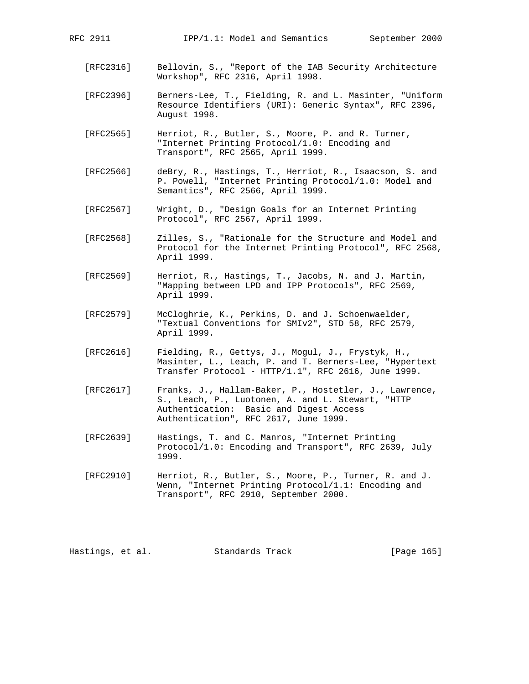- [RFC2316] Bellovin, S., "Report of the IAB Security Architecture Workshop", RFC 2316, April 1998.
- [RFC2396] Berners-Lee, T., Fielding, R. and L. Masinter, "Uniform Resource Identifiers (URI): Generic Syntax", RFC 2396, August 1998.
- [RFC2565] Herriot, R., Butler, S., Moore, P. and R. Turner, "Internet Printing Protocol/1.0: Encoding and Transport", RFC 2565, April 1999.
- [RFC2566] deBry, R., Hastings, T., Herriot, R., Isaacson, S. and P. Powell, "Internet Printing Protocol/1.0: Model and Semantics", RFC 2566, April 1999.
- [RFC2567] Wright, D., "Design Goals for an Internet Printing Protocol", RFC 2567, April 1999.
- [RFC2568] Zilles, S., "Rationale for the Structure and Model and Protocol for the Internet Printing Protocol", RFC 2568, April 1999.
- [RFC2569] Herriot, R., Hastings, T., Jacobs, N. and J. Martin, "Mapping between LPD and IPP Protocols", RFC 2569, April 1999.
- [RFC2579] McCloghrie, K., Perkins, D. and J. Schoenwaelder, "Textual Conventions for SMIv2", STD 58, RFC 2579, April 1999.
- [RFC2616] Fielding, R., Gettys, J., Mogul, J., Frystyk, H., Masinter, L., Leach, P. and T. Berners-Lee, "Hypertext Transfer Protocol - HTTP/1.1", RFC 2616, June 1999.
- [RFC2617] Franks, J., Hallam-Baker, P., Hostetler, J., Lawrence, S., Leach, P., Luotonen, A. and L. Stewart, "HTTP Authentication: Basic and Digest Access Authentication", RFC 2617, June 1999.
- [RFC2639] Hastings, T. and C. Manros, "Internet Printing Protocol/1.0: Encoding and Transport", RFC 2639, July 1999.
- [RFC2910] Herriot, R., Butler, S., Moore, P., Turner, R. and J. Wenn, "Internet Printing Protocol/1.1: Encoding and Transport", RFC 2910, September 2000.

Hastings, et al. Standards Track [Page 165]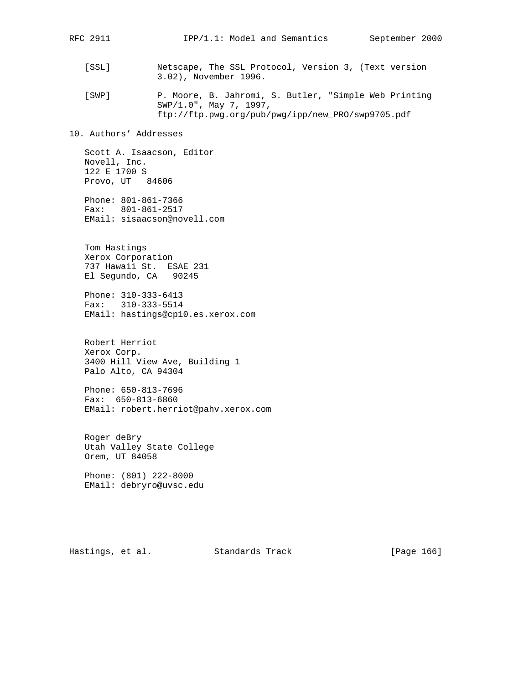[SSL] Netscape, The SSL Protocol, Version 3, (Text version 3.02), November 1996.

 [SWP] P. Moore, B. Jahromi, S. Butler, "Simple Web Printing SWP/1.0", May 7, 1997, ftp://ftp.pwg.org/pub/pwg/ipp/new\_PRO/swp9705.pdf

10. Authors' Addresses

 Scott A. Isaacson, Editor Novell, Inc. 122 E 1700 S Provo, UT 84606

 Phone: 801-861-7366 Fax: 801-861-2517 EMail: sisaacson@novell.com

 Tom Hastings Xerox Corporation 737 Hawaii St. ESAE 231 El Segundo, CA 90245

 Phone: 310-333-6413 Fax: 310-333-5514 EMail: hastings@cp10.es.xerox.com

 Robert Herriot Xerox Corp. 3400 Hill View Ave, Building 1 Palo Alto, CA 94304

 Phone: 650-813-7696 Fax: 650-813-6860 EMail: robert.herriot@pahv.xerox.com

 Roger deBry Utah Valley State College Orem, UT 84058

 Phone: (801) 222-8000 EMail: debryro@uvsc.edu

Hastings, et al. Standards Track [Page 166]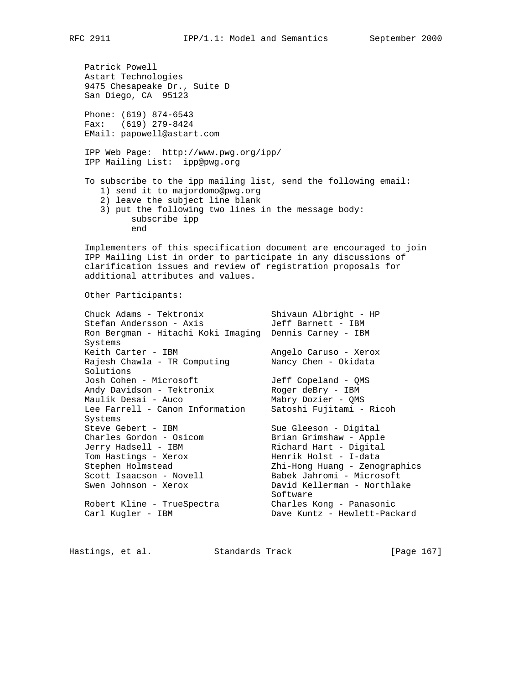Patrick Powell Astart Technologies 9475 Chesapeake Dr., Suite D San Diego, CA 95123 Phone: (619) 874-6543 Fax: (619) 279-8424 EMail: papowell@astart.com IPP Web Page: http://www.pwg.org/ipp/ IPP Mailing List: ipp@pwg.org To subscribe to the ipp mailing list, send the following email: 1) send it to majordomo@pwg.org 2) leave the subject line blank 3) put the following two lines in the message body: subscribe ipp end Implementers of this specification document are encouraged to join IPP Mailing List in order to participate in any discussions of clarification issues and review of registration proposals for additional attributes and values. Other Participants: Chuck Adams - Tektronix Shivaun Albright - HP Stefan Andersson - Axis Jeff Barnett - IBM Ron Bergman - Hitachi Koki Imaging Dennis Carney - IBM Systems Keith Carter - IBM angelo Caruso - Xerox Rajesh Chawla - TR Computing Nancy Chen - Okidata Solutions Josh Cohen - Microsoft Jeff Copeland - QMS Andy Davidson - Tektronix Moger deBry - IBM Maulik Desai - Auco Mabry Dozier - QMS Lee Farrell - Canon Information Satoshi Fujitami - Ricoh Systems Steve Gebert - IBM Sue Gleeson - Digital Charles Gordon - Osicom Brian Grimshaw - Apple Jerry Hadsell - IBM Richard Hart - Digital Tom Hastings - Xerox Menrik Holst - I-data Stephen Holmstead Zhi-Hong Huang - Zenographics Scott Isaacson - Novell Babek Jahromi - Microsoft Swen Johnson - Xerox David Kellerman - Northlake Software Software Robert Kline - TrueSpectra Charles Kong - Panasonic

Carl Kugler - IBM Dave Kuntz - Hewlett-Packard

Hastings, et al. Standards Track [Page 167]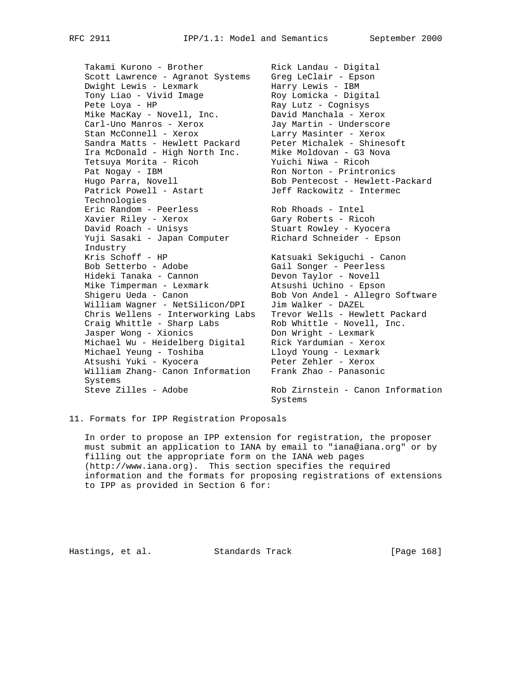Scott Lawrence - Agranot Systems Greg LeClair - Epson Dwight Lewis - Lexmark Marry Lewis - IBM Tony Liao - Vivid Image Roy Lomicka - Digital Pete Loya - HP Ray Lutz - Cognisys Mike MacKay - Novell, Inc. David Manchala - Xerox Carl-Uno Manros - Xerox Jay Martin - Underscore Stan McConnell - Xerox Larry Masinter - Xerox Sandra Matts - Hewlett Packard Peter Michalek - Shinesoft Ira McDonald - High North Inc. Mike Moldovan - G3 Nova Tetsuya Morita - Ricoh Yuichi Niwa - Ricoh Pat Nogay - IBM Ron Norton - Printronics Hugo Parra, Novell Bob Pentecost - Hewlett-Packard Patrick Powell - Astart Jeff Rackowitz - Intermec Technologies Eric Random - Peerless Rob Rhoads - Intel Xavier Riley - Xerox Gary Roberts - Ricoh David Roach - Unisys Stuart Rowley - Kyocera Yuji Sasaki - Japan Computer Richard Schneider - Epson Industry Kris Schoff - HP Katsuaki Sekiguchi - Canon Bob Setterbo - Adobe Gail Songer - Peerless Hideki Tanaka - Cannon Devon Taylor - Novell Mike Timperman - Lexmark Atsushi Uchino - Epson Shigeru Ueda - Canon Bob Von Andel - Allegro Software William Wagner - NetSilicon/DPI Jim Walker - DAZEL Chris Wellens - Interworking Labs Trevor Wells - Hewlett Packard Craig Whittle - Sharp Labs Rob Whittle - Novell, Inc. Jasper Wong - Xionics None Con Wright - Lexmark Michael Wu - Heidelberg Digital Rick Yardumian - Xerox Michael Yeung - Toshiba Lloyd Young - Lexmark Atsushi Yuki - Kyocera Peter Zehler - Xerox William Zhang- Canon Information Frank Zhao - Panasonic Systems Steve Zilles - Adobe Rob Zirnstein - Canon Information

Takami Kurono - Brother Rick Landau - Digital

Systems

11. Formats for IPP Registration Proposals

 In order to propose an IPP extension for registration, the proposer must submit an application to IANA by email to "iana@iana.org" or by filling out the appropriate form on the IANA web pages (http://www.iana.org). This section specifies the required information and the formats for proposing registrations of extensions to IPP as provided in Section 6 for:

Hastings, et al. Standards Track [Page 168]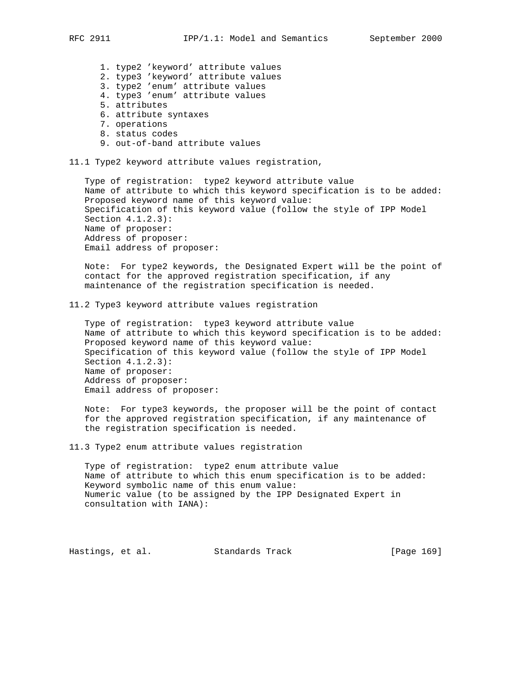1. type2 'keyword' attribute values 2. type3 'keyword' attribute values 3. type2 'enum' attribute values 4. type3 'enum' attribute values 5. attributes 6. attribute syntaxes 7. operations 8. status codes 9. out-of-band attribute values 11.1 Type2 keyword attribute values registration, Type of registration: type2 keyword attribute value Name of attribute to which this keyword specification is to be added: Proposed keyword name of this keyword value: Specification of this keyword value (follow the style of IPP Model Section 4.1.2.3): Name of proposer: Address of proposer: Email address of proposer: Note: For type2 keywords, the Designated Expert will be the point of contact for the approved registration specification, if any maintenance of the registration specification is needed. 11.2 Type3 keyword attribute values registration Type of registration: type3 keyword attribute value Name of attribute to which this keyword specification is to be added: Proposed keyword name of this keyword value: Specification of this keyword value (follow the style of IPP Model Section 4.1.2.3): Name of proposer: Address of proposer: Email address of proposer: Note: For type3 keywords, the proposer will be the point of contact for the approved registration specification, if any maintenance of the registration specification is needed. 11.3 Type2 enum attribute values registration Type of registration: type2 enum attribute value Name of attribute to which this enum specification is to be added: Keyword symbolic name of this enum value: Numeric value (to be assigned by the IPP Designated Expert in consultation with IANA): Hastings, et al. Standards Track [Page 169]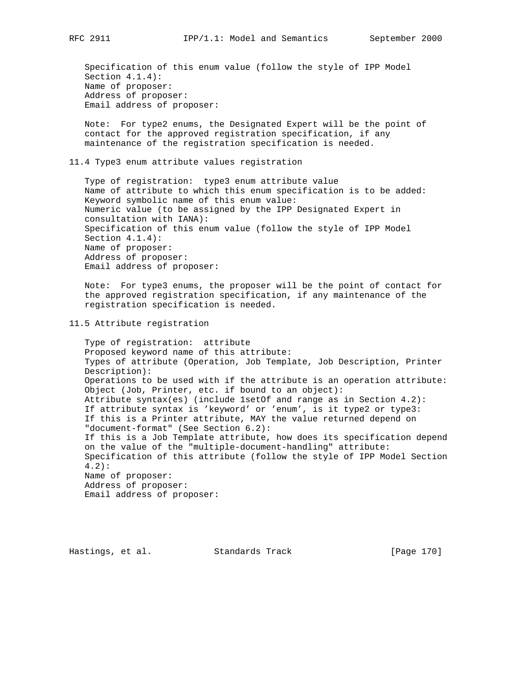Specification of this enum value (follow the style of IPP Model Section 4.1.4): Name of proposer: Address of proposer: Email address of proposer:

 Note: For type2 enums, the Designated Expert will be the point of contact for the approved registration specification, if any maintenance of the registration specification is needed.

11.4 Type3 enum attribute values registration

 Type of registration: type3 enum attribute value Name of attribute to which this enum specification is to be added: Keyword symbolic name of this enum value: Numeric value (to be assigned by the IPP Designated Expert in consultation with IANA): Specification of this enum value (follow the style of IPP Model Section 4.1.4): Name of proposer: Address of proposer: Email address of proposer:

 Note: For type3 enums, the proposer will be the point of contact for the approved registration specification, if any maintenance of the registration specification is needed.

11.5 Attribute registration

 Type of registration: attribute Proposed keyword name of this attribute: Types of attribute (Operation, Job Template, Job Description, Printer Description): Operations to be used with if the attribute is an operation attribute: Object (Job, Printer, etc. if bound to an object): Attribute syntax(es) (include 1setOf and range as in Section 4.2): If attribute syntax is 'keyword' or 'enum', is it type2 or type3: If this is a Printer attribute, MAY the value returned depend on "document-format" (See Section 6.2): If this is a Job Template attribute, how does its specification depend on the value of the "multiple-document-handling" attribute: Specification of this attribute (follow the style of IPP Model Section 4.2): Name of proposer: Address of proposer: Email address of proposer:

Hastings, et al. Standards Track [Page 170]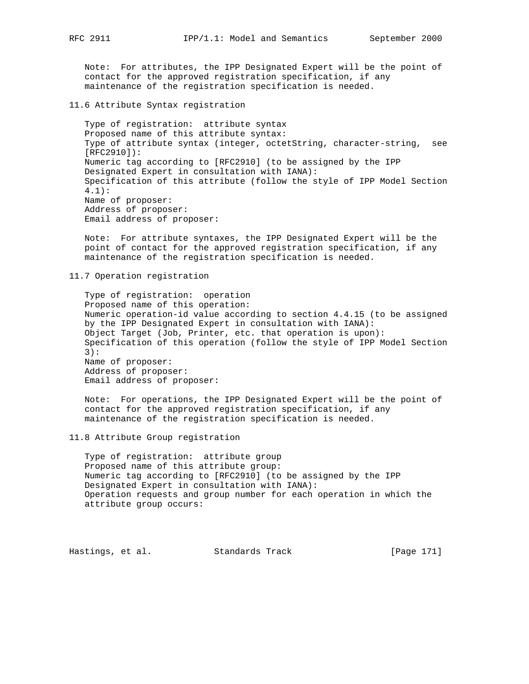Note: For attributes, the IPP Designated Expert will be the point of contact for the approved registration specification, if any maintenance of the registration specification is needed.

11.6 Attribute Syntax registration

 Type of registration: attribute syntax Proposed name of this attribute syntax: Type of attribute syntax (integer, octetString, character-string, see [RFC2910]): Numeric tag according to [RFC2910] (to be assigned by the IPP Designated Expert in consultation with IANA): Specification of this attribute (follow the style of IPP Model Section 4.1): Name of proposer: Address of proposer: Email address of proposer:

 Note: For attribute syntaxes, the IPP Designated Expert will be the point of contact for the approved registration specification, if any maintenance of the registration specification is needed.

11.7 Operation registration

 Type of registration: operation Proposed name of this operation: Numeric operation-id value according to section 4.4.15 (to be assigned by the IPP Designated Expert in consultation with IANA): Object Target (Job, Printer, etc. that operation is upon): Specification of this operation (follow the style of IPP Model Section 3): Name of proposer: Address of proposer: Email address of proposer:

 Note: For operations, the IPP Designated Expert will be the point of contact for the approved registration specification, if any maintenance of the registration specification is needed.

11.8 Attribute Group registration

 Type of registration: attribute group Proposed name of this attribute group: Numeric tag according to [RFC2910] (to be assigned by the IPP Designated Expert in consultation with IANA): Operation requests and group number for each operation in which the attribute group occurs:

Hastings, et al. Standards Track [Page 171]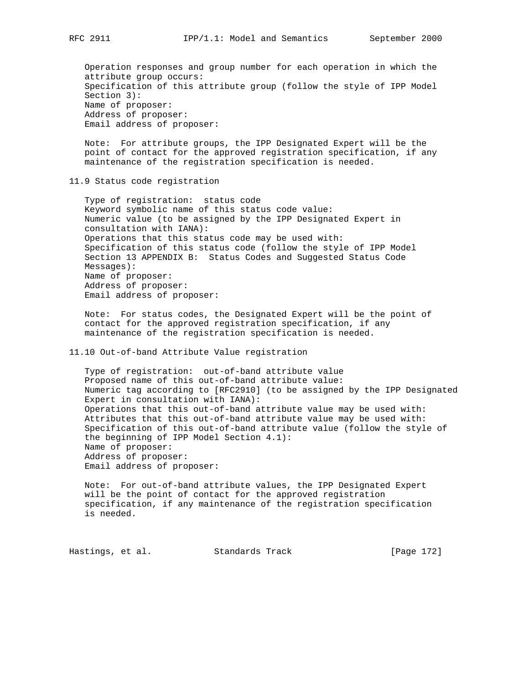Operation responses and group number for each operation in which the attribute group occurs: Specification of this attribute group (follow the style of IPP Model Section 3): Name of proposer: Address of proposer: Email address of proposer:

 Note: For attribute groups, the IPP Designated Expert will be the point of contact for the approved registration specification, if any maintenance of the registration specification is needed.

11.9 Status code registration

 Type of registration: status code Keyword symbolic name of this status code value: Numeric value (to be assigned by the IPP Designated Expert in consultation with IANA): Operations that this status code may be used with: Specification of this status code (follow the style of IPP Model Section 13 APPENDIX B: Status Codes and Suggested Status Code Messages): Name of proposer: Address of proposer: Email address of proposer:

 Note: For status codes, the Designated Expert will be the point of contact for the approved registration specification, if any maintenance of the registration specification is needed.

11.10 Out-of-band Attribute Value registration

 Type of registration: out-of-band attribute value Proposed name of this out-of-band attribute value: Numeric tag according to [RFC2910] (to be assigned by the IPP Designated Expert in consultation with IANA): Operations that this out-of-band attribute value may be used with: Attributes that this out-of-band attribute value may be used with: Specification of this out-of-band attribute value (follow the style of the beginning of IPP Model Section 4.1): Name of proposer: Address of proposer: Email address of proposer:

 Note: For out-of-band attribute values, the IPP Designated Expert will be the point of contact for the approved registration specification, if any maintenance of the registration specification is needed.

Hastings, et al. Standards Track [Page 172]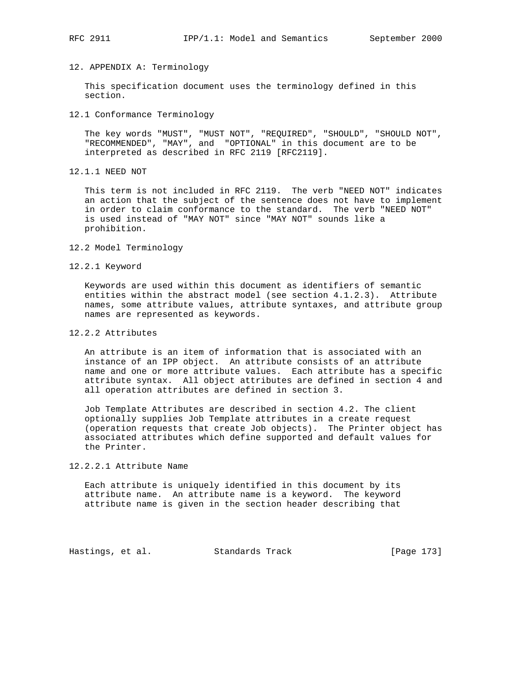# 12. APPENDIX A: Terminology

 This specification document uses the terminology defined in this section.

12.1 Conformance Terminology

 The key words "MUST", "MUST NOT", "REQUIRED", "SHOULD", "SHOULD NOT", "RECOMMENDED", "MAY", and "OPTIONAL" in this document are to be interpreted as described in RFC 2119 [RFC2119].

12.1.1 NEED NOT

 This term is not included in RFC 2119. The verb "NEED NOT" indicates an action that the subject of the sentence does not have to implement in order to claim conformance to the standard. The verb "NEED NOT" is used instead of "MAY NOT" since "MAY NOT" sounds like a prohibition.

- 12.2 Model Terminology
- 12.2.1 Keyword

 Keywords are used within this document as identifiers of semantic entities within the abstract model (see section 4.1.2.3). Attribute names, some attribute values, attribute syntaxes, and attribute group names are represented as keywords.

12.2.2 Attributes

 An attribute is an item of information that is associated with an instance of an IPP object. An attribute consists of an attribute name and one or more attribute values. Each attribute has a specific attribute syntax. All object attributes are defined in section 4 and all operation attributes are defined in section 3.

 Job Template Attributes are described in section 4.2. The client optionally supplies Job Template attributes in a create request (operation requests that create Job objects). The Printer object has associated attributes which define supported and default values for the Printer.

# 12.2.2.1 Attribute Name

 Each attribute is uniquely identified in this document by its attribute name. An attribute name is a keyword. The keyword attribute name is given in the section header describing that

Hastings, et al. Standards Track [Page 173]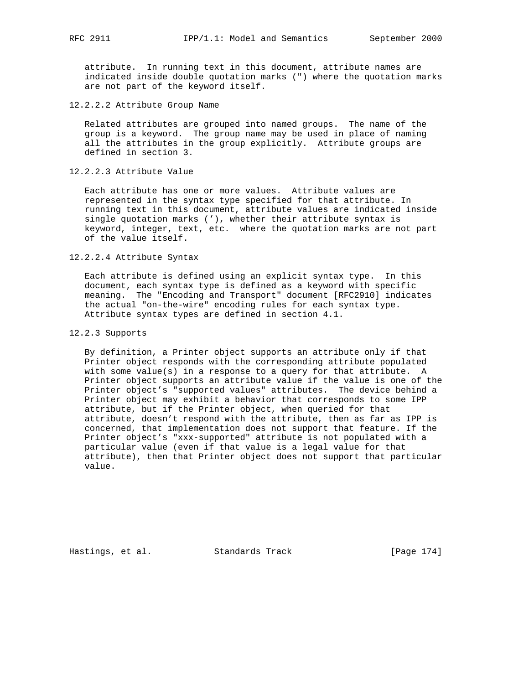attribute. In running text in this document, attribute names are indicated inside double quotation marks (") where the quotation marks are not part of the keyword itself.

12.2.2.2 Attribute Group Name

 Related attributes are grouped into named groups. The name of the group is a keyword. The group name may be used in place of naming all the attributes in the group explicitly. Attribute groups are defined in section 3.

12.2.2.3 Attribute Value

 Each attribute has one or more values. Attribute values are represented in the syntax type specified for that attribute. In running text in this document, attribute values are indicated inside single quotation marks ('), whether their attribute syntax is keyword, integer, text, etc. where the quotation marks are not part of the value itself.

#### 12.2.2.4 Attribute Syntax

 Each attribute is defined using an explicit syntax type. In this document, each syntax type is defined as a keyword with specific meaning. The "Encoding and Transport" document [RFC2910] indicates the actual "on-the-wire" encoding rules for each syntax type. Attribute syntax types are defined in section 4.1.

## 12.2.3 Supports

 By definition, a Printer object supports an attribute only if that Printer object responds with the corresponding attribute populated with some value(s) in a response to a query for that attribute. A Printer object supports an attribute value if the value is one of the Printer object's "supported values" attributes. The device behind a Printer object may exhibit a behavior that corresponds to some IPP attribute, but if the Printer object, when queried for that attribute, doesn't respond with the attribute, then as far as IPP is concerned, that implementation does not support that feature. If the Printer object's "xxx-supported" attribute is not populated with a particular value (even if that value is a legal value for that attribute), then that Printer object does not support that particular value.

Hastings, et al. Standards Track [Page 174]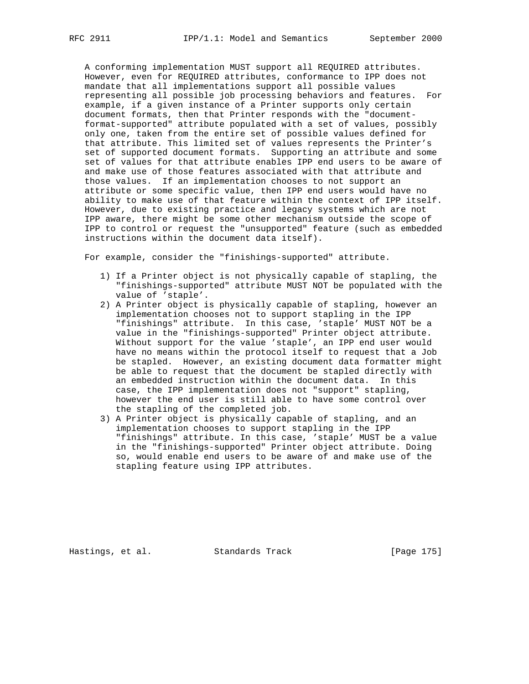A conforming implementation MUST support all REQUIRED attributes. However, even for REQUIRED attributes, conformance to IPP does not mandate that all implementations support all possible values representing all possible job processing behaviors and features. For example, if a given instance of a Printer supports only certain document formats, then that Printer responds with the "document format-supported" attribute populated with a set of values, possibly only one, taken from the entire set of possible values defined for that attribute. This limited set of values represents the Printer's set of supported document formats. Supporting an attribute and some set of values for that attribute enables IPP end users to be aware of and make use of those features associated with that attribute and those values. If an implementation chooses to not support an attribute or some specific value, then IPP end users would have no ability to make use of that feature within the context of IPP itself. However, due to existing practice and legacy systems which are not IPP aware, there might be some other mechanism outside the scope of IPP to control or request the "unsupported" feature (such as embedded instructions within the document data itself).

For example, consider the "finishings-supported" attribute.

- 1) If a Printer object is not physically capable of stapling, the "finishings-supported" attribute MUST NOT be populated with the value of 'staple'.
- 2) A Printer object is physically capable of stapling, however an implementation chooses not to support stapling in the IPP "finishings" attribute. In this case, 'staple' MUST NOT be a value in the "finishings-supported" Printer object attribute. Without support for the value 'staple', an IPP end user would have no means within the protocol itself to request that a Job be stapled. However, an existing document data formatter might be able to request that the document be stapled directly with an embedded instruction within the document data. In this case, the IPP implementation does not "support" stapling, however the end user is still able to have some control over the stapling of the completed job.
- 3) A Printer object is physically capable of stapling, and an implementation chooses to support stapling in the IPP "finishings" attribute. In this case, 'staple' MUST be a value in the "finishings-supported" Printer object attribute. Doing so, would enable end users to be aware of and make use of the stapling feature using IPP attributes.

Hastings, et al. Standards Track [Page 175]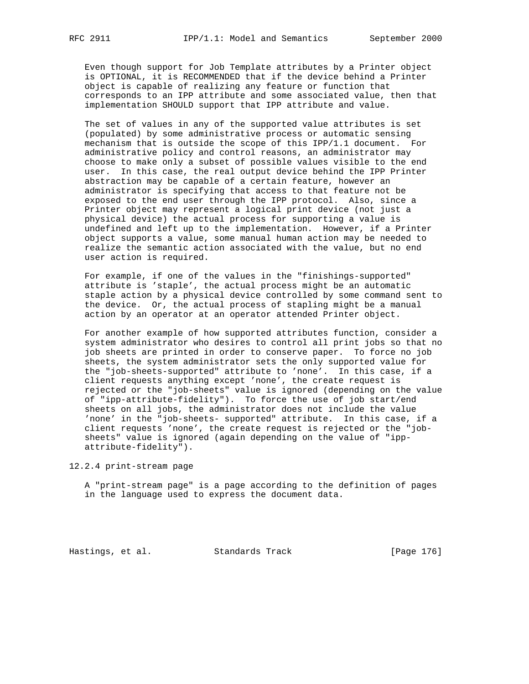Even though support for Job Template attributes by a Printer object is OPTIONAL, it is RECOMMENDED that if the device behind a Printer object is capable of realizing any feature or function that corresponds to an IPP attribute and some associated value, then that implementation SHOULD support that IPP attribute and value.

 The set of values in any of the supported value attributes is set (populated) by some administrative process or automatic sensing mechanism that is outside the scope of this IPP/1.1 document. For administrative policy and control reasons, an administrator may choose to make only a subset of possible values visible to the end user. In this case, the real output device behind the IPP Printer abstraction may be capable of a certain feature, however an administrator is specifying that access to that feature not be exposed to the end user through the IPP protocol. Also, since a Printer object may represent a logical print device (not just a physical device) the actual process for supporting a value is undefined and left up to the implementation. However, if a Printer object supports a value, some manual human action may be needed to realize the semantic action associated with the value, but no end user action is required.

 For example, if one of the values in the "finishings-supported" attribute is 'staple', the actual process might be an automatic staple action by a physical device controlled by some command sent to the device. Or, the actual process of stapling might be a manual action by an operator at an operator attended Printer object.

 For another example of how supported attributes function, consider a system administrator who desires to control all print jobs so that no job sheets are printed in order to conserve paper. To force no job sheets, the system administrator sets the only supported value for the "job-sheets-supported" attribute to 'none'. In this case, if a client requests anything except 'none', the create request is rejected or the "job-sheets" value is ignored (depending on the value of "ipp-attribute-fidelity"). To force the use of job start/end sheets on all jobs, the administrator does not include the value 'none' in the "job-sheets- supported" attribute. In this case, if a client requests 'none', the create request is rejected or the "job sheets" value is ignored (again depending on the value of "ipp attribute-fidelity").

12.2.4 print-stream page

 A "print-stream page" is a page according to the definition of pages in the language used to express the document data.

Hastings, et al. Standards Track [Page 176]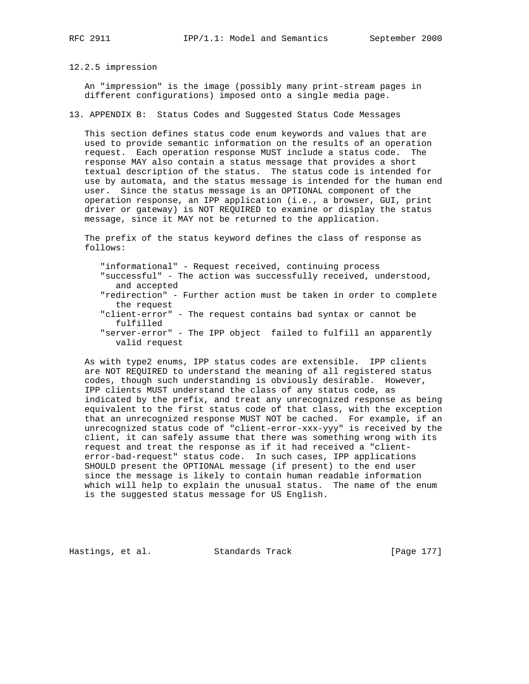12.2.5 impression

 An "impression" is the image (possibly many print-stream pages in different configurations) imposed onto a single media page.

13. APPENDIX B: Status Codes and Suggested Status Code Messages

 This section defines status code enum keywords and values that are used to provide semantic information on the results of an operation request. Each operation response MUST include a status code. The response MAY also contain a status message that provides a short textual description of the status. The status code is intended for use by automata, and the status message is intended for the human end user. Since the status message is an OPTIONAL component of the operation response, an IPP application (i.e., a browser, GUI, print driver or gateway) is NOT REQUIRED to examine or display the status message, since it MAY not be returned to the application.

 The prefix of the status keyword defines the class of response as follows:

 "informational" - Request received, continuing process "successful" - The action was successfully received, understood, and accepted "redirection" - Further action must be taken in order to complete the request "client-error" - The request contains bad syntax or cannot be fulfilled

 "server-error" - The IPP object failed to fulfill an apparently valid request

 As with type2 enums, IPP status codes are extensible. IPP clients are NOT REQUIRED to understand the meaning of all registered status codes, though such understanding is obviously desirable. However, IPP clients MUST understand the class of any status code, as indicated by the prefix, and treat any unrecognized response as being equivalent to the first status code of that class, with the exception that an unrecognized response MUST NOT be cached. For example, if an unrecognized status code of "client-error-xxx-yyy" is received by the client, it can safely assume that there was something wrong with its request and treat the response as if it had received a "client error-bad-request" status code. In such cases, IPP applications SHOULD present the OPTIONAL message (if present) to the end user since the message is likely to contain human readable information which will help to explain the unusual status. The name of the enum is the suggested status message for US English.

Hastings, et al. Standards Track [Page 177]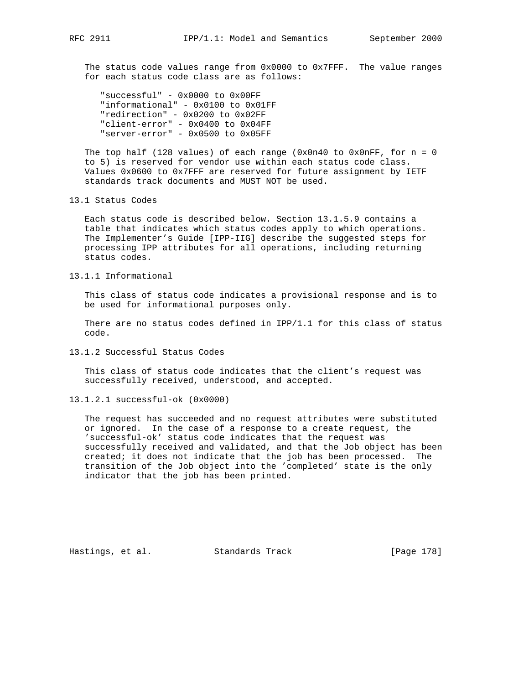The status code values range from 0x0000 to 0x7FFF. The value ranges for each status code class are as follows:

 "successful" - 0x0000 to 0x00FF "informational" - 0x0100 to 0x01FF "redirection" - 0x0200 to 0x02FF "client-error" - 0x0400 to 0x04FF "server-error" - 0x0500 to 0x05FF

The top half (128 values) of each range (0x0n40 to 0x0nFF, for  $n = 0$  to 5) is reserved for vendor use within each status code class. Values 0x0600 to 0x7FFF are reserved for future assignment by IETF standards track documents and MUST NOT be used.

## 13.1 Status Codes

 Each status code is described below. Section 13.1.5.9 contains a table that indicates which status codes apply to which operations. The Implementer's Guide [IPP-IIG] describe the suggested steps for processing IPP attributes for all operations, including returning status codes.

13.1.1 Informational

 This class of status code indicates a provisional response and is to be used for informational purposes only.

There are no status codes defined in  $IPP/1.1$  for this class of status code.

13.1.2 Successful Status Codes

 This class of status code indicates that the client's request was successfully received, understood, and accepted.

13.1.2.1 successful-ok (0x0000)

 The request has succeeded and no request attributes were substituted or ignored. In the case of a response to a create request, the 'successful-ok' status code indicates that the request was successfully received and validated, and that the Job object has been created; it does not indicate that the job has been processed. The transition of the Job object into the 'completed' state is the only indicator that the job has been printed.

Hastings, et al. Standards Track [Page 178]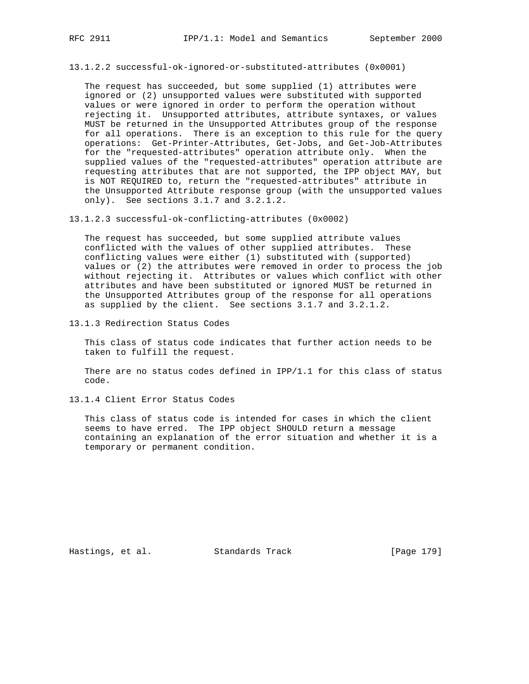13.1.2.2 successful-ok-ignored-or-substituted-attributes (0x0001)

 The request has succeeded, but some supplied (1) attributes were ignored or (2) unsupported values were substituted with supported values or were ignored in order to perform the operation without rejecting it. Unsupported attributes, attribute syntaxes, or values MUST be returned in the Unsupported Attributes group of the response for all operations. There is an exception to this rule for the query operations: Get-Printer-Attributes, Get-Jobs, and Get-Job-Attributes for the "requested-attributes" operation attribute only. When the supplied values of the "requested-attributes" operation attribute are requesting attributes that are not supported, the IPP object MAY, but is NOT REQUIRED to, return the "requested-attributes" attribute in the Unsupported Attribute response group (with the unsupported values only). See sections 3.1.7 and 3.2.1.2.

13.1.2.3 successful-ok-conflicting-attributes (0x0002)

 The request has succeeded, but some supplied attribute values conflicted with the values of other supplied attributes. These conflicting values were either (1) substituted with (supported) values or (2) the attributes were removed in order to process the job without rejecting it. Attributes or values which conflict with other attributes and have been substituted or ignored MUST be returned in the Unsupported Attributes group of the response for all operations as supplied by the client. See sections 3.1.7 and 3.2.1.2.

13.1.3 Redirection Status Codes

 This class of status code indicates that further action needs to be taken to fulfill the request.

 There are no status codes defined in IPP/1.1 for this class of status code.

13.1.4 Client Error Status Codes

 This class of status code is intended for cases in which the client seems to have erred. The IPP object SHOULD return a message containing an explanation of the error situation and whether it is a temporary or permanent condition.

Hastings, et al. Standards Track [Page 179]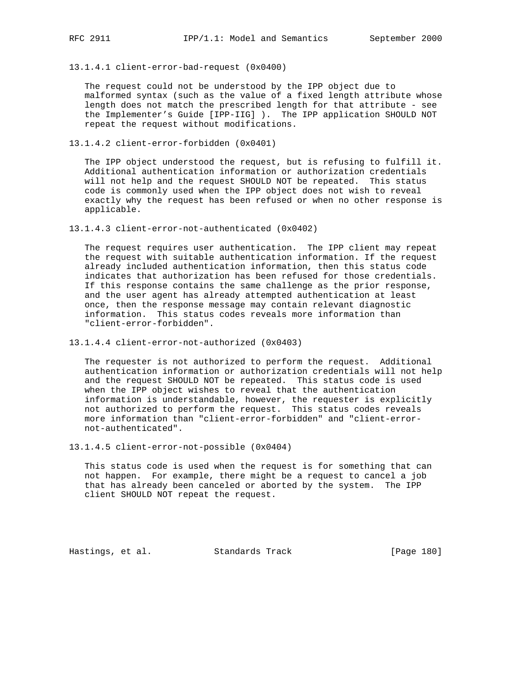13.1.4.1 client-error-bad-request (0x0400)

 The request could not be understood by the IPP object due to malformed syntax (such as the value of a fixed length attribute whose length does not match the prescribed length for that attribute - see the Implementer's Guide [IPP-IIG] ). The IPP application SHOULD NOT repeat the request without modifications.

13.1.4.2 client-error-forbidden (0x0401)

 The IPP object understood the request, but is refusing to fulfill it. Additional authentication information or authorization credentials will not help and the request SHOULD NOT be repeated. This status code is commonly used when the IPP object does not wish to reveal exactly why the request has been refused or when no other response is applicable.

13.1.4.3 client-error-not-authenticated (0x0402)

 The request requires user authentication. The IPP client may repeat the request with suitable authentication information. If the request already included authentication information, then this status code indicates that authorization has been refused for those credentials. If this response contains the same challenge as the prior response, and the user agent has already attempted authentication at least once, then the response message may contain relevant diagnostic information. This status codes reveals more information than "client-error-forbidden".

13.1.4.4 client-error-not-authorized (0x0403)

 The requester is not authorized to perform the request. Additional authentication information or authorization credentials will not help and the request SHOULD NOT be repeated. This status code is used when the IPP object wishes to reveal that the authentication information is understandable, however, the requester is explicitly not authorized to perform the request. This status codes reveals more information than "client-error-forbidden" and "client-error not-authenticated".

13.1.4.5 client-error-not-possible (0x0404)

 This status code is used when the request is for something that can not happen. For example, there might be a request to cancel a job that has already been canceled or aborted by the system. The IPP client SHOULD NOT repeat the request.

Hastings, et al. Standards Track [Page 180]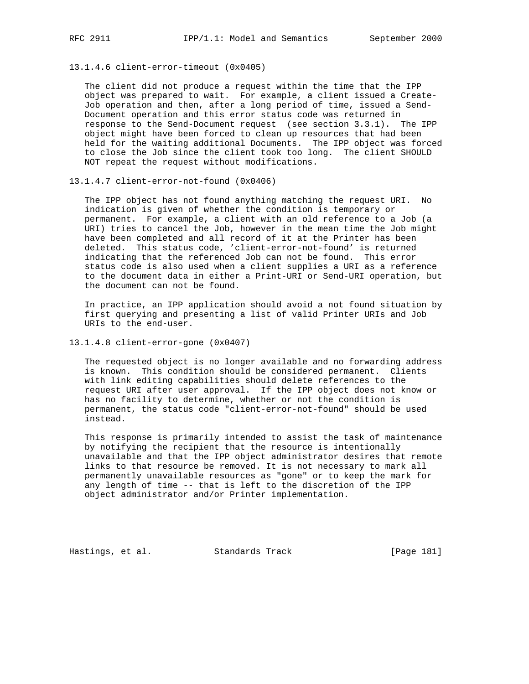13.1.4.6 client-error-timeout (0x0405)

 The client did not produce a request within the time that the IPP object was prepared to wait. For example, a client issued a Create- Job operation and then, after a long period of time, issued a Send- Document operation and this error status code was returned in response to the Send-Document request (see section 3.3.1). The IPP object might have been forced to clean up resources that had been held for the waiting additional Documents. The IPP object was forced to close the Job since the client took too long. The client SHOULD NOT repeat the request without modifications.

13.1.4.7 client-error-not-found (0x0406)

 The IPP object has not found anything matching the request URI. No indication is given of whether the condition is temporary or permanent. For example, a client with an old reference to a Job (a URI) tries to cancel the Job, however in the mean time the Job might have been completed and all record of it at the Printer has been deleted. This status code, 'client-error-not-found' is returned indicating that the referenced Job can not be found. This error status code is also used when a client supplies a URI as a reference to the document data in either a Print-URI or Send-URI operation, but the document can not be found.

 In practice, an IPP application should avoid a not found situation by first querying and presenting a list of valid Printer URIs and Job URIs to the end-user.

13.1.4.8 client-error-gone (0x0407)

 The requested object is no longer available and no forwarding address is known. This condition should be considered permanent. Clients with link editing capabilities should delete references to the request URI after user approval. If the IPP object does not know or has no facility to determine, whether or not the condition is permanent, the status code "client-error-not-found" should be used instead.

 This response is primarily intended to assist the task of maintenance by notifying the recipient that the resource is intentionally unavailable and that the IPP object administrator desires that remote links to that resource be removed. It is not necessary to mark all permanently unavailable resources as "gone" or to keep the mark for any length of time -- that is left to the discretion of the IPP object administrator and/or Printer implementation.

Hastings, et al. Standards Track [Page 181]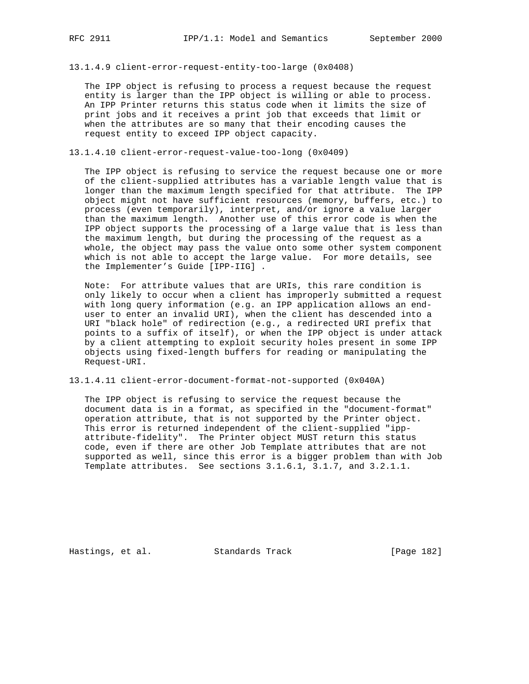13.1.4.9 client-error-request-entity-too-large (0x0408)

 The IPP object is refusing to process a request because the request entity is larger than the IPP object is willing or able to process. An IPP Printer returns this status code when it limits the size of print jobs and it receives a print job that exceeds that limit or when the attributes are so many that their encoding causes the request entity to exceed IPP object capacity.

13.1.4.10 client-error-request-value-too-long (0x0409)

 The IPP object is refusing to service the request because one or more of the client-supplied attributes has a variable length value that is longer than the maximum length specified for that attribute. The IPP object might not have sufficient resources (memory, buffers, etc.) to process (even temporarily), interpret, and/or ignore a value larger than the maximum length. Another use of this error code is when the IPP object supports the processing of a large value that is less than the maximum length, but during the processing of the request as a whole, the object may pass the value onto some other system component which is not able to accept the large value. For more details, see the Implementer's Guide [IPP-IIG] .

 Note: For attribute values that are URIs, this rare condition is only likely to occur when a client has improperly submitted a request with long query information (e.g. an IPP application allows an end user to enter an invalid URI), when the client has descended into a URI "black hole" of redirection (e.g., a redirected URI prefix that points to a suffix of itself), or when the IPP object is under attack by a client attempting to exploit security holes present in some IPP objects using fixed-length buffers for reading or manipulating the Request-URI.

13.1.4.11 client-error-document-format-not-supported (0x040A)

 The IPP object is refusing to service the request because the document data is in a format, as specified in the "document-format" operation attribute, that is not supported by the Printer object. This error is returned independent of the client-supplied "ipp attribute-fidelity". The Printer object MUST return this status code, even if there are other Job Template attributes that are not supported as well, since this error is a bigger problem than with Job Template attributes. See sections 3.1.6.1, 3.1.7, and 3.2.1.1.

Hastings, et al. Standards Track [Page 182]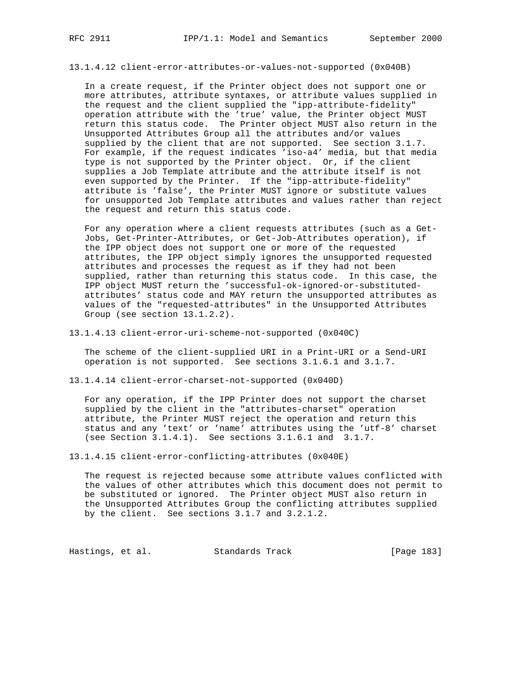13.1.4.12 client-error-attributes-or-values-not-supported (0x040B)

 In a create request, if the Printer object does not support one or more attributes, attribute syntaxes, or attribute values supplied in the request and the client supplied the "ipp-attribute-fidelity" operation attribute with the 'true' value, the Printer object MUST return this status code. The Printer object MUST also return in the Unsupported Attributes Group all the attributes and/or values supplied by the client that are not supported. See section 3.1.7. For example, if the request indicates 'iso-a4' media, but that media type is not supported by the Printer object. Or, if the client supplies a Job Template attribute and the attribute itself is not even supported by the Printer. If the "ipp-attribute-fidelity" attribute is 'false', the Printer MUST ignore or substitute values for unsupported Job Template attributes and values rather than reject the request and return this status code.

 For any operation where a client requests attributes (such as a Get- Jobs, Get-Printer-Attributes, or Get-Job-Attributes operation), if the IPP object does not support one or more of the requested attributes, the IPP object simply ignores the unsupported requested attributes and processes the request as if they had not been supplied, rather than returning this status code. In this case, the IPP object MUST return the 'successful-ok-ignored-or-substituted attributes' status code and MAY return the unsupported attributes as values of the "requested-attributes" in the Unsupported Attributes Group (see section 13.1.2.2).

13.1.4.13 client-error-uri-scheme-not-supported (0x040C)

 The scheme of the client-supplied URI in a Print-URI or a Send-URI operation is not supported. See sections 3.1.6.1 and 3.1.7.

13.1.4.14 client-error-charset-not-supported (0x040D)

 For any operation, if the IPP Printer does not support the charset supplied by the client in the "attributes-charset" operation attribute, the Printer MUST reject the operation and return this status and any 'text' or 'name' attributes using the 'utf-8' charset (see Section 3.1.4.1). See sections 3.1.6.1 and 3.1.7.

13.1.4.15 client-error-conflicting-attributes (0x040E)

 The request is rejected because some attribute values conflicted with the values of other attributes which this document does not permit to be substituted or ignored. The Printer object MUST also return in the Unsupported Attributes Group the conflicting attributes supplied by the client. See sections 3.1.7 and 3.2.1.2.

Hastings, et al. Standards Track [Page 183]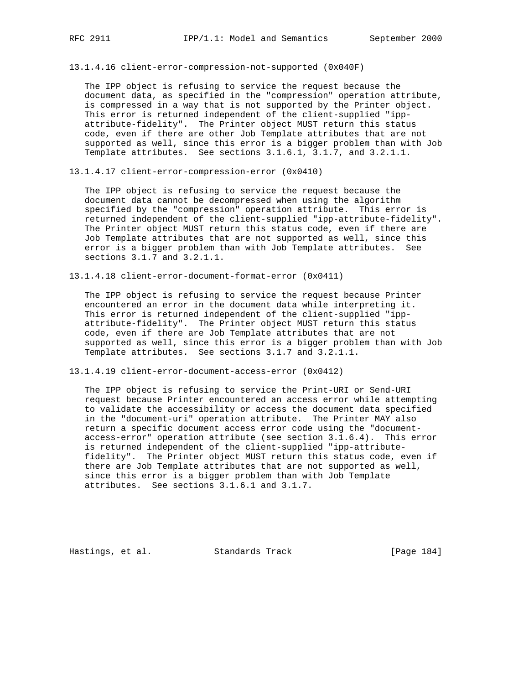13.1.4.16 client-error-compression-not-supported (0x040F)

 The IPP object is refusing to service the request because the document data, as specified in the "compression" operation attribute, is compressed in a way that is not supported by the Printer object. This error is returned independent of the client-supplied "ipp attribute-fidelity". The Printer object MUST return this status code, even if there are other Job Template attributes that are not supported as well, since this error is a bigger problem than with Job Template attributes. See sections 3.1.6.1, 3.1.7, and 3.2.1.1.

13.1.4.17 client-error-compression-error (0x0410)

 The IPP object is refusing to service the request because the document data cannot be decompressed when using the algorithm specified by the "compression" operation attribute. This error is returned independent of the client-supplied "ipp-attribute-fidelity". The Printer object MUST return this status code, even if there are Job Template attributes that are not supported as well, since this error is a bigger problem than with Job Template attributes. See sections 3.1.7 and 3.2.1.1.

13.1.4.18 client-error-document-format-error (0x0411)

 The IPP object is refusing to service the request because Printer encountered an error in the document data while interpreting it. This error is returned independent of the client-supplied "ipp attribute-fidelity". The Printer object MUST return this status code, even if there are Job Template attributes that are not supported as well, since this error is a bigger problem than with Job Template attributes. See sections 3.1.7 and 3.2.1.1.

13.1.4.19 client-error-document-access-error (0x0412)

 The IPP object is refusing to service the Print-URI or Send-URI request because Printer encountered an access error while attempting to validate the accessibility or access the document data specified in the "document-uri" operation attribute. The Printer MAY also return a specific document access error code using the "document access-error" operation attribute (see section 3.1.6.4). This error is returned independent of the client-supplied "ipp-attribute fidelity". The Printer object MUST return this status code, even if there are Job Template attributes that are not supported as well, since this error is a bigger problem than with Job Template attributes. See sections 3.1.6.1 and 3.1.7.

Hastings, et al. Standards Track [Page 184]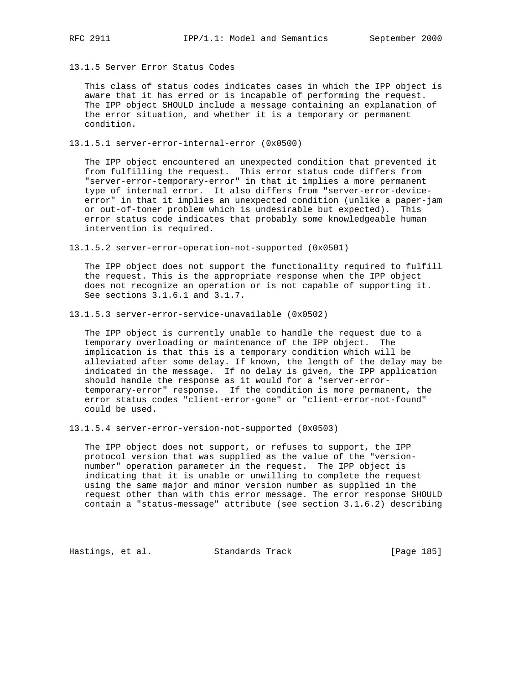13.1.5 Server Error Status Codes

 This class of status codes indicates cases in which the IPP object is aware that it has erred or is incapable of performing the request. The IPP object SHOULD include a message containing an explanation of the error situation, and whether it is a temporary or permanent condition.

13.1.5.1 server-error-internal-error (0x0500)

 The IPP object encountered an unexpected condition that prevented it from fulfilling the request. This error status code differs from "server-error-temporary-error" in that it implies a more permanent type of internal error. It also differs from "server-error-device error" in that it implies an unexpected condition (unlike a paper-jam or out-of-toner problem which is undesirable but expected). This error status code indicates that probably some knowledgeable human intervention is required.

13.1.5.2 server-error-operation-not-supported (0x0501)

 The IPP object does not support the functionality required to fulfill the request. This is the appropriate response when the IPP object does not recognize an operation or is not capable of supporting it. See sections 3.1.6.1 and 3.1.7.

13.1.5.3 server-error-service-unavailable (0x0502)

 The IPP object is currently unable to handle the request due to a temporary overloading or maintenance of the IPP object. The implication is that this is a temporary condition which will be alleviated after some delay. If known, the length of the delay may be indicated in the message. If no delay is given, the IPP application should handle the response as it would for a "server-error temporary-error" response. If the condition is more permanent, the error status codes "client-error-gone" or "client-error-not-found" could be used.

13.1.5.4 server-error-version-not-supported (0x0503)

 The IPP object does not support, or refuses to support, the IPP protocol version that was supplied as the value of the "version number" operation parameter in the request. The IPP object is indicating that it is unable or unwilling to complete the request using the same major and minor version number as supplied in the request other than with this error message. The error response SHOULD contain a "status-message" attribute (see section 3.1.6.2) describing

Hastings, et al. Standards Track [Page 185]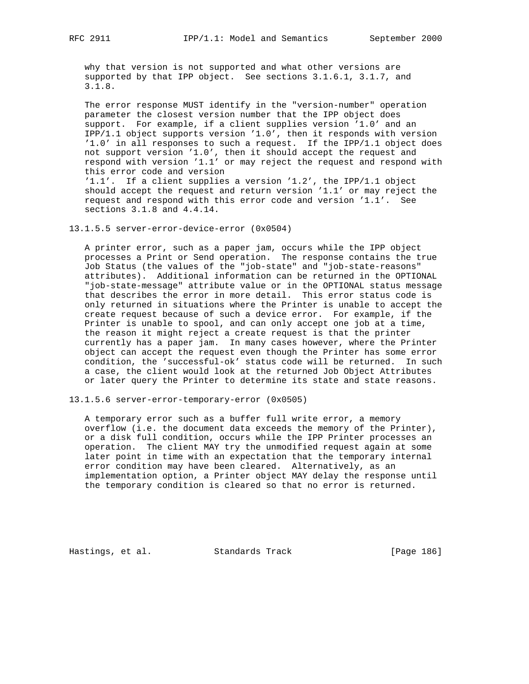why that version is not supported and what other versions are supported by that IPP object. See sections 3.1.6.1, 3.1.7, and 3.1.8.

 The error response MUST identify in the "version-number" operation parameter the closest version number that the IPP object does support. For example, if a client supplies version '1.0' and an IPP/1.1 object supports version '1.0', then it responds with version '1.0' in all responses to such a request. If the IPP/1.1 object does not support version '1.0', then it should accept the request and respond with version '1.1' or may reject the request and respond with this error code and version '1.1'. If a client supplies a version '1.2', the IPP/1.1 object should accept the request and return version '1.1' or may reject the request and respond with this error code and version '1.1'. See sections 3.1.8 and 4.4.14.

13.1.5.5 server-error-device-error (0x0504)

 A printer error, such as a paper jam, occurs while the IPP object processes a Print or Send operation. The response contains the true Job Status (the values of the "job-state" and "job-state-reasons" attributes). Additional information can be returned in the OPTIONAL "job-state-message" attribute value or in the OPTIONAL status message that describes the error in more detail. This error status code is only returned in situations where the Printer is unable to accept the create request because of such a device error. For example, if the Printer is unable to spool, and can only accept one job at a time, the reason it might reject a create request is that the printer currently has a paper jam. In many cases however, where the Printer object can accept the request even though the Printer has some error condition, the 'successful-ok' status code will be returned. In such a case, the client would look at the returned Job Object Attributes or later query the Printer to determine its state and state reasons.

13.1.5.6 server-error-temporary-error (0x0505)

 A temporary error such as a buffer full write error, a memory overflow (i.e. the document data exceeds the memory of the Printer), or a disk full condition, occurs while the IPP Printer processes an operation. The client MAY try the unmodified request again at some later point in time with an expectation that the temporary internal error condition may have been cleared. Alternatively, as an implementation option, a Printer object MAY delay the response until the temporary condition is cleared so that no error is returned.

Hastings, et al. Standards Track [Page 186]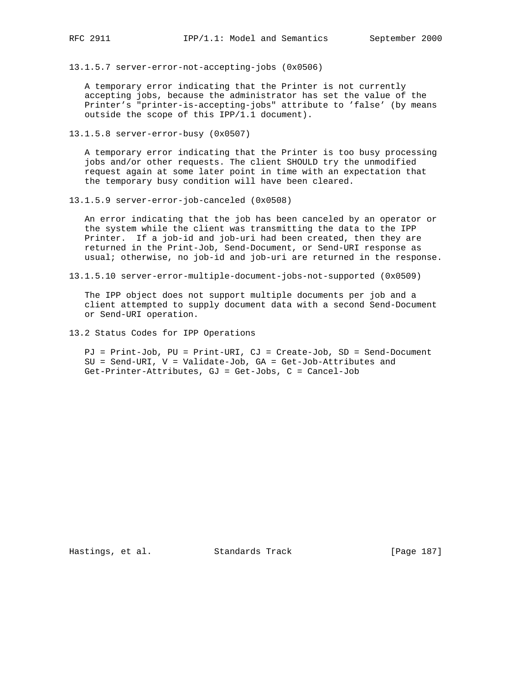13.1.5.7 server-error-not-accepting-jobs (0x0506)

 A temporary error indicating that the Printer is not currently accepting jobs, because the administrator has set the value of the Printer's "printer-is-accepting-jobs" attribute to 'false' (by means outside the scope of this IPP/1.1 document).

13.1.5.8 server-error-busy (0x0507)

 A temporary error indicating that the Printer is too busy processing jobs and/or other requests. The client SHOULD try the unmodified request again at some later point in time with an expectation that the temporary busy condition will have been cleared.

13.1.5.9 server-error-job-canceled (0x0508)

 An error indicating that the job has been canceled by an operator or the system while the client was transmitting the data to the IPP Printer. If a job-id and job-uri had been created, then they are returned in the Print-Job, Send-Document, or Send-URI response as usual; otherwise, no job-id and job-uri are returned in the response.

13.1.5.10 server-error-multiple-document-jobs-not-supported (0x0509)

 The IPP object does not support multiple documents per job and a client attempted to supply document data with a second Send-Document or Send-URI operation.

13.2 Status Codes for IPP Operations

 PJ = Print-Job, PU = Print-URI, CJ = Create-Job, SD = Send-Document SU = Send-URI, V = Validate-Job, GA = Get-Job-Attributes and Get-Printer-Attributes, GJ = Get-Jobs, C = Cancel-Job

Hastings, et al. Standards Track [Page 187]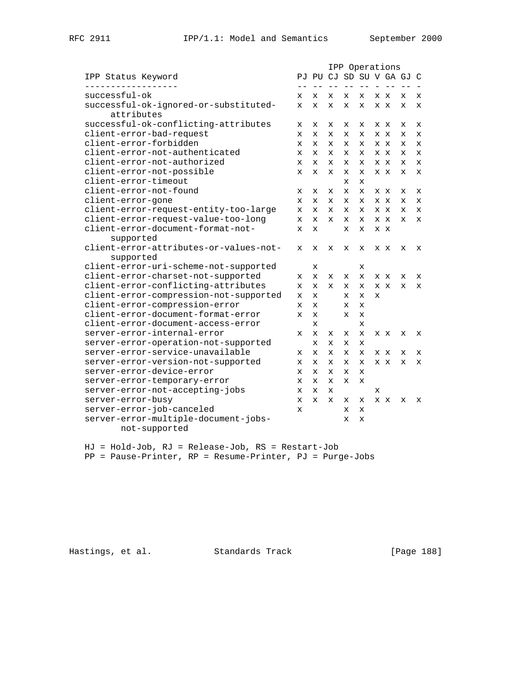|                                        |              |              |              | IPP Operations |              |             |     |                          |             |
|----------------------------------------|--------------|--------------|--------------|----------------|--------------|-------------|-----|--------------------------|-------------|
| IPP Status Keyword                     |              |              |              |                |              |             |     | PJ PU CJ SD SU V GA GJ C |             |
| - - - - - - - - - -<br>successful-ok   | x            | x            | $- -$        | $- -$          | $- -$<br>x   |             | X X | x                        | X           |
| successful-ok-ignored-or-substituted-  | X            | X            | x<br>x       | x<br>X         | x            |             | x x | x                        | X           |
| attributes                             |              |              |              |                |              |             |     |                          |             |
| successful-ok-conflicting-attributes   | $\mathbf x$  | X            | X            | x              | X            |             | x x | X                        | X           |
| client-error-bad-request               | X            | X            | X            | x              | x            |             | X X | x                        | X           |
| client-error-forbidden                 | X            | X            | x            | X              | $\mathbf{x}$ |             | X X | x                        | X           |
| client-error-not-authenticated         | $\mathbf{x}$ | $\mathbf{x}$ | $\mathbf{x}$ | X              | $\mathbf{x}$ |             | x x | x                        | $\mathbf x$ |
| client-error-not-authorized            | x            | X            | x            | x              | x            |             | x x | x                        | X           |
| client-error-not-possible              | X            | $\mathbf x$  | $\mathbf{x}$ | X              | $\mathbf{x}$ |             | x x | X                        | $\mathbf x$ |
| client-error-timeout                   |              |              |              | $\mathbf x$    | $\mathbf x$  |             |     |                          |             |
| client-error-not-found                 | x            | X            | X            | X              | $\mathbf x$  |             | X X | x                        | X           |
| client-error-gone                      | X            | X            | X            | x              | X            |             | x x | x                        | X           |
| client-error-request-entity-too-large  | $\mathbf{x}$ | $\mathbf{x}$ | X            | X              | X            |             | X X | x                        | X           |
| client-error-request-value-too-long    | X            | X            | $\mathbf{x}$ | x              | X            |             | x x | x                        | X           |
| client-error-document-format-not-      | X            | X            |              | X              | X            |             | x x |                          |             |
| supported                              |              |              |              |                |              |             |     |                          |             |
| client-error-attributes-or-values-not- | X            | $\mathbf x$  | X            | X              | X            |             | x x | X                        | x           |
| supported                              |              |              |              |                |              |             |     |                          |             |
| client-error-uri-scheme-not-supported  |              | X            |              |                | X            |             |     |                          |             |
| client-error-charset-not-supported     | x            | $\mathbf{x}$ | $\mathbf x$  | X              | $\mathbf{x}$ |             | x x | X                        | $\mathbf x$ |
| client-error-conflicting-attributes    | X            | X            | $\mathbf{x}$ | X              | $\mathbf{x}$ |             | x x | X                        | X           |
| client-error-compression-not-supported | $\mathbf x$  | $\mathbf x$  |              | X              | $\mathbf x$  | $\mathbf x$ |     |                          |             |
| client-error-compression-error         | x            | $\mathbf{x}$ |              | X              | $\mathbf{x}$ |             |     |                          |             |
| client-error-document-format-error     | $\mathbf{x}$ | $\mathbf{x}$ |              | $\mathbf{x}$   | $\mathbf{x}$ |             |     |                          |             |
| client-error-document-access-error     |              | X            |              |                | X            |             |     |                          |             |
| server-error-internal-error            | X            | $\mathbf x$  | x            | X              | $\mathbf x$  |             | X X | x                        | x           |
| server-error-operation-not-supported   |              | $\mathbf{x}$ | X            | x              | $\mathbf x$  |             |     |                          |             |
| server-error-service-unavailable       | X            | X            | X            | x              | X            |             | X X | x                        | X           |
| server-error-version-not-supported     | X            | $\mathbf x$  | $\mathbf x$  | x              | X            |             | X X | x                        | X           |
| server-error-device-error              | X            | $\mathbf x$  | $\mathbf x$  | X              | $\mathbf x$  |             |     |                          |             |
| server-error-temporary-error           | X            | X            | x            | X              | X            |             |     |                          |             |
| server-error-not-accepting-jobs        | x            | $\mathbf x$  | X            |                |              | х           |     |                          |             |
| server-error-busy                      | $\mathbf x$  | $\mathbf{x}$ | $\mathbf{x}$ | x              | $\mathbf x$  |             | x x | X                        | $\mathbf x$ |
| server-error-job-canceled              | X            |              |              | X              | X            |             |     |                          |             |
| server-error-multiple-document-jobs-   |              |              |              | X              | X            |             |     |                          |             |
| not-supported                          |              |              |              |                |              |             |     |                          |             |

 HJ = Hold-Job, RJ = Release-Job, RS = Restart-Job PP = Pause-Printer, RP = Resume-Printer, PJ = Purge-Jobs

Hastings, et al. Standards Track [Page 188]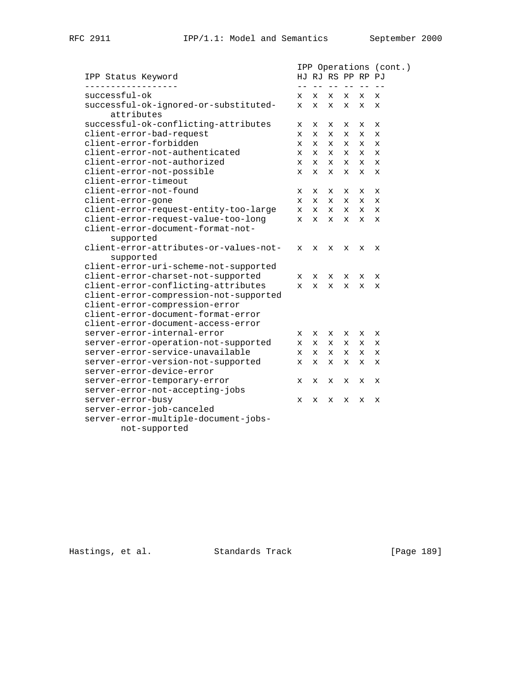|                                                     |              | IPP Operations (cont.) |              |                                                                                                                                                                                                                                                                                                                                                                                              |                   |             |
|-----------------------------------------------------|--------------|------------------------|--------------|----------------------------------------------------------------------------------------------------------------------------------------------------------------------------------------------------------------------------------------------------------------------------------------------------------------------------------------------------------------------------------------------|-------------------|-------------|
| IPP Status Keyword                                  |              |                        |              |                                                                                                                                                                                                                                                                                                                                                                                              | HJ RJ RS PP RP PJ |             |
|                                                     | $- -$        | $ -$                   | $  \,$       | $\frac{1}{2} \frac{1}{2} \frac{1}{2} \frac{1}{2} \frac{1}{2} \frac{1}{2} \frac{1}{2} \frac{1}{2} \frac{1}{2} \frac{1}{2} \frac{1}{2} \frac{1}{2} \frac{1}{2} \frac{1}{2} \frac{1}{2} \frac{1}{2} \frac{1}{2} \frac{1}{2} \frac{1}{2} \frac{1}{2} \frac{1}{2} \frac{1}{2} \frac{1}{2} \frac{1}{2} \frac{1}{2} \frac{1}{2} \frac{1}{2} \frac{1}{2} \frac{1}{2} \frac{1}{2} \frac{1}{2} \frac{$ |                   |             |
| successful-ok                                       | х            | x                      | X            | X.                                                                                                                                                                                                                                                                                                                                                                                           | x                 | X           |
| successful-ok-ignored-or-substituted-<br>attributes | $\mathbf x$  | $\mathbf{x}$           | $\mathbf x$  | X                                                                                                                                                                                                                                                                                                                                                                                            | $\mathbf x$       | $\mathbf x$ |
| successful-ok-conflicting-attributes                | x            | x                      | x            | x                                                                                                                                                                                                                                                                                                                                                                                            | x                 | X           |
| client-error-bad-request                            | X            | X                      | x            | x                                                                                                                                                                                                                                                                                                                                                                                            | х                 | х           |
| client-error-forbidden                              | X            | X.                     | x            | $\mathbf x$                                                                                                                                                                                                                                                                                                                                                                                  | x                 | X           |
| client-error-not-authenticated                      | x            | x                      | $\mathbf x$  | $\mathbf x$                                                                                                                                                                                                                                                                                                                                                                                  | X                 | X           |
| client-error-not-authorized                         | X            | $\mathbf x$            | $\mathbf{x}$ | $\mathbf{x}$                                                                                                                                                                                                                                                                                                                                                                                 | $\mathbf x$       | $\mathbf x$ |
| client-error-not-possible                           | X            | $\mathbf{x}$           | $\mathbf{x}$ | $\mathbf{x}$                                                                                                                                                                                                                                                                                                                                                                                 | $\mathbf{x}$      | $\mathbf x$ |
| client-error-timeout                                |              |                        |              |                                                                                                                                                                                                                                                                                                                                                                                              |                   |             |
| client-error-not-found                              | x            | x                      | x            | x                                                                                                                                                                                                                                                                                                                                                                                            | x                 | х           |
| client-error-gone                                   | x            | $\mathbf{x}$           | $\mathbf x$  | $\mathbf x$                                                                                                                                                                                                                                                                                                                                                                                  | $\mathbf{x}$      | X           |
| client-error-request-entity-too-large               | x            | $\mathbf x$            | $\mathbf x$  | $\mathbf x$                                                                                                                                                                                                                                                                                                                                                                                  | X                 | $\mathbf x$ |
| client-error-request-value-too-long                 | $\mathbf x$  | $\mathbf{x}$           | $\mathbf{x}$ | X                                                                                                                                                                                                                                                                                                                                                                                            | $\mathbf x$       | $\mathbf x$ |
| client-error-document-format-not-                   |              |                        |              |                                                                                                                                                                                                                                                                                                                                                                                              |                   |             |
| supported                                           |              |                        |              |                                                                                                                                                                                                                                                                                                                                                                                              |                   |             |
| client-error-attributes-or-values-not-              | X            | X                      | X            | x                                                                                                                                                                                                                                                                                                                                                                                            | X                 | X           |
| supported                                           |              |                        |              |                                                                                                                                                                                                                                                                                                                                                                                              |                   |             |
| client-error-uri-scheme-not-supported               |              |                        |              |                                                                                                                                                                                                                                                                                                                                                                                              |                   |             |
| client-error-charset-not-supported                  | x            | X                      | X            | X.                                                                                                                                                                                                                                                                                                                                                                                           | x                 | х           |
| client-error-conflicting-attributes                 | $\mathbf{x}$ | $\mathbf{x}$           | $\mathbf x$  | $\mathbf x$                                                                                                                                                                                                                                                                                                                                                                                  | $\mathbf{x}$      | X           |
| client-error-compression-not-supported              |              |                        |              |                                                                                                                                                                                                                                                                                                                                                                                              |                   |             |
| client-error-compression-error                      |              |                        |              |                                                                                                                                                                                                                                                                                                                                                                                              |                   |             |
| client-error-document-format-error                  |              |                        |              |                                                                                                                                                                                                                                                                                                                                                                                              |                   |             |
| client-error-document-access-error                  |              |                        |              |                                                                                                                                                                                                                                                                                                                                                                                              |                   |             |
| server-error-internal-error                         | x            | x                      | X            | x                                                                                                                                                                                                                                                                                                                                                                                            | х                 | X           |
| server-error-operation-not-supported                | x            | $\mathbf{x}$           | X.           | X                                                                                                                                                                                                                                                                                                                                                                                            | X                 | X           |
| server-error-service-unavailable                    | X            | $\mathbf x$            | $\mathbf x$  | $\mathbf x$                                                                                                                                                                                                                                                                                                                                                                                  | X                 | X           |
| server-error-version-not-supported                  | $\mathbf x$  | $\mathbf{x}$           | $\mathbf{x}$ | x                                                                                                                                                                                                                                                                                                                                                                                            | $\mathbf x$       | $\mathbf x$ |
| server-error-device-error                           |              |                        |              |                                                                                                                                                                                                                                                                                                                                                                                              |                   |             |
| server-error-temporary-error                        | x            | x                      | x            | х                                                                                                                                                                                                                                                                                                                                                                                            | X                 | х           |
| server-error-not-accepting-jobs                     |              |                        |              |                                                                                                                                                                                                                                                                                                                                                                                              |                   |             |
| server-error-busy                                   | x            | x                      | x            | x                                                                                                                                                                                                                                                                                                                                                                                            | X                 | X           |
| server-error-job-canceled                           |              |                        |              |                                                                                                                                                                                                                                                                                                                                                                                              |                   |             |
| server-error-multiple-document-jobs-                |              |                        |              |                                                                                                                                                                                                                                                                                                                                                                                              |                   |             |
| not-supported                                       |              |                        |              |                                                                                                                                                                                                                                                                                                                                                                                              |                   |             |

Hastings, et al. Standards Track [Page 189]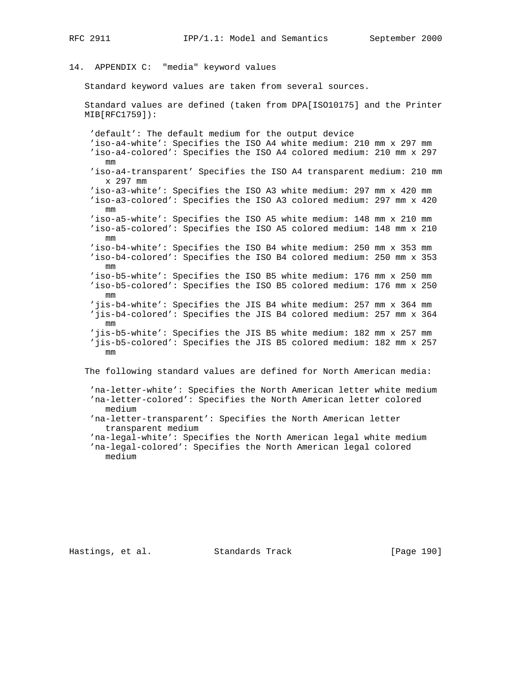# 14. APPENDIX C: "media" keyword values

Standard keyword values are taken from several sources.

 Standard values are defined (taken from DPA[ISO10175] and the Printer MIB[RFC1759]):

 'default': The default medium for the output device 'iso-a4-white': Specifies the ISO A4 white medium: 210 mm x 297 mm 'iso-a4-colored': Specifies the ISO A4 colored medium: 210 mm x 297 mm 'iso-a4-transparent' Specifies the ISO A4 transparent medium: 210 mm x 297 mm 'iso-a3-white': Specifies the ISO A3 white medium: 297 mm x 420 mm 'iso-a3-colored': Specifies the ISO A3 colored medium: 297 mm x 420 mm 'iso-a5-white': Specifies the ISO A5 white medium: 148 mm x 210 mm 'iso-a5-colored': Specifies the ISO A5 colored medium: 148 mm x 210 mm 'iso-b4-white': Specifies the ISO B4 white medium: 250 mm x 353 mm 'iso-b4-colored': Specifies the ISO B4 colored medium: 250 mm x 353 mm 'iso-b5-white': Specifies the ISO B5 white medium: 176 mm x 250 mm 'iso-b5-colored': Specifies the ISO B5 colored medium: 176 mm x 250 mm 'jis-b4-white': Specifies the JIS B4 white medium: 257 mm x 364 mm 'jis-b4-colored': Specifies the JIS B4 colored medium: 257 mm x 364 mm 'jis-b5-white': Specifies the JIS B5 white medium: 182 mm x 257 mm 'jis-b5-colored': Specifies the JIS B5 colored medium: 182 mm x 257 mm

The following standard values are defined for North American media:

 'na-letter-white': Specifies the North American letter white medium 'na-letter-colored': Specifies the North American letter colored medium

 'na-letter-transparent': Specifies the North American letter transparent medium

 'na-legal-white': Specifies the North American legal white medium 'na-legal-colored': Specifies the North American legal colored medium

Hastings, et al. Standards Track [Page 190]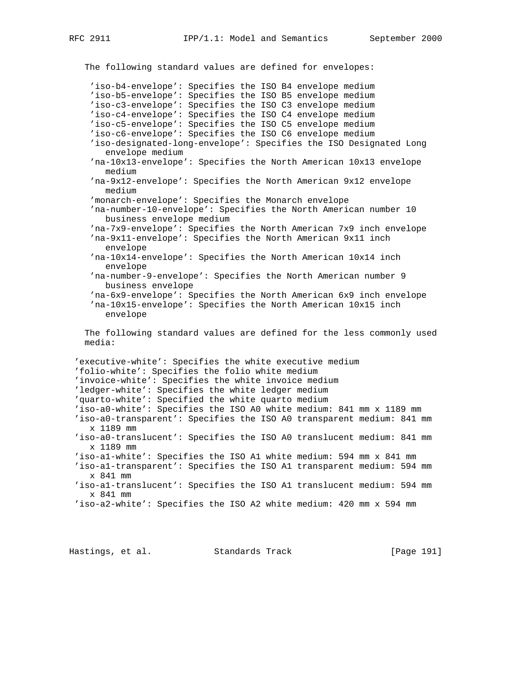The following standard values are defined for envelopes: 'iso-b4-envelope': Specifies the ISO B4 envelope medium 'iso-b5-envelope': Specifies the ISO B5 envelope medium 'iso-c3-envelope': Specifies the ISO C3 envelope medium 'iso-c4-envelope': Specifies the ISO C4 envelope medium 'iso-c5-envelope': Specifies the ISO C5 envelope medium 'iso-c6-envelope': Specifies the ISO C6 envelope medium 'iso-designated-long-envelope': Specifies the ISO Designated Long envelope medium 'na-10x13-envelope': Specifies the North American 10x13 envelope medium 'na-9x12-envelope': Specifies the North American 9x12 envelope medium 'monarch-envelope': Specifies the Monarch envelope 'na-number-10-envelope': Specifies the North American number 10 business envelope medium 'na-7x9-envelope': Specifies the North American 7x9 inch envelope 'na-9x11-envelope': Specifies the North American 9x11 inch envelope 'na-10x14-envelope': Specifies the North American 10x14 inch envelope 'na-number-9-envelope': Specifies the North American number 9 business envelope 'na-6x9-envelope': Specifies the North American 6x9 inch envelope 'na-10x15-envelope': Specifies the North American 10x15 inch envelope The following standard values are defined for the less commonly used media: 'executive-white': Specifies the white executive medium 'folio-white': Specifies the folio white medium 'invoice-white': Specifies the white invoice medium 'ledger-white': Specifies the white ledger medium 'quarto-white': Specified the white quarto medium 'iso-a0-white': Specifies the ISO A0 white medium: 841 mm x 1189 mm 'iso-a0-transparent': Specifies the ISO A0 transparent medium: 841 mm x 1189 mm 'iso-a0-translucent': Specifies the ISO A0 translucent medium: 841 mm x 1189 mm 'iso-a1-white': Specifies the ISO A1 white medium: 594 mm x 841 mm 'iso-a1-transparent': Specifies the ISO A1 transparent medium: 594 mm x 841 mm 'iso-a1-translucent': Specifies the ISO A1 translucent medium: 594 mm x 841 mm 'iso-a2-white': Specifies the ISO A2 white medium: 420 mm x 594 mm Hastings, et al. Standards Track [Page 191]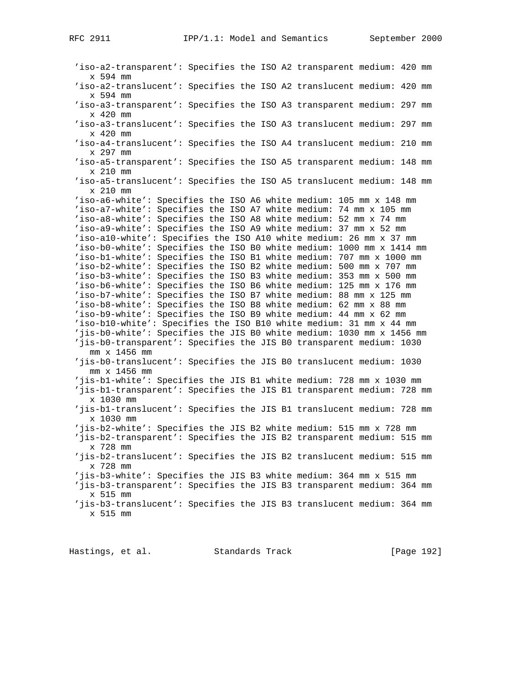'iso-a2-transparent': Specifies the ISO A2 transparent medium: 420 mm x 594 mm 'iso-a2-translucent': Specifies the ISO A2 translucent medium: 420 mm x 594 mm 'iso-a3-transparent': Specifies the ISO A3 transparent medium: 297 mm x 420 mm 'iso-a3-translucent': Specifies the ISO A3 translucent medium: 297 mm x 420 mm 'iso-a4-translucent': Specifies the ISO A4 translucent medium: 210 mm x 297 mm 'iso-a5-transparent': Specifies the ISO A5 transparent medium: 148 mm x 210 mm 'iso-a5-translucent': Specifies the ISO A5 translucent medium: 148 mm x 210 mm 'iso-a6-white': Specifies the ISO A6 white medium: 105 mm x 148 mm 'iso-a7-white': Specifies the ISO A7 white medium: 74 mm x 105 mm 'iso-a8-white': Specifies the ISO A8 white medium: 52 mm x 74 mm 'iso-a9-white': Specifies the ISO A9 white medium: 37 mm x 52 mm 'iso-a10-white': Specifies the ISO A10 white medium: 26 mm x 37 mm 'iso-b0-white': Specifies the ISO B0 white medium: 1000 mm x 1414 mm 'iso-b1-white': Specifies the ISO B1 white medium: 707 mm x 1000 mm 'iso-b2-white': Specifies the ISO B2 white medium: 500 mm x 707 mm 'iso-b3-white': Specifies the ISO B3 white medium: 353 mm x 500 mm 'iso-b6-white': Specifies the ISO B6 white medium: 125 mm x 176 mm 'iso-b7-white': Specifies the ISO B7 white medium: 88 mm x 125 mm 'iso-b8-white': Specifies the ISO B8 white medium: 62 mm x 88 mm 'iso-b9-white': Specifies the ISO B9 white medium: 44 mm x 62 mm 'iso-b10-white': Specifies the ISO B10 white medium: 31 mm x 44 mm 'jis-b0-white': Specifies the JIS B0 white medium: 1030 mm x 1456 mm 'jis-b0-transparent': Specifies the JIS B0 transparent medium: 1030 mm x 1456 mm 'jis-b0-translucent': Specifies the JIS B0 translucent medium: 1030 mm x 1456 mm 'jis-b1-white': Specifies the JIS B1 white medium: 728 mm x 1030 mm 'jis-b1-transparent': Specifies the JIS B1 transparent medium: 728 mm x 1030 mm 'jis-b1-translucent': Specifies the JIS B1 translucent medium: 728 mm x 1030 mm 'jis-b2-white': Specifies the JIS B2 white medium: 515 mm x 728 mm 'jis-b2-transparent': Specifies the JIS B2 transparent medium: 515 mm x 728 mm 'jis-b2-translucent': Specifies the JIS B2 translucent medium: 515 mm x 728 mm 'jis-b3-white': Specifies the JIS B3 white medium: 364 mm x 515 mm 'jis-b3-transparent': Specifies the JIS B3 transparent medium: 364 mm x 515 mm 'jis-b3-translucent': Specifies the JIS B3 translucent medium: 364 mm x 515 mm

Hastings, et al. Standards Track [Page 192]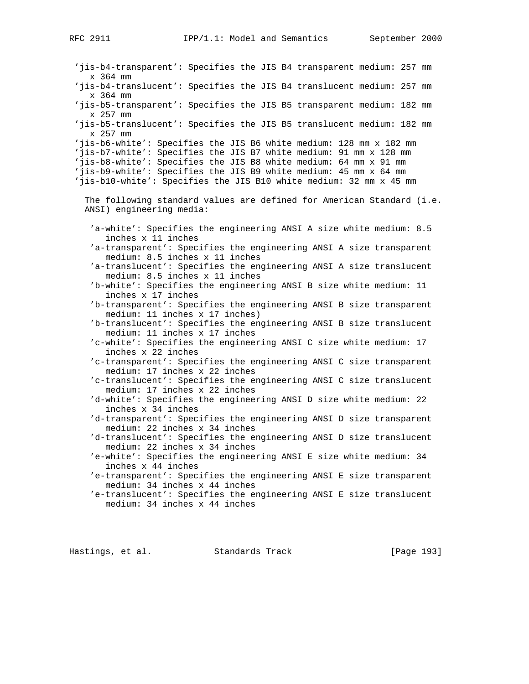'jis-b4-transparent': Specifies the JIS B4 transparent medium: 257 mm x 364 mm 'jis-b4-translucent': Specifies the JIS B4 translucent medium: 257 mm x 364 mm 'jis-b5-transparent': Specifies the JIS B5 transparent medium: 182 mm x 257 mm 'jis-b5-translucent': Specifies the JIS B5 translucent medium: 182 mm x 257 mm 'jis-b6-white': Specifies the JIS B6 white medium: 128 mm x 182 mm 'jis-b7-white': Specifies the JIS B7 white medium: 91 mm x 128 mm 'jis-b8-white': Specifies the JIS B8 white medium: 64 mm x 91 mm 'jis-b9-white': Specifies the JIS B9 white medium: 45 mm x 64 mm 'jis-b10-white': Specifies the JIS B10 white medium: 32 mm x 45 mm The following standard values are defined for American Standard (i.e. ANSI) engineering media: 'a-white': Specifies the engineering ANSI A size white medium: 8.5 inches x 11 inches 'a-transparent': Specifies the engineering ANSI A size transparent medium: 8.5 inches x 11 inches 'a-translucent': Specifies the engineering ANSI A size translucent medium: 8.5 inches x 11 inches 'b-white': Specifies the engineering ANSI B size white medium: 11 inches x 17 inches 'b-transparent': Specifies the engineering ANSI B size transparent medium: 11 inches x 17 inches) 'b-translucent': Specifies the engineering ANSI B size translucent medium: 11 inches x 17 inches 'c-white': Specifies the engineering ANSI C size white medium: 17 inches x 22 inches 'c-transparent': Specifies the engineering ANSI C size transparent medium: 17 inches x 22 inches 'c-translucent': Specifies the engineering ANSI C size translucent medium: 17 inches x 22 inches 'd-white': Specifies the engineering ANSI D size white medium: 22 inches x 34 inches 'd-transparent': Specifies the engineering ANSI D size transparent medium: 22 inches x 34 inches 'd-translucent': Specifies the engineering ANSI D size translucent medium: 22 inches x 34 inches 'e-white': Specifies the engineering ANSI E size white medium: 34 inches x 44 inches 'e-transparent': Specifies the engineering ANSI E size transparent medium: 34 inches x 44 inches 'e-translucent': Specifies the engineering ANSI E size translucent medium: 34 inches x 44 inches

Hastings, et al. Standards Track [Page 193]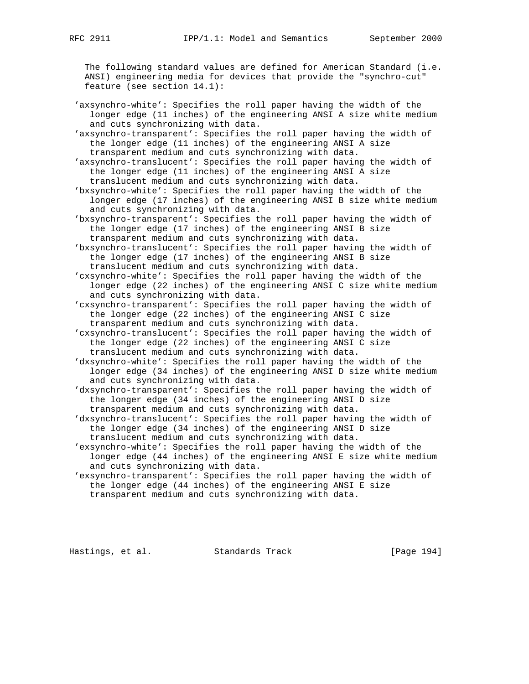The following standard values are defined for American Standard (i.e. ANSI) engineering media for devices that provide the "synchro-cut" feature (see section 14.1):

 'axsynchro-white': Specifies the roll paper having the width of the longer edge (11 inches) of the engineering ANSI A size white medium and cuts synchronizing with data.

 'axsynchro-transparent': Specifies the roll paper having the width of the longer edge (11 inches) of the engineering ANSI A size transparent medium and cuts synchronizing with data.

 'axsynchro-translucent': Specifies the roll paper having the width of the longer edge (11 inches) of the engineering ANSI A size translucent medium and cuts synchronizing with data.

 'bxsynchro-white': Specifies the roll paper having the width of the longer edge (17 inches) of the engineering ANSI B size white medium and cuts synchronizing with data.

 'bxsynchro-transparent': Specifies the roll paper having the width of the longer edge (17 inches) of the engineering ANSI B size transparent medium and cuts synchronizing with data.

 'bxsynchro-translucent': Specifies the roll paper having the width of the longer edge (17 inches) of the engineering ANSI B size translucent medium and cuts synchronizing with data.

 'cxsynchro-white': Specifies the roll paper having the width of the longer edge (22 inches) of the engineering ANSI C size white medium and cuts synchronizing with data.

 'cxsynchro-transparent': Specifies the roll paper having the width of the longer edge (22 inches) of the engineering ANSI C size transparent medium and cuts synchronizing with data.

 'cxsynchro-translucent': Specifies the roll paper having the width of the longer edge (22 inches) of the engineering ANSI C size translucent medium and cuts synchronizing with data.

 'dxsynchro-white': Specifies the roll paper having the width of the longer edge (34 inches) of the engineering ANSI D size white medium and cuts synchronizing with data.

 'dxsynchro-transparent': Specifies the roll paper having the width of the longer edge (34 inches) of the engineering ANSI D size transparent medium and cuts synchronizing with data.

 'dxsynchro-translucent': Specifies the roll paper having the width of the longer edge (34 inches) of the engineering ANSI D size translucent medium and cuts synchronizing with data.

 'exsynchro-white': Specifies the roll paper having the width of the longer edge (44 inches) of the engineering ANSI E size white medium and cuts synchronizing with data.

 'exsynchro-transparent': Specifies the roll paper having the width of the longer edge (44 inches) of the engineering ANSI E size transparent medium and cuts synchronizing with data.

Hastings, et al. Standards Track [Page 194]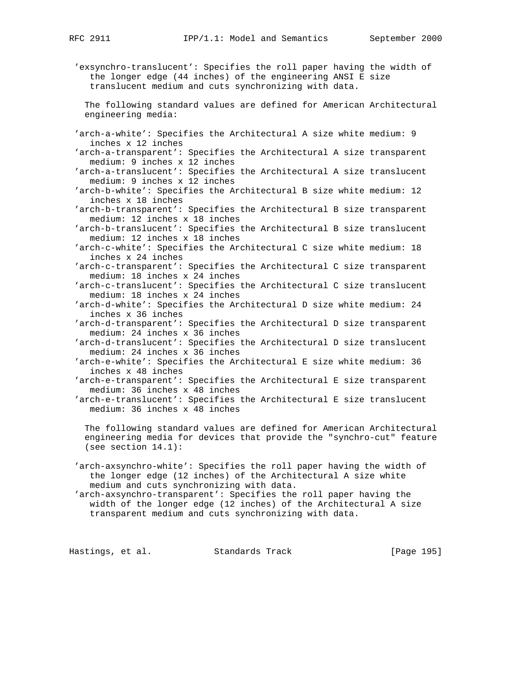'exsynchro-translucent': Specifies the roll paper having the width of the longer edge (44 inches) of the engineering ANSI E size translucent medium and cuts synchronizing with data.

 The following standard values are defined for American Architectural engineering media:

 'arch-a-white': Specifies the Architectural A size white medium: 9 inches x 12 inches

 'arch-a-transparent': Specifies the Architectural A size transparent medium: 9 inches x 12 inches

 'arch-a-translucent': Specifies the Architectural A size translucent medium: 9 inches x 12 inches

 'arch-b-white': Specifies the Architectural B size white medium: 12 inches x 18 inches

 'arch-b-transparent': Specifies the Architectural B size transparent medium: 12 inches x 18 inches

 'arch-b-translucent': Specifies the Architectural B size translucent medium: 12 inches x 18 inches

 'arch-c-white': Specifies the Architectural C size white medium: 18 inches x 24 inches

 'arch-c-transparent': Specifies the Architectural C size transparent medium: 18 inches x 24 inches

 'arch-c-translucent': Specifies the Architectural C size translucent medium: 18 inches x 24 inches

 'arch-d-white': Specifies the Architectural D size white medium: 24 inches x 36 inches

 'arch-d-transparent': Specifies the Architectural D size transparent medium: 24 inches x 36 inches

 'arch-d-translucent': Specifies the Architectural D size translucent medium: 24 inches x 36 inches

 'arch-e-white': Specifies the Architectural E size white medium: 36 inches x 48 inches

 'arch-e-transparent': Specifies the Architectural E size transparent medium: 36 inches x 48 inches

 'arch-e-translucent': Specifies the Architectural E size translucent medium: 36 inches x 48 inches

 The following standard values are defined for American Architectural engineering media for devices that provide the "synchro-cut" feature (see section 14.1):

 'arch-axsynchro-white': Specifies the roll paper having the width of the longer edge (12 inches) of the Architectural A size white medium and cuts synchronizing with data.

 'arch-axsynchro-transparent': Specifies the roll paper having the width of the longer edge (12 inches) of the Architectural A size transparent medium and cuts synchronizing with data.

Hastings, et al. Standards Track [Page 195]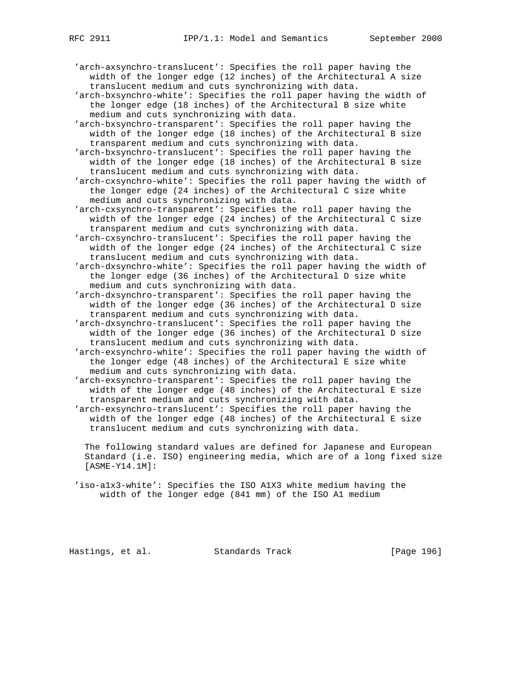'arch-axsynchro-translucent': Specifies the roll paper having the width of the longer edge (12 inches) of the Architectural A size translucent medium and cuts synchronizing with data.

 'arch-bxsynchro-white': Specifies the roll paper having the width of the longer edge (18 inches) of the Architectural B size white medium and cuts synchronizing with data.

 'arch-bxsynchro-transparent': Specifies the roll paper having the width of the longer edge (18 inches) of the Architectural B size transparent medium and cuts synchronizing with data.

 'arch-bxsynchro-translucent': Specifies the roll paper having the width of the longer edge (18 inches) of the Architectural B size translucent medium and cuts synchronizing with data.

 'arch-cxsynchro-white': Specifies the roll paper having the width of the longer edge (24 inches) of the Architectural C size white medium and cuts synchronizing with data.

 'arch-cxsynchro-transparent': Specifies the roll paper having the width of the longer edge (24 inches) of the Architectural C size transparent medium and cuts synchronizing with data.

 'arch-cxsynchro-translucent': Specifies the roll paper having the width of the longer edge (24 inches) of the Architectural C size translucent medium and cuts synchronizing with data.

 'arch-dxsynchro-white': Specifies the roll paper having the width of the longer edge (36 inches) of the Architectural D size white medium and cuts synchronizing with data.

 'arch-dxsynchro-transparent': Specifies the roll paper having the width of the longer edge (36 inches) of the Architectural D size transparent medium and cuts synchronizing with data.

 'arch-dxsynchro-translucent': Specifies the roll paper having the width of the longer edge (36 inches) of the Architectural D size translucent medium and cuts synchronizing with data.

 'arch-exsynchro-white': Specifies the roll paper having the width of the longer edge (48 inches) of the Architectural E size white medium and cuts synchronizing with data.

 'arch-exsynchro-transparent': Specifies the roll paper having the width of the longer edge (48 inches) of the Architectural E size transparent medium and cuts synchronizing with data.

 'arch-exsynchro-translucent': Specifies the roll paper having the width of the longer edge (48 inches) of the Architectural E size translucent medium and cuts synchronizing with data.

 The following standard values are defined for Japanese and European Standard (i.e. ISO) engineering media, which are of a long fixed size [ASME-Y14.1M]:

 'iso-a1x3-white': Specifies the ISO A1X3 white medium having the width of the longer edge (841 mm) of the ISO A1 medium

Hastings, et al. Standards Track [Page 196]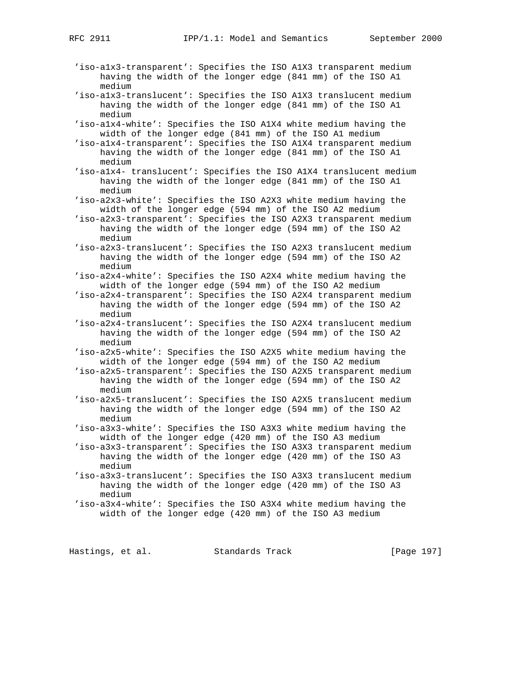- 'iso-a1x3-transparent': Specifies the ISO A1X3 transparent medium having the width of the longer edge (841 mm) of the ISO A1 medium
- 'iso-a1x3-translucent': Specifies the ISO A1X3 translucent medium having the width of the longer edge (841 mm) of the ISO A1 medium
- 'iso-a1x4-white': Specifies the ISO A1X4 white medium having the width of the longer edge (841 mm) of the ISO A1 medium

 'iso-a1x4-transparent': Specifies the ISO A1X4 transparent medium having the width of the longer edge (841 mm) of the ISO A1 medium

 'iso-a1x4- translucent': Specifies the ISO A1X4 translucent medium having the width of the longer edge (841 mm) of the ISO A1 medium

- 'iso-a2x3-white': Specifies the ISO A2X3 white medium having the width of the longer edge (594 mm) of the ISO A2 medium
- 'iso-a2x3-transparent': Specifies the ISO A2X3 transparent medium having the width of the longer edge (594 mm) of the ISO A2 medium
- 'iso-a2x3-translucent': Specifies the ISO A2X3 translucent medium having the width of the longer edge (594 mm) of the ISO A2 medium
- 'iso-a2x4-white': Specifies the ISO A2X4 white medium having the width of the longer edge (594 mm) of the ISO A2 medium
- 'iso-a2x4-transparent': Specifies the ISO A2X4 transparent medium having the width of the longer edge (594 mm) of the ISO A2 medium
- 'iso-a2x4-translucent': Specifies the ISO A2X4 translucent medium having the width of the longer edge (594 mm) of the ISO A2 medium
- 'iso-a2x5-white': Specifies the ISO A2X5 white medium having the width of the longer edge (594 mm) of the ISO A2 medium
- 'iso-a2x5-transparent': Specifies the ISO A2X5 transparent medium having the width of the longer edge (594 mm) of the ISO A2 medium
- 'iso-a2x5-translucent': Specifies the ISO A2X5 translucent medium having the width of the longer edge (594 mm) of the ISO A2 medium
- 'iso-a3x3-white': Specifies the ISO A3X3 white medium having the width of the longer edge (420 mm) of the ISO A3 medium
- 'iso-a3x3-transparent': Specifies the ISO A3X3 transparent medium having the width of the longer edge (420 mm) of the ISO A3 medium
- 'iso-a3x3-translucent': Specifies the ISO A3X3 translucent medium having the width of the longer edge (420 mm) of the ISO A3 medium
- 'iso-a3x4-white': Specifies the ISO A3X4 white medium having the width of the longer edge (420 mm) of the ISO A3 medium

Hastings, et al. Standards Track [Page 197]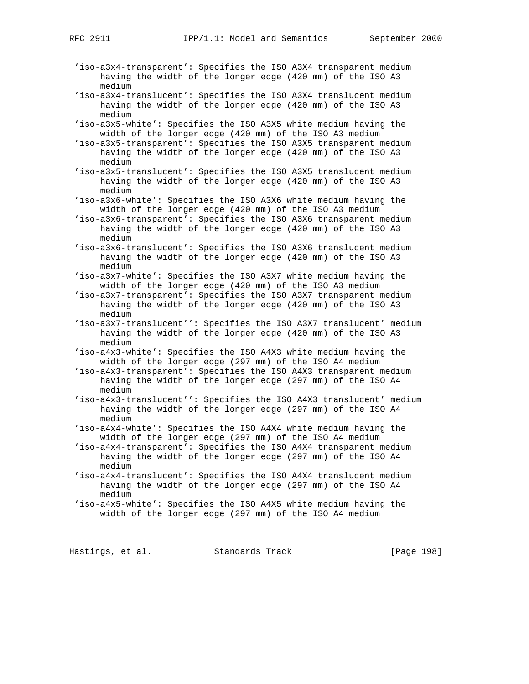- 'iso-a3x4-transparent': Specifies the ISO A3X4 transparent medium having the width of the longer edge (420 mm) of the ISO A3 medium
- 'iso-a3x4-translucent': Specifies the ISO A3X4 translucent medium having the width of the longer edge (420 mm) of the ISO A3 medium
- 'iso-a3x5-white': Specifies the ISO A3X5 white medium having the width of the longer edge (420 mm) of the ISO A3 medium
- 'iso-a3x5-transparent': Specifies the ISO A3X5 transparent medium having the width of the longer edge (420 mm) of the ISO A3 medium
- 'iso-a3x5-translucent': Specifies the ISO A3X5 translucent medium having the width of the longer edge (420 mm) of the ISO A3 medium
- 'iso-a3x6-white': Specifies the ISO A3X6 white medium having the width of the longer edge (420 mm) of the ISO A3 medium
- 'iso-a3x6-transparent': Specifies the ISO A3X6 transparent medium having the width of the longer edge (420 mm) of the ISO A3 medium
- 'iso-a3x6-translucent': Specifies the ISO A3X6 translucent medium having the width of the longer edge (420 mm) of the ISO A3 medium
- 'iso-a3x7-white': Specifies the ISO A3X7 white medium having the width of the longer edge (420 mm) of the ISO A3 medium
- 'iso-a3x7-transparent': Specifies the ISO A3X7 transparent medium having the width of the longer edge (420 mm) of the ISO A3 medium
- 'iso-a3x7-translucent'': Specifies the ISO A3X7 translucent' medium having the width of the longer edge (420 mm) of the ISO A3 medium
- 'iso-a4x3-white': Specifies the ISO A4X3 white medium having the width of the longer edge (297 mm) of the ISO A4 medium
- 'iso-a4x3-transparent': Specifies the ISO A4X3 transparent medium having the width of the longer edge (297 mm) of the ISO A4 medium
- 'iso-a4x3-translucent'': Specifies the ISO A4X3 translucent' medium having the width of the longer edge (297 mm) of the ISO A4 medium
- 'iso-a4x4-white': Specifies the ISO A4X4 white medium having the width of the longer edge (297 mm) of the ISO A4 medium
- 'iso-a4x4-transparent': Specifies the ISO A4X4 transparent medium having the width of the longer edge (297 mm) of the ISO A4 medium
- 'iso-a4x4-translucent': Specifies the ISO A4X4 translucent medium having the width of the longer edge (297 mm) of the ISO A4 medium
- 'iso-a4x5-white': Specifies the ISO A4X5 white medium having the width of the longer edge (297 mm) of the ISO A4 medium

Hastings, et al. Standards Track [Page 198]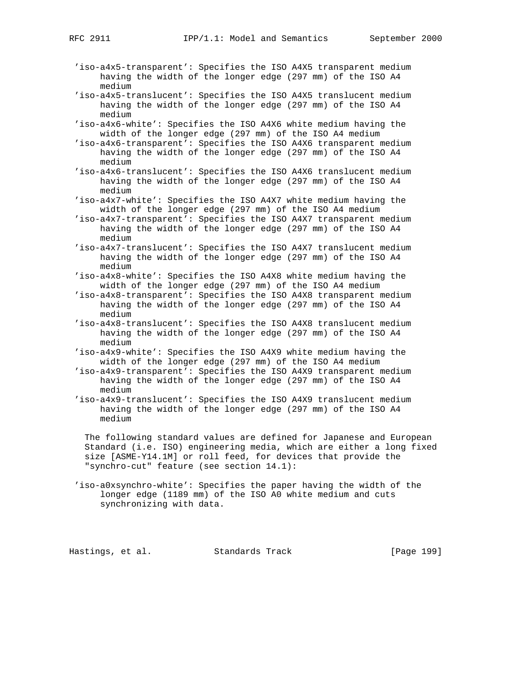- 'iso-a4x5-transparent': Specifies the ISO A4X5 transparent medium having the width of the longer edge (297 mm) of the ISO A4 medium
- 'iso-a4x5-translucent': Specifies the ISO A4X5 translucent medium having the width of the longer edge (297 mm) of the ISO A4 medium
- 'iso-a4x6-white': Specifies the ISO A4X6 white medium having the width of the longer edge (297 mm) of the ISO A4 medium
- 'iso-a4x6-transparent': Specifies the ISO A4X6 transparent medium having the width of the longer edge (297 mm) of the ISO A4 medium
- 'iso-a4x6-translucent': Specifies the ISO A4X6 translucent medium having the width of the longer edge (297 mm) of the ISO A4 medium
- 'iso-a4x7-white': Specifies the ISO A4X7 white medium having the width of the longer edge (297 mm) of the ISO A4 medium
- 'iso-a4x7-transparent': Specifies the ISO A4X7 transparent medium having the width of the longer edge (297 mm) of the ISO A4 medium
- 'iso-a4x7-translucent': Specifies the ISO A4X7 translucent medium having the width of the longer edge (297 mm) of the ISO A4 medium
- 'iso-a4x8-white': Specifies the ISO A4X8 white medium having the width of the longer edge (297 mm) of the ISO A4 medium
- 'iso-a4x8-transparent': Specifies the ISO A4X8 transparent medium having the width of the longer edge (297 mm) of the ISO A4 medium
- 'iso-a4x8-translucent': Specifies the ISO A4X8 translucent medium having the width of the longer edge (297 mm) of the ISO A4 medium
- 'iso-a4x9-white': Specifies the ISO A4X9 white medium having the width of the longer edge (297 mm) of the ISO A4 medium
- 'iso-a4x9-transparent': Specifies the ISO A4X9 transparent medium having the width of the longer edge (297 mm) of the ISO A4 medium
- 'iso-a4x9-translucent': Specifies the ISO A4X9 translucent medium having the width of the longer edge (297 mm) of the ISO A4 medium

 The following standard values are defined for Japanese and European Standard (i.e. ISO) engineering media, which are either a long fixed size [ASME-Y14.1M] or roll feed, for devices that provide the "synchro-cut" feature (see section 14.1):

 'iso-a0xsynchro-white': Specifies the paper having the width of the longer edge (1189 mm) of the ISO A0 white medium and cuts synchronizing with data.

Hastings, et al. Standards Track [Page 199]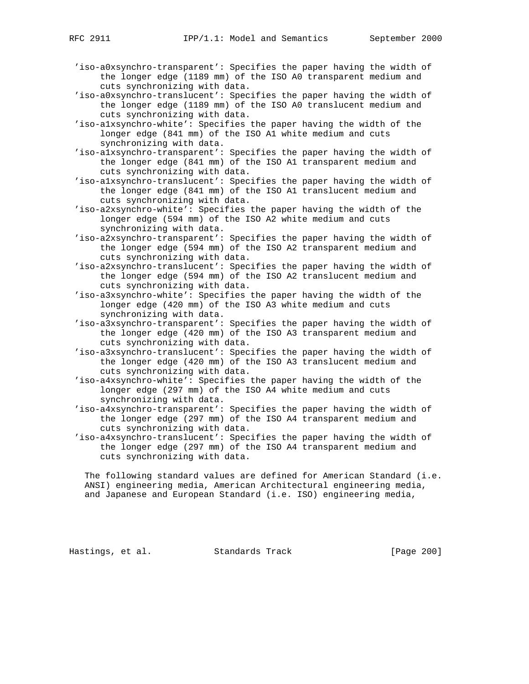- 'iso-a0xsynchro-transparent': Specifies the paper having the width of the longer edge (1189 mm) of the ISO A0 transparent medium and cuts synchronizing with data.
- 'iso-a0xsynchro-translucent': Specifies the paper having the width of the longer edge (1189 mm) of the ISO A0 translucent medium and cuts synchronizing with data.
- 'iso-a1xsynchro-white': Specifies the paper having the width of the longer edge (841 mm) of the ISO A1 white medium and cuts synchronizing with data.
- 'iso-a1xsynchro-transparent': Specifies the paper having the width of the longer edge (841 mm) of the ISO A1 transparent medium and cuts synchronizing with data.
- 'iso-a1xsynchro-translucent': Specifies the paper having the width of the longer edge (841 mm) of the ISO A1 translucent medium and cuts synchronizing with data.
- 'iso-a2xsynchro-white': Specifies the paper having the width of the longer edge (594 mm) of the ISO A2 white medium and cuts synchronizing with data.
- 'iso-a2xsynchro-transparent': Specifies the paper having the width of the longer edge (594 mm) of the ISO A2 transparent medium and cuts synchronizing with data.
- 'iso-a2xsynchro-translucent': Specifies the paper having the width of the longer edge (594 mm) of the ISO A2 translucent medium and cuts synchronizing with data.
- 'iso-a3xsynchro-white': Specifies the paper having the width of the longer edge (420 mm) of the ISO A3 white medium and cuts synchronizing with data.
- 'iso-a3xsynchro-transparent': Specifies the paper having the width of the longer edge (420 mm) of the ISO A3 transparent medium and cuts synchronizing with data.
- 'iso-a3xsynchro-translucent': Specifies the paper having the width of the longer edge (420 mm) of the ISO A3 translucent medium and cuts synchronizing with data.
- 'iso-a4xsynchro-white': Specifies the paper having the width of the longer edge (297 mm) of the ISO A4 white medium and cuts synchronizing with data.
- 'iso-a4xsynchro-transparent': Specifies the paper having the width of the longer edge (297 mm) of the ISO A4 transparent medium and cuts synchronizing with data.
- 'iso-a4xsynchro-translucent': Specifies the paper having the width of the longer edge (297 mm) of the ISO A4 transparent medium and cuts synchronizing with data.

 The following standard values are defined for American Standard (i.e. ANSI) engineering media, American Architectural engineering media, and Japanese and European Standard (i.e. ISO) engineering media,

Hastings, et al. Standards Track [Page 200]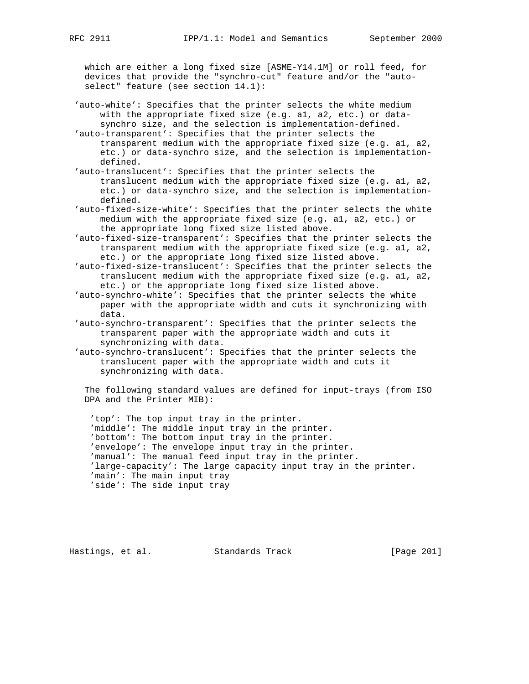which are either a long fixed size [ASME-Y14.1M] or roll feed, for devices that provide the "synchro-cut" feature and/or the "auto select" feature (see section 14.1):

 'auto-white': Specifies that the printer selects the white medium with the appropriate fixed size (e.g. a1, a2, etc.) or data synchro size, and the selection is implementation-defined.

 'auto-transparent': Specifies that the printer selects the transparent medium with the appropriate fixed size (e.g. a1, a2, etc.) or data-synchro size, and the selection is implementation defined.

 'auto-translucent': Specifies that the printer selects the translucent medium with the appropriate fixed size (e.g. a1, a2, etc.) or data-synchro size, and the selection is implementation defined.

 'auto-fixed-size-white': Specifies that the printer selects the white medium with the appropriate fixed size (e.g. a1, a2, etc.) or the appropriate long fixed size listed above.

 'auto-fixed-size-transparent': Specifies that the printer selects the transparent medium with the appropriate fixed size (e.g. a1, a2, etc.) or the appropriate long fixed size listed above.

 'auto-fixed-size-translucent': Specifies that the printer selects the translucent medium with the appropriate fixed size (e.g. a1, a2, etc.) or the appropriate long fixed size listed above.

 'auto-synchro-white': Specifies that the printer selects the white paper with the appropriate width and cuts it synchronizing with data.

 'auto-synchro-transparent': Specifies that the printer selects the transparent paper with the appropriate width and cuts it synchronizing with data.

 'auto-synchro-translucent': Specifies that the printer selects the translucent paper with the appropriate width and cuts it synchronizing with data.

 The following standard values are defined for input-trays (from ISO DPA and the Printer MIB):

 'top': The top input tray in the printer. 'middle': The middle input tray in the printer. 'bottom': The bottom input tray in the printer. 'envelope': The envelope input tray in the printer. 'manual': The manual feed input tray in the printer. 'large-capacity': The large capacity input tray in the printer. 'main': The main input tray 'side': The side input tray

Hastings, et al. Standards Track [Page 201]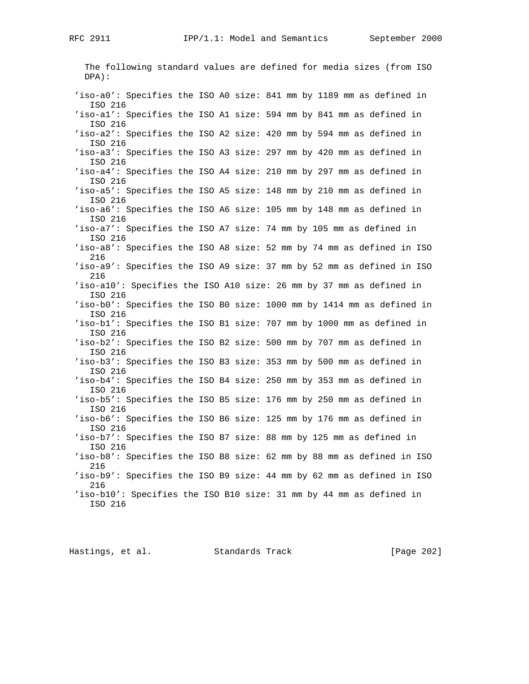The following standard values are defined for media sizes (from ISO DPA): 'iso-a0': Specifies the ISO A0 size: 841 mm by 1189 mm as defined in ISO 216 'iso-a1': Specifies the ISO A1 size: 594 mm by 841 mm as defined in ISO 216 'iso-a2': Specifies the ISO A2 size: 420 mm by 594 mm as defined in ISO 216 'iso-a3': Specifies the ISO A3 size: 297 mm by 420 mm as defined in ISO 216 'iso-a4': Specifies the ISO A4 size: 210 mm by 297 mm as defined in ISO 216 'iso-a5': Specifies the ISO A5 size: 148 mm by 210 mm as defined in ISO 216 'iso-a6': Specifies the ISO A6 size: 105 mm by 148 mm as defined in ISO 216 'iso-a7': Specifies the ISO A7 size: 74 mm by 105 mm as defined in ISO 216 'iso-a8': Specifies the ISO A8 size: 52 mm by 74 mm as defined in ISO 216 'iso-a9': Specifies the ISO A9 size: 37 mm by 52 mm as defined in ISO 216 'iso-a10': Specifies the ISO A10 size: 26 mm by 37 mm as defined in ISO 216 'iso-b0': Specifies the ISO B0 size: 1000 mm by 1414 mm as defined in ISO 216 'iso-b1': Specifies the ISO B1 size: 707 mm by 1000 mm as defined in ISO 216 'iso-b2': Specifies the ISO B2 size: 500 mm by 707 mm as defined in ISO 216 'iso-b3': Specifies the ISO B3 size: 353 mm by 500 mm as defined in ISO 216 'iso-b4': Specifies the ISO B4 size: 250 mm by 353 mm as defined in ISO 216 'iso-b5': Specifies the ISO B5 size: 176 mm by 250 mm as defined in ISO 216 'iso-b6': Specifies the ISO B6 size: 125 mm by 176 mm as defined in ISO 216 'iso-b7': Specifies the ISO B7 size: 88 mm by 125 mm as defined in ISO 216 'iso-b8': Specifies the ISO B8 size: 62 mm by 88 mm as defined in ISO 216 'iso-b9': Specifies the ISO B9 size: 44 mm by 62 mm as defined in ISO 216 'iso-b10': Specifies the ISO B10 size: 31 mm by 44 mm as defined in ISO 216

Hastings, et al. Standards Track [Page 202]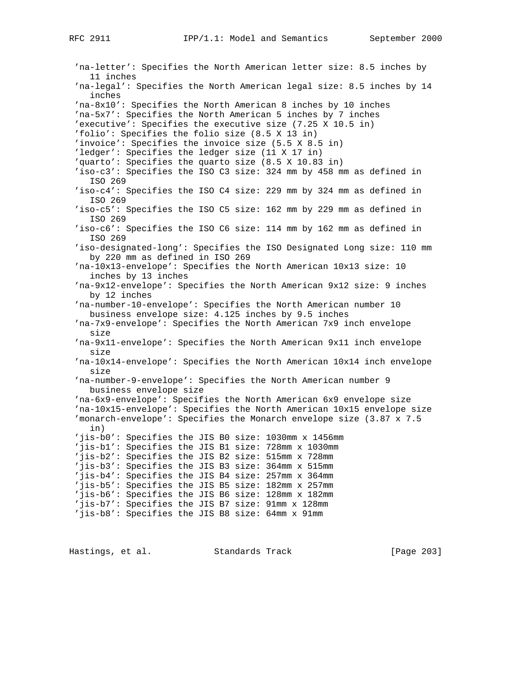'na-letter': Specifies the North American letter size: 8.5 inches by 11 inches 'na-legal': Specifies the North American legal size: 8.5 inches by 14 inches 'na-8x10': Specifies the North American 8 inches by 10 inches 'na-5x7': Specifies the North American 5 inches by 7 inches 'executive': Specifies the executive size (7.25 X 10.5 in) 'folio': Specifies the folio size (8.5 X 13 in) 'invoice': Specifies the invoice size (5.5 X 8.5 in) 'ledger': Specifies the ledger size (11 X 17 in) 'quarto': Specifies the quarto size (8.5 X 10.83 in) 'iso-c3': Specifies the ISO C3 size: 324 mm by 458 mm as defined in ISO 269 'iso-c4': Specifies the ISO C4 size: 229 mm by 324 mm as defined in ISO 269 'iso-c5': Specifies the ISO C5 size: 162 mm by 229 mm as defined in ISO 269 'iso-c6': Specifies the ISO C6 size: 114 mm by 162 mm as defined in ISO 269 'iso-designated-long': Specifies the ISO Designated Long size: 110 mm by 220 mm as defined in ISO 269 'na-10x13-envelope': Specifies the North American 10x13 size: 10 inches by 13 inches 'na-9x12-envelope': Specifies the North American 9x12 size: 9 inches by 12 inches 'na-number-10-envelope': Specifies the North American number 10 business envelope size: 4.125 inches by 9.5 inches 'na-7x9-envelope': Specifies the North American 7x9 inch envelope size 'na-9x11-envelope': Specifies the North American 9x11 inch envelope size 'na-10x14-envelope': Specifies the North American 10x14 inch envelope size 'na-number-9-envelope': Specifies the North American number 9 business envelope size 'na-6x9-envelope': Specifies the North American 6x9 envelope size 'na-10x15-envelope': Specifies the North American 10x15 envelope size 'monarch-envelope': Specifies the Monarch envelope size (3.87 x 7.5 in) 'jis-b0': Specifies the JIS B0 size: 1030mm x 1456mm 'jis-b1': Specifies the JIS B1 size: 728mm x 1030mm 'jis-b2': Specifies the JIS B2 size: 515mm x 728mm 'jis-b3': Specifies the JIS B3 size: 364mm x 515mm 'jis-b4': Specifies the JIS B4 size: 257mm x 364mm 'jis-b5': Specifies the JIS B5 size: 182mm x 257mm 'jis-b6': Specifies the JIS B6 size: 128mm x 182mm 'jis-b7': Specifies the JIS B7 size: 91mm x 128mm 'jis-b8': Specifies the JIS B8 size: 64mm x 91mm

Hastings, et al. Standards Track [Page 203]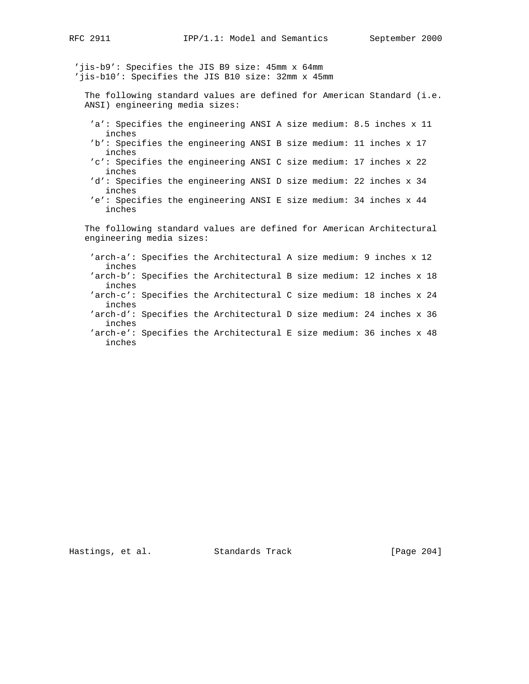'jis-b9': Specifies the JIS B9 size: 45mm x 64mm 'jis-b10': Specifies the JIS B10 size: 32mm x 45mm

 The following standard values are defined for American Standard (i.e. ANSI) engineering media sizes:

- 'a': Specifies the engineering ANSI A size medium: 8.5 inches x 11 inches
- 'b': Specifies the engineering ANSI B size medium: 11 inches x 17 inches
- 'c': Specifies the engineering ANSI C size medium: 17 inches x 22 inches
- 'd': Specifies the engineering ANSI D size medium: 22 inches x 34 inches
- 'e': Specifies the engineering ANSI E size medium: 34 inches x 44 inches

 The following standard values are defined for American Architectural engineering media sizes:

 'arch-a': Specifies the Architectural A size medium: 9 inches x 12 inches 'arch-b': Specifies the Architectural B size medium: 12 inches x 18 inches 'arch-c': Specifies the Architectural C size medium: 18 inches x 24 inches 'arch-d': Specifies the Architectural D size medium: 24 inches x 36 inches 'arch-e': Specifies the Architectural E size medium: 36 inches x 48 inches

Hastings, et al. Standards Track [Page 204]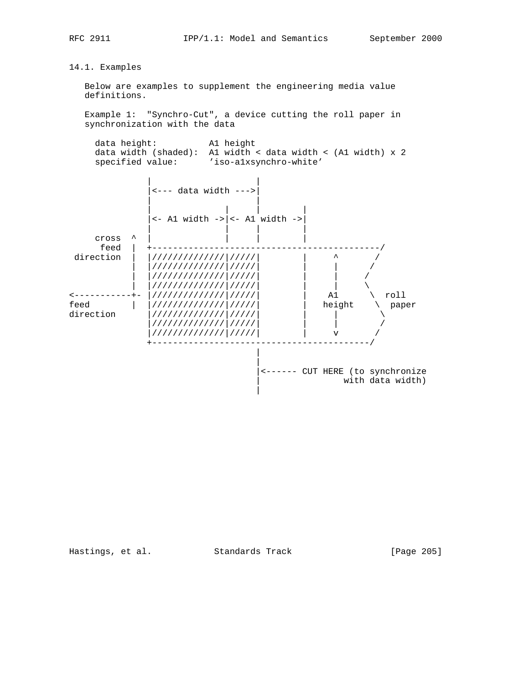# 14.1. Examples

 Below are examples to supplement the engineering media value definitions.

 Example 1: "Synchro-Cut", a device cutting the roll paper in synchronization with the data

 data height: A1 height data width (shaded): A1 width < data width < (A1 width) x 2 specified value: 'iso-alxsynchro-white'



Hastings, et al. Standards Track [Page 205]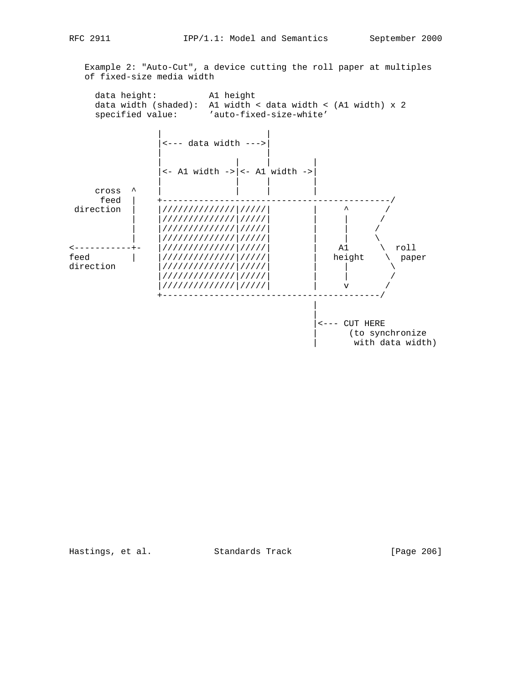Example 2: "Auto-Cut", a device cutting the roll paper at multiples of fixed-size media width

 data height: A1 height data width (shaded): A1 width < data width < (A1 width) x 2 specified value: 'auto-fixed-size-white'



Hastings, et al. Standards Track [Page 206]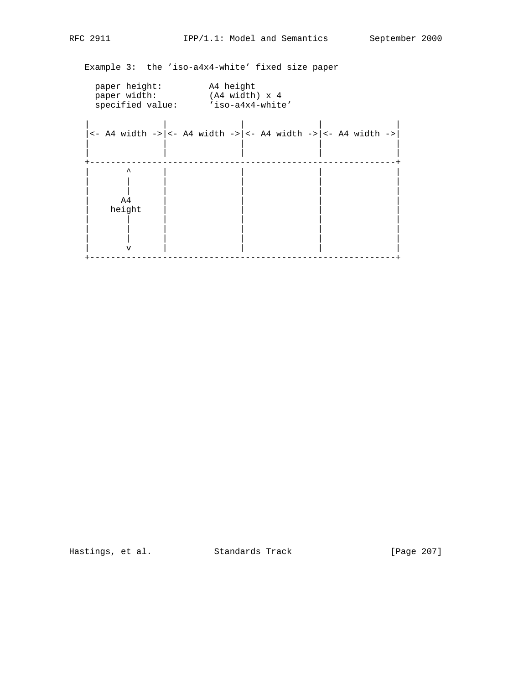Example 3: the 'iso-a4x4-white' fixed size paper

| paper height:<br>paper width:                                                                             | A4 height<br>$(A4 width) \times 4$<br>specified value: 'iso-a4x4-white' |  |  |  |  |  |  |  |  |  |  |  |
|-----------------------------------------------------------------------------------------------------------|-------------------------------------------------------------------------|--|--|--|--|--|--|--|--|--|--|--|
| $\left  \left  \right  <$ - A4 width -> $\left  \right  <$ - A4 width -> $\left  \right  <$ - A4 width -> |                                                                         |  |  |  |  |  |  |  |  |  |  |  |
| ᄉ<br>A4<br>height<br>٦T                                                                                   |                                                                         |  |  |  |  |  |  |  |  |  |  |  |

Hastings, et al. Standards Track [Page 207]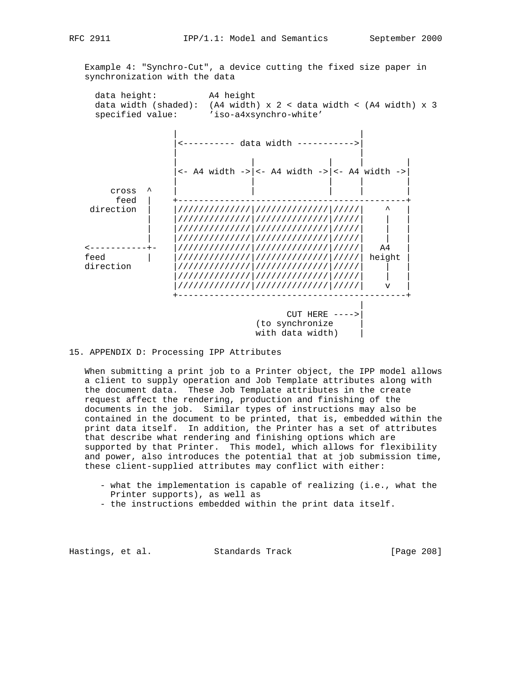Example 4: "Synchro-Cut", a device cutting the fixed size paper in synchronization with the data

 data height: A4 height data width (shaded): (A4 width) x 2 < data width < (A4 width) x 3 specified value: 'iso-a4xsynchro-white'



## 15. APPENDIX D: Processing IPP Attributes

 When submitting a print job to a Printer object, the IPP model allows a client to supply operation and Job Template attributes along with the document data. These Job Template attributes in the create request affect the rendering, production and finishing of the documents in the job. Similar types of instructions may also be contained in the document to be printed, that is, embedded within the print data itself. In addition, the Printer has a set of attributes that describe what rendering and finishing options which are supported by that Printer. This model, which allows for flexibility and power, also introduces the potential that at job submission time, these client-supplied attributes may conflict with either:

- what the implementation is capable of realizing (i.e., what the Printer supports), as well as
- the instructions embedded within the print data itself.

Hastings, et al. Standards Track [Page 208]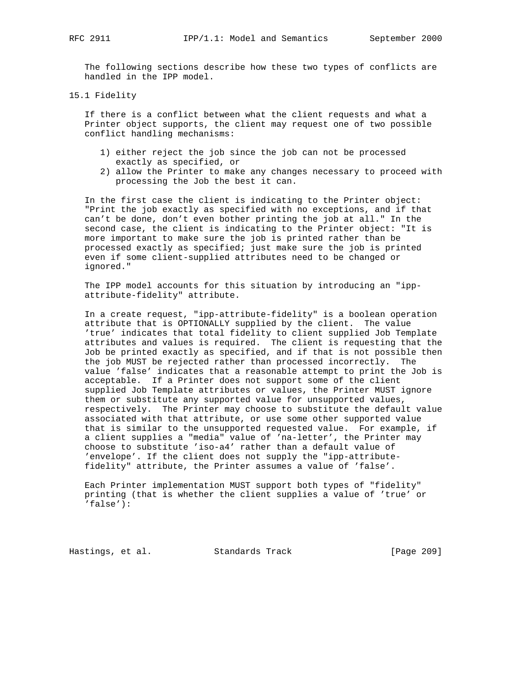The following sections describe how these two types of conflicts are handled in the IPP model.

15.1 Fidelity

 If there is a conflict between what the client requests and what a Printer object supports, the client may request one of two possible conflict handling mechanisms:

- 1) either reject the job since the job can not be processed exactly as specified, or
- 2) allow the Printer to make any changes necessary to proceed with processing the Job the best it can.

 In the first case the client is indicating to the Printer object: "Print the job exactly as specified with no exceptions, and if that can't be done, don't even bother printing the job at all." In the second case, the client is indicating to the Printer object: "It is more important to make sure the job is printed rather than be processed exactly as specified; just make sure the job is printed even if some client-supplied attributes need to be changed or ignored."

 The IPP model accounts for this situation by introducing an "ipp attribute-fidelity" attribute.

 In a create request, "ipp-attribute-fidelity" is a boolean operation attribute that is OPTIONALLY supplied by the client. The value 'true' indicates that total fidelity to client supplied Job Template attributes and values is required. The client is requesting that the Job be printed exactly as specified, and if that is not possible then the job MUST be rejected rather than processed incorrectly. The value 'false' indicates that a reasonable attempt to print the Job is acceptable. If a Printer does not support some of the client supplied Job Template attributes or values, the Printer MUST ignore them or substitute any supported value for unsupported values, respectively. The Printer may choose to substitute the default value associated with that attribute, or use some other supported value that is similar to the unsupported requested value. For example, if a client supplies a "media" value of 'na-letter', the Printer may choose to substitute 'iso-a4' rather than a default value of 'envelope'. If the client does not supply the "ipp-attribute fidelity" attribute, the Printer assumes a value of 'false'.

 Each Printer implementation MUST support both types of "fidelity" printing (that is whether the client supplies a value of 'true' or 'false'):

Hastings, et al. Standards Track [Page 209]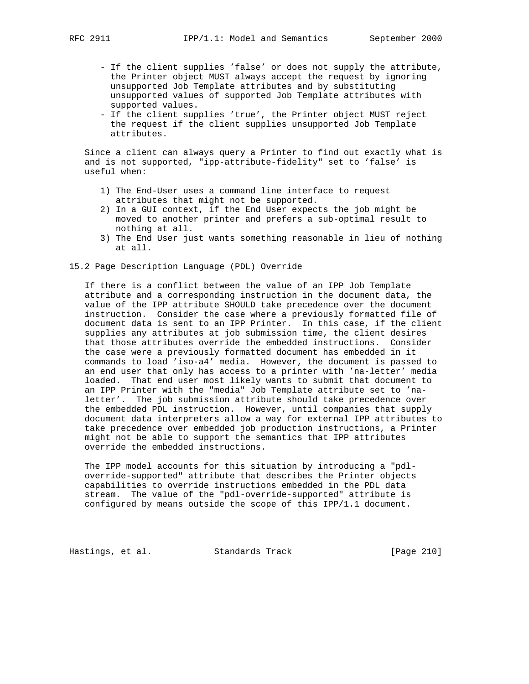- If the client supplies 'false' or does not supply the attribute, the Printer object MUST always accept the request by ignoring unsupported Job Template attributes and by substituting unsupported values of supported Job Template attributes with supported values.
- If the client supplies 'true', the Printer object MUST reject the request if the client supplies unsupported Job Template attributes.

 Since a client can always query a Printer to find out exactly what is and is not supported, "ipp-attribute-fidelity" set to 'false' is useful when:

- 1) The End-User uses a command line interface to request attributes that might not be supported.
- 2) In a GUI context, if the End User expects the job might be moved to another printer and prefers a sub-optimal result to nothing at all.
- 3) The End User just wants something reasonable in lieu of nothing at all.
- 15.2 Page Description Language (PDL) Override

 If there is a conflict between the value of an IPP Job Template attribute and a corresponding instruction in the document data, the value of the IPP attribute SHOULD take precedence over the document instruction. Consider the case where a previously formatted file of document data is sent to an IPP Printer. In this case, if the client supplies any attributes at job submission time, the client desires that those attributes override the embedded instructions. Consider the case were a previously formatted document has embedded in it commands to load 'iso-a4' media. However, the document is passed to an end user that only has access to a printer with 'na-letter' media loaded. That end user most likely wants to submit that document to an IPP Printer with the "media" Job Template attribute set to 'na letter'. The job submission attribute should take precedence over the embedded PDL instruction. However, until companies that supply document data interpreters allow a way for external IPP attributes to take precedence over embedded job production instructions, a Printer might not be able to support the semantics that IPP attributes override the embedded instructions.

 The IPP model accounts for this situation by introducing a "pdl override-supported" attribute that describes the Printer objects capabilities to override instructions embedded in the PDL data stream. The value of the "pdl-override-supported" attribute is configured by means outside the scope of this IPP/1.1 document.

Hastings, et al. Standards Track [Page 210]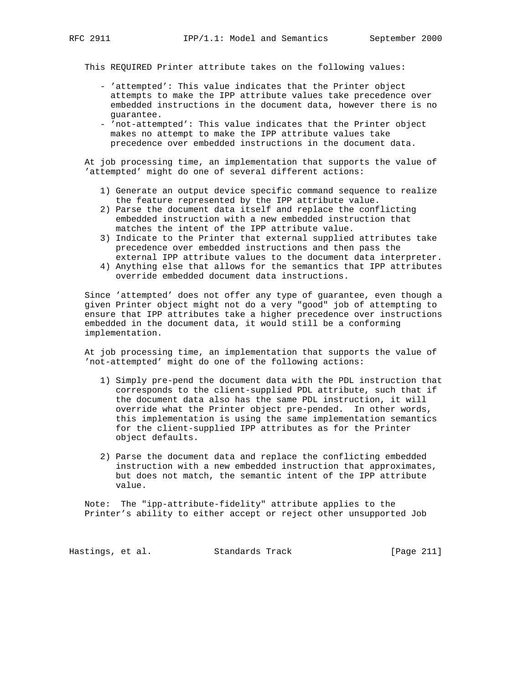This REQUIRED Printer attribute takes on the following values:

- 'attempted': This value indicates that the Printer object attempts to make the IPP attribute values take precedence over embedded instructions in the document data, however there is no guarantee.
- 'not-attempted': This value indicates that the Printer object makes no attempt to make the IPP attribute values take precedence over embedded instructions in the document data.

 At job processing time, an implementation that supports the value of 'attempted' might do one of several different actions:

- 1) Generate an output device specific command sequence to realize the feature represented by the IPP attribute value.
- 2) Parse the document data itself and replace the conflicting embedded instruction with a new embedded instruction that matches the intent of the IPP attribute value.
- 3) Indicate to the Printer that external supplied attributes take precedence over embedded instructions and then pass the external IPP attribute values to the document data interpreter.
- 4) Anything else that allows for the semantics that IPP attributes override embedded document data instructions.

 Since 'attempted' does not offer any type of guarantee, even though a given Printer object might not do a very "good" job of attempting to ensure that IPP attributes take a higher precedence over instructions embedded in the document data, it would still be a conforming implementation.

 At job processing time, an implementation that supports the value of 'not-attempted' might do one of the following actions:

- 1) Simply pre-pend the document data with the PDL instruction that corresponds to the client-supplied PDL attribute, such that if the document data also has the same PDL instruction, it will override what the Printer object pre-pended. In other words, this implementation is using the same implementation semantics for the client-supplied IPP attributes as for the Printer object defaults.
- 2) Parse the document data and replace the conflicting embedded instruction with a new embedded instruction that approximates, but does not match, the semantic intent of the IPP attribute value.

 Note: The "ipp-attribute-fidelity" attribute applies to the Printer's ability to either accept or reject other unsupported Job

Hastings, et al. Standards Track [Page 211]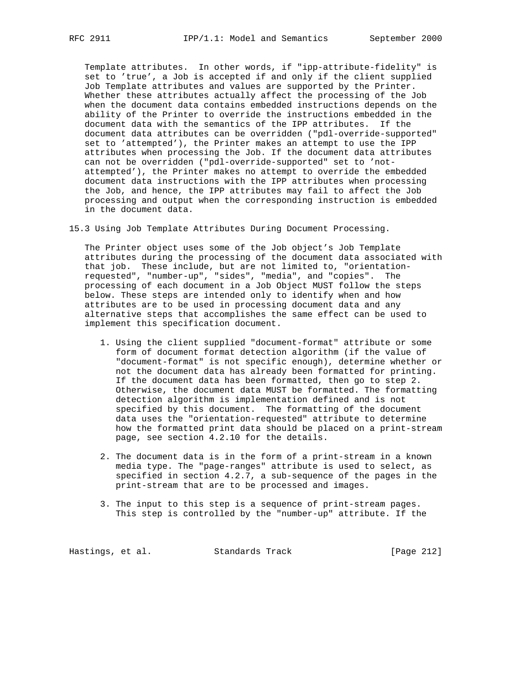Template attributes. In other words, if "ipp-attribute-fidelity" is set to 'true', a Job is accepted if and only if the client supplied Job Template attributes and values are supported by the Printer. Whether these attributes actually affect the processing of the Job when the document data contains embedded instructions depends on the ability of the Printer to override the instructions embedded in the document data with the semantics of the IPP attributes. If the document data attributes can be overridden ("pdl-override-supported" set to 'attempted'), the Printer makes an attempt to use the IPP attributes when processing the Job. If the document data attributes can not be overridden ("pdl-override-supported" set to 'not attempted'), the Printer makes no attempt to override the embedded document data instructions with the IPP attributes when processing the Job, and hence, the IPP attributes may fail to affect the Job processing and output when the corresponding instruction is embedded in the document data.

15.3 Using Job Template Attributes During Document Processing.

 The Printer object uses some of the Job object's Job Template attributes during the processing of the document data associated with that job. These include, but are not limited to, "orientation requested", "number-up", "sides", "media", and "copies". The processing of each document in a Job Object MUST follow the steps below. These steps are intended only to identify when and how attributes are to be used in processing document data and any alternative steps that accomplishes the same effect can be used to implement this specification document.

- 1. Using the client supplied "document-format" attribute or some form of document format detection algorithm (if the value of "document-format" is not specific enough), determine whether or not the document data has already been formatted for printing. If the document data has been formatted, then go to step 2. Otherwise, the document data MUST be formatted. The formatting detection algorithm is implementation defined and is not specified by this document. The formatting of the document data uses the "orientation-requested" attribute to determine how the formatted print data should be placed on a print-stream page, see section 4.2.10 for the details.
- 2. The document data is in the form of a print-stream in a known media type. The "page-ranges" attribute is used to select, as specified in section 4.2.7, a sub-sequence of the pages in the print-stream that are to be processed and images.
- 3. The input to this step is a sequence of print-stream pages. This step is controlled by the "number-up" attribute. If the

Hastings, et al. Standards Track [Page 212]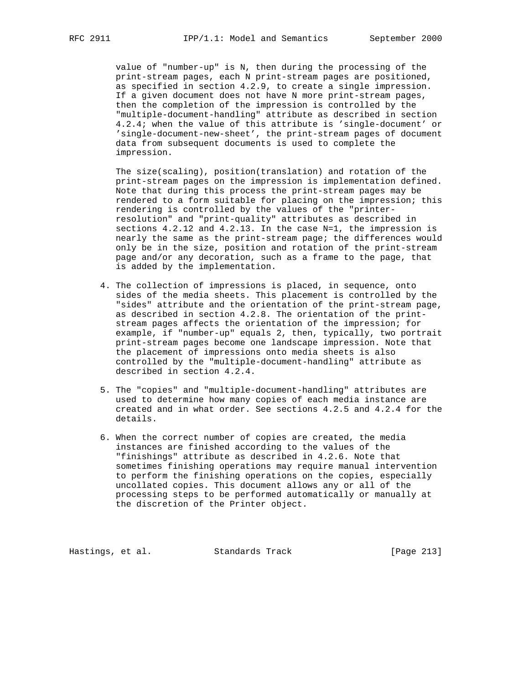value of "number-up" is N, then during the processing of the print-stream pages, each N print-stream pages are positioned, as specified in section 4.2.9, to create a single impression. If a given document does not have N more print-stream pages, then the completion of the impression is controlled by the "multiple-document-handling" attribute as described in section 4.2.4; when the value of this attribute is 'single-document' or 'single-document-new-sheet', the print-stream pages of document data from subsequent documents is used to complete the impression.

 The size(scaling), position(translation) and rotation of the print-stream pages on the impression is implementation defined. Note that during this process the print-stream pages may be rendered to a form suitable for placing on the impression; this rendering is controlled by the values of the "printer resolution" and "print-quality" attributes as described in sections 4.2.12 and 4.2.13. In the case N=1, the impression is nearly the same as the print-stream page; the differences would only be in the size, position and rotation of the print-stream page and/or any decoration, such as a frame to the page, that is added by the implementation.

- 4. The collection of impressions is placed, in sequence, onto sides of the media sheets. This placement is controlled by the "sides" attribute and the orientation of the print-stream page, as described in section 4.2.8. The orientation of the print stream pages affects the orientation of the impression; for example, if "number-up" equals 2, then, typically, two portrait print-stream pages become one landscape impression. Note that the placement of impressions onto media sheets is also controlled by the "multiple-document-handling" attribute as described in section 4.2.4.
- 5. The "copies" and "multiple-document-handling" attributes are used to determine how many copies of each media instance are created and in what order. See sections 4.2.5 and 4.2.4 for the details.
- 6. When the correct number of copies are created, the media instances are finished according to the values of the "finishings" attribute as described in 4.2.6. Note that sometimes finishing operations may require manual intervention to perform the finishing operations on the copies, especially uncollated copies. This document allows any or all of the processing steps to be performed automatically or manually at the discretion of the Printer object.

Hastings, et al. Standards Track [Page 213]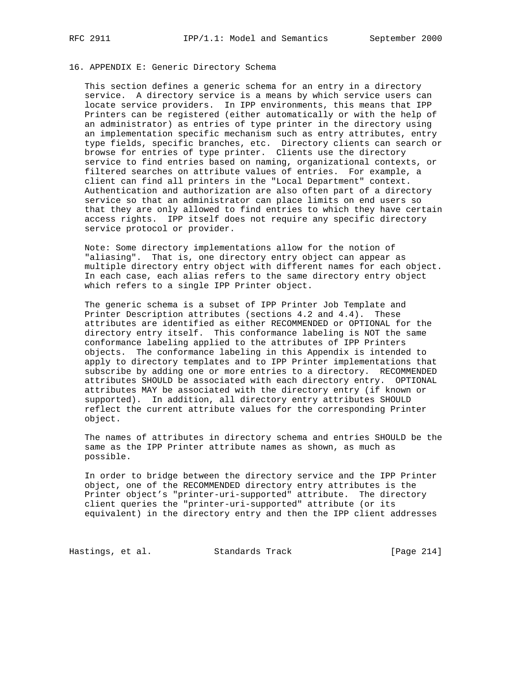### 16. APPENDIX E: Generic Directory Schema

 This section defines a generic schema for an entry in a directory service. A directory service is a means by which service users can locate service providers. In IPP environments, this means that IPP Printers can be registered (either automatically or with the help of an administrator) as entries of type printer in the directory using an implementation specific mechanism such as entry attributes, entry type fields, specific branches, etc. Directory clients can search or browse for entries of type printer. Clients use the directory service to find entries based on naming, organizational contexts, or filtered searches on attribute values of entries. For example, a client can find all printers in the "Local Department" context. Authentication and authorization are also often part of a directory service so that an administrator can place limits on end users so that they are only allowed to find entries to which they have certain access rights. IPP itself does not require any specific directory service protocol or provider.

 Note: Some directory implementations allow for the notion of "aliasing". That is, one directory entry object can appear as multiple directory entry object with different names for each object. In each case, each alias refers to the same directory entry object which refers to a single IPP Printer object.

 The generic schema is a subset of IPP Printer Job Template and Printer Description attributes (sections 4.2 and 4.4). These attributes are identified as either RECOMMENDED or OPTIONAL for the directory entry itself. This conformance labeling is NOT the same conformance labeling applied to the attributes of IPP Printers objects. The conformance labeling in this Appendix is intended to apply to directory templates and to IPP Printer implementations that subscribe by adding one or more entries to a directory. RECOMMENDED attributes SHOULD be associated with each directory entry. OPTIONAL attributes MAY be associated with the directory entry (if known or supported). In addition, all directory entry attributes SHOULD reflect the current attribute values for the corresponding Printer object.

 The names of attributes in directory schema and entries SHOULD be the same as the IPP Printer attribute names as shown, as much as possible.

 In order to bridge between the directory service and the IPP Printer object, one of the RECOMMENDED directory entry attributes is the Printer object's "printer-uri-supported" attribute. The directory client queries the "printer-uri-supported" attribute (or its equivalent) in the directory entry and then the IPP client addresses

Hastings, et al. Standards Track [Page 214]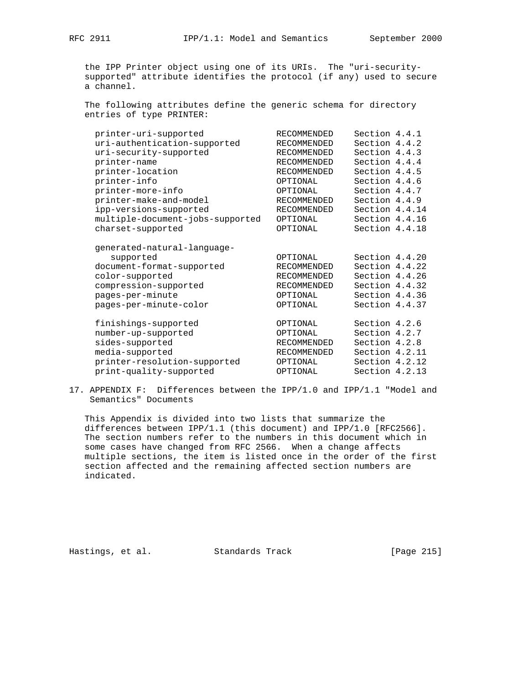the IPP Printer object using one of its URIs. The "uri-security supported" attribute identifies the protocol (if any) used to secure a channel.

 The following attributes define the generic schema for directory entries of type PRINTER:

| printer-uri-supported            | <b>RECOMMENDED</b> | Section 4.4.1  |  |
|----------------------------------|--------------------|----------------|--|
| uri-authentication-supported     | <b>RECOMMENDED</b> | Section 4.4.2  |  |
| uri-security-supported           | <b>RECOMMENDED</b> | Section 4.4.3  |  |
| printer-name                     | <b>RECOMMENDED</b> | Section 4.4.4  |  |
| printer-location                 | <b>RECOMMENDED</b> | Section 4.4.5  |  |
| printer-info                     | OPTIONAL           | Section 4.4.6  |  |
| printer-more-info                | OPTIONAL           | Section 4.4.7  |  |
| printer-make-and-model           | <b>RECOMMENDED</b> | Section 4.4.9  |  |
| ipp-versions-supported           | <b>RECOMMENDED</b> | Section 4.4.14 |  |
| multiple-document-jobs-supported | OPTIONAL           | Section 4.4.16 |  |
| charset-supported                | OPTIONAL           | Section 4.4.18 |  |
| generated-natural-language-      |                    |                |  |
| supported                        | OPTIONAL           | Section 4.4.20 |  |
| document-format-supported        | <b>RECOMMENDED</b> | Section 4.4.22 |  |
| color-supported                  | <b>RECOMMENDED</b> | Section 4.4.26 |  |
| compression-supported            | <b>RECOMMENDED</b> | Section 4.4.32 |  |
| pages-per-minute                 | OPTIONAL           | Section 4.4.36 |  |
| pages-per-minute-color           | OPTIONAL           | Section 4.4.37 |  |
| finishings-supported             | OPTIONAL           | Section 4.2.6  |  |
| number-up-supported              | OPTIONAL           | Section 4.2.7  |  |
| sides-supported                  | <b>RECOMMENDED</b> | Section 4.2.8  |  |
| media-supported                  | <b>RECOMMENDED</b> | Section 4.2.11 |  |
| printer-resolution-supported     | OPTIONAL           | Section 4.2.12 |  |
| print-quality-supported          | OPTIONAL           | Section 4.2.13 |  |
|                                  |                    |                |  |

17. APPENDIX F: Differences between the IPP/1.0 and IPP/1.1 "Model and Semantics" Documents

 This Appendix is divided into two lists that summarize the differences between IPP/1.1 (this document) and IPP/1.0 [RFC2566]. The section numbers refer to the numbers in this document which in some cases have changed from RFC 2566. When a change affects multiple sections, the item is listed once in the order of the first section affected and the remaining affected section numbers are indicated.

Hastings, et al. Standards Track [Page 215]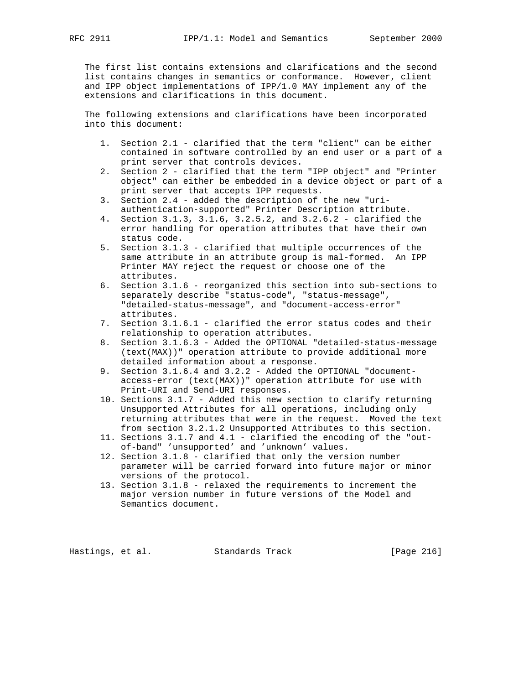The first list contains extensions and clarifications and the second list contains changes in semantics or conformance. However, client and IPP object implementations of IPP/1.0 MAY implement any of the extensions and clarifications in this document.

 The following extensions and clarifications have been incorporated into this document:

- 1. Section 2.1 clarified that the term "client" can be either contained in software controlled by an end user or a part of a print server that controls devices.
- 2. Section 2 clarified that the term "IPP object" and "Printer object" can either be embedded in a device object or part of a print server that accepts IPP requests.
- 3. Section 2.4 added the description of the new "uri authentication-supported" Printer Description attribute.
- 4. Section 3.1.3, 3.1.6, 3.2.5.2, and 3.2.6.2 clarified the error handling for operation attributes that have their own status code.
- 5. Section 3.1.3 clarified that multiple occurrences of the same attribute in an attribute group is mal-formed. An IPP Printer MAY reject the request or choose one of the attributes.
- 6. Section 3.1.6 reorganized this section into sub-sections to separately describe "status-code", "status-message", "detailed-status-message", and "document-access-error" attributes.
- 7. Section 3.1.6.1 clarified the error status codes and their relationship to operation attributes.
- 8. Section 3.1.6.3 Added the OPTIONAL "detailed-status-message (text(MAX))" operation attribute to provide additional more detailed information about a response.
- 9. Section 3.1.6.4 and 3.2.2 Added the OPTIONAL "document access-error (text(MAX))" operation attribute for use with Print-URI and Send-URI responses.
- 10. Sections 3.1.7 Added this new section to clarify returning Unsupported Attributes for all operations, including only returning attributes that were in the request. Moved the text from section 3.2.1.2 Unsupported Attributes to this section.
- 11. Sections 3.1.7 and 4.1 clarified the encoding of the "out of-band" 'unsupported' and 'unknown' values.
- 12. Section 3.1.8 clarified that only the version number parameter will be carried forward into future major or minor versions of the protocol.
- 13. Section 3.1.8 relaxed the requirements to increment the major version number in future versions of the Model and Semantics document.

Hastings, et al. Standards Track [Page 216]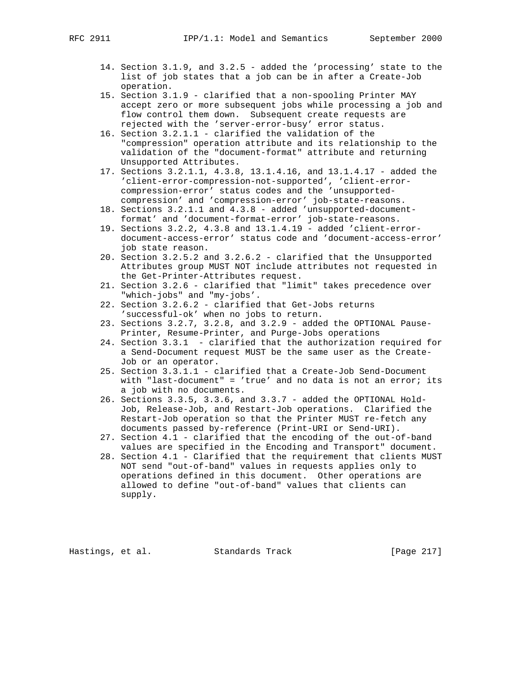- 14. Section 3.1.9, and 3.2.5 added the 'processing' state to the list of job states that a job can be in after a Create-Job operation.
- 15. Section 3.1.9 clarified that a non-spooling Printer MAY accept zero or more subsequent jobs while processing a job and flow control them down. Subsequent create requests are rejected with the 'server-error-busy' error status.
- 16. Section 3.2.1.1 clarified the validation of the "compression" operation attribute and its relationship to the validation of the "document-format" attribute and returning Unsupported Attributes.
- 17. Sections 3.2.1.1, 4.3.8, 13.1.4.16, and 13.1.4.17 added the 'client-error-compression-not-supported', 'client-error compression-error' status codes and the 'unsupported compression' and 'compression-error' job-state-reasons.
- 18. Sections 3.2.1.1 and 4.3.8 added 'unsupported-document format' and 'document-format-error' job-state-reasons.
- 19. Sections 3.2.2, 4.3.8 and 13.1.4.19 added 'client-error document-access-error' status code and 'document-access-error' job state reason.
- 20. Section 3.2.5.2 and 3.2.6.2 clarified that the Unsupported Attributes group MUST NOT include attributes not requested in the Get-Printer-Attributes request.
- 21. Section 3.2.6 clarified that "limit" takes precedence over "which-jobs" and "my-jobs'.
- 22. Section 3.2.6.2 clarified that Get-Jobs returns 'successful-ok' when no jobs to return.
- 23. Sections 3.2.7, 3.2.8, and 3.2.9 added the OPTIONAL Pause- Printer, Resume-Printer, and Purge-Jobs operations
	- 24. Section 3.3.1 clarified that the authorization required for a Send-Document request MUST be the same user as the Create- Job or an operator.
	- 25. Section 3.3.1.1 clarified that a Create-Job Send-Document with "last-document" = 'true' and no data is not an error; its a job with no documents.
	- 26. Sections 3.3.5, 3.3.6, and 3.3.7 added the OPTIONAL Hold- Job, Release-Job, and Restart-Job operations. Clarified the Restart-Job operation so that the Printer MUST re-fetch any documents passed by-reference (Print-URI or Send-URI).
	- 27. Section 4.1 clarified that the encoding of the out-of-band values are specified in the Encoding and Transport" document.
	- 28. Section 4.1 Clarified that the requirement that clients MUST NOT send "out-of-band" values in requests applies only to operations defined in this document. Other operations are allowed to define "out-of-band" values that clients can supply.

Hastings, et al. Standards Track [Page 217]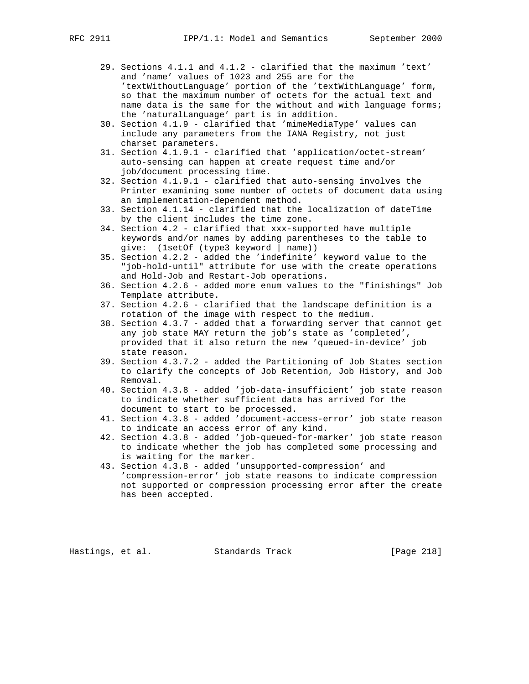- 29. Sections 4.1.1 and 4.1.2 clarified that the maximum 'text' and 'name' values of 1023 and 255 are for the 'textWithoutLanguage' portion of the 'textWithLanguage' form, so that the maximum number of octets for the actual text and name data is the same for the without and with language forms; the 'naturalLanguage' part is in addition.
- 30. Section 4.1.9 clarified that 'mimeMediaType' values can include any parameters from the IANA Registry, not just charset parameters.
- 31. Section 4.1.9.1 clarified that 'application/octet-stream' auto-sensing can happen at create request time and/or job/document processing time.
- 32. Section 4.1.9.1 clarified that auto-sensing involves the Printer examining some number of octets of document data using an implementation-dependent method.
- 33. Section 4.1.14 clarified that the localization of dateTime by the client includes the time zone.
- 34. Section 4.2 clarified that xxx-supported have multiple keywords and/or names by adding parentheses to the table to give: (1setOf (type3 keyword | name))
- 35. Section 4.2.2 added the 'indefinite' keyword value to the "job-hold-until" attribute for use with the create operations and Hold-Job and Restart-Job operations.
- 36. Section 4.2.6 added more enum values to the "finishings" Job Template attribute.
- 37. Section 4.2.6 clarified that the landscape definition is a rotation of the image with respect to the medium.
- 38. Section 4.3.7 added that a forwarding server that cannot get any job state MAY return the job's state as 'completed', provided that it also return the new 'queued-in-device' job state reason.
- 39. Section 4.3.7.2 added the Partitioning of Job States section to clarify the concepts of Job Retention, Job History, and Job Removal.
- 40. Section 4.3.8 added 'job-data-insufficient' job state reason to indicate whether sufficient data has arrived for the document to start to be processed.
- 41. Section 4.3.8 added 'document-access-error' job state reason to indicate an access error of any kind.
- 42. Section 4.3.8 added 'job-queued-for-marker' job state reason to indicate whether the job has completed some processing and is waiting for the marker.
- 43. Section 4.3.8 added 'unsupported-compression' and 'compression-error' job state reasons to indicate compression not supported or compression processing error after the create has been accepted.

Hastings, et al. Standards Track [Page 218]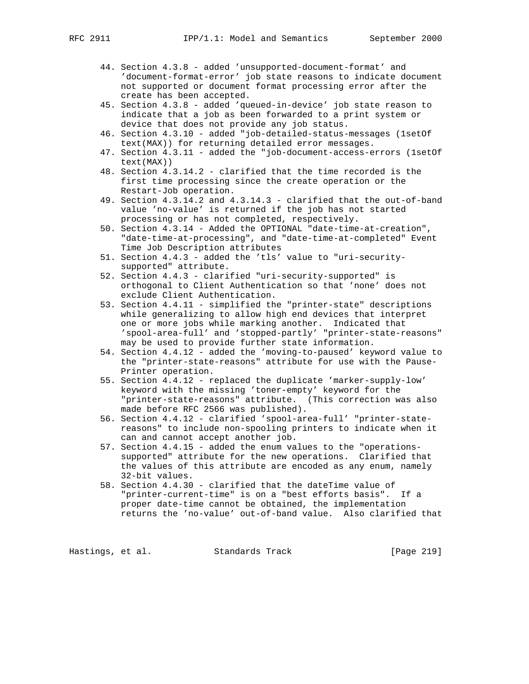- 44. Section 4.3.8 added 'unsupported-document-format' and 'document-format-error' job state reasons to indicate document not supported or document format processing error after the create has been accepted.
- 45. Section 4.3.8 added 'queued-in-device' job state reason to indicate that a job as been forwarded to a print system or device that does not provide any job status.
- 46. Section 4.3.10 added "job-detailed-status-messages (1setOf text(MAX)) for returning detailed error messages.
- 47. Section 4.3.11 added the "job-document-access-errors (1setOf text(MAX))
- 48. Section 4.3.14.2 clarified that the time recorded is the first time processing since the create operation or the Restart-Job operation.
- 49. Section 4.3.14.2 and 4.3.14.3 clarified that the out-of-band value 'no-value' is returned if the job has not started processing or has not completed, respectively.
- 50. Section 4.3.14 Added the OPTIONAL "date-time-at-creation", "date-time-at-processing", and "date-time-at-completed" Event Time Job Description attributes
- 51. Section 4.4.3 added the 'tls' value to "uri-security supported" attribute.
- 52. Section 4.4.3 clarified "uri-security-supported" is orthogonal to Client Authentication so that 'none' does not exclude Client Authentication.
- 53. Section 4.4.11 simplified the "printer-state" descriptions while generalizing to allow high end devices that interpret one or more jobs while marking another. Indicated that 'spool-area-full' and 'stopped-partly' "printer-state-reasons" may be used to provide further state information.
- 54. Section 4.4.12 added the 'moving-to-paused' keyword value to the "printer-state-reasons" attribute for use with the Pause- Printer operation.
- 55. Section 4.4.12 replaced the duplicate 'marker-supply-low' keyword with the missing 'toner-empty' keyword for the "printer-state-reasons" attribute. (This correction was also made before RFC 2566 was published).
- 56. Section 4.4.12 clarified 'spool-area-full' "printer-state reasons" to include non-spooling printers to indicate when it can and cannot accept another job.
- 57. Section 4.4.15 added the enum values to the "operations supported" attribute for the new operations. Clarified that the values of this attribute are encoded as any enum, namely 32-bit values.
- 58. Section 4.4.30 clarified that the dateTime value of "printer-current-time" is on a "best efforts basis". If a proper date-time cannot be obtained, the implementation returns the 'no-value' out-of-band value. Also clarified that

Hastings, et al. Standards Track [Page 219]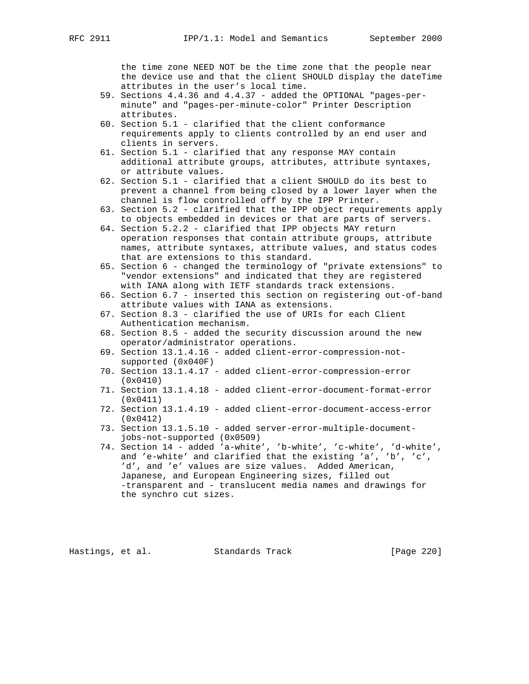the time zone NEED NOT be the time zone that the people near the device use and that the client SHOULD display the dateTime attributes in the user's local time.

- 59. Sections 4.4.36 and 4.4.37 added the OPTIONAL "pages-per minute" and "pages-per-minute-color" Printer Description attributes.
- 60. Section 5.1 clarified that the client conformance requirements apply to clients controlled by an end user and clients in servers.
- 61. Section 5.1 clarified that any response MAY contain additional attribute groups, attributes, attribute syntaxes, or attribute values.
- 62. Section 5.1 clarified that a client SHOULD do its best to prevent a channel from being closed by a lower layer when the channel is flow controlled off by the IPP Printer.
- 63. Section 5.2 clarified that the IPP object requirements apply to objects embedded in devices or that are parts of servers.
- 64. Section 5.2.2 clarified that IPP objects MAY return operation responses that contain attribute groups, attribute names, attribute syntaxes, attribute values, and status codes that are extensions to this standard.
- 65. Section 6 changed the terminology of "private extensions" to "vendor extensions" and indicated that they are registered with IANA along with IETF standards track extensions.
- 66. Section 6.7 inserted this section on registering out-of-band attribute values with IANA as extensions.
- 67. Section 8.3 clarified the use of URIs for each Client Authentication mechanism.
- 68. Section 8.5 added the security discussion around the new operator/administrator operations.
- 69. Section 13.1.4.16 added client-error-compression-not supported (0x040F)
- 70. Section 13.1.4.17 added client-error-compression-error (0x0410)
- 71. Section 13.1.4.18 added client-error-document-format-error (0x0411)
- 72. Section 13.1.4.19 added client-error-document-access-error (0x0412)
- 73. Section 13.1.5.10 added server-error-multiple-document jobs-not-supported (0x0509)
- 74. Section 14 added 'a-white', 'b-white', 'c-white', 'd-white', and 'e-white' and clarified that the existing 'a', 'b', 'c', 'd', and 'e' values are size values. Added American, Japanese, and European Engineering sizes, filled out -transparent and - translucent media names and drawings for the synchro cut sizes.

Hastings, et al. Standards Track [Page 220]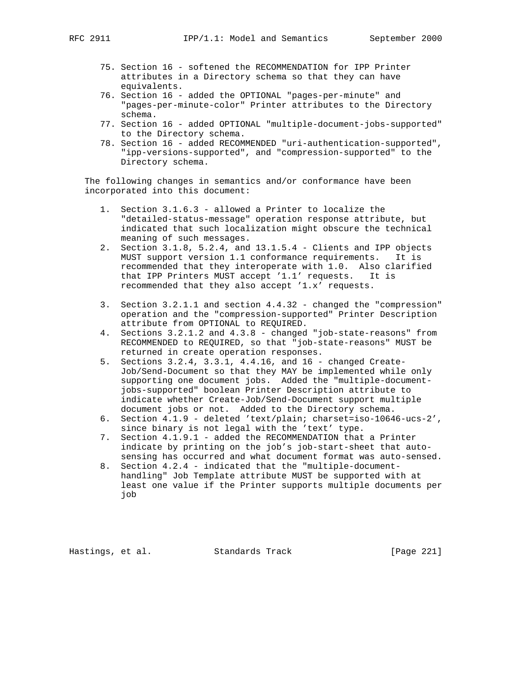- 75. Section 16 softened the RECOMMENDATION for IPP Printer attributes in a Directory schema so that they can have equivalents.
- 76. Section 16 added the OPTIONAL "pages-per-minute" and "pages-per-minute-color" Printer attributes to the Directory schema.
- 77. Section 16 added OPTIONAL "multiple-document-jobs-supported" to the Directory schema.
- 78. Section 16 added RECOMMENDED "uri-authentication-supported", "ipp-versions-supported", and "compression-supported" to the Directory schema.

 The following changes in semantics and/or conformance have been incorporated into this document:

- 1. Section 3.1.6.3 allowed a Printer to localize the "detailed-status-message" operation response attribute, but indicated that such localization might obscure the technical meaning of such messages.
- 2. Section 3.1.8, 5.2.4, and 13.1.5.4 Clients and IPP objects MUST support version 1.1 conformance requirements. It is recommended that they interoperate with 1.0. Also clarified that IPP Printers MUST accept '1.1' requests. It is recommended that they also accept '1.x' requests.
- 3. Section 3.2.1.1 and section 4.4.32 changed the "compression" operation and the "compression-supported" Printer Description attribute from OPTIONAL to REQUIRED.
- 4. Sections 3.2.1.2 and 4.3.8 changed "job-state-reasons" from RECOMMENDED to REQUIRED, so that "job-state-reasons" MUST be returned in create operation responses.
- 5. Sections 3.2.4, 3.3.1, 4.4.16, and 16 changed Create- Job/Send-Document so that they MAY be implemented while only supporting one document jobs. Added the "multiple-document jobs-supported" boolean Printer Description attribute to indicate whether Create-Job/Send-Document support multiple document jobs or not. Added to the Directory schema.
- 6. Section 4.1.9 deleted 'text/plain; charset=iso-10646-ucs-2', since binary is not legal with the 'text' type.
- 7. Section 4.1.9.1 added the RECOMMENDATION that a Printer indicate by printing on the job's job-start-sheet that auto sensing has occurred and what document format was auto-sensed.
- 8. Section 4.2.4 indicated that the "multiple-document handling" Job Template attribute MUST be supported with at least one value if the Printer supports multiple documents per job

Hastings, et al. Standards Track [Page 221]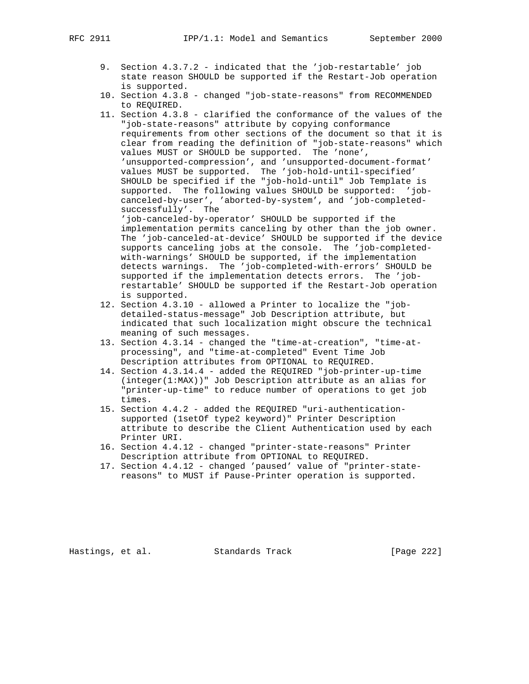- 9. Section 4.3.7.2 indicated that the 'job-restartable' job state reason SHOULD be supported if the Restart-Job operation is supported.
- 10. Section 4.3.8 changed "job-state-reasons" from RECOMMENDED to REQUIRED.
- 11. Section 4.3.8 clarified the conformance of the values of the "job-state-reasons" attribute by copying conformance requirements from other sections of the document so that it is clear from reading the definition of "job-state-reasons" which values MUST or SHOULD be supported. The 'none', 'unsupported-compression', and 'unsupported-document-format' values MUST be supported. The 'job-hold-until-specified' SHOULD be specified if the "job-hold-until" Job Template is supported. The following values SHOULD be supported: 'job canceled-by-user', 'aborted-by-system', and 'job-completed successfully'. The 'job-canceled-by-operator' SHOULD be supported if the

 implementation permits canceling by other than the job owner. The 'job-canceled-at-device' SHOULD be supported if the device supports canceling jobs at the console. The 'job-completed with-warnings' SHOULD be supported, if the implementation detects warnings. The 'job-completed-with-errors' SHOULD be supported if the implementation detects errors. The 'job restartable' SHOULD be supported if the Restart-Job operation is supported.

- 12. Section 4.3.10 allowed a Printer to localize the "job detailed-status-message" Job Description attribute, but indicated that such localization might obscure the technical meaning of such messages.
- 13. Section 4.3.14 changed the "time-at-creation", "time-at processing", and "time-at-completed" Event Time Job Description attributes from OPTIONAL to REQUIRED.
- 14. Section 4.3.14.4 added the REQUIRED "job-printer-up-time (integer(1:MAX))" Job Description attribute as an alias for "printer-up-time" to reduce number of operations to get job times.
- 15. Section 4.4.2 added the REQUIRED "uri-authentication supported (1setOf type2 keyword)" Printer Description attribute to describe the Client Authentication used by each Printer URI.
- 16. Section 4.4.12 changed "printer-state-reasons" Printer Description attribute from OPTIONAL to REQUIRED.
- 17. Section 4.4.12 changed 'paused' value of "printer-state reasons" to MUST if Pause-Printer operation is supported.

Hastings, et al. Standards Track [Page 222]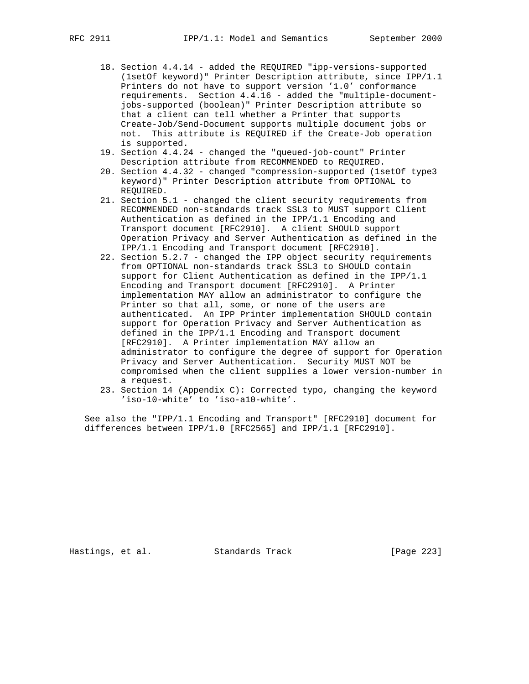- 18. Section 4.4.14 added the REQUIRED "ipp-versions-supported (1setOf keyword)" Printer Description attribute, since IPP/1.1 Printers do not have to support version '1.0' conformance requirements. Section 4.4.16 - added the "multiple-document jobs-supported (boolean)" Printer Description attribute so that a client can tell whether a Printer that supports Create-Job/Send-Document supports multiple document jobs or not. This attribute is REQUIRED if the Create-Job operation is supported.
- 19. Section 4.4.24 changed the "queued-job-count" Printer Description attribute from RECOMMENDED to REQUIRED.
- 20. Section 4.4.32 changed "compression-supported (1setOf type3 keyword)" Printer Description attribute from OPTIONAL to REQUIRED.
- 21. Section 5.1 changed the client security requirements from RECOMMENDED non-standards track SSL3 to MUST support Client Authentication as defined in the IPP/1.1 Encoding and Transport document [RFC2910]. A client SHOULD support Operation Privacy and Server Authentication as defined in the IPP/1.1 Encoding and Transport document [RFC2910].
- 22. Section 5.2.7 changed the IPP object security requirements from OPTIONAL non-standards track SSL3 to SHOULD contain support for Client Authentication as defined in the IPP/1.1 Encoding and Transport document [RFC2910]. A Printer implementation MAY allow an administrator to configure the Printer so that all, some, or none of the users are authenticated. An IPP Printer implementation SHOULD contain support for Operation Privacy and Server Authentication as defined in the IPP/1.1 Encoding and Transport document [RFC2910]. A Printer implementation MAY allow an administrator to configure the degree of support for Operation Privacy and Server Authentication. Security MUST NOT be compromised when the client supplies a lower version-number in a request.
- 23. Section 14 (Appendix C): Corrected typo, changing the keyword 'iso-10-white' to 'iso-a10-white'.

 See also the "IPP/1.1 Encoding and Transport" [RFC2910] document for differences between IPP/1.0 [RFC2565] and IPP/1.1 [RFC2910].

Hastings, et al. Standards Track [Page 223]